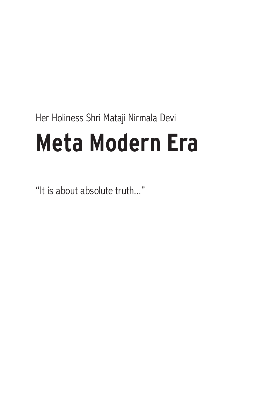#### Her Holiness Shri Mataji Nirmala Devi

# **Meta Modern Era**

"It is about absolute truth..."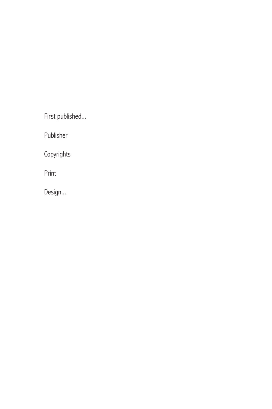First published...

Publisher

Copyrights

Print

Design...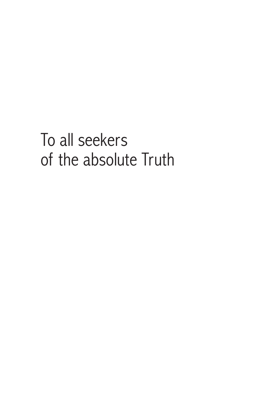### To all seekers of the absolute Truth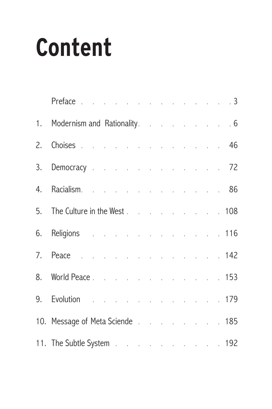# **Content**

|    | Preface a contract of the contract of the contract of the 2004 of the contract of the 2004 of the Contract of the Contract of the Contract of the Contract of the Contract of the Contract of the Contract of the Contract of |  |  |  |  |  |  |  |
|----|-------------------------------------------------------------------------------------------------------------------------------------------------------------------------------------------------------------------------------|--|--|--|--|--|--|--|
|    | 1. Modernism and Rationality. The state of the state of the Second State of the Modernian State of the Second S                                                                                                               |  |  |  |  |  |  |  |
|    | 2. Choises 46                                                                                                                                                                                                                 |  |  |  |  |  |  |  |
| 3. | Democracy New York State Street, 1982                                                                                                                                                                                         |  |  |  |  |  |  |  |
|    | 4. Racialism. 86                                                                                                                                                                                                              |  |  |  |  |  |  |  |
|    | 5. The Culture in the West 108                                                                                                                                                                                                |  |  |  |  |  |  |  |
|    | 6. Religions 116                                                                                                                                                                                                              |  |  |  |  |  |  |  |
|    | 7. Peace 142                                                                                                                                                                                                                  |  |  |  |  |  |  |  |
|    | 8. World Peace 153                                                                                                                                                                                                            |  |  |  |  |  |  |  |
|    | 9. Evolution 179                                                                                                                                                                                                              |  |  |  |  |  |  |  |
|    | 10. Message of Meta Sciende 185                                                                                                                                                                                               |  |  |  |  |  |  |  |
|    | 11. The Subtle System 192                                                                                                                                                                                                     |  |  |  |  |  |  |  |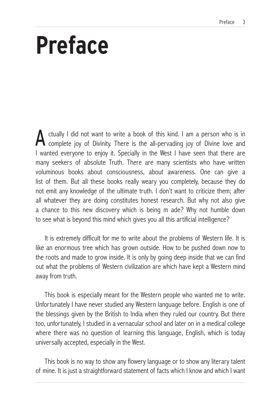## **Preface**

ctually I did not want to write a book of this kind. I am a person who is in A ctually I did not want to write a book of this kind. I am a person who is in<br>A complete joy of Divinity. There is the all-pervading joy of Divine love and I wanted everyone to enjoy it. Specially in the West I have seen that there are many seekers of absolute Truth. There are many scientists who have written voluminous books about consciousness, about awareness. One can give a list of them. But all these books really weary you completely, because they do not emit any knowledge of the ultimate truth. I don't want to criticize them; after all whatever they are doing constitutes honest research. But why not also give a chance to this new discovery which is being m ade? Why not humble down to see what is beyond this mind which gives you all this artificial intelligence?

It is extremely difficult for me to write about the problems of Western life. It is like an enormous tree which has grown outside. How to be pushed down now to the roots and made to grow inside. It is only by going deep inside that we can find out what the problems of Western civilization are which have kept a Western mind away from truth.

This book is especially meant for the Western people who wanted me to write. Unfortunately I have never studied any Western language before. English is one of the blessings given by the British to India when they ruled our country. But there too, unfortunately, I studied in a vernacular school and later on in a medical college where there was no question of learning this language, English, which is today universally accepted, especially in the West.

This book is no way to show any flowery language or to show any literary talent of mine. It is just a straightforward statement of facts which I know and which I want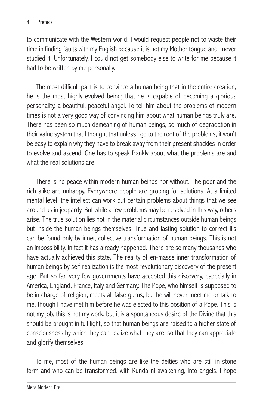to communicate with the Western world. I would request people not to waste their time in finding faults with my English because it is not my Mother tongue and I never studied it. Unfortunately, I could not get somebody else to write for me because it had to be written by me personally.

The most difficult part is to convince a human being that in the entire creation, he is the most highly evolved being; that he is capable of becoming a glorious personality, a beautiful, peaceful angel. To tell him about the problems of modern times is not a very good way of convincing him about what human beings truly are. There has been so much demeaning of human beings, so much of degradation in their value system that I thought that unless I go to the root of the problems, it won't be easy to explain why they have to break away from their present shackles in order to evolve and ascend. One has to speak frankly about what the problems are and what the real solutions are.

There is no peace within modern human beings nor without. The poor and the rich alike are unhappy. Everywhere people are groping for solutions. At a limited mental level, the intellect can work out certain problems about things that we see around us in jeopardy. But while a few problems may be resolved in this way, others arise. The true solution lies not in the material circumstances outside human beings but inside the human beings themselves. True and lasting solution to correct ills can be found only by inner, collective transformation of human beings. This is not an impossibility. In fact it has already happened. There are so many thousands who have actually achieved this state. The reality of en-masse inner transformation of human beings by self-realization is the most revolutionary discovery of the present age. But so far, very few governments have accepted this discovery, especially in America, England, France, Italy and Germany. The Pope, who himself is supposed to be in charge of religion, meets all false gurus, but he will never meet me or talk to me, though I have met him before he was elected to this position of a Pope. This is not my job, this is not my work, but it is a spontaneous desire of the Divine that this should be brought in full light, so that human beings are raised to a higher state of consciousness by which they can realize what they are, so that they can appreciate and glorify themselves.

To me, most of the human beings are like the deities who are still in stone form and who can be transformed, with Kundalini awakening, into angels. I hope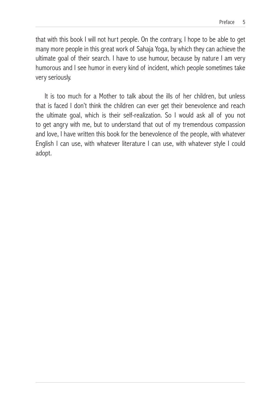that with this book I will not hurt people. On the contrary, I hope to be able to get many more people in this great work of Sahaja Yoga, by which they can achieve the ultimate goal of their search. I have to use humour, because by nature I am very humorous and I see humor in every kind of incident, which people sometimes take very seriously.

It is too much for a Mother to talk about the ills of her children, but unless that is faced I don't think the children can ever get their benevolence and reach the ultimate goal, which is their self-realization. So I would ask all of you not to get angry with me, but to understand that out of my tremendous compassion and love, I have written this book for the benevolence of the people, with whatever English I can use, with whatever literature I can use, with whatever style I could adopt.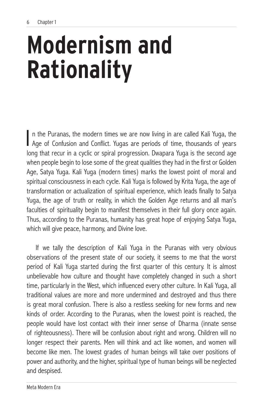# **Modernism and Rationality**

n the Puranas, the modern times we are now living in are called Kali Yuga, the In the Puranas, the modern times we are now living in are called Kali Yuga, the Age of Confusion and Conflict. Yugas are periods of time, thousands of years long that recur in a cyclic or spiral progression. Dwapara Yuga is the second age when people begin to lose some of the great qualities they had in the first or Golden Age, Satya Yuga. Kali Yuga (modern times) marks the lowest point of moral and spiritual consciousness in each cycle. Kali Yuga is followed by Krita Yuga, the age of transformation or actualization of spiritual experience, which leads finally to Satya Yuga, the age of truth or reality, in which the Golden Age returns and all man's faculties of spirituality begin to manifest themselves in their full glory once again. Thus, according to the Puranas, humanity has great hope of enjoying Satya Yuga, which will give peace, harmony, and Divine love.

If we tally the description of Kali Yuga in the Puranas with very obvious observations of the present state of our society, it seems to me that the worst period of Kali Yuga started during the first quarter of this century. It is almost unbelievable how culture and thought have completely changed in such a short time, particularly in the West, which influenced every other culture. In Kali Yuga, all traditional values are more and more undermined and destroyed and thus there is great moral confusion. There is also a restless seeking for new forms and new kinds of order. According to the Puranas, when the lowest point is reached, the people would have lost contact with their inner sense of Dharma (innate sense of righteousness). There will be confusion about right and wrong. Children will no longer respect their parents. Men will think and act like women, and women will become like men. The lowest grades of human beings will take over positions of power and authority, and the higher, spiritual type of human beings will be neglected and despised.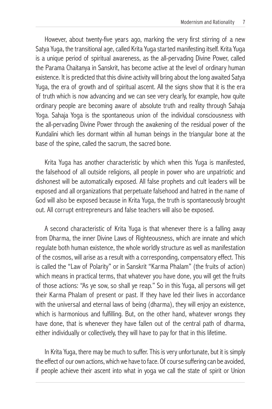However, about twenty-five years ago, marking the very first stirring of a new Satya Yuga, the transitional age, called Krita Yuga started manifesting itself. Krita Yuga is a unique period of spiritual awareness, as the all-pervading Divine Power, called the Parama Chaitanya in Sanskrit, has become active at the level of ordinary human existence. It is predicted that this divine activity will bring about the long awaited Satya Yuga, the era of growth and of spiritual ascent. All the signs show that it is the era of truth which is now advancing and we can see very clearly, for example, how quite ordinary people are becoming aware of absolute truth and reality through Sahaja Yoga. Sahaja Yoga is the spontaneous union of the individual consciousness with the all-pervading Divine Power through the awakening of the residual power of the Kundalini which lies dormant within all human beings in the triangular bone at the base of the spine, called the sacrum, the sacred bone.

Krita Yuga has another characteristic by which when this Yuga is manifested, the falsehood of all outside religions, all people in power who are unpatriotic and dishonest will be automatically exposed. All false prophets and cult leaders will be exposed and all organizations that perpetuate falsehood and hatred in the name of God will also be exposed because in Krita Yuga, the truth is spontaneously brought out. All corrupt entrepreneurs and false teachers will also be exposed.

A second characteristic of Krita Yuga is that whenever there is a falling away from Dharma, the inner Divine Laws of Righteousness, which are innate and which regulate both human existence, the whole worldly structure as well as manifestation of the cosmos, will arise as a result with a corresponding, compensatory effect. This is called the "Law of Polarity" or in Sanskrit "Karma Phalam" (the fruits of action) which means in practical terms, that whatever you have done, you will get the fruits of those actions: "As ye sow, so shall ye reap." So in this Yuga, all persons will get their Karma Phalam of present or past. If they have led their lives in accordance with the universal and eternal laws of being (dharma), they will enjoy an existence, which is harmonious and fulfilling. But, on the other hand, whatever wrongs they have done, that is whenever they have fallen out of the central path of dharma, either individually or collectively, they will have to pay for that in this lifetime.

In Krita Yuga, there may be much to suffer. This is very unfortunate, but it is simply the effect of our own actions, which we have to face. Of course suffering can be avoided, if people achieve their ascent into what in yoga we call the state of spirit or Union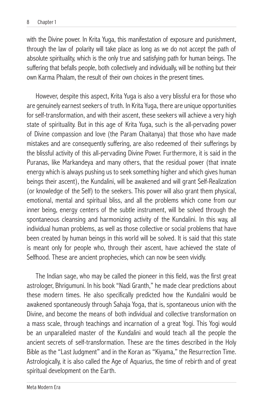with the Divine power. In Krita Yuga, this manifestation of exposure and punishment, through the law of polarity will take place as long as we do not accept the path of absolute spirituality, which is the only true and satisfying path for human beings. The suffering that befalls people, both collectively and individually, will be nothing but their own Karma Phalam, the result of their own choices in the present times.

However, despite this aspect, Krita Yuga is also a very blissful era for those who are genuinely earnest seekers of truth. In Krita Yuga, there are unique opportunities for self-transformation, and with their ascent, these seekers will achieve a very high state of spirituality. But in this age of Krita Yuga, such is the all-pervading power of Divine compassion and love (the Param Chaitanya) that those who have made mistakes and are consequently suffering, are also redeemed of their sufferings by the blissful activity of this all-pervading Divine Power. Furthermore, it is said in the Puranas, like Markandeya and many others, that the residual power (that innate energy which is always pushing us to seek something higher and which gives human beings their ascent), the Kundalini, will be awakened and will grant Self-Realization (or knowledge of the Self) to the seekers. This power will also grant them physical, emotional, mental and spiritual bliss, and all the problems which come from our inner being, energy centers of the subtle instrument, will be solved through the spontaneous cleansing and harmonizing activity of the Kundalini. In this way, all individual human problems, as well as those collective or social problems that have been created by human beings in this world will be solved. It is said that this state is meant only for people who, through their ascent, have achieved the state of Selfhood. These are ancient prophecies, which can now be seen vividly.

The Indian sage, who may be called the pioneer in this field, was the first great astrologer, Bhrigumuni. In his book "Nadi Granth," he made clear predictions about these modern times. He also specifically predicted how the Kundalini would be awakened spontaneously through Sahaja Yoga, that is, spontaneous union with the Divine, and become the means of both individual and collective transformation on a mass scale, through teachings and incarnation of a great Yogi. This Yogi would be an unparalleled master of the Kundalini and would teach all the people the ancient secrets of self-transformation. These are the times described in the Holy Bible as the "Last Judgment" and in the Koran as "Kiyama," the Resurrection Time. Astrologically, it is also called the Age of Aquarius, the time of rebirth and of great spiritual development on the Earth.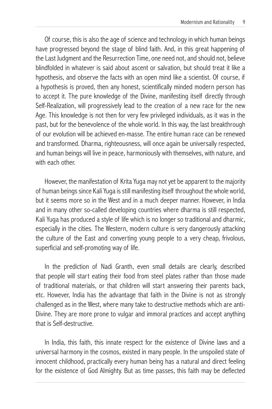Of course, this is also the age of science and technology in which human beings have progressed beyond the stage of blind faith. And, in this great happening of the Last Judgment and the Resurrection Time, one need not, and should not, believe blindfolded in whatever is said about ascent or salvation, but should treat it like a hypothesis, and observe the facts with an open mind like a scientist. Of course, if a hypothesis is proved, then any honest, scientifically minded modern person has to accept it. The pure knowledge of the Divine, manifesting itself directly through Self-Realization, will progressively lead to the creation of a new race for the new Age. This knowledge is not then for very few privileged individuals, as it was in the past, but for the benevolence of the whole world. In this way, the last breakthrough of our evolution will be achieved en-masse. The entire human race can be renewed and transformed. Dharma, righteousness, will once again be universally respected, and human beings will live in peace, harmoniously with themselves, with nature, and with each other.

However, the manifestation of Krita Yuga may not yet be apparent to the majority of human beings since Kali Yuga is still manifesting itself throughout the whole world, but it seems more so in the West and in a much deeper manner. However, in India and in many other so-called developing countries where dharma is still respected, Kali Yuga has produced a style of life which is no longer so traditional and dharmic, especially in the cities. The Western, modern culture is very dangerously attacking the culture of the East and converting young people to a very cheap, frivolous, superficial and self-promoting way of life.

In the prediction of Nadi Granth, even small details are clearly, described that people will start eating their food from steel plates rather than those made of traditional materials, or that children will start answering their parents back, etc. However, India has the advantage that faith in the Divine is not as strongly challenged as in the West, where many take to destructive methods which are anti-Divine. They are more prone to vulgar and immoral practices and accept anything that is Self-destructive.

In India, this faith, this innate respect for the existence of Divine laws and a universal harmony in the cosmos, existed in many people. In the unspoiled state of innocent childhood, practically every human being has a natural and direct feeling for the existence of God Almighty. But as time passes, this faith may be deflected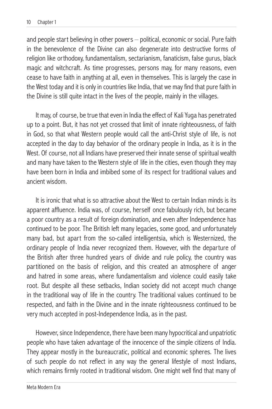and people start believing in other powers – political, economic or social. Pure faith in the benevolence of the Divine can also degenerate into destructive forms of religion like orthodoxy, fundamentalism, sectarianism, fanaticism, false gurus, black magic and witchcraft. As time progresses, persons may, for many reasons, even cease to have faith in anything at all, even in themselves. This is largely the case in the West today and it is only in countries like India, that we may find that pure faith in the Divine is still quite intact in the lives of the people, mainly in the villages.

It may, of course, be true that even in India the effect of Kali Yuga has penetrated up to a point. But, it has not yet crossed that limit of innate righteousness, of faith in God, so that what Western people would call the anti-Christ style of life, is not accepted in the day to day behavior of the ordinary people in India, as it is in the West. Of course, not all Indians have preserved their innate sense of spiritual wealth and many have taken to the Western style of life in the cities, even though they may have been born in India and imbibed some of its respect for traditional values and ancient wisdom.

It is ironic that what is so attractive about the West to certain Indian minds is its apparent affluence. India was, of course, herself once fabulously rich, but became a poor country as a result of foreign domination, and even after Independence has continued to be poor. The British left many legacies, some good, and unfortunately many bad, but apart from the so-called intelligentsia, which is Westernized, the ordinary people of India never recognized them. However, with the departure of the British after three hundred years of divide and rule policy, the country was partitioned on the basis of religion, and this created an atmosphere of anger and hatred in some areas, where fundamentalism and violence could easily take root. But despite all these setbacks, Indian society did not accept much change in the traditional way of life in the country. The traditional values continued to be respected, and faith in the Divine and in the innate righteousness continued to be very much accepted in post-Independence India, as in the past.

However, since Independence, there have been many hypocritical and unpatriotic people who have taken advantage of the innocence of the simple citizens of India. They appear mostly in the bureaucratic, political and economic spheres. The lives of such people do not reflect in any way the general lifestyle of most Indians, which remains firmly rooted in traditional wisdom. One might well find that many of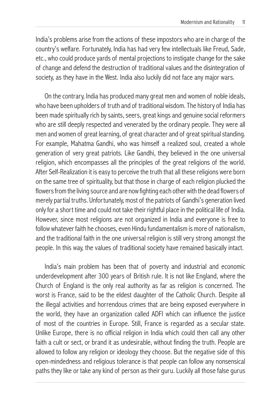India's problems arise from the actions of these impostors who are in charge of the country's welfare. Fortunately, India has had very few intellectuals like Freud, Sade, etc., who could produce yards of mental projections to instigate change for the sake of change and defend the destruction of traditional values and the disintegration of society, as they have in the West. India also luckily did not face any major wars.

On the contrary, India has produced many great men and women of noble ideals, who have been upholders of truth and of traditional wisdom. The history of India has been made spiritually rich by saints, seers, great kings and genuine social reformers who are still deeply respected and venerated by the ordinary people. They were all men and women of great learning, of great character and of great spiritual standing. For example, Mahatma Gandhi, who was himself a realized soul, created a whole generation of very great patriots. Like Gandhi, they believed in the one universal religion, which encompasses all the principles of the great religions of the world. After Self-Realization it is easy to perceive the truth that all these religions were born on the same tree of spirituality, but that those in charge of each religion plucked the flowers from the living source and are now fighting each other with the dead flowers of merely partial truths. Unfortunately, most of the patriots of Gandhi's generation lived only for a short time and could not take their rightful place in the political life of India. However, since most religions are not organized in India and everyone is free to follow whatever faith he chooses, even Hindu fundamentalism is more of nationalism, and the traditional faith in the one universal religion is still very strong amongst the people. In this way, the values of traditional society have remained basically intact.

India's main problem has been that of poverty and industrial and economic underdevelopment after 300 years of British rule. It is not like England, where the Church of England is the only real authority as far as religion is concerned. The worst is France, said to be the eldest daughter of the Catholic Church. Despite all the illegal activities and horrendous crimes that are being exposed everywhere in the world, they have an organization called ADFI which can influence the justice of most of the countries in Europe. Still, France is regarded as a secular state. Unlike Europe, there is no official religion in India which could then call any other faith a cult or sect, or brand it as undesirable, without finding the truth. People are allowed to follow any religion or ideology they choose. But the negative side of this open-mindedness and religious tolerance is that people can follow any nonsensical paths they like or take any kind of person as their guru. Luckily all those false gurus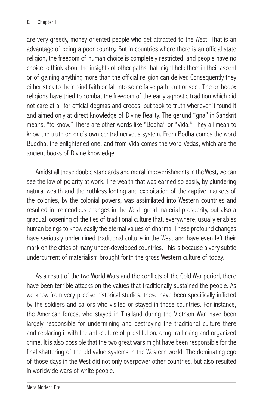are very greedy, money-oriented people who get attracted to the West. That is an advantage of being a poor country. But in countries where there is an official state religion, the freedom of human choice is completely restricted, and people have no choice to think about the insights of other paths that might help them in their ascent or of gaining anything more than the official religion can deliver. Consequently they either stick to their blind faith or fall into some false path, cult or sect. The orthodox religions have tried to combat the freedom of the early agnostic tradition which did not care at all for official dogmas and creeds, but took to truth wherever it found it and aimed only at direct knowledge of Divine Reality. The gerund "gna" in Sanskrit means, "to know." There are other words like "Bodha" or "Vida." They all mean to know the truth on one's own central nervous system. From Bodha comes the word Buddha, the enlightened one, and from Vida comes the word Vedas, which are the ancient books of Divine knowledge.

Amidst all these double standards and moral impoverishments in the West, we can see the law of polarity at work. The wealth that was earned so easily, by plundering natural wealth and the ruthless looting and exploitation of the captive markets of the colonies, by the colonial powers, was assimilated into Western countries and resulted in tremendous changes in the West: great material prosperity, but also a gradual loosening of the ties of traditional culture that, everywhere, usually enables human beings to know easily the eternal values of dharma. These profound changes have seriously undermined traditional culture in the West and have even left their mark on the cities of many under-developed countries. This is because a very subtle undercurrent of materialism brought forth the gross Western culture of today.

As a result of the two World Wars and the conflicts of the Cold War period, there have been terrible attacks on the values that traditionally sustained the people. As we know from very precise historical studies, these have been specifically inflicted by the soldiers and sailors who visited or stayed in those countries. For instance, the American forces, who stayed in Thailand during the Vietnam War, have been largely responsible for undermining and destroying the traditional culture there and replacing it with the anti-culture of prostitution, drug trafficking and organized crime. It is also possible that the two great wars might have been responsible for the final shattering of the old value systems in the Western world. The dominating ego of those days in the West did not only overpower other countries, but also resulted in worldwide wars of white people.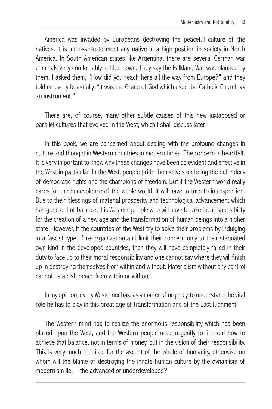America was invaded by Europeans destroying the peaceful culture of the natives. It is impossible to meet any native in a high position in society in North America. In South American states like Argentina, there are several German war criminals very comfortably settled down. They say the Falkland War was planned by them. I asked them, "How did you reach here all the way from Europe?" and they told me, very boastfully, "It was the Grace of God which used the Catholic Church as an instrument."

There are, of course, many other subtle causes of this new juxtaposed or parallel cultures that evolved in the West, which I shall discuss later.

In this book, we are concerned about dealing with the profound changes in culture and thought in Western countries in modern times. The concern is heartfelt. It is very important to know why these changes have been so evident and effective in the West in particular. In the West, people pride themselves on being the defenders of democratic rights and the champions of freedom. But if the Western world really cares for the benevolence of the whole world, it will have to turn to introspection. Due to their blessings of material prosperity and technological advancement which has gone out of balance, it is Western people who will have to take the responsibility for the creation of a new age and the transformation of human beings into a higher state. However, if the countries of the West try to solve their problems by indulging in a fascist type of re-organization and limit their concern only to their stagnated own kind in the developed countries, then they will have completely failed in their duty to face up to their moral responsibility and one cannot say where they will finish up in destroying themselves from within and without. Materialism without any control cannot establish peace from within or without.

In my opinion, every Westerner has, as a matter of urgency, to understand the vital role he has to play in this great age of transformation and of the Last Judgment.

The Western mind has to realize the enormous responsibility which has been placed upon the West, and the Western people need urgently to find out how to achieve that balance, not in terms of money, but in the vision of their responsibility. This is very much required for the ascent of the whole of humanity, otherwise on whom will the blame of destroying the innate human culture by the dynamism of modernism lie, – the advanced or underdeveloped?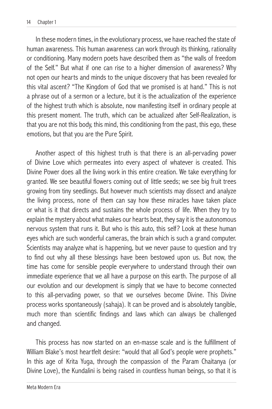In these modern times, in the evolutionary process, we have reached the state of human awareness. This human awareness can work through its thinking, rationality or conditioning. Many modern poets have described them as "the walls of freedom of the Self." But what if one can rise to a higher dimension of awareness? Why not open our hearts and minds to the unique discovery that has been revealed for this vital ascent? "The Kingdom of God that we promised is at hand." This is not a phrase out of a sermon or a lecture, but it is the actualization of the experience of the highest truth which is absolute, now manifesting itself in ordinary people at this present moment. The truth, which can be actualized after Self-Realization, is that you are not this body, this mind, this conditioning from the past, this ego, these emotions, but that you are the Pure Spirit.

Another aspect of this highest truth is that there is an all-pervading power of Divine Love which permeates into every aspect of whatever is created. This Divine Power does all the living work in this entire creation. We take everything for granted. We see beautiful flowers coming out of little seeds; we see big fruit trees growing from tiny seedlings. But however much scientists may dissect and analyze the living process, none of them can say how these miracles have taken place or what is it that directs and sustains the whole process of life. When they try to explain the mystery about what makes our hearts beat, they say it is the autonomous nervous system that runs it. But who is this auto, this self? Look at these human eyes which are such wonderful cameras, the brain which is such a grand computer. Scientists may analyze what is happening, but we never pause to question and try to find out why all these blessings have been bestowed upon us. But now, the time has come for sensible people everywhere to understand through their own immediate experience that we all have a purpose on this earth. The purpose of all our evolution and our development is simply that we have to become connected to this all-pervading power, so that we ourselves become Divine. This Divine process works spontaneously (sahaja). It can be proved and is absolutely tangible, much more than scientific findings and laws which can always be challenged and changed.

This process has now started on an en-masse scale and is the fulfillment of William Blake's most heartfelt desire: "would that all God's people were prophets." In this age of Krita Yuga, through the compassion of the Param Chaitanya (or Divine Love), the Kundalini is being raised in countless human beings, so that it is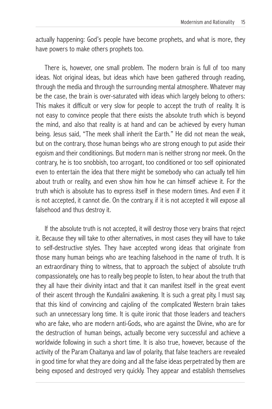actually happening: God's people have become prophets, and what is more, they have powers to make others prophets too.

There is, however, one small problem. The modern brain is full of too many ideas. Not original ideas, but ideas which have been gathered through reading, through the media and through the surrounding mental atmosphere. Whatever may be the case, the brain is over-saturated with ideas which largely belong to others: This makes it difficult or very slow for people to accept the truth of reality. It is not easy to convince people that there exists the absolute truth which is beyond the mind, and also that reality is at hand and can be achieved by every human being. Jesus said, "The meek shall inherit the Earth." He did not mean the weak, but on the contrary, those human beings who are strong enough to put aside their egoism and their conditionings. But modern man is neither strong nor meek. On the contrary, he is too snobbish, too arrogant, too conditioned or too self opinionated even to entertain the idea that there might be somebody who can actually tell him about truth or reality, and even show him how he can himself achieve it. For the truth which is absolute has to express itself in these modern times. And even if it is not accepted, it cannot die. On the contrary, if it is not accepted it will expose all falsehood and thus destroy it.

If the absolute truth is not accepted, it will destroy those very brains that reject it. Because they will take to other alternatives, in most cases they will have to take to self-destructive styles. They have accepted wrong ideas that originate from those many human beings who are teaching falsehood in the name of truth. It is an extraordinary thing to witness, that to approach the subject of absolute truth compassionately, one has to really beg people to listen, to hear about the truth that they all have their divinity intact and that it can manifest itself in the great event of their ascent through the Kundalini awakening. It is such a great pity, I must say, that this kind of convincing and cajoling of the complicated Western brain takes such an unnecessary long time. It is quite ironic that those leaders and teachers who are fake, who are modern anti-Gods, who are against the Divine, who are for the destruction of human beings, actually become very successful and achieve a worldwide following in such a short time. It is also true, however, because of the activity of the Param Chaitanya and law of polarity, that false teachers are revealed in good time for what they are doing and all the false ideas perpetrated by them are being exposed and destroyed very quickly. They appear and establish themselves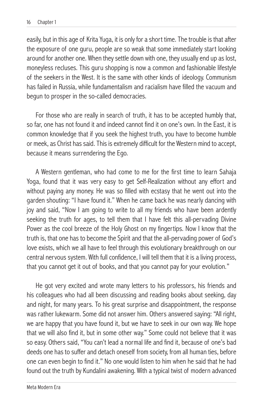easily, but in this age of Krita Yuga, it is only for a short time. The trouble is that after the exposure of one guru, people are so weak that some immediately start looking around for another one. When they settle down with one, they usually end up as lost, moneyless recluses. This guru shopping is now a common and fashionable lifestyle of the seekers in the West. It is the same with other kinds of ideology. Communism has failed in Russia, while fundamentalism and racialism have filled the vacuum and begun to prosper in the so-called democracies.

For those who are really in search of truth, it has to be accepted humbly that, so far, one has not found it and indeed cannot find it on one's own. In the East, it is common knowledge that if you seek the highest truth, you have to become humble or meek, as Christ has said. This is extremely difficult for the Western mind to accept, because it means surrendering the Ego.

A Western gentleman, who had come to me for the first time to learn Sahaja Yoga, found that it was very easy to get Self-Realization without any effort and without paying any money. He was so filled with ecstasy that he went out into the garden shouting: "I have found it." When he came back he was nearly dancing with joy and said, "Now I am going to write to all my friends who have been ardently seeking the truth for ages, to tell them that I have felt this all-pervading Divine Power as the cool breeze of the Holy Ghost on my fingertips. Now I know that the truth is, that one has to become the Spirit and that the all-pervading power of God's love exists, which we all have to feel through this evolutionary breakthrough on our central nervous system. With full confidence, I will tell them that it is a living process, that you cannot get it out of books, and that you cannot pay for your evolution."

He got very excited and wrote many letters to his professors, his friends and his colleagues who had all been discussing and reading books about seeking, day and night, for many years. To his great surprise and disappointment, the response was rather lukewarm. Some did not answer him. Others answered saying: "All right, we are happy that you have found it, but we have to seek in our own way. We hope that we will also find it, but in some other way." Some could not believe that it was so easy. Others said, "You can't lead a normal life and find it, because of one's bad deeds one has to suffer and detach oneself from society, from all human ties, before one can even begin to find it." No one would listen to him when he said that he had found out the truth by Kundalini awakening. With a typical twist of modern advanced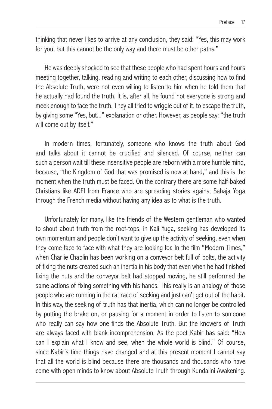thinking that never likes to arrive at any conclusion, they said: "Yes, this may work for you, but this cannot be the only way and there must be other paths."

He was deeply shocked to see that these people who had spent hours and hours meeting together, talking, reading and writing to each other, discussing how to find the Absolute Truth, were not even willing to listen to him when he told them that he actually had found the truth. It is, after all, he found not everyone is strong and meek enough to face the truth. They all tried to wriggle out of it, to escape the truth, by giving some "Yes, but..." explanation or other. However, as people say: "the truth will come out by itself."

In modern times, fortunately, someone who knows the truth about God and talks about it cannot be crucified and silenced. Of course, neither can such a person wait till these insensitive people are reborn with a more humble mind, because, "the Kingdom of God that was promised is now at hand," and this is the moment when the truth must be faced. On the contrary there are some half-baked Christians like ADFI from France who are spreading stories against Sahaja Yoga through the French media without having any idea as to what is the truth.

Unfortunately for many, like the friends of the Western gentleman who wanted to shout about truth from the roof-tops, in Kali Yuga, seeking has developed its own momentum and people don't want to give up the activity of seeking, even when they come face to face with what they are looking for. In the film "Modern Times," when Charlie Chaplin has been working on a conveyor belt full of bolts, the activity of fixing the nuts created such an inertia in his body that even when he had finished fixing the nuts and the conveyor belt had stopped moving, he still performed the same actions of fixing something with his hands. This really is an analogy of those people who are running in the rat race of seeking and just can't get out of the habit. In this way, the seeking of truth has that inertia, which can no longer be controlled by putting the brake on, or pausing for a moment in order to listen to someone who really can say how one finds the Absolute Truth. But the knowers of Truth are always faced with blank incomprehension. As the poet Kabir has said: "How can I explain what I know and see, when the whole world is blind." Of course, since Kabir's time things have changed and at this present moment I cannot say that all the world is blind because there are thousands and thousands who have come with open minds to know about Absolute Truth through Kundalini Awakening.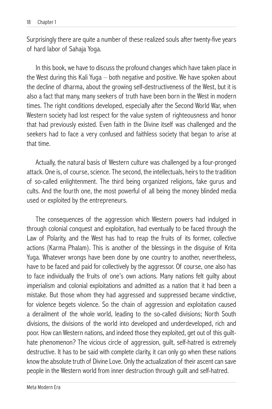Surprisingly there are quite a number of these realized souls after twenty-five years of hard labor of Sahaja Yoga.

In this book, we have to discuss the profound changes which have taken place in the West during this Kali Yuga – both negative and positive. We have spoken about the decline of dharma, about the growing self-destructiveness of the West, but it is also a fact that many, many seekers of truth have been born in the West in modern times. The right conditions developed, especially after the Second World War, when Western society had lost respect for the value system of righteousness and honor that had previously existed. Even faith in the Divine itself was challenged and the seekers had to face a very confused and faithless society that began to arise at that time.

Actually, the natural basis of Western culture was challenged by a four-pronged attack. One is, of course, science. The second, the intellectuals, heirs to the tradition of so-called enlightenment. The third being organized religions, fake gurus and cults. And the fourth one, the most powerful of all being the money blinded media used or exploited by the entrepreneurs.

The consequences of the aggression which Western powers had indulged in through colonial conquest and exploitation, had eventually to be faced through the Law of Polarity, and the West has had to reap the fruits of its former, collective actions (Karma Phalam). This is another of the blessings in the disguise of Krita Yuga. Whatever wrongs have been done by one country to another, nevertheless, have to be faced and paid for collectively by the aggressor. Of course, one also has to face individually the fruits of one's own actions. Many nations felt guilty about imperialism and colonial exploitations and admitted as a nation that it had been a mistake. But those whom they had aggressed and suppressed became vindictive, for violence begets violence. So the chain of aggression and exploitation caused a derailment of the whole world, leading to the so-called divisions; North South divisions, the divisions of the world into developed and underdeveloped, rich and poor. How can Western nations, and indeed those they exploited, get out of this guilthate phenomenon? The vicious circle of aggression, guilt, self-hatred is extremely destructive. It has to be said with complete clarity, it can only go when these nations know the absolute truth of Divine Love. Only the actualization of their ascent can save people in the Western world from inner destruction through guilt and self-hatred.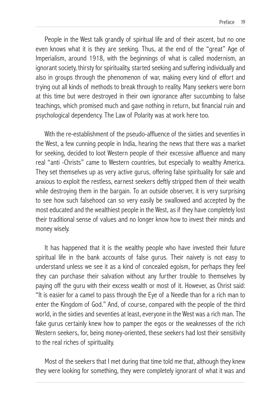18 Chapter 19 Chapter 19 Chapter 19 Chapter 19 Chapter 19 Chapter 19 Chapter 19 Chapter 19 Chapter 19 Chapter 19

People in the West talk grandly of spiritual life and of their ascent, but no one even knows what it is they are seeking. Thus, at the end of the "great" Age of Imperialism, around 1918, with the beginnings of what is called modernism, an ignorant society, thirsty for spirituality, started seeking and suffering individually and also in groups through the phenomenon of war, making every kind of effort and trying out all kinds of methods to break through to reality. Many seekers were born at this time but were destroyed in their own ignorance after succumbing to false teachings, which promised much and gave nothing in return, but financial ruin and psychological dependency. The Law of Polarity was at work here too.

With the re-establishment of the pseudo-affluence of the sixties and seventies in the West, a few cunning people in India, hearing the news that there was a market for seeking, decided to loot Western people of their excessive affluence and many real "anti -Christs" came to Western countries, but especially to wealthy America. They set themselves up as very active gurus, offering false spirituality for sale and anxious to exploit the restless, earnest seekers deftly stripped them of their wealth while destroying them in the bargain. To an outside observer, it is very surprising to see how such falsehood can so very easily be swallowed and accepted by the most educated and the wealthiest people in the West, as if they have completely lost their traditional sense of values and no longer know how to invest their minds and money wisely.

It has happened that it is the wealthy people who have invested their future spiritual life in the bank accounts of false gurus. Their naivety is not easy to understand unless we see it as a kind of concealed egoism, for perhaps they feel they can purchase their salvation without any further trouble to themselves by paying off the guru with their excess wealth or most of it. However, as Christ said: "It is easier for a camel to pass through the Eye of a Needle than for a rich man to enter the Kingdom of God." And, of course, compared with the people of the third world, in the sixties and seventies at least, everyone in the West was a rich man. The fake gurus certainly knew how to pamper the egos or the weaknesses of the rich Western seekers, for, being money-oriented, these seekers had lost their sensitivity to the real riches of spirituality.

Most of the seekers that I met during that time told me that, although they knew they were looking for something, they were completely ignorant of what it was and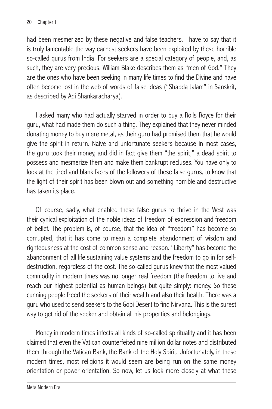had been mesmerized by these negative and false teachers. I have to say that it is truly lamentable the way earnest seekers have been exploited by these horrible so-called gurus from India. For seekers are a special category of people, and, as such, they are very precious. William Blake describes them as "men of God." They are the ones who have been seeking in many life times to find the Divine and have often become lost in the web of words of false ideas ("Shabda Jalam" in Sanskrit, as described by Adi Shankaracharya).

I asked many who had actually starved in order to buy a Rolls Royce for their guru, what had made them do such a thing. They explained that they never minded donating money to buy mere metal, as their guru had promised them that he would give the spirit in return. Naive and unfortunate seekers because in most cases, the guru took their money, and did in fact give them "the spirit," a dead spirit to possess and mesmerize them and make them bankrupt recluses. You have only to look at the tired and blank faces of the followers of these false gurus, to know that the light of their spirit has been blown out and something horrible and destructive has taken its place.

Of course, sadly, what enabled these false gurus to thrive in the West was their cynical exploitation of the noble ideas of freedom of expression and freedom of belief. The problem is, of course, that the idea of "freedom" has become so corrupted, that it has come to mean a complete abandonment of wisdom and righteousness at the cost of common sense and reason. "Liberty" has become the abandonment of all life sustaining value systems and the freedom to go in for selfdestruction, regardless of the cost. The so-called gurus knew that the most valued commodity in modern times was no longer real freedom (the freedom to live and reach our highest potential as human beings) but quite simply: money. So these cunning people freed the seekers of their wealth and also their health. There was a guru who used to send seekers to the Gobi Desert to find Nirvana. This is the surest way to get rid of the seeker and obtain all his properties and belongings.

Money in modern times infects all kinds of so-called spirituality and it has been claimed that even the Vatican counterfeited nine million dollar notes and distributed them through the Vatican Bank, the Bank of the Holy Spirit. Unfortunately, in these modern times, most religions it would seem are being run on the same money orientation or power orientation. So now, let us look more closely at what these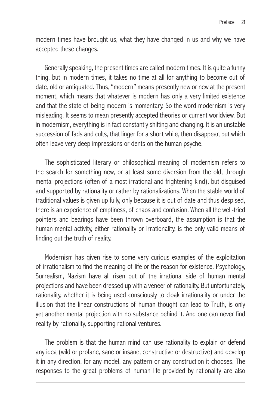modern times have brought us, what they have changed in us and why we have accepted these changes.

Generally speaking, the present times are called modern times. It is quite a funny thing, but in modern times, it takes no time at all for anything to become out of date, old or antiquated. Thus, "modern" means presently new or new at the present moment, which means that whatever is modern has only a very limited existence and that the state of being modern is momentary. So the word modernism is very misleading. It seems to mean presently accepted theories or current worldview. But in modernism, everything is in fact constantly shifting and changing. It is an unstable succession of fads and cults, that linger for a short while, then disappear, but which often leave very deep impressions or dents on the human psyche.

The sophisticated literary or philosophical meaning of modernism refers to the search for something new, or at least some diversion from the old, through mental projections (often of a most irrational and frightening kind), but disguised and supported by rationality or rather by rationalizations. When the stable world of traditional values is given up fully, only because it is out of date and thus despised, there is an experience of emptiness, of chaos and confusion. When all the well-tried pointers and bearings have been thrown overboard, the assumption is that the human mental activity, either rationality or irrationality, is the only valid means of finding out the truth of reality.

Modernism has given rise to some very curious examples of the exploitation of irrationalism to find the meaning of life or the reason for existence. Psychology, Surrealism, Nazism have all risen out of the irrational side of human mental projections and have been dressed up with a veneer of rationality. But unfortunately, rationality, whether it is being used consciously to cloak irrationality or under the illusion that the linear constructions of human thought can lead to Truth, is only yet another mental projection with no substance behind it. And one can never find reality by rationality, supporting rational ventures.

The problem is that the human mind can use rationality to explain or defend any idea (wild or profane, sane or insane, constructive or destructive) and develop it in any direction, for any model, any pattern or any construction it chooses. The responses to the great problems of human life provided by rationality are also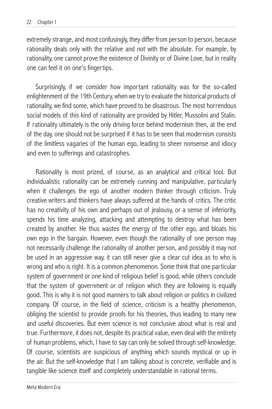extremely strange, and most confusingly, they differ from person to person, because rationality deals only with the relative and not with the absolute. For example, by rationality, one cannot prove the existence of Divinity or of Divine Love, but in reality one can feel it on one's fingertips.

Surprisingly, if we consider how important rationality was for the so-called enlightenment of the 19th Century, when we try to evaluate the historical products of rationality, we find some, which have proved to be disastrous. The most horrendous social models of this kind of rationality are provided by Hitler, Mussolini and Stalin. If rationality ultimately is the only driving force behind modernism then, at the end of the day, one should not be surprised if it has to be seen that modernism consists of the limitless vagaries of the human ego, leading to sheer nonsense and idiocy and even to sufferings and catastrophes.

Rationality is most prized, of course, as an analytical and critical tool. But individualistic rationality can be extremely cunning and manipulative, particularly when it challenges the ego of another modern thinker through criticism. Truly creative writers and thinkers have always suffered at the hands of critics. The critic has no creativity of his own and perhaps out of jealousy, or a sense of inferiority, spends his time analyzing, attacking and attempting to destroy what has been created by another. He thus wastes the energy of the other ego, and bloats his own ego in the bargain. However, even though the rationality of one person may not necessarily challenge the rationality of another person, and possibly it may not be used in an aggressive way, it can still never give a clear cut idea as to who is wrong and who is right. It is a common phenomenon. Some think that one particular system of government or one kind of religious belief is good, while others conclude that the system of government or of religion which they are following is equally good. This is why it is not good manners to talk about religion or politics in civilized company. Of course, in the field of science, criticism is a healthy phenomenon, obliging the scientist to provide proofs for his theories, thus leading to many new and useful discoveries. But even science is not conclusive about what is real and true. Furthermore, it does not, despite its practical value, even deal with the entirety of human problems, which, I have to say can only be solved through self-knowledge. Of course, scientists are suspicious of anything which sounds mystical or up in the air. But the self-knowledge that I am talking about is concrete, verifiable and is tangible like science itself and completely understandable in rational terms.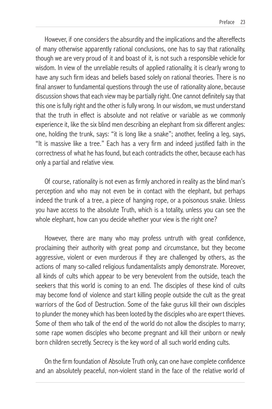However, if one considers the absurdity and the implications and the aftereffects of many otherwise apparently rational conclusions, one has to say that rationality, though we are very proud of it and boast of it, is not such a responsible vehicle for wisdom. In view of the unreliable results of applied rationality, it is clearly wrong to have any such firm ideas and beliefs based solely on rational theories. There is no final answer to fundamental questions through the use of rationality alone, because discussion shows that each view may be partially right. One cannot definitely say that this one is fully right and the other is fully wrong. In our wisdom, we must understand that the truth in effect is absolute and not relative or variable as we commonly experience it, like the six blind men describing an elephant from six different angles: one, holding the trunk, says: "it is long like a snake"; another, feeling a leg, says, "It is massive like a tree." Each has a very firm and indeed justified faith in the correctness of what he has found, but each contradicts the other, because each has only a partial and relative view.

Of course, rationality is not even as firmly anchored in reality as the blind man's perception and who may not even be in contact with the elephant, but perhaps indeed the trunk of a tree, a piece of hanging rope, or a poisonous snake. Unless you have access to the absolute Truth, which is a totality, unless you can see the whole elephant, how can you decide whether your view is the right one?

However, there are many who may profess untruth with great confidence, proclaiming their authority with great pomp and circumstance, but they become aggressive, violent or even murderous if they are challenged by others, as the actions of many so-called religious fundamentalists amply demonstrate. Moreover, all kinds of cults which appear to be very benevolent from the outside, teach the seekers that this world is coming to an end. The disciples of these kind of cults may become fond of violence and start killing people outside the cult as the great warriors of the God of Destruction. Some of the fake gurus kill their own disciples to plunder the money which has been looted by the disciples who are expert thieves. Some of them who talk of the end of the world do not allow the disciples to marry; some rape women disciples who become pregnant and kill their unborn or newly born children secretly. Secrecy is the key word of all such world ending cults.

On the firm foundation of Absolute Truth only, can one have complete confidence and an absolutely peaceful, non-violent stand in the face of the relative world of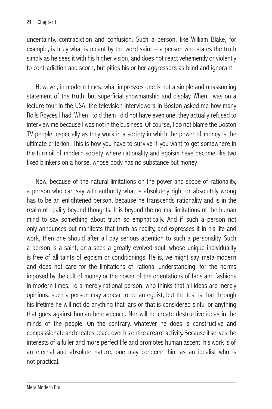uncertainty, contradiction and confusion. Such a person, like William Blake, for example, is truly what is meant by the word saint  $-$  a person who states the truth simply as he sees it with his higher vision, and does not react vehemently or violently to contradiction and scorn, but pities his or her aggressors as blind and ignorant.

However, in modern times, what impresses one is not a simple and unassuming statement of the truth, but superficial showmanship and display. When I was on a lecture tour in the USA, the television interviewers in Boston asked me how many Rolls Royces I had. When I told them I did not have even one, they actually refused to interview me because I was not in the business. Of course, I do not blame the Boston TV people, especially as they work in a society in which the power of money is the ultimate criterion. This is how you have to survive if you want to get somewhere in the turmoil of modern society, where rationality and egoism have become like two fixed blinkers on a horse, whose body has no substance but money.

Now, because of the natural limitations on the power and scope of rationality, a person who can say with authority what is absolutely right or absolutely wrong has to be an enlightened person, because he transcends rationality and is in the realm of reality beyond thoughts. It is beyond the normal limitations of the human mind to say something about truth so emphatically. And if such a person not only announces but manifests that truth as reality, and expresses it in his life and work, then one should after all pay serious attention to such a personality. Such a person is a saint, or a seer, a greatly evolved soul, whose unique individuality is free of all taints of egoism or conditionings. He is, we might say, meta-modern and does not care for the limitations of rational understanding, for the norms imposed by the cult of money or the power of the orientations of fads and fashions in modern times. To a merely rational person, who thinks that all ideas are merely opinions, such a person may appear to be an egoist, but the test is that through his lifetime he will not do anything that jars or that is considered sinful or anything that goes against human benevolence. Nor will he create destructive ideas in the minds of the people. On the contrary, whatever he does is constructive and compassionate and creates peace over his entire area of activity. Because it serves the interests of a fuller and more perfect life and promotes human ascent, his work is of an eternal and absolute nature, one may condemn him as an idealist who is not practical.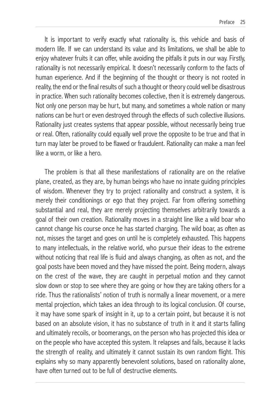It is important to verify exactly what rationality is, this vehicle and basis of modern life. If we can understand its value and its limitations, we shall be able to enjoy whatever fruits it can offer, while avoiding the pitfalls it puts in our way. Firstly, rationality is not necessarily empirical. It doesn't necessarily conform to the facts of human experience. And if the beginning of the thought or theory is not rooted in reality, the end or the final results of such a thought or theory could well be disastrous in practice. When such rationality becomes collective, then it is extremely dangerous. Not only one person may be hurt, but many, and sometimes a whole nation or many nations can be hurt or even destroyed through the effects of such collective illusions. Rationality just creates systems that appear possible, without necessarily being true or real. Often, rationality could equally well prove the opposite to be true and that in turn may later be proved to be flawed or fraudulent. Rationality can make a man feel like a worm, or like a hero.

The problem is that all these manifestations of rationality are on the relative plane, created, as they are, by human beings who have no innate guiding principles of wisdom. Whenever they try to project rationality and construct a system, it is merely their conditionings or ego that they project. Far from offering something substantial and real, they are merely projecting themselves arbitrarily towards a goal of their own creation. Rationality moves in a straight line like a wild boar who cannot change his course once he has started charging. The wild boar, as often as not, misses the target and goes on until he is completely exhausted. This happens to many intellectuals, in the relative world, who pursue their ideas to the extreme without noticing that real life is fluid and always changing, as often as not, and the goal posts have been moved and they have missed the point. Being modern, always on the crest of the wave, they are caught in perpetual motion and they cannot slow down or stop to see where they are going or how they are taking others for a ride. Thus the rationalists' notion of truth is normally a linear movement, or a mere mental projection, which takes an idea through to its logical conclusion. Of course, it may have some spark of insight in it, up to a certain point, but because it is not based on an absolute vision, it has no substance of truth in it and it starts falling and ultimately recoils, or boomerangs, on the person who has projected this idea or on the people who have accepted this system. It relapses and fails, because it lacks the strength of reality, and ultimately it cannot sustain its own random flight. This explains why so many apparently benevolent solutions, based on rationality alone, have often turned out to be full of destructive elements.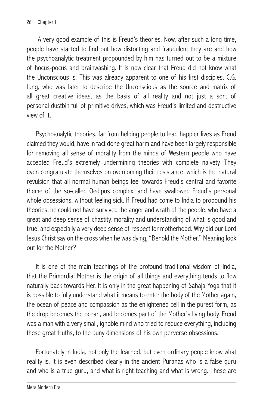A very good example of this is Freud's theories. Now, after such a long time, people have started to find out how distorting and fraudulent they are and how the psychoanalytic treatment propounded by him has turned out to be a mixture of hocus-pocus and brainwashing. It is now clear that Freud did not know what the Unconscious is. This was already apparent to one of his first disciples, C.G. Jung, who was later to describe the Unconscious as the source and matrix of all great creative ideas, as the basis of all reality and not just a sort of personal dustbin full of primitive drives, which was Freud's limited and destructive view of it.

Psychoanalytic theories, far from helping people to lead happier lives as Freud claimed they would, have in fact done great harm and have been largely responsible for removing all sense of morality from the minds of Western people who have accepted Freud's extremely undermining theories with complete naivety. They even congratulate themselves on overcoming their resistance, which is the natural revulsion that all normal human beings feel towards Freud's central and favorite theme of the so-called Oedipus complex, and have swallowed Freud's personal whole obsessions, without feeling sick. If Freud had come to India to propound his theories, he could not have survived the anger and wrath of the people, who have a great and deep sense of chastity, morality and understanding of what is good and true, and especially a very deep sense of respect for motherhood. Why did our Lord Jesus Christ say on the cross when he was dying, "Behold the Mother," Meaning look out for the Mother?

It is one of the main teachings of the profound traditional wisdom of India, that the Primordial Mother is the origin of all things and everything tends to flow naturally back towards Her. It is only in the great happening of Sahaja Yoga that it is possible to fully understand what it means to enter the body of the Mother again, the ocean of peace and compassion as the enlightened cell in the purest form, as the drop becomes the ocean, and becomes part of the Mother's living body. Freud was a man with a very small, ignoble mind who tried to reduce everything, including these great truths, to the puny dimensions of his own perverse obsessions.

Fortunately in India, not only the learned, but even ordinary people know what reality is. It is even described clearly in the ancient Puranas who is a false guru and who is a true guru, and what is right teaching and what is wrong. These are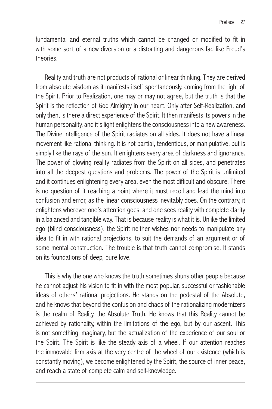fundamental and eternal truths which cannot be changed or modified to fit in with some sort of a new diversion or a distorting and dangerous fad like Freud's theories.

Reality and truth are not products of rational or linear thinking. They are derived from absolute wisdom as it manifests itself spontaneously, coming from the light of the Spirit. Prior to Realization, one may or may not agree, but the truth is that the Spirit is the reflection of God Almighty in our heart. Only after Self-Realization, and only then, is there a direct experience of the Spirit. It then manifests its powers in the human personality, and it's light enlightens the consciousness into a new awareness. The Divine intelligence of the Spirit radiates on all sides. It does not have a linear movement like rational thinking. It is not partial, tendentious, or manipulative, but is simply like the rays of the sun. It enlightens every area of darkness and ignorance. The power of glowing reality radiates from the Spirit on all sides, and penetrates into all the deepest questions and problems. The power of the Spirit is unlimited and it continues enlightening every area, even the most difficult and obscure. There is no question of it reaching a point where it must recoil and lead the mind into confusion and error, as the linear consciousness inevitably does. On the contrary, it enlightens wherever one's attention goes, and one sees reality with complete clarity in a balanced and tangible way. That is because reality is what it is. Unlike the limited ego (blind consciousness), the Spirit neither wishes nor needs to manipulate any idea to fit in with rational projections, to suit the demands of an argument or of some mental construction. The trouble is that truth cannot compromise. It stands on its foundations of deep, pure love.

This is why the one who knows the truth sometimes shuns other people because he cannot adjust his vision to fit in with the most popular, successful or fashionable ideas of others' rational projections. He stands on the pedestal of the Absolute, and he knows that beyond the confusion and chaos of the rationalizing modernizers is the realm of Reality, the Absolute Truth. He knows that this Reality cannot be achieved by rationality, within the limitations of the ego, but by our ascent. This is not something imaginary, but the actualization of the experience of our soul or the Spirit. The Spirit is like the steady axis of a wheel. If our attention reaches the immovable firm axis at the very centre of the wheel of our existence (which is constantly moving), we become enlightened by the Spirit, the source of inner peace, and reach a state of complete calm and self-knowledge.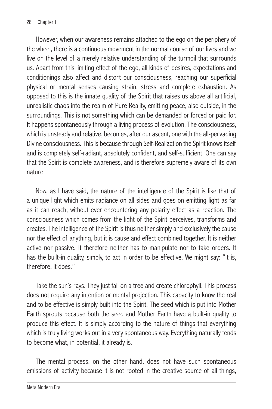However, when our awareness remains attached to the ego on the periphery of the wheel, there is a continuous movement in the normal course of our lives and we live on the level of a merely relative understanding of the turmoil that surrounds us. Apart from this limiting effect of the ego, all kinds of desires, expectations and conditionings also affect and distort our consciousness, reaching our superficial physical or mental senses causing strain, stress and complete exhaustion. As opposed to this is the innate quality of the Spirit that raises us above all artificial, unrealistic chaos into the realm of Pure Reality, emitting peace, also outside, in the surroundings. This is not something which can be demanded or forced or paid for. It happens spontaneously through a living process of evolution. The consciousness, which is unsteady and relative, becomes, after our ascent, one with the all-pervading Divine consciousness. This is because through Self-Realization the Spirit knows itself and is completely self-radiant, absolutely confident, and self-sufficient. One can say that the Spirit is complete awareness, and is therefore supremely aware of its own nature.

Now, as I have said, the nature of the intelligence of the Spirit is like that of a unique light which emits radiance on all sides and goes on emitting light as far as it can reach, without ever encountering any polarity effect as a reaction. The consciousness which comes from the light of the Spirit perceives, transforms and creates. The intelligence of the Spirit is thus neither simply and exclusively the cause nor the effect of anything, but it is cause and effect combined together. It is neither active nor passive. It therefore neither has to manipulate nor to take orders. It has the built-in quality, simply, to act in order to be effective. We might say: "It is, therefore, it does."

Take the sun's rays. They just fall on a tree and create chlorophyll. This process does not require any intention or mental projection. This capacity to know the real and to be effective is simply built into the Spirit. The seed which is put into Mother Earth sprouts because both the seed and Mother Earth have a built-in quality to produce this effect. It is simply according to the nature of things that everything which is truly living works out in a very spontaneous way. Everything naturally tends to become what, in potential, it already is.

The mental process, on the other hand, does not have such spontaneous emissions of activity because it is not rooted in the creative source of all things,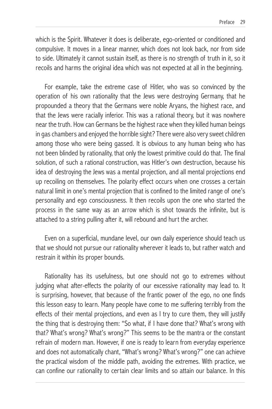which is the Spirit. Whatever it does is deliberate, ego-oriented or conditioned and compulsive. It moves in a linear manner, which does not look back, nor from side to side. Ultimately it cannot sustain itself, as there is no strength of truth in it, so it recoils and harms the original idea which was not expected at all in the beginning.

For example, take the extreme case of Hitler, who was so convinced by the operation of his own rationality that the Jews were destroying Germany, that he propounded a theory that the Germans were noble Aryans, the highest race, and that the Jews were racially inferior. This was a rational theory, but it was nowhere near the truth. How can Germans be the highest race when they killed human beings in gas chambers and enjoyed the horrible sight? There were also very sweet children among those who were being gassed. It is obvious to any human being who has not been blinded by rationality, that only the lowest primitive could do that. The final solution, of such a rational construction, was Hitler's own destruction, because his idea of destroying the Jews was a mental projection, and all mental projections end up recoiling on themselves. The polarity effect occurs when one crosses a certain natural limit in one's mental projection that is confined to the limited range of one's personality and ego consciousness. It then recoils upon the one who started the process in the same way as an arrow which is shot towards the infinite, but is attached to a string pulling after it, will rebound and hurt the archer.

Even on a superficial, mundane level, our own daily experience should teach us that we should not pursue our rationality wherever it leads to, but rather watch and restrain it within its proper bounds.

Rationality has its usefulness, but one should not go to extremes without judging what after-effects the polarity of our excessive rationality may lead to. It is surprising, however, that because of the frantic power of the ego, no one finds this lesson easy to learn. Many people have come to me suffering terribly from the effects of their mental projections, and even as I try to cure them, they will justify the thing that is destroying them: "So what, if I have done that? What's wrong with that? What's wrong? What's wrong?" This seems to be the mantra or the constant refrain of modern man. However, if one is ready to learn from everyday experience and does not automatically chant, "What's wrong? What's wrong?" one can achieve the practical wisdom of the middle path, avoiding the extremes. With practice, we can confine our rationality to certain clear limits and so attain our balance. In this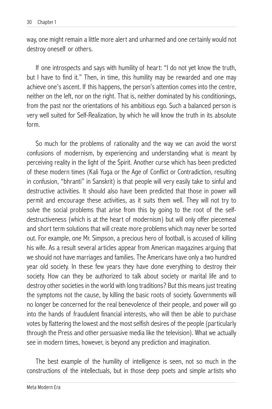way, one might remain a little more alert and unharmed and one certainly would not destroy oneself or others.

If one introspects and says with humility of heart: "I do not yet know the truth, but I have to find it." Then, in time, this humility may be rewarded and one may achieve one's ascent. If this happens, the person's attention comes into the centre, neither on the left, nor on the right. That is, neither dominated by his conditionings, from the past nor the orientations of his ambitious ego. Such a balanced person is very well suited for Self-Realization, by which he will know the truth in its absolute form.

So much for the problems of rationality and the way we can avoid the worst confusions of modernism, by experiencing and understanding what is meant by perceiving reality in the light of the Spirit. Another curse which has been predicted of these modern times (Kali Yuga or the Age of Conflict or Contradiction, resulting in confusion, "bhranti" in Sanskrit) is that people will very easily take to sinful and destructive activities. It should also have been predicted that those in power will permit and encourage these activities, as it suits them well. They will not try to solve the social problems that arise from this by going to the root of the selfdestructiveness (which is at the heart of modernism) but will only offer piecemeal and short term solutions that will create more problems which may never be sorted out. For example, one Mr. Simpson, a precious hero of football, is accused of killing his wife. As a result several articles appear from American magazines arguing that we should not have marriages and families. The Americans have only a two hundred year old society. In these few years they have done everything to destroy their society. How can they be authorized to talk about society or marital life and to destroy other societies in the world with long traditions? But this means just treating the symptoms not the cause, by killing the basic roots of society. Governments will no longer be concerned for the real benevolence of their people, and power will go into the hands of fraudulent financial interests, who will then be able to purchase votes by flattering the lowest and the most selfish desires of the people (particularly through the Press and other persuasive media like the television). What we actually see in modern times, however, is beyond any prediction and imagination.

The best example of the humility of intelligence is seen, not so much in the constructions of the intellectuals, but in those deep poets and simple artists who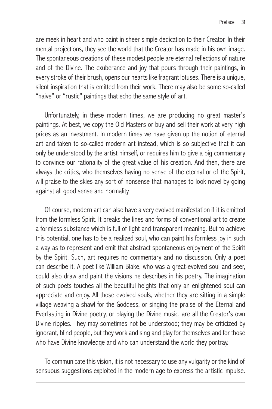are meek in heart and who paint in sheer simple dedication to their Creator. In their mental projections, they see the world that the Creator has made in his own image. The spontaneous creations of these modest people are eternal reflections of nature and of the Divine. The exuberance and joy that pours through their paintings, in every stroke of their brush, opens our hearts like fragrant lotuses. There is a unique, silent inspiration that is emitted from their work. There may also be some so-called "naive" or "rustic" paintings that echo the same style of art.

Unfortunately, in these modern times, we are producing no great master's paintings. At best, we copy the Old Masters or buy and sell their work at very high prices as an investment. In modern times we have given up the notion of eternal art and taken to so-called modern art instead, which is so subjective that it can only be understood by the artist himself, or requires him to give a big commentary to convince our rationality of the great value of his creation. And then, there are always the critics, who themselves having no sense of the eternal or of the Spirit, will praise to the skies any sort of nonsense that manages to look novel by going against all good sense and normality.

Of course, modern art can also have a very evolved manifestation if it is emitted from the formless Spirit. It breaks the lines and forms of conventional art to create a formless substance which is full of light and transparent meaning. But to achieve this potential, one has to be a realized soul, who can paint his formless joy in such a way as to represent and emit that abstract spontaneous enjoyment of the Spirit by the Spirit. Such, art requires no commentary and no discussion. Only a poet can describe it. A poet like William Blake, who was a great-evolved soul and seer, could also draw and paint the visions he describes in his poetry. The imagination of such poets touches all the beautiful heights that only an enlightened soul can appreciate and enjoy. All those evolved souls, whether they are sitting in a simple village weaving a shawl for the Goddess, or singing the praise of the Eternal and Everlasting in Divine poetry, or playing the Divine music, are all the Creator's own Divine ripples. They may sometimes not be understood; they may be criticized by ignorant, blind people, but they work and sing and play for themselves and for those who have Divine knowledge and who can understand the world they portray.

To communicate this vision, it is not necessary to use any vulgarity or the kind of sensuous suggestions exploited in the modern age to express the artistic impulse.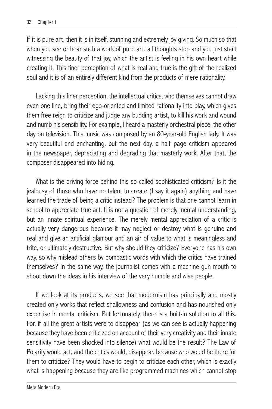If it is pure art, then it is in itself, stunning and extremely joy giving. So much so that when you see or hear such a work of pure art, all thoughts stop and you just start witnessing the beauty of that joy, which the artist is feeling in his own heart while creating it. This finer perception of what is real and true is the gift of the realized soul and it is of an entirely different kind from the products of mere rationality.

Lacking this finer perception, the intellectual critics, who themselves cannot draw even one line, bring their ego-oriented and limited rationality into play, which gives them free reign to criticize and judge any budding artist, to kill his work and wound and numb his sensibility. For example, I heard a masterly orchestral piece, the other day on television. This music was composed by an 80-year-old English lady. It was very beautiful and enchanting, but the next day, a half page criticism appeared in the newspaper, depreciating and degrading that masterly work. After that, the composer disappeared into hiding.

What is the driving force behind this so-called sophisticated criticism? Is it the jealousy of those who have no talent to create (I say it again) anything and have learned the trade of being a critic instead? The problem is that one cannot learn in school to appreciate true art. It is not a question of merely mental understanding, but an innate spiritual experience. The merely mental appreciation of a critic is actually very dangerous because it may neglect or destroy what is genuine and real and give an artificial glamour and an air of value to what is meaningless and trite, or ultimately destructive. But why should they criticize? Everyone has his own way, so why mislead others by bombastic words with which the critics have trained themselves? In the same way, the journalist comes with a machine gun mouth to shoot down the ideas in his interview of the very humble and wise people.

If we look at its products, we see that modernism has principally and mostly created only works that reflect shallowness and confusion and has nourished only expertise in mental criticism. But fortunately, there is a built-in solution to all this. For, if all the great artists were to disappear (as we can see is actually happening because they have been criticized on account of their very creativity and their innate sensitivity have been shocked into silence) what would be the result? The Law of Polarity would act, and the critics would, disappear, because who would be there for them to criticize? They would have to begin to criticize each other, which is exactly what is happening because they are like programmed machines which cannot stop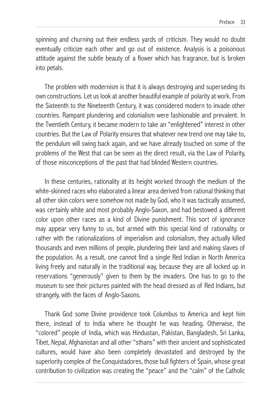spinning and churning out their endless yards of criticism. They would no doubt eventually criticize each other and go out of existence. Analysis is a poisonous attitude against the subtle beauty of a flower which has fragrance, but is broken into petals.

The problem with modernism is that it is always destroying and superseding its own constructions. Let us look at another beautiful example of polarity at work. From the Sixteenth to the Nineteenth Century, it was considered modern to invade other countries. Rampant plundering and colonialism were fashionable and prevalent. In the Twentieth Century, it became modern to take an "enlightened" interest in other countries. But the Law of Polarity ensures that whatever new trend one may take to, the pendulum will swing back again, and we have already touched on some of the problems of the West that can be seen as the direct result, via the Law of Polarity, of those misconceptions of the past that had blinded Western countries.

In these centuries, rationality at its height worked through the medium of the white-skinned races who elaborated a linear area derived from rational thinking that all other skin colors were somehow not made by God, who it was tactically assumed, was certainly white and most probably Anglo-Saxon, and had bestowed a different color upon other races as a kind of Divine punishment. This sort of ignorance may appear very funny to us, but armed with this special kind of rationality, or rather with the rationalizations of imperialism and colonialism, they actually killed thousands and even millions of people, plundering their land and making slaves of the population. As a result, one cannot find a single Red Indian in North America living freely and naturally in the traditional way, because they are all locked up in reservations "generously" given to them by the invaders. One has to go to the museum to see their pictures painted with the head dressed as of Red Indians, but strangely, with the faces of Anglo-Saxons.

Thank God some Divine providence took Columbus to America and kept him there, instead of to India where he thought he was heading. Otherwise, the "colored" people of India, which was Hindustan, Pakistan, Bangladesh, Sri Lanka, Tibet, Nepal, Afghanistan and all other "sthans" with their ancient and sophisticated cultures, would have also been completely devastated and destroyed by the superiority complex of the Conquistadores, those bull fighters of Spain, whose great contribution to civilization was creating the "peace" and the "calm" of the Catholic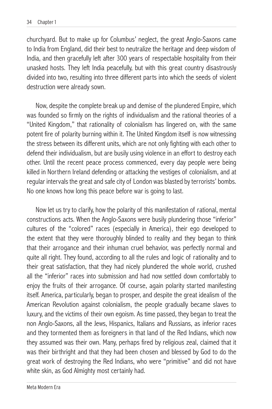churchyard. But to make up for Columbus' neglect, the great Anglo-Saxons came to India from England, did their best to neutralize the heritage and deep wisdom of India, and then gracefully left after 300 years of respectable hospitality from their unasked hosts. They left India peacefully, but with this great country disastrously divided into two, resulting into three different parts into which the seeds of violent destruction were already sown.

Now, despite the complete break up and demise of the plundered Empire, which was founded so firmly on the rights of individualism and the rational theories of a "United Kingdom," that rationality of colonialism has lingered on, with the same potent fire of polarity burning within it. The United Kingdom itself is now witnessing the stress between its different units, which are not only fighting with each other to defend their individualism, but are busily using violence in an effort to destroy each other. Until the recent peace process commenced, every day people were being killed in Northern Ireland defending or attacking the vestiges of colonialism, and at regular intervals the great and safe city of London was blasted by terrorists' bombs. No one knows how long this peace before war is going to last.

Now let us try to clarify, how the polarity of this manifestation of rational, mental constructions acts. When the Anglo-Saxons were busily plundering those "inferior" cultures of the "colored" races (especially in America), their ego developed to the extent that they were thoroughly blinded to reality and they began to think that their arrogance and their inhuman cruel behavior, was perfectly normal and quite all right. They found, according to all the rules and logic of rationality and to their great satisfaction, that they had nicely plundered the whole world, crushed all the "inferior" races into submission and had now settled down comfortably to enjoy the fruits of their arrogance. Of course, again polarity started manifesting itself. America, particularly, began to prosper, and despite the great idealism of the American Revolution against colonialism, the people gradually became slaves to luxury, and the victims of their own egoism. As time passed, they began to treat the non Anglo-Saxons, all the Jews, Hispanics, Italians and Russians, as inferior races and they tormented them as foreigners in that land of the Red Indians, which now they assumed was their own. Many, perhaps fired by religious zeal, claimed that it was their birthright and that they had been chosen and blessed by God to do the great work of destroying the Red Indians, who were "primitive" and did not have white skin, as God Almighty most certainly had.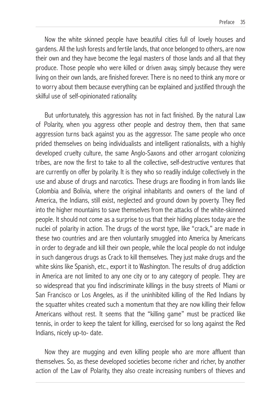Now the white skinned people have beautiful cities full of lovely houses and gardens. All the lush forests and fertile lands, that once belonged to others, are now their own and they have become the legal masters of those lands and all that they produce. Those people who were killed or driven away, simply because they were living on their own lands, are finished forever. There is no need to think any more or to worry about them because everything can be explained and justified through the skilful use of self-opinionated rationality.

But unfortunately, this aggression has not in fact finished. By the natural Law of Polarity, when you aggress other people and destroy them, then that same aggression turns back against you as the aggressor. The same people who once prided themselves on being individualists and intelligent rationalists, with a highly developed cruelty culture, the same Anglo-Saxons and other arrogant colonizing tribes, are now the first to take to all the collective, self-destructive ventures that are currently on offer by polarity. It is they who so readily indulge collectively in the use and abuse of drugs and narcotics. These drugs are flooding in from lands like Colombia and Bolivia, where the original inhabitants and owners of the land of America, the Indians, still exist, neglected and ground down by poverty. They fled into the higher mountains to save themselves from the attacks of the white-skinned people. It should not come as a surprise to us that their hiding places today are the nuclei of polarity in action. The drugs of the worst type, like "crack," are made in these two countries and are then voluntarily smuggled into America by Americans in order to degrade and kill their own people, while the local people do not indulge in such dangerous drugs as Crack to kill themselves. They just make drugs and the white skins like Spanish, etc., export it to Washington. The results of drug addiction in America are not limited to any one city or to any category of people. They are so widespread that you find indiscriminate killings in the busy streets of Miami or San Francisco or Los Angeles, as if the uninhibited killing of the Red Indians by the squatter whites created such a momentum that they are now killing their fellow Americans without rest. It seems that the "killing game" must be practiced like tennis, in order to keep the talent for killing, exercised for so long against the Red Indians, nicely up-to- date.

Now they are mugging and even killing people who are more affluent than themselves. So, as these developed societies become richer and richer, by another action of the Law of Polarity, they also create increasing numbers of thieves and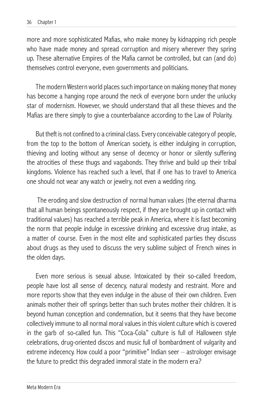more and more sophisticated Mafias, who make money by kidnapping rich people who have made money and spread corruption and misery wherever they spring up. These alternative Empires of the Mafia cannot be controlled, but can (and do) themselves control everyone, even governments and politicians.

The modern Western world places such importance on making money that money has become a hanging rope around the neck of everyone born under the unlucky star of modernism. However, we should understand that all these thieves and the Mafias are there simply to give a counterbalance according to the Law of Polarity.

But theft is not confined to a criminal class. Every conceivable category of people, from the top to the bottom of American society, is either indulging in corruption, thieving and looting without any sense of decency or honor or silently suffering the atrocities of these thugs and vagabonds. They thrive and build up their tribal kingdoms. Violence has reached such a level, that if one has to travel to America one should not wear any watch or jewelry, not even a wedding ring.

 The eroding and slow destruction of normal human values (the eternal dharma that all human beings spontaneously respect, if they are brought up in contact with traditional values) has reached a terrible peak in America, where it is fast becoming the norm that people indulge in excessive drinking and excessive drug intake, as a matter of course. Even in the most elite and sophisticated parties they discuss about drugs as they used to discuss the very sublime subject of French wines in the olden days.

Even more serious is sexual abuse. Intoxicated by their so-called freedom, people have lost all sense of decency, natural modesty and restraint. More and more reports show that they even indulge in the abuse of their own children. Even animals mother their off springs better than such brutes mother their children. It is beyond human conception and condemnation, but it seems that they have become collectively immune to all normal moral values in this violent culture which is covered in the garb of so-called fun. This "Coca-Cola" culture is full of Halloween style celebrations, drug-oriented discos and music full of bombardment of vulgarity and extreme indecency. How could a poor "primitive" Indian seer – astrologer envisage the future to predict this degraded immoral state in the modern era?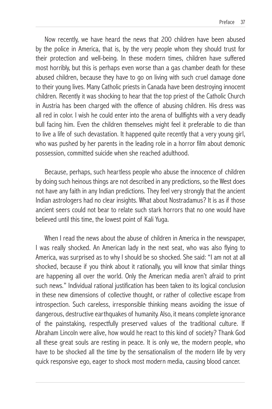Now recently, we have heard the news that 200 children have been abused by the police in America, that is, by the very people whom they should trust for their protection and well-being. In these modern times, children have suffered most horribly, but this is perhaps even worse than a gas chamber death for these abused children, because they have to go on living with such cruel damage done to their young lives. Many Catholic priests in Canada have been destroying innocent children. Recently it was shocking to hear that the top priest of the Catholic Church in Austria has been charged with the offence of abusing children. His dress was all red in color. I wish he could enter into the arena of bullfights with a very deadly bull facing him. Even the children themselves might feel it preferable to die than to live a life of such devastation. It happened quite recently that a very young girl, who was pushed by her parents in the leading role in a horror film about demonic possession, committed suicide when she reached adulthood.

Because, perhaps, such heartless people who abuse the innocence of children by doing such heinous things are not described in any predictions, so the West does not have any faith in any Indian predictions. They feel very strongly that the ancient Indian astrologers had no clear insights. What about Nostradamus? It is as if those ancient seers could not bear to relate such stark horrors that no one would have believed until this time, the lowest point of Kali Yuga.

When I read the news about the abuse of children in America in the newspaper, I was really shocked. An American lady in the next seat, who was also flying to America, was surprised as to why I should be so shocked. She said: "I am not at all shocked, because if you think about it rationally, you will know that similar things are happening all over the world. Only the American media aren't afraid to print such news." Individual rational justification has been taken to its logical conclusion in these new dimensions of collective thought, or rather of collective escape from introspection. Such careless, irresponsible thinking means avoiding the issue of dangerous, destructive earthquakes of humanity. Also, it means complete ignorance of the painstaking, respectfully preserved values of the traditional culture. If Abraham Lincoln were alive, how would he react to this kind of society? Thank God all these great souls are resting in peace. It is only we, the modern people, who have to be shocked all the time by the sensationalism of the modern life by very quick responsive ego, eager to shock most modern media, causing blood cancer.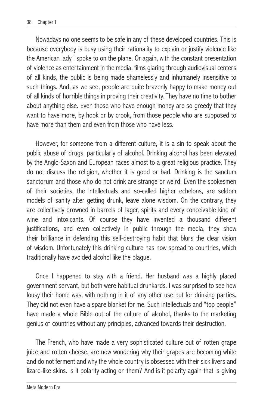Nowadays no one seems to be safe in any of these developed countries. This is because everybody is busy using their rationality to explain or justify violence like the American lady I spoke to on the plane. Or again, with the constant presentation of violence as entertainment in the media, films glaring through audiovisual centers of all kinds, the public is being made shamelessly and inhumanely insensitive to such things. And, as we see, people are quite brazenly happy to make money out of all kinds of horrible things in proving their creativity. They have no time to bother about anything else. Even those who have enough money are so greedy that they want to have more, by hook or by crook, from those people who are supposed to have more than them and even from those who have less.

However, for someone from a different culture, it is a sin to speak about the public abuse of drugs, particularly of alcohol. Drinking alcohol has been elevated by the Anglo-Saxon and European races almost to a great religious practice. They do not discuss the religion, whether it is good or bad. Drinking is the sanctum sanctorum and those who do not drink are strange or weird. Even the spokesmen of their societies, the intellectuals and so-called higher echelons, are seldom models of sanity after getting drunk, leave alone wisdom. On the contrary, they are collectively drowned in barrels of lager, spirits and every conceivable kind of wine and intoxicants. Of course they have invented a thousand different justifications, and even collectively in public through the media, they show their brilliance in defending this self-destroying habit that blurs the clear vision of wisdom. Unfortunately this drinking culture has now spread to countries, which traditionally have avoided alcohol like the plague.

Once I happened to stay with a friend. Her husband was a highly placed government servant, but both were habitual drunkards. I was surprised to see how lousy their home was, with nothing in it of any other use but for drinking parties. They did not even have a spare blanket for me. Such intellectuals and "top people" have made a whole Bible out of the culture of alcohol, thanks to the marketing genius of countries without any principles, advanced towards their destruction.

The French, who have made a very sophisticated culture out of rotten grape juice and rotten cheese, are now wondering why their grapes are becoming white and do not ferment and why the whole country is obsessed with their sick livers and lizard-like skins. Is it polarity acting on them? And is it polarity again that is giving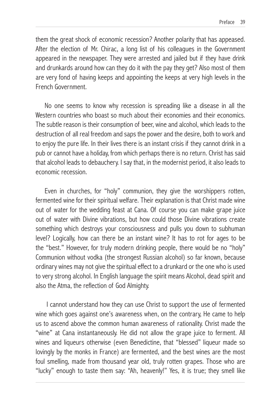them the great shock of economic recession? Another polarity that has appeased. After the election of Mr. Chirac, a long list of his colleagues in the Government appeared in the newspaper. They were arrested and jailed but if they have drink and drunkards around how can they do it with the pay they get? Also most of them are very fond of having keeps and appointing the keeps at very high levels in the French Government.

No one seems to know why recession is spreading like a disease in all the Western countries who boast so much about their economies and their economics. The subtle reason is their consumption of beer, wine and alcohol, which leads to the destruction of all real freedom and saps the power and the desire, both to work and to enjoy the pure life. In their lives there is an instant crisis if they cannot drink in a pub or cannot have a holiday, from which perhaps there is no return. Christ has said that alcohol leads to debauchery. I say that, in the modernist period, it also leads to economic recession.

Even in churches, for "holy" communion, they give the worshippers rotten, fermented wine for their spiritual welfare. Their explanation is that Christ made wine out of water for the wedding feast at Cana. Of course you can make grape juice out of water with Divine vibrations, but how could those Divine vibrations create something which destroys your consciousness and pulls you down to subhuman level? Logically, how can there be an instant wine? It has to rot for ages to be the "best." However, for truly modern drinking people, there would be no "holy" Communion without vodka (the strongest Russian alcohol) so far known, because ordinary wines may not give the spiritual effect to a drunkard or the one who is used to very strong alcohol. In English language the spirit means Alcohol, dead spirit and also the Atma, the reflection of God Almighty.

 I cannot understand how they can use Christ to support the use of fermented wine which goes against one's awareness when, on the contrary, He came to help us to ascend above the common human awareness of rationality. Christ made the "wine" at Cana instantaneously. He did not allow the grape juice to ferment. All wines and liqueurs otherwise (even Benedictine, that "blessed" liqueur made so lovingly by the monks in France) are fermented, and the best wines are the most foul smelling, made from thousand year old, truly rotten grapes. Those who are "lucky" enough to taste them say: "Ah, heavenly!" Yes, it is true; they smell like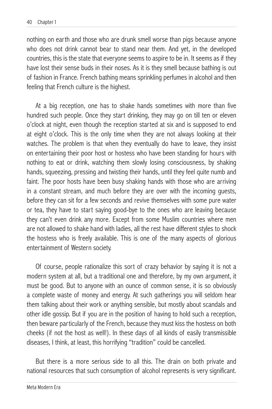nothing on earth and those who are drunk smell worse than pigs because anyone who does not drink cannot bear to stand near them. And yet, in the developed countries, this is the state that everyone seems to aspire to be in. It seems as if they have lost their sense buds in their noses. As it is they smell because bathing is out of fashion in France. French bathing means sprinkling perfumes in alcohol and then feeling that French culture is the highest.

At a big reception, one has to shake hands sometimes with more than five hundred such people. Once they start drinking, they may go on till ten or eleven o'clock at night, even though the reception started at six and is supposed to end at eight o'clock. This is the only time when they are not always looking at their watches. The problem is that when they eventually do have to leave, they insist on entertaining their poor host or hostess who have been standing for hours with nothing to eat or drink, watching them slowly losing consciousness, by shaking hands, squeezing, pressing and twisting their hands, until they feel quite numb and faint. The poor hosts have been busy shaking hands with those who are arriving in a constant stream, and much before they are over with the incoming guests, before they can sit for a few seconds and revive themselves with some pure water or tea, they have to start saying good-bye to the ones who are leaving because they can't even drink any more. Except from some Muslim countries where men are not allowed to shake hand with ladies, all the rest have different styles to shock the hostess who is freely available. This is one of the many aspects of glorious entertainment of Western society.

Of course, people rationalize this sort of crazy behavior by saying it is not a modern system at all, but a traditional one and therefore, by my own argument, it must be good. But to anyone with an ounce of common sense, it is so obviously a complete waste of money and energy. At such gatherings you will seldom hear them talking about their work or anything sensible, but mostly about scandals and other idle gossip. But if you are in the position of having to hold such a reception, then beware particularly of the French, because they must kiss the hostess on both cheeks (if not the host as well!). In these days of all kinds of easily transmissible diseases, I think, at least, this horrifying "tradition" could be cancelled.

But there is a more serious side to all this. The drain on both private and national resources that such consumption of alcohol represents is very significant.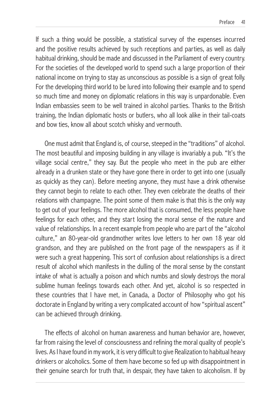If such a thing would be possible, a statistical survey of the expenses incurred and the positive results achieved by such receptions and parties, as well as daily habitual drinking, should be made and discussed in the Parliament of every country. For the societies of the developed world to spend such a large proportion of their national income on trying to stay as unconscious as possible is a sign of great folly. For the developing third world to be lured into following their example and to spend so much time and money on diplomatic relations in this way is unpardonable. Even Indian embassies seem to be well trained in alcohol parties. Thanks to the British training, the Indian diplomatic hosts or butlers, who all look alike in their tail-coats and bow ties, know all about scotch whisky and vermouth.

One must admit that England is, of course, steeped in the "traditions" of alcohol. The most beautiful and imposing building in any village is invariably a pub. "It's the village social centre," they say. But the people who meet in the pub are either already in a drunken state or they have gone there in order to get into one (usually as quickly as they can). Before meeting anyone, they must have a drink otherwise they cannot begin to relate to each other. They even celebrate the deaths of their relations with champagne. The point some of them make is that this is the only way to get out of your feelings. The more alcohol that is consumed, the less people have feelings for each other, and they start losing the moral sense of the nature and value of relationships. In a recent example from people who are part of the "alcohol culture," an 80-year-old grandmother writes love letters to her own 18 year old grandson, and they are published on the front page of the newspapers as if it were such a great happening. This sort of confusion about relationships is a direct result of alcohol which manifests in the dulling of the moral sense by the constant intake of what is actually a poison and which numbs and slowly destroys the moral sublime human feelings towards each other. And yet, alcohol is so respected in these countries that I have met, in Canada, a Doctor of Philosophy who got his doctorate in England by writing a very complicated account of how "spiritual ascent" can be achieved through drinking.

The effects of alcohol on human awareness and human behavior are, however, far from raising the level of consciousness and refining the moral quality of people's lives. As I have found in my work, it is very difficult to give Realization to habitual heavy drinkers or alcoholics. Some of them have become so fed up with disappointment in their genuine search for truth that, in despair, they have taken to alcoholism. If by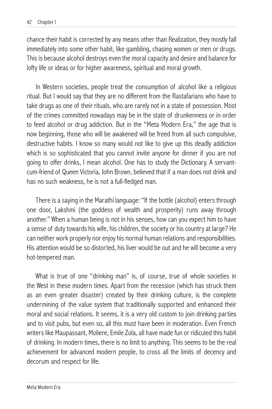chance their habit is corrected by any means other than Realization, they mostly fall immediately into some other habit, like gambling, chasing women or men or drugs. This is because alcohol destroys even the moral capacity and desire and balance for lofty life or ideas or for higher awareness, spiritual and moral growth.

In Western societies, people treat the consumption of alcohol like a religious ritual. But I would say that they are no different from the Rastafarians who have to take drugs as one of their rituals, who are rarely not in a state of possession. Most of the crimes committed nowadays may be in the state of drunkenness or in order to feed alcohol or drug addiction. But in the "Meta Modern Era," the age that is now beginning, those who will be awakened will be freed from all such compulsive, destructive habits. I know so many would not like to give up this deadly addiction which is so sophisticated that you cannot invite anyone for dinner if you are not going to offer drinks, I mean alcohol. One has to study the Dictionary. A servantcum-friend of Queen Victoria, John Brown, believed that if a man does not drink and has no such weakness, he is not a full-fledged man.

There is a saying in the Marathi language: "If the bottle (alcohol) enters through one door, Lakshmi (the goddess of wealth and prosperity) runs away through another." When a human being is not in his senses, how can you expect him to have a sense of duty towards his wife, his children, the society or his country at large? He can neither work properly nor enjoy his normal human relations and responsibilities. His attention would be so distorted, his liver would be out and he will become a very hot-tempered man.

What is true of one "drinking man" is, of course, true of whole societies in the West in these modern times. Apart from the recession (which has struck them as an even greater disaster) created by their drinking culture, is the complete undermining of the value system that traditionally supported and enhanced their moral and social relations. It seems, it is a very old custom to join drinking parties and to visit pubs, but even so, all this must have been in moderation. Even French writers like Maupassant, Moliere, Emile Zola, all have made fun or ridiculed this habit of drinking. In modern times, there is no limit to anything. This seems to be the real achievement for advanced modern people, to cross all the limits of decency and decorum and respect for life.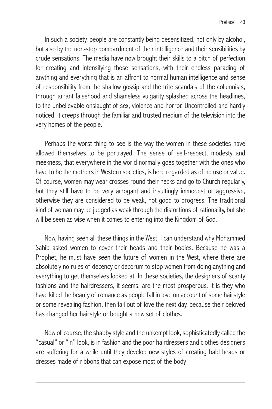In such a society, people are constantly being desensitized, not only by alcohol, but also by the non-stop bombardment of their intelligence and their sensibilities by crude sensations. The media have now brought their skills to a pitch of perfection for creating and intensifying those sensations, with their endless parading of anything and everything that is an affront to normal human intelligence and sense of responsibility from the shallow gossip and the trite scandals of the columnists, through arrant falsehood and shameless vulgarity splashed across the headlines, to the unbelievable onslaught of sex, violence and horror. Uncontrolled and hardly noticed, it creeps through the familiar and trusted medium of the television into the very homes of the people.

Perhaps the worst thing to see is the way the women in these societies have allowed themselves to be portrayed. The sense of self-respect, modesty and meekness, that everywhere in the world normally goes together with the ones who have to be the mothers in Western societies, is here regarded as of no use or value. Of course, women may wear crosses round their necks and go to Church regularly, but they still have to be very arrogant and insultingly immodest or aggressive, otherwise they are considered to be weak, not good to progress. The traditional kind of woman may be judged as weak through the distortions of rationality, but she will be seen as wise when it comes to entering into the Kingdom of God.

Now, having seen all these things in the West, I can understand why Mohammed Sahib asked women to cover their heads and their bodies. Because he was a Prophet, he must have seen the future of women in the West, where there are absolutely no rules of decency or decorum to stop women from doing anything and everything to get themselves looked at. In these societies, the designers of scanty fashions and the hairdressers, it seems, are the most prosperous. It is they who have killed the beauty of romance as people fall in love on account of some hairstyle or some revealing fashion, then fall out of love the next day, because their beloved has changed her hairstyle or bought a new set of clothes.

Now of course, the shabby style and the unkempt look, sophisticatedly called the "casual" or "in" look, is in fashion and the poor hairdressers and clothes designers are suffering for a while until they develop new styles of creating bald heads or dresses made of ribbons that can expose most of the body.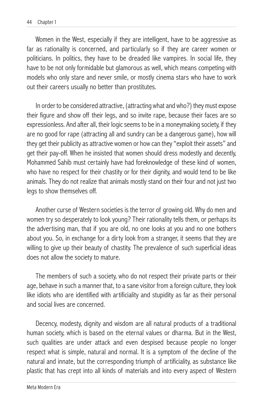Women in the West, especially if they are intelligent, have to be aggressive as far as rationality is concerned, and particularly so if they are career women or politicians. In politics, they have to be dreaded like vampires. In social life, they have to be not only formidable but glamorous as well, which means competing with models who only stare and never smile, or mostly cinema stars who have to work out their careers usually no better than prostitutes.

In order to be considered attractive, (attracting what and who?) they must expose their figure and show off their legs, and so invite rape, because their faces are so expressionless. And after all, their logic seems to be in a moneymaking society, if they are no good for rape (attracting all and sundry can be a dangerous game), how will they get their publicity as attractive women or how can they "exploit their assets" and get their pay-off. When he insisted that women should dress modestly and decently, Mohammed Sahib must certainly have had foreknowledge of these kind of women, who have no respect for their chastity or for their dignity, and would tend to be like animals. They do not realize that animals mostly stand on their four and not just two legs to show themselves off.

Another curse of Western societies is the terror of growing old. Why do men and women try so desperately to look young? Their rationality tells them, or perhaps its the advertising man, that if you are old, no one looks at you and no one bothers about you. So, in exchange for a dirty look from a stranger, it seems that they are willing to give up their beauty of chastity. The prevalence of such superficial ideas does not allow the society to mature.

The members of such a society, who do not respect their private parts or their age, behave in such a manner that, to a sane visitor from a foreign culture, they look like idiots who are identified with artificiality and stupidity as far as their personal and social lives are concerned.

Decency, modesty, dignity and wisdom are all natural products of a traditional human society, which is based on the eternal values or dharma. But in the West, such qualities are under attack and even despised because people no longer respect what is simple, natural and normal. It is a symptom of the decline of the natural and innate, but the corresponding triumph of artificiality, as substance like plastic that has crept into all kinds of materials and into every aspect of Western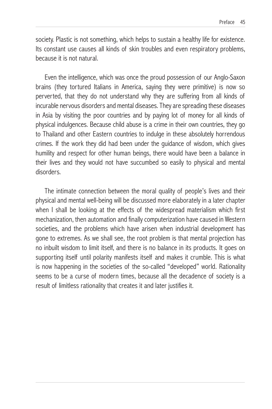society. Plastic is not something, which helps to sustain a healthy life for existence. Its constant use causes all kinds of skin troubles and even respiratory problems, because it is not natural.

Even the intelligence, which was once the proud possession of our Anglo-Saxon brains (they tortured Italians in America, saying they were primitive) is now so perverted, that they do not understand why they are suffering from all kinds of incurable nervous disorders and mental diseases. They are spreading these diseases in Asia by visiting the poor countries and by paying lot of money for all kinds of physical indulgences. Because child abuse is a crime in their own countries, they go to Thailand and other Eastern countries to indulge in these absolutely horrendous crimes. If the work they did had been under the guidance of wisdom, which gives humility and respect for other human beings, there would have been a balance in their lives and they would not have succumbed so easily to physical and mental disorders.

The intimate connection between the moral quality of people's lives and their physical and mental well-being will be discussed more elaborately in a later chapter when I shall be looking at the effects of the widespread materialism which first mechanization, then automation and finally computerization have caused in Western societies, and the problems which have arisen when industrial development has gone to extremes. As we shall see, the root problem is that mental projection has no inbuilt wisdom to limit itself, and there is no balance in its products. It goes on supporting itself until polarity manifests itself and makes it crumble. This is what is now happening in the societies of the so-called "developed" world. Rationality seems to be a curse of modern times, because all the decadence of society is a result of limitless rationality that creates it and later justifies it.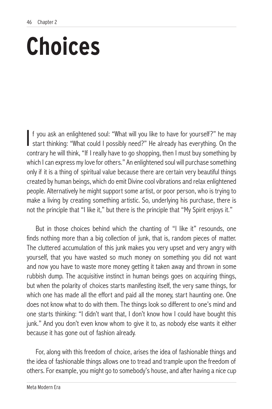## **Choices**

f you ask an enlightened soul: "What will you like to have for yourself?" he may If you ask an enlightened soul: "What will you like to have for yourself?" he may<br>start thinking: "What could I possibly need?" He already has everything. On the contrary he will think, "If I really have to go shopping, then I must buy something by which I can express my love for others." An enlightened soul will purchase something only if it is a thing of spiritual value because there are certain very beautiful things created by human beings, which do emit Divine cool vibrations and relax enlightened people. Alternatively he might support some artist, or poor person, who is trying to make a living by creating something artistic. So, underlying his purchase, there is not the principle that "I like it," but there is the principle that "My Spirit enjoys it."

But in those choices behind which the chanting of "I like it" resounds, one finds nothing more than a big collection of junk, that is, random pieces of matter. The cluttered accumulation of this junk makes you very upset and very angry with yourself, that you have wasted so much money on something you did not want and now you have to waste more money getting it taken away and thrown in some rubbish dump. The acquisitive instinct in human beings goes on acquiring things, but when the polarity of choices starts manifesting itself, the very same things, for which one has made all the effort and paid all the money, start haunting one. One does not know what to do with them. The things look so different to one's mind and one starts thinking: "I didn't want that, I don't know how I could have bought this junk." And you don't even know whom to give it to, as nobody else wants it either because it has gone out of fashion already.

For, along with this freedom of choice, arises the idea of fashionable things and the idea of fashionable things allows one to tread and trample upon the freedom of others. For example, you might go to somebody's house, and after having a nice cup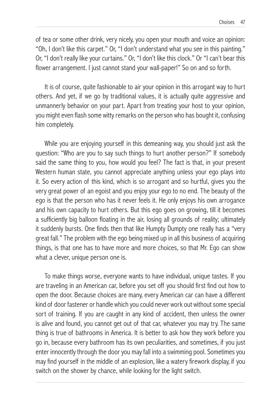of tea or some other drink, very nicely, you open your mouth and voice an opinion: "Oh, I don't like this carpet." Or, "I don't understand what you see in this painting." Or, "I don't really like your curtains." Or, "I don't like this clock." Or "I can't bear this flower arrangement. I just cannot stand your wall-paper!" So on and so forth.

It is of course, quite fashionable to air your opinion in this arrogant way to hurt others. And yet, if we go by traditional values, it is actually quite aggressive and unmannerly behavior on your part. Apart from treating your host to your opinion, you might even flash some witty remarks on the person who has bought it, confusing him completely.

While you are enjoying yourself in this demeaning way, you should just ask the question: "Who are you to say such things to hurt another person?" If somebody said the same thing to you, how would you feel? The fact is that, in your present Western human state, you cannot appreciate anything unless your ego plays into it. So every action of this kind, which is so arrogant and so hurtful, gives you the very great power of an egoist and you enjoy your ego to no end. The beauty of the ego is that the person who has it never feels it. He only enjoys his own arrogance and his own capacity to hurt others. But this ego goes on growing, till it becomes a sufficiently big balloon floating in the air, losing all grounds of reality; ultimately it suddenly bursts. One finds then that like Humpty Dumpty one really has a "very great fall." The problem with the ego being mixed up in all this business of acquiring things, is that one has to have more and more choices, so that Mr. Ego can show what a clever, unique person one is.

To make things worse, everyone wants to have individual, unique tastes. If you are traveling in an American car, before you set off you should first find out how to open the door. Because choices are many, every American car can have a different kind of door fastener or handle which you could never work out without some special sort of training. If you are caught in any kind of accident, then unless the owner is alive and found, you cannot get out of that car, whatever you may try. The same thing is true of bathrooms in America. It is better to ask how they work before you go in, because every bathroom has its own peculiarities, and sometimes, if you just enter innocently through the door you may fall into a swimming pool. Sometimes you may find yourself in the middle of an explosion, like a watery firework display, if you switch on the shower by chance, while looking for the light switch.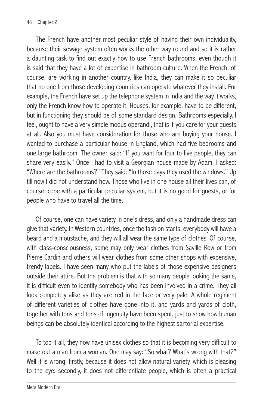The French have another most peculiar style of having their own individuality, because their sewage system often works the other way round and so it is rather a daunting task to find out exactly how to use French bathrooms, even though it is said that they have a lot of expertise in bathroom culture. When the French, of course, are working in another country, like India, they can make it so peculiar that no one from those developing countries can operate whatever they install. For example, the French have set up the telephone system in India and the way it works, only the French know how to operate it! Houses, for example, have to be different, but in functioning they should be of some standard design. Bathrooms especially, I feel, ought to have a very simple modus operandi, that is if you care for your guests at all. Also you must have consideration for those who are buying your house. I wanted to purchase a particular house in England, which had five bedrooms and one large bathroom. The owner said: "If you want for four to five people, they can share very easily." Once I had to visit a Georgian house made by Adam. I asked: "Where are the bathrooms?" They said: "In those days they used the windows." Up till now I did not understand how. Those who live in one house all their lives can, of course, cope with a particular peculiar system, but it is no good for guests, or for people who have to travel all the time.

Of course, one can have variety in one's dress, and only a handmade dress can give that variety. In Western countries, once the fashion starts, everybody will have a beard and a moustache, and they will all wear the same type of clothes. Of course, with class-consciousness, some may only wear clothes from Saville Row or from Pierre Cardin and others will wear clothes from some other shops with expensive, trendy labels. I have seen many who put the labels of those expensive designers outside their attire. But the problem is that with so many people looking the same, it is difficult even to identify somebody who has been involved in a crime. They all look completely alike as they are red in the face or very pale. A whole regiment of different varieties of clothes have gone into it, and yards and yards of cloth, together with tons and tons of ingenuity have been spent, just to show how human beings can be absolutely identical according to the highest sartorial expertise.

To top it all, they now have unisex clothes so that it is becoming very difficult to make out a man from a woman. One may say: "So what? What's wrong with that?" Well it is wrong: firstly, because it does not allow natural variety, which is pleasing to the eye; secondly, it does not differentiate people, which is often a practical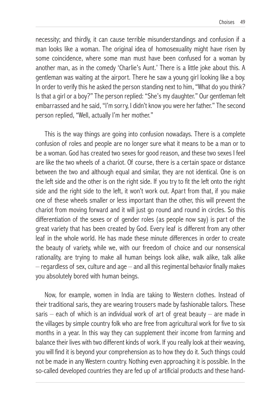$\blacksquare$  Choises 49

necessity; and thirdly, it can cause terrible misunderstandings and confusion if a man looks like a woman. The original idea of homosexuality might have risen by some coincidence, where some man must have been confused for a woman by another man, as in the comedy 'Charlie's Aunt.' There is a little joke about this. A gentleman was waiting at the airport. There he saw a young girl looking like a boy. In order to verify this he asked the person standing next to him, "What do you think? Is that a girl or a boy?" The person replied: "She's my daughter." Our gentleman felt embarrassed and he said, "I'm sorry, I didn't know you were her father." The second person replied, "Well, actually I'm her mother."

This is the way things are going into confusion nowadays. There is a complete confusion of roles and people are no longer sure what it means to be a man or to be a woman. God has created two sexes for good reason, and these two sexes I feel are like the two wheels of a chariot. Of course, there is a certain space or distance between the two and although equal and similar, they are not identical. One is on the left side and the other is on the right side. If you try to fit the left onto the right side and the right side to the left, it won't work out. Apart from that, if you make one of these wheels smaller or less important than the other, this will prevent the chariot from moving forward and it will just go round and round in circles. So this differentiation of the sexes or of gender roles (as people now say) is part of the great variety that has been created by God. Every leaf is different from any other leaf in the whole world. He has made these minute differences in order to create the beauty of variety, while we, with our freedom of choice and our nonsensical rationality, are trying to make all human beings look alike, walk alike, talk alike – regardless of sex, culture and age – and all this regimental behavior finally makes you absolutely bored with human beings.

Now, for example, women in India are taking to Western clothes. Instead of their traditional saris, they are wearing trousers made by fashionable tailors. These saris – each of which is an individual work of art of great beauty – are made in the villages by simple country folk who are free from agricultural work for five to six months in a year. In this way they can supplement their income from farming and balance their lives with two different kinds of work. If you really look at their weaving, you will find it is beyond your comprehension as to how they do it. Such things could not be made in any Western country. Nothing even approaching it is possible. In the so-called developed countries they are fed up of artificial products and these hand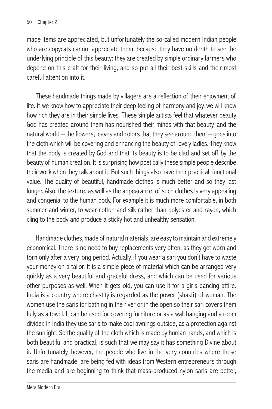made items are appreciated, but unfortunately the so-called modern Indian people who are copycats cannot appreciate them, because they have no depth to see the underlying principle of this beauty: they are created by simple ordinary farmers who depend on this craft for their living, and so put all their best skills and their most careful attention into it.

These handmade things made by villagers are a reflection of their enjoyment of life. If we know how to appreciate their deep feeling of harmony and joy, we will know how rich they are in their simple lives. These simple artists feel that whatever beauty God has created around them has nourished their minds with that beauty, and the natural world – the flowers, leaves and colors that they see around them – goes into the cloth which will be covering and enhancing the beauty of lovely ladies. They know that the body is created by God and that its beauty is to be clad and set off by the beauty of human creation. It is surprising how poetically these simple people describe their work when they talk about it. But such things also have their practical, functional value. The quality of beautiful, handmade clothes is much better and so they last longer. Also, the texture, as well as the appearance, of such clothes is very appealing and congenial to the human body. For example it is much more comfortable, in both summer and winter, to wear cotton and silk rather than polyester and rayon, which cling to the body and produce a sticky hot and unhealthy sensation.

Handmade clothes, made of natural materials, are easy to maintain and extremely economical. There is no need to buy replacements very often, as they get worn and torn only after a very long period. Actually, if you wear a sari you don't have to waste your money on a tailor. It is a simple piece of material which can be arranged very quickly as a very beautiful and graceful dress, and which can be used for various other purposes as well. When it gets old, you can use it for a girls dancing attire. India is a country where chastity is regarded as the power (shakti) of woman. The women use the saris for bathing in the river or in the open so their sari covers them fully as a towel. It can be used for covering furniture or as a wall hanging and a room divider. In India they use saris to make cool awnings outside, as a protection against the sunlight. So the quality of the cloth which is made by human hands, and which is both beautiful and practical, is such that we may say it has something Divine about it. Unfortunately, however, the people who live in the very countries where these saris are handmade, are being fed with ideas from Western entrepreneurs through the media and are beginning to think that mass-produced nylon saris are better,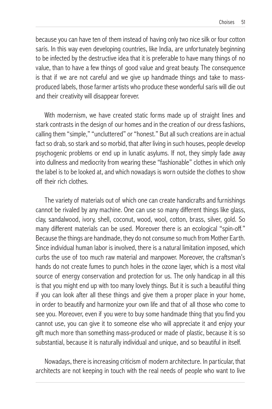because you can have ten of them instead of having only two nice silk or four cotton saris. In this way even developing countries, like India, are unfortunately beginning to be infected by the destructive idea that it is preferable to have many things of no value, than to have a few things of good value and great beauty. The consequence is that if we are not careful and we give up handmade things and take to massproduced labels, those farmer artists who produce these wonderful saris will die out and their creativity will disappear forever.

With modernism, we have created static forms made up of straight lines and stark contrasts in the design of our homes and in the creation of our dress fashions, calling them "simple," "uncluttered" or "honest." But all such creations are in actual fact so drab, so stark and so morbid, that after living in such houses, people develop psychogenic problems or end up in lunatic asylums. If not, they simply fade away into dullness and mediocrity from wearing these "fashionable" clothes in which only the label is to be looked at, and which nowadays is worn outside the clothes to show off their rich clothes.

The variety of materials out of which one can create handicrafts and furnishings cannot be rivaled by any machine. One can use so many different things like glass, clay, sandalwood, ivory, shell, coconut, wood, wool, cotton, brass, silver, gold. So many different materials can be used. Moreover there is an ecological "spin-off." Because the things are handmade, they do not consume so much from Mother Earth. Since individual human labor is involved, there is a natural limitation imposed, which curbs the use of too much raw material and manpower. Moreover, the craftsman's hands do not create fumes to punch holes in the ozone layer, which is a most vital source of energy conservation and protection for us. The only handicap in all this is that you might end up with too many lovely things. But it is such a beautiful thing if you can look after all these things and give them a proper place in your home, in order to beautify and harmonize your own life and that of all those who come to see you. Moreover, even if you were to buy some handmade thing that you find you cannot use, you can give it to someone else who will appreciate it and enjoy your gift much more than something mass-produced or made of plastic, because it is so substantial, because it is naturally individual and unique, and so beautiful in itself.

Nowadays, there is increasing criticism of modern architecture. In particular, that architects are not keeping in touch with the real needs of people who want to live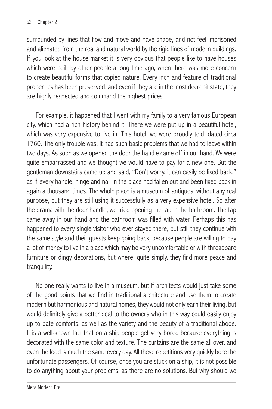surrounded by lines that flow and move and have shape, and not feel imprisoned and alienated from the real and natural world by the rigid lines of modern buildings. If you look at the house market it is very obvious that people like to have houses which were built by other people a long time ago, when there was more concern to create beautiful forms that copied nature. Every inch and feature of traditional properties has been preserved, and even if they are in the most decrepit state, they are highly respected and command the highest prices.

For example, it happened that I went with my family to a very famous European city, which had a rich history behind it. There we were put up in a beautiful hotel, which was very expensive to live in. This hotel, we were proudly told, dated circa 1760. The only trouble was, it had such basic problems that we had to leave within two days. As soon as we opened the door the handle came off in our hand. We were quite embarrassed and we thought we would have to pay for a new one. But the gentleman downstairs came up and said, "Don't worry, it can easily be fixed back," as if every handle, hinge and nail in the place had fallen out and been fixed back in again a thousand times. The whole place is a museum of antiques, without any real purpose, but they are still using it successfully as a very expensive hotel. So after the drama with the door handle, we tried opening the tap in the bathroom. The tap came away in our hand and the bathroom was filled with water. Perhaps this has happened to every single visitor who ever stayed there, but still they continue with the same style and their guests keep going back, because people are willing to pay a lot of money to live in a place which may be very uncomfortable or with threadbare furniture or dingy decorations, but where, quite simply, they find more peace and tranquility.

No one really wants to live in a museum, but if architects would just take some of the good points that we find in traditional architecture and use them to create modern but harmonious and natural homes, they would not only earn their living, but would definitely give a better deal to the owners who in this way could easily enjoy up-to-date comforts, as well as the variety and the beauty of a traditional abode. It is a well-known fact that on a ship people get very bored because everything is decorated with the same color and texture. The curtains are the same all over, and even the food is much the same every day. All these repetitions very quickly bore the unfortunate passengers. Of course, once you are stuck on a ship, it is not possible to do anything about your problems, as there are no solutions. But why should we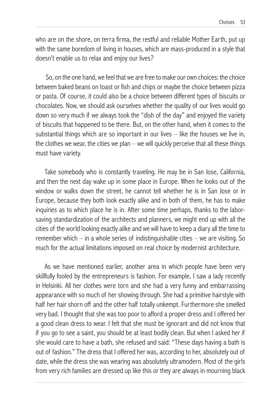who are on the shore, on terra firma, the restful and reliable Mother Earth, put up with the same boredom of living in houses, which are mass-produced in a style that doesn't enable us to relax and enjoy our lives?

 So, on the one hand, we feel that we are free to make our own choices: the choice between baked beans on toast or fish and chips or maybe the choice between pizza or pasta. Of course, it could also be a choice between different types of biscuits or chocolates. Now, we should ask ourselves whether the quality of our lives would go down so very much if we always took the "dish of the day" and enjoyed the variety of biscuits that happened to be there. But, on the other hand, when it comes to the substantial things which are so important in our lives – like the houses we live in, the clothes we wear, the cities we plan  $-$  we will quickly perceive that all these things must have variety.

Take somebody who is constantly traveling. He may be in San Jose, California, and then the next day wake up in some place in Europe. When he looks out of the window or walks down the street, he cannot tell whether he is in San Jose or in Europe, because they both look exactly alike and in both of them, he has to make inquiries as to which place he is in. After some time perhaps, thanks to the laborsaving standardization of the architects and planners, we might end up with all the cities of the world looking exactly alike and we will have to keep a diary all the time to remember which – in a whole series of indistinguishable cities – we are visiting. So much for the actual limitations imposed on real choice by modernist architecture.

As we have mentioned earlier, another area in which people have been very skillfully fooled by the entrepreneurs is fashion. For example, I saw a lady recently in Helsinki. All her clothes were torn and she had a very funny and embarrassing appearance with so much of her showing through. She had a primitive hairstyle with half her hair shorn off and the other half totally unkempt. Furthermore she smelled very bad. I thought that she was too poor to afford a proper dress and I offered her a good clean dress to wear. I felt that she must be ignorant and did not know that if you go to see a saint, you should be at least bodily clean. But when I asked her if she would care to have a bath, she refused and said: "These days having a bath is out of fashion." The dress that I offered her was, according to her, absolutely out of date, while the dress she was wearing was absolutely ultramodern. Most of the girls from very rich families are dressed up like this or they are always in mourning black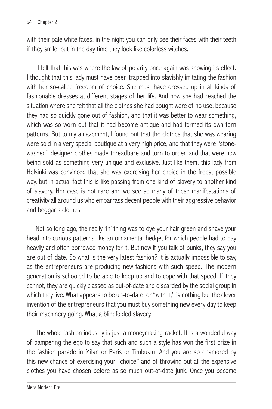with their pale white faces, in the night you can only see their faces with their teeth if they smile, but in the day time they look like colorless witches.

 I felt that this was where the law of polarity once again was showing its effect. I thought that this lady must have been trapped into slavishly imitating the fashion with her so-called freedom of choice. She must have dressed up in all kinds of fashionable dresses at different stages of her life. And now she had reached the situation where she felt that all the clothes she had bought were of no use, because they had so quickly gone out of fashion, and that it was better to wear something, which was so worn out that it had become antique and had formed its own torn patterns. But to my amazement, I found out that the clothes that she was wearing were sold in a very special boutique at a very high price, and that they were "stonewashed" designer clothes made threadbare and torn to order, and that were now being sold as something very unique and exclusive. Just like them, this lady from Helsinki was convinced that she was exercising her choice in the freest possible way, but in actual fact this is like passing from one kind of slavery to another kind of slavery. Her case is not rare and we see so many of these manifestations of creativity all around us who embarrass decent people with their aggressive behavior and beggar's clothes.

Not so long ago, the really 'in' thing was to dye your hair green and shave your head into curious patterns like an ornamental hedge, for which people had to pay heavily and often borrowed money for it. But now if you talk of punks, they say you are out of date. So what is the very latest fashion? It is actually impossible to say, as the entrepreneurs are producing new fashions with such speed. The modern generation is schooled to be able to keep up and to cope with that speed. If they cannot, they are quickly classed as out-of-date and discarded by the social group in which they live. What appears to be up-to-date, or "with it," is nothing but the clever invention of the entrepreneurs that you must buy something new every day to keep their machinery going. What a blindfolded slavery.

The whole fashion industry is just a moneymaking racket. It is a wonderful way of pampering the ego to say that such and such a style has won the first prize in the fashion parade in Milan or Paris or Timbuktu. And you are so enamored by this new chance of exercising your "choice" and of throwing out all the expensive clothes you have chosen before as so much out-of-date junk. Once you become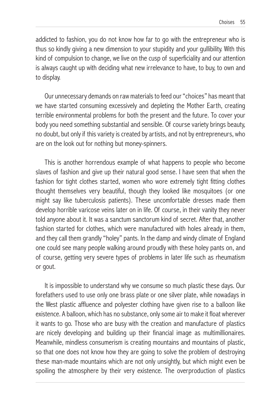addicted to fashion, you do not know how far to go with the entrepreneur who is thus so kindly giving a new dimension to your stupidity and your gullibility. With this kind of compulsion to change, we live on the cusp of superficiality and our attention is always caught up with deciding what new irrelevance to have, to buy, to own and to display.

Our unnecessary demands on raw materials to feed our "choices" has meant that we have started consuming excessively and depleting the Mother Earth, creating terrible environmental problems for both the present and the future. To cover your body you need something substantial and sensible. Of course variety brings beauty, no doubt, but only if this variety is created by artists, and not by entrepreneurs, who are on the look out for nothing but money-spinners.

This is another horrendous example of what happens to people who become slaves of fashion and give up their natural good sense. I have seen that when the fashion for tight clothes started, women who wore extremely tight fitting clothes thought themselves very beautiful, though they looked like mosquitoes (or one might say like tuberculosis patients). These uncomfortable dresses made them develop horrible varicose veins later on in life. Of course, in their vanity they never told anyone about it. It was a sanctum sanctorum kind of secret. After that, another fashion started for clothes, which were manufactured with holes already in them, and they call them grandly "holey" pants. In the damp and windy climate of England one could see many people walking around proudly with these holey pants on, and of course, getting very severe types of problems in later life such as rheumatism or gout.

It is impossible to understand why we consume so much plastic these days. Our forefathers used to use only one brass plate or one silver plate, while nowadays in the West plastic affluence and polyester clothing have given rise to a balloon like existence. A balloon, which has no substance, only some air to make it float wherever it wants to go. Those who are busy with the creation and manufacture of plastics are nicely developing and building up their financial image as multimillionaires. Meanwhile, mindless consumerism is creating mountains and mountains of plastic, so that one does not know how they are going to solve the problem of destroying these man-made mountains which are not only unsightly, but which might even be spoiling the atmosphere by their very existence. The overproduction of plastics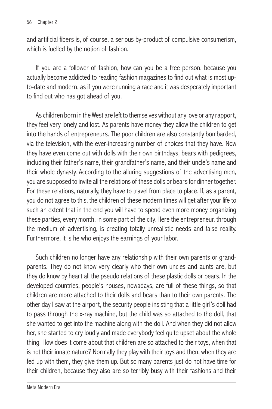and artificial fibers is, of course, a serious by-product of compulsive consumerism, which is fuelled by the notion of fashion.

If you are a follower of fashion, how can you be a free person, because you actually become addicted to reading fashion magazines to find out what is most upto-date and modern, as if you were running a race and it was desperately important to find out who has got ahead of you.

As children born in the West are left to themselves without any love or any rapport, they feel very lonely and lost. As parents have money they allow the children to get into the hands of entrepreneurs. The poor children are also constantly bombarded, via the television, with the ever-increasing number of choices that they have. Now they have even come out with dolls with their own birthdays, bears with pedigrees, including their father's name, their grandfather's name, and their uncle's name and their whole dynasty. According to the alluring suggestions of the advertising men, you are supposed to invite all the relations of these dolls or bears for dinner together. For these relations, naturally, they have to travel from place to place. If, as a parent, you do not agree to this, the children of these modern times will get after your life to such an extent that in the end you will have to spend even more money organizing these parties, every month, in some part of the city. Here the entrepreneur, through the medium of advertising, is creating totally unrealistic needs and false reality. Furthermore, it is he who enjoys the earnings of your labor.

Such children no longer have any relationship with their own parents or grandparents. They do not know very clearly who their own uncles and aunts are, but they do know by heart all the pseudo relations of these plastic dolls or bears. In the developed countries, people's houses, nowadays, are full of these things, so that children are more attached to their dolls and bears than to their own parents. The other day I saw at the airport, the security people insisting that a little girl's doll had to pass through the x-ray machine, but the child was so attached to the doll, that she wanted to get into the machine along with the doll. And when they did not allow her, she started to cry loudly and made everybody feel quite upset about the whole thing. How does it come about that children are so attached to their toys, when that is not their innate nature? Normally they play with their toys and then, when they are fed up with them, they give them up. But so many parents just do not have time for their children, because they also are so terribly busy with their fashions and their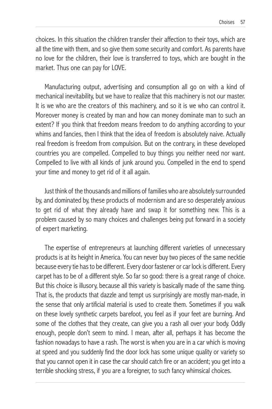choices. In this situation the children transfer their affection to their toys, which are all the time with them, and so give them some security and comfort. As parents have no love for the children, their love is transferred to toys, which are bought in the market. Thus one can pay for LOVE.

Manufacturing output, advertising and consumption all go on with a kind of mechanical inevitability, but we have to realize that this machinery is not our master. It is we who are the creators of this machinery, and so it is we who can control it. Moreover money is created by man and how can money dominate man to such an extent? If you think that freedom means freedom to do anything according to your whims and fancies, then I think that the idea of freedom is absolutely naive. Actually real freedom is freedom from compulsion. But on the contrary, in these developed countries you are compelled. Compelled to buy things you neither need nor want. Compelled to live with all kinds of junk around you. Compelled in the end to spend your time and money to get rid of it all again.

Just think of the thousands and millions of families who are absolutely surrounded by, and dominated by, these products of modernism and are so desperately anxious to get rid of what they already have and swap it for something new. This is a problem caused by so many choices and challenges being put forward in a society of expert marketing.

The expertise of entrepreneurs at launching different varieties of unnecessary products is at its height in America. You can never buy two pieces of the same necktie because every tie has to be different. Every door fastener or car lock is different. Every carpet has to be of a different style. So far so good: there is a great range of choice. But this choice is illusory, because all this variety is basically made of the same thing. That is, the products that dazzle and tempt us surprisingly are mostly man-made, in the sense that only artificial material is used to create them. Sometimes if you walk on these lovely synthetic carpets barefoot, you feel as if your feet are burning. And some of the clothes that they create, can give you a rash all over your body. Oddly enough, people don't seem to mind. I mean, after all, perhaps it has become the fashion nowadays to have a rash. The worst is when you are in a car which is moving at speed and you suddenly find the door lock has some unique quality or variety so that you cannot open it in case the car should catch fire or an accident; you get into a terrible shocking stress, if you are a foreigner, to such fancy whimsical choices.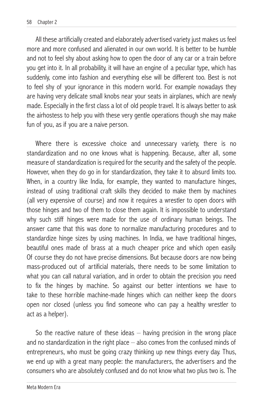All these artificially created and elaborately advertised variety just makes us feel more and more confused and alienated in our own world. It is better to be humble and not to feel shy about asking how to open the door of any car or a train before you get into it. In all probability, it will have an engine of a peculiar type, which has suddenly, come into fashion and everything else will be different too. Best is not to feel shy of your ignorance in this modern world. For example nowadays they are having very delicate small knobs near your seats in airplanes, which are newly made. Especially in the first class a lot of old people travel. It is always better to ask the airhostess to help you with these very gentle operations though she may make fun of you, as if you are a naive person.

Where there is excessive choice and unnecessary variety, there is no standardization and no one knows what is happening. Because, after all, some measure of standardization is required for the security and the safety of the people. However, when they do go in for standardization, they take it to absurd limits too. When, in a country like India, for example, they wanted to manufacture hinges, instead of using traditional craft skills they decided to make them by machines (all very expensive of course) and now it requires a wrestler to open doors with those hinges and two of them to close them again. It is impossible to understand why such stiff hinges were made for the use of ordinary human beings. The answer came that this was done to normalize manufacturing procedures and to standardize hinge sizes by using machines. In India, we have traditional hinges, beautiful ones made of brass at a much cheaper price and which open easily. Of course they do not have precise dimensions. But because doors are now being mass-produced out of artificial materials, there needs to be some limitation to what you can call natural variation, and in order to obtain the precision you need to fix the hinges by machine. So against our better intentions we have to take to these horrible machine-made hinges which can neither keep the doors open nor closed (unless you find someone who can pay a healthy wrestler to act as a helper).

So the reactive nature of these ideas  $-$  having precision in the wrong place and no standardization in the right place – also comes from the confused minds of entrepreneurs, who must be going crazy thinking up new things every day. Thus, we end up with a great many people: the manufacturers, the advertisers and the consumers who are absolutely confused and do not know what two plus two is. The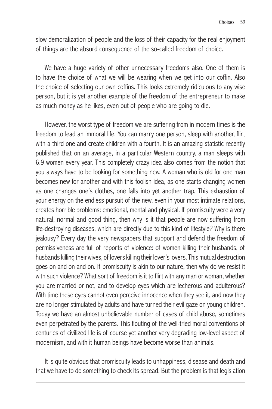slow demoralization of people and the loss of their capacity for the real enjoyment of things are the absurd consequence of the so-called freedom of choice.

We have a huge variety of other unnecessary freedoms also. One of them is to have the choice of what we will be wearing when we get into our coffin. Also the choice of selecting our own coffins. This looks extremely ridiculous to any wise person, but it is yet another example of the freedom of the entrepreneur to make as much money as he likes, even out of people who are going to die.

However, the worst type of freedom we are suffering from in modern times is the freedom to lead an immoral life. You can marry one person, sleep with another, flirt with a third one and create children with a fourth. It is an amazing statistic recently published that on an average, in a particular Western country, a man sleeps with 6.9 women every year. This completely crazy idea also comes from the notion that you always have to be looking for something new. A woman who is old for one man becomes new for another and with this foolish idea, as one starts changing women as one changes one's clothes, one falls into yet another trap. This exhaustion of your energy on the endless pursuit of the new, even in your most intimate relations, creates horrible problems: emotional, mental and physical. If promiscuity were a very natural, normal and good thing, then why is it that people are now suffering from life-destroying diseases, which are directly due to this kind of lifestyle? Why is there jealousy? Every day the very newspapers that support and defend the freedom of permissiveness are full of reports of violence: of women killing their husbands, of husbands killing their wives, of lovers killing their lover's lovers. This mutual destruction goes on and on and on. If promiscuity is akin to our nature, then why do we resist it with such violence? What sort of freedom is it to flirt with any man or woman, whether you are married or not, and to develop eyes which are lecherous and adulterous? With time these eyes cannot even perceive innocence when they see it, and now they are no longer stimulated by adults and have turned their evil gaze on young children. Today we have an almost unbelievable number of cases of child abuse, sometimes even perpetrated by the parents. This flouting of the well-tried moral conventions of centuries of civilized life is of course yet another very degrading low-level aspect of modernism, and with it human beings have become worse than animals.

It is quite obvious that promiscuity leads to unhappiness, disease and death and that we have to do something to check its spread. But the problem is that legislation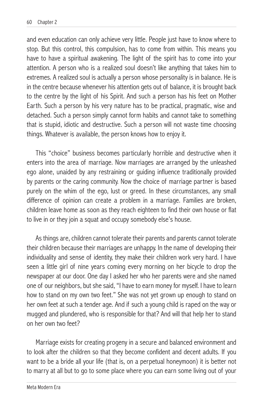and even education can only achieve very little. People just have to know where to stop. But this control, this compulsion, has to come from within. This means you have to have a spiritual awakening. The light of the spirit has to come into your attention. A person who is a realized soul doesn't like anything that takes him to extremes. A realized soul is actually a person whose personality is in balance. He is in the centre because whenever his attention gets out of balance, it is brought back to the centre by the light of his Spirit. And such a person has his feet on Mother Earth. Such a person by his very nature has to be practical, pragmatic, wise and detached. Such a person simply cannot form habits and cannot take to something that is stupid, idiotic and destructive. Such a person will not waste time choosing things. Whatever is available, the person knows how to enjoy it.

This "choice" business becomes particularly horrible and destructive when it enters into the area of marriage. Now marriages are arranged by the unleashed ego alone, unaided by any restraining or guiding influence traditionally provided by parents or the caring community. Now the choice of marriage partner is based purely on the whim of the ego, lust or greed. In these circumstances, any small difference of opinion can create a problem in a marriage. Families are broken, children leave home as soon as they reach eighteen to find their own house or flat to live in or they join a squat and occupy somebody else's house.

As things are, children cannot tolerate their parents and parents cannot tolerate their children because their marriages are unhappy. In the name of developing their individuality and sense of identity, they make their children work very hard. I have seen a little girl of nine years coming every morning on her bicycle to drop the newspaper at our door. One day I asked her who her parents were and she named one of our neighbors, but she said, "I have to earn money for myself. I have to learn how to stand on my own two feet." She was not yet grown up enough to stand on her own feet at such a tender age. And if such a young child is raped on the way or mugged and plundered, who is responsible for that? And will that help her to stand on her own two feet?

Marriage exists for creating progeny in a secure and balanced environment and to look after the children so that they become confident and decent adults. If you want to be a bride all your life (that is, on a perpetual honeymoon) it is better not to marry at all but to go to some place where you can earn some living out of your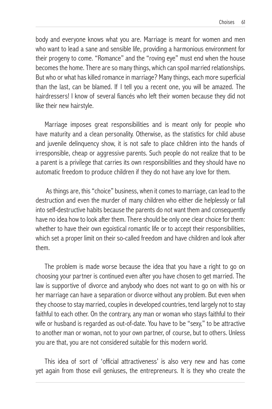body and everyone knows what you are. Marriage is meant for women and men who want to lead a sane and sensible life, providing a harmonious environment for their progeny to come. "Romance" and the "roving eye" must end when the house becomes the home. There are so many things, which can spoil married relationships. But who or what has killed romance in marriage? Many things, each more superficial than the last, can be blamed. If I tell you a recent one, you will be amazed. The hairdressers! I know of several fiancés who left their women because they did not like their new hairstyle.

Marriage imposes great responsibilities and is meant only for people who have maturity and a clean personality. Otherwise, as the statistics for child abuse and juvenile delinquency show, it is not safe to place children into the hands of irresponsible, cheap or aggressive parents. Such people do not realize that to be a parent is a privilege that carries its own responsibilities and they should have no automatic freedom to produce children if they do not have any love for them.

 As things are, this "choice" business, when it comes to marriage, can lead to the destruction and even the murder of many children who either die helplessly or fall into self-destructive habits because the parents do not want them and consequently have no idea how to look after them. There should be only one clear choice for them: whether to have their own egoistical romantic life or to accept their responsibilities, which set a proper limit on their so-called freedom and have children and look after them.

The problem is made worse because the idea that you have a right to go on choosing your partner is continued even after you have chosen to get married. The law is supportive of divorce and anybody who does not want to go on with his or her marriage can have a separation or divorce without any problem. But even when they choose to stay married, couples in developed countries, tend largely not to stay faithful to each other. On the contrary, any man or woman who stays faithful to their wife or husband is regarded as out-of-date. You have to be "sexy," to be attractive to another man or woman, not to your own partner, of course, but to others. Unless you are that, you are not considered suitable for this modern world.

This idea of sort of 'official attractiveness' is also very new and has come yet again from those evil geniuses, the entrepreneurs. It is they who create the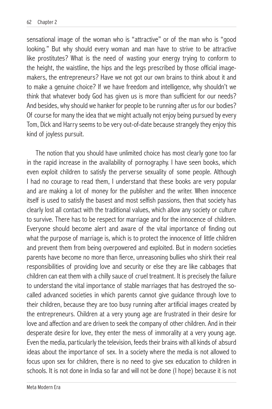sensational image of the woman who is "attractive" or of the man who is "good looking." But why should every woman and man have to strive to be attractive like prostitutes? What is the need of wasting your energy trying to conform to the height, the waistline, the hips and the legs prescribed by those official imagemakers, the entrepreneurs? Have we not got our own brains to think about it and to make a genuine choice? If we have freedom and intelligence, why shouldn't we think that whatever body God has given us is more than sufficient for our needs? And besides, why should we hanker for people to be running after us for our bodies? Of course for many the idea that we might actually not enjoy being pursued by every Tom, Dick and Harry seems to be very out-of-date because strangely they enjoy this kind of joyless pursuit.

The notion that you should have unlimited choice has most clearly gone too far in the rapid increase in the availability of pornography. I have seen books, which even exploit children to satisfy the perverse sexuality of some people. Although I had no courage to read them, I understand that these books are very popular and are making a lot of money for the publisher and the writer. When innocence itself is used to satisfy the basest and most selfish passions, then that society has clearly lost all contact with the traditional values, which allow any society or culture to survive. There has to be respect for marriage and for the innocence of children. Everyone should become alert and aware of the vital importance of finding out what the purpose of marriage is, which is to protect the innocence of little children and prevent them from being overpowered and exploited. But in modern societies parents have become no more than fierce, unreasoning bullies who shirk their real responsibilities of providing love and security or else they are like cabbages that children can eat them with a chilly sauce of cruel treatment. It is precisely the failure to understand the vital importance of stable marriages that has destroyed the socalled advanced societies in which parents cannot give guidance through love to their children, because they are too busy running after artificial images created by the entrepreneurs. Children at a very young age are frustrated in their desire for love and affection and are driven to seek the company of other children. And in their desperate desire for love, they enter the mess of immorality at a very young age. Even the media, particularly the television, feeds their brains with all kinds of absurd ideas about the importance of sex. In a society where the media is not allowed to focus upon sex for children, there is no need to give sex education to children in schools. It is not done in India so far and will not be done (I hope) because it is not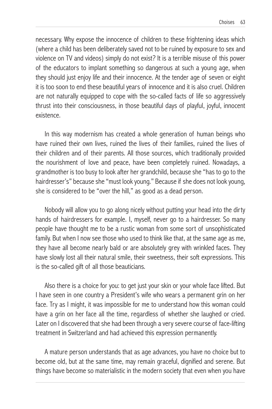necessary. Why expose the innocence of children to these frightening ideas which (where a child has been deliberately saved not to be ruined by exposure to sex and violence on TV and videos) simply do not exist? It is a terrible misuse of this power of the educators to implant something so dangerous at such a young age, when they should just enjoy life and their innocence. At the tender age of seven or eight it is too soon to end these beautiful years of innocence and it is also cruel. Children are not naturally equipped to cope with the so-called facts of life so aggressively thrust into their consciousness, in those beautiful days of playful, joyful, innocent existence.

In this way modernism has created a whole generation of human beings who have ruined their own lives, ruined the lives of their families, ruined the lives of their children and of their parents. All those sources, which traditionally provided the nourishment of love and peace, have been completely ruined. Nowadays, a grandmother is too busy to look after her grandchild, because she "has to go to the hairdresser's" because she "must look young." Because if she does not look young, she is considered to be "over the hill," as good as a dead person.

Nobody will allow you to go along nicely without putting your head into the dirty hands of hairdressers for example. I, myself, never go to a hairdresser. So many people have thought me to be a rustic woman from some sort of unsophisticated family. But when I now see those who used to think like that, at the same age as me, they have all become nearly bald or are absolutely grey with wrinkled faces. They have slowly lost all their natural smile, their sweetness, their soft expressions. This is the so-called gift of all those beauticians.

Also there is a choice for you: to get just your skin or your whole face lifted. But I have seen in one country a President's wife who wears a permanent grin on her face. Try as I might, it was impossible for me to understand how this woman could have a grin on her face all the time, regardless of whether she laughed or cried. Later on I discovered that she had been through a very severe course of face-lifting treatment in Switzerland and had achieved this expression permanently.

A mature person understands that as age advances, you have no choice but to become old, but at the same time, may remain graceful, dignified and serene. But things have become so materialistic in the modern society that even when you have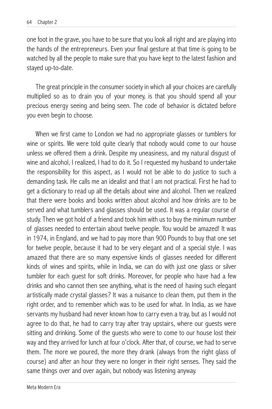one foot in the grave, you have to be sure that you look all right and are playing into the hands of the entrepreneurs. Even your final gesture at that time is going to be watched by all the people to make sure that you have kept to the latest fashion and stayed up-to-date.

The great principle in the consumer society in which all your choices are carefully multiplied so as to drain you of your money, is that you should spend all your precious energy seeing and being seen. The code of behavior is dictated before you even begin to choose.

When we first came to London we had no appropriate glasses or tumblers for wine or spirits. We were told quite clearly that nobody would come to our house unless we offered them a drink. Despite my uneasiness, and my natural disgust of wine and alcohol, I realized, I had to do it. So I requested my husband to undertake the responsibility for this aspect, as I would not be able to do justice to such a demanding task. He calls me an idealist and that I am not practical. First he had to get a dictionary to read up all the details about wine and alcohol. Then we realized that there were books and books written about alcohol and how drinks are to be served and what tumblers and glasses should be used. It was a regular course of study. Then we got hold of a friend and took him with us to buy the minimum number of glasses needed to entertain about twelve people. You would be amazed! It was in 1974, in England, and we had to pay more than 900 Pounds to buy that one set for twelve people, because it had to be very elegant and of a special style. I was amazed that there are so many expensive kinds of glasses needed for different kinds of wines and spirits, while in India, we can do with just one glass or silver tumbler for each guest for soft drinks. Moreover, for people who have had a few drinks and who cannot then see anything, what is the need of having such elegant artistically made crystal glasses? It was a nuisance to clean them, put them in the right order, and to remember which was to be used for what. In India, as we have servants my husband had never known how to carry even a tray, but as I would not agree to do that, he had to carry tray after tray upstairs, where our guests were sitting and drinking. Some of the guests who were to come to our house lost their way and they arrived for lunch at four o'clock. After that, of course, we had to serve them. The more we poured, the more they drank (always from the right glass of course) and after an hour they were no longer in their right senses. They said the same things over and over again, but nobody was listening anyway.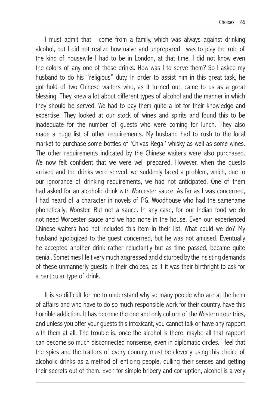I must admit that I come from a family, which was always against drinking alcohol, but I did not realize how naive and unprepared I was to play the role of the kind of housewife I had to be in London, at that time. I did not know even the colors of any one of these drinks. How was I to serve them? So I asked my husband to do his "religious" duty. In order to assist him in this great task, he got hold of two Chinese waiters who, as it turned out, came to us as a great blessing. They knew a lot about different types of alcohol and the manner in which they should be served. We had to pay them quite a lot for their knowledge and expertise. They looked at our stock of wines and spirits and found this to be inadequate for the number of guests who were coming for lunch. They also made a huge list of other requirements. My husband had to rush to the local market to purchase some bottles of 'Chivas Regal' whisky as well as some wines. The other requirements indicated by the Chinese waiters were also purchased. We now felt confident that we were well prepared. However, when the guests arrived and the drinks were served, we suddenly faced a problem, which, due to our ignorance of drinking requirements, we had not anticipated. One of them had asked for an alcoholic drink with Worcester sauce. As far as I was concerned, I had heard of a character in novels of P.G. Woodhouse who had the samename phonetically: Wooster. But not a sauce. In any case, for our Indian food we do not need Worcester sauce and we had none in the house. Even our experienced Chinese waiters had not included this item in their list. What could we do? My husband apologized to the guest concerned, but he was not amused. Eventually he accepted another drink rather reluctantly but as time passed, became quite genial. Sometimes I felt very much aggressed and disturbed by the insisting demands of these unmannerly guests in their choices, as if it was their birthright to ask for a particular type of drink.

It is so difficult for me to understand why so many people who are at the helm of affairs and who have to do so much responsible work for their country, have this horrible addiction. It has become the one and only culture of the Western countries, and unless you offer your guests this intoxicant, you cannot talk or have any rapport with them at all. The trouble is, once the alcohol is there, maybe all that rapport can become so much disconnected nonsense, even in diplomatic circles. I feel that the spies and the traitors of every country, must be cleverly using this choice of alcoholic drinks as a method of enticing people, dulling their senses and getting their secrets out of them. Even for simple bribery and corruption, alcohol is a very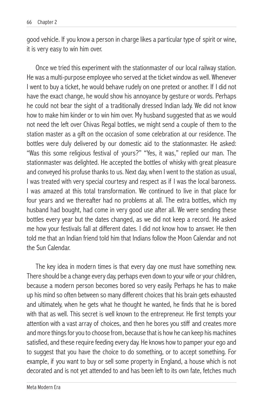good vehicle. If you know a person in charge likes a particular type of spirit or wine, it is very easy to win him over.

Once we tried this experiment with the stationmaster of our local railway station. He was a multi-purpose employee who served at the ticket window as well. Whenever I went to buy a ticket, he would behave rudely on one pretext or another. If I did not have the exact change, he would show his annoyance by gesture or words. Perhaps he could not bear the sight of a traditionally dressed Indian lady. We did not know how to make him kinder or to win him over. My husband suggested that as we would not need the left over Chivas Regal bottles, we might send a couple of them to the station master as a gift on the occasion of some celebration at our residence. The bottles were duly delivered by our domestic aid to the stationmaster. He asked: "Was this some religious festival of yours?" "Yes, it was," replied our man. The stationmaster was delighted. He accepted the bottles of whisky with great pleasure and conveyed his profuse thanks to us. Next day, when I went to the station as usual, I was treated with very special courtesy and respect as if I was the local baroness. I was amazed at this total transformation. We continued to live in that place for four years and we thereafter had no problems at all. The extra bottles, which my husband had bought, had come in very good use after all. We were sending these bottles every year but the dates changed, as we did not keep a record. He asked me how your festivals fall at different dates. I did not know how to answer. He then told me that an Indian friend told him that Indians follow the Moon Calendar and not the Sun Calendar.

The key idea in modern times is that every day one must have something new. There should be a change every day, perhaps even down to your wife or your children, because a modern person becomes bored so very easily. Perhaps he has to make up his mind so often between so many different choices that his brain gets exhausted and ultimately, when he gets what he thought he wanted, he finds that he is bored with that as well. This secret is well known to the entrepreneur. He first tempts your attention with a vast array of choices, and then he bores you stiff and creates more and more things for you to choose from, because that is how he can keep his machines satisfied, and these require feeding every day. He knows how to pamper your ego and to suggest that you have the choice to do something, or to accept something. For example, if you want to buy or sell some property in England, a house which is not decorated and is not yet attended to and has been left to its own fate, fetches much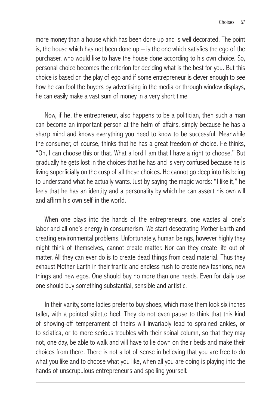more money than a house which has been done up and is well decorated. The point is, the house which has not been done up  $-$  is the one which satisfies the ego of the purchaser, who would like to have the house done according to his own choice. So, personal choice becomes the criterion for deciding what is the best for you. But this choice is based on the play of ego and if some entrepreneur is clever enough to see how he can fool the buyers by advertising in the media or through window displays, he can easily make a vast sum of money in a very short time.

Now, if he, the entrepreneur, also happens to be a politician, then such a man can become an important person at the helm of affairs, simply because he has a sharp mind and knows everything you need to know to be successful. Meanwhile the consumer, of course, thinks that he has a great freedom of choice. He thinks, "Oh, I can choose this or that. What a lord I am that I have a right to choose." But gradually he gets lost in the choices that he has and is very confused because he is living superficially on the cusp of all these choices. He cannot go deep into his being to understand what he actually wants. Just by saying the magic words: "I like it," he feels that he has an identity and a personality by which he can assert his own will and affirm his own self in the world.

When one plays into the hands of the entrepreneurs, one wastes all one's labor and all one's energy in consumerism. We start desecrating Mother Earth and creating environmental problems. Unfortunately, human beings, however highly they might think of themselves, cannot create matter. Nor can they create life out of matter. All they can ever do is to create dead things from dead material. Thus they exhaust Mother Earth in their frantic and endless rush to create new fashions, new things and new egos. One should buy no more than one needs. Even for daily use one should buy something substantial, sensible and artistic.

In their vanity, some ladies prefer to buy shoes, which make them look six inches taller, with a pointed stiletto heel. They do not even pause to think that this kind of showing-off temperament of theirs will invariably lead to sprained ankles, or to sciatica, or to more serious troubles with their spinal column, so that they may not, one day, be able to walk and will have to lie down on their beds and make their choices from there. There is not a lot of sense in believing that you are free to do what you like and to choose what you like, when all you are doing is playing into the hands of unscrupulous entrepreneurs and spoiling yourself.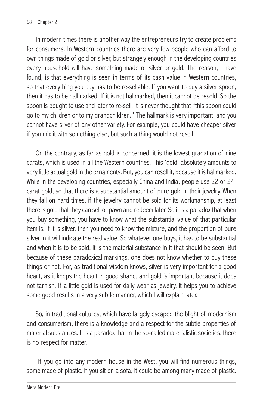In modern times there is another way the entrepreneurs try to create problems for consumers. In Western countries there are very few people who can afford to own things made of gold or silver, but strangely enough in the developing countries every household will have something made of silver or gold. The reason, I have found, is that everything is seen in terms of its cash value in Western countries, so that everything you buy has to be re-sellable. If you want to buy a silver spoon, then it has to be hallmarked. If it is not hallmarked, then it cannot be resold. So the spoon is bought to use and later to re-sell. It is never thought that "this spoon could go to my children or to my grandchildren." The hallmark is very important, and you cannot have silver of any other variety. For example, you could have cheaper silver if you mix it with something else, but such a thing would not resell.

On the contrary, as far as gold is concerned, it is the lowest gradation of nine carats, which is used in all the Western countries. This 'gold' absolutely amounts to very little actual gold in the ornaments. But, you can resell it, because it is hallmarked. While in the developing countries, especially China and India, people use 22 or 24 carat gold, so that there is a substantial amount of pure gold in their jewelry. When they fall on hard times, if the jewelry cannot be sold for its workmanship, at least there is gold that they can sell or pawn and redeem later. So it is a paradox that when you buy something, you have to know what the substantial value of that particular item is. If it is silver, then you need to know the mixture, and the proportion of pure silver in it will indicate the real value. So whatever one buys, it has to be substantial and when it is to be sold, it is the material substance in it that should be seen. But because of these paradoxical markings, one does not know whether to buy these things or not. For, as traditional wisdom knows, silver is very important for a good heart, as it keeps the heart in good shape, and gold is important because it does not tarnish. If a little gold is used for daily wear as jewelry, it helps you to achieve some good results in a very subtle manner, which I will explain later.

So, in traditional cultures, which have largely escaped the blight of modernism and consumerism, there is a knowledge and a respect for the subtle properties of material substances. It is a paradox that in the so-called materialistic societies, there is no respect for matter.

 If you go into any modern house in the West, you will find numerous things, some made of plastic. If you sit on a sofa, it could be among many made of plastic.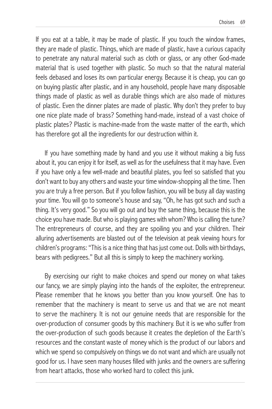choises 69

If you eat at a table, it may be made of plastic. If you touch the window frames, they are made of plastic. Things, which are made of plastic, have a curious capacity to penetrate any natural material such as cloth or glass, or any other God-made material that is used together with plastic. So much so that the natural material feels debased and loses its own particular energy. Because it is cheap, you can go on buying plastic after plastic, and in any household, people have many disposable things made of plastic as well as durable things which are also made of mixtures of plastic. Even the dinner plates are made of plastic. Why don't they prefer to buy one nice plate made of brass? Something hand-made, instead of a vast choice of plastic plates? Plastic is machine-made from the waste matter of the earth, which has therefore got all the ingredients for our destruction within it.

If you have something made by hand and you use it without making a big fuss about it, you can enjoy it for itself, as well as for the usefulness that it may have. Even if you have only a few well-made and beautiful plates, you feel so satisfied that you don't want to buy any others and waste your time window-shopping all the time. Then you are truly a free person. But if you follow fashion, you will be busy all day wasting your time. You will go to someone's house and say, "Oh, he has got such and such a thing. It's very good." So you will go out and buy the same thing, because this is the choice you have made. But who is playing games with whom? Who is calling the tune? The entrepreneurs of course, and they are spoiling you and your children. Their alluring advertisements are blasted out of the television at peak viewing hours for children's programs: "This is a nice thing that has just come out. Dolls with birthdays, bears with pedigrees." But all this is simply to keep the machinery working.

By exercising our right to make choices and spend our money on what takes our fancy, we are simply playing into the hands of the exploiter, the entrepreneur. Please remember that he knows you better than you know yourself. One has to remember that the machinery is meant to serve us and that we are not meant to serve the machinery. It is not our genuine needs that are responsible for the over-production of consumer goods by this machinery. But it is we who suffer from the over-production of such goods because it creates the depletion of the Earth's resources and the constant waste of money which is the product of our labors and which we spend so compulsively on things we do not want and which are usually not good for us. I have seen many houses filled with junks and the owners are suffering from heart attacks, those who worked hard to collect this junk.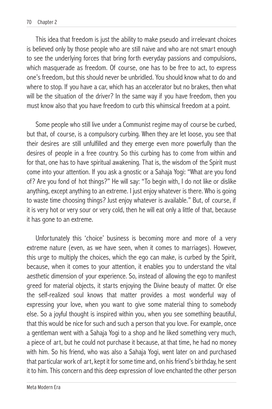This idea that freedom is just the ability to make pseudo and irrelevant choices is believed only by those people who are still naive and who are not smart enough to see the underlying forces that bring forth everyday passions and compulsions, which masquerade as freedom. Of course, one has to be free to act, to express one's freedom, but this should never be unbridled. You should know what to do and where to stop. If you have a car, which has an accelerator but no brakes, then what will be the situation of the driver? In the same way if you have freedom, then you must know also that you have freedom to curb this whimsical freedom at a point.

Some people who still live under a Communist regime may of course be curbed, but that, of course, is a compulsory curbing. When they are let loose, you see that their desires are still unfulfilled and they emerge even more powerfully than the desires of people in a free country. So this curbing has to come from within and for that, one has to have spiritual awakening. That is, the wisdom of the Spirit must come into your attention. If you ask a gnostic or a Sahaja Yogi: "What are you fond of? Are you fond of hot things?" He will say: "To begin with, I do not like or dislike anything, except anything to an extreme. I just enjoy whatever is there. Who is going to waste time choosing things? Just enjoy whatever is available." But, of course, if it is very hot or very sour or very cold, then he will eat only a little of that, because it has gone to an extreme.

Unfortunately this 'choice' business is becoming more and more of a very extreme nature (even, as we have seen, when it comes to marriages). However, this urge to multiply the choices, which the ego can make, is curbed by the Spirit, because, when it comes to your attention, it enables you to understand the vital aesthetic dimension of your experience. So, instead of allowing the ego to manifest greed for material objects, it starts enjoying the Divine beauty of matter. Or else the self-realized soul knows that matter provides a most wonderful way of expressing your love, when you want to give some material thing to somebody else. So a joyful thought is inspired within you, when you see something beautiful, that this would be nice for such and such a person that you love. For example, once a gentleman went with a Sahaja Yogi to a shop and he liked something very much, a piece of art, but he could not purchase it because, at that time, he had no money with him. So his friend, who was also a Sahaja Yogi, went later on and purchased that particular work of art, kept it for some time and, on his friend's birthday, he sent it to him. This concern and this deep expression of love enchanted the other person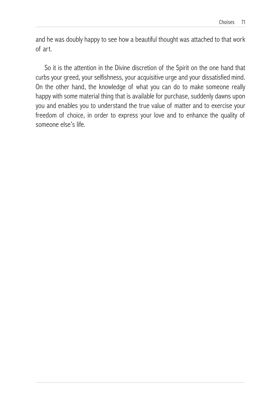and he was doubly happy to see how a beautiful thought was attached to that work of art.

So it is the attention in the Divine discretion of the Spirit on the one hand that curbs your greed, your selfishness, your acquisitive urge and your dissatisfied mind. On the other hand, the knowledge of what you can do to make someone really happy with some material thing that is available for purchase, suddenly dawns upon you and enables you to understand the true value of matter and to exercise your freedom of choice, in order to express your love and to enhance the quality of someone else's life.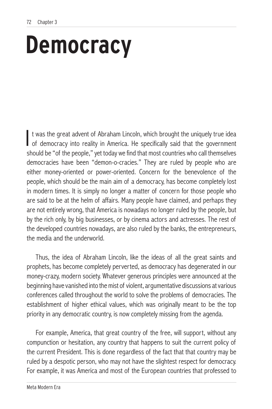## **Democracy**

t was the great advent of Abraham Lincoln, which brought the uniquely true idea I t was the great advent of Abraham Lincoln, which brought the uniquely true idea<br>I of democracy into reality in America. He specifically said that the government should be "of the people," yet today we find that most countries who call themselves democracies have been "demon-o-cracies." They are ruled by people who are either money-oriented or power-oriented. Concern for the benevolence of the people, which should be the main aim of a democracy, has become completely lost in modern times. It is simply no longer a matter of concern for those people who are said to be at the helm of affairs. Many people have claimed, and perhaps they are not entirely wrong, that America is nowadays no longer ruled by the people, but by the rich only, by big businesses, or by cinema actors and actresses. The rest of the developed countries nowadays, are also ruled by the banks, the entrepreneurs, the media and the underworld.

Thus, the idea of Abraham Lincoln, like the ideas of all the great saints and prophets, has become completely perverted, as democracy has degenerated in our money-crazy, modern society. Whatever generous principles were announced at the beginning have vanished into the mist of violent, argumentative discussions at various conferences called throughout the world to solve the problems of democracies. The establishment of higher ethical values, which was originally meant to be the top priority in any democratic country, is now completely missing from the agenda.

For example, America, that great country of the free, will support, without any compunction or hesitation, any country that happens to suit the current policy of the current President. This is done regardless of the fact that that country may be ruled by a despotic person, who may not have the slightest respect for democracy. For example, it was America and most of the European countries that professed to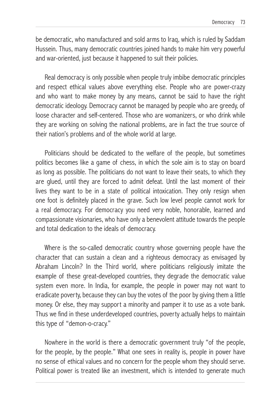be democratic, who manufactured and sold arms to Iraq, which is ruled by Saddam Hussein. Thus, many democratic countries joined hands to make him very powerful and war-oriented, just because it happened to suit their policies.

Real democracy is only possible when people truly imbibe democratic principles and respect ethical values above everything else. People who are power-crazy and who want to make money by any means, cannot be said to have the right democratic ideology. Democracy cannot be managed by people who are greedy, of loose character and self-centered. Those who are womanizers, or who drink while they are working on solving the national problems, are in fact the true source of their nation's problems and of the whole world at large.

Politicians should be dedicated to the welfare of the people, but sometimes politics becomes like a game of chess, in which the sole aim is to stay on board as long as possible. The politicians do not want to leave their seats, to which they are glued, until they are forced to admit defeat. Until the last moment of their lives they want to be in a state of political intoxication. They only resign when one foot is definitely placed in the grave. Such low level people cannot work for a real democracy. For democracy you need very noble, honorable, learned and compassionate visionaries, who have only a benevolent attitude towards the people and total dedication to the ideals of democracy.

Where is the so-called democratic country whose governing people have the character that can sustain a clean and a righteous democracy as envisaged by Abraham Lincoln? In the Third world, where politicians religiously imitate the example of these great-developed countries, they degrade the democratic value system even more. In India, for example, the people in power may not want to eradicate poverty, because they can buy the votes of the poor by giving them a little money. Or else, they may support a minority and pamper it to use as a vote bank. Thus we find in these underdeveloped countries, poverty actually helps to maintain this type of "demon-o-cracy."

Nowhere in the world is there a democratic government truly "of the people, for the people, by the people." What one sees in reality is, people in power have no sense of ethical values and no concern for the people whom they should serve. Political power is treated like an investment, which is intended to generate much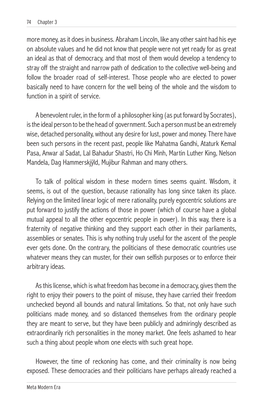more money, as it does in business. Abraham Lincoln, like any other saint had his eye on absolute values and he did not know that people were not yet ready for as great an ideal as that of democracy, and that most of them would develop a tendency to stray off the straight and narrow path of dedication to the collective well-being and follow the broader road of self-interest. Those people who are elected to power basically need to have concern for the well being of the whole and the wisdom to function in a spirit of service.

A benevolent ruler, in the form of a philosopher king (as put forward by Socrates), is the ideal person to be the head of government. Such a person must be an extremely wise, detached personality, without any desire for lust, power and money. There have been such persons in the recent past, people like Mahatma Gandhi, Ataturk Kemal Pasa, Anwar al Sadat, Lal Bahadur Shastri, Ho Chi Minh, Martin Luther King, Nelson Mandela, Dag Hammerskjÿld, Mujibur Rahman and many others.

To talk of political wisdom in these modern times seems quaint. Wisdom, it seems, is out of the question, because rationality has long since taken its place. Relying on the limited linear logic of mere rationality, purely egocentric solutions are put forward to justify the actions of those in power (which of course have a global mutual appeal to all the other egocentric people in power). In this way, there is a fraternity of negative thinking and they support each other in their parliaments, assemblies or senates. This is why nothing truly useful for the ascent of the people ever gets done. On the contrary, the politicians of these democratic countries use whatever means they can muster, for their own selfish purposes or to enforce their arbitrary ideas.

As this license, which is what freedom has become in a democracy, gives them the right to enjoy their powers to the point of misuse, they have carried their freedom unchecked beyond all bounds and natural limitations. So that, not only have such politicians made money, and so distanced themselves from the ordinary people they are meant to serve, but they have been publicly and admiringly described as extraordinarily rich personalities in the money market. One feels ashamed to hear such a thing about people whom one elects with such great hope.

However, the time of reckoning has come, and their criminality is now being exposed. These democracies and their politicians have perhaps already reached a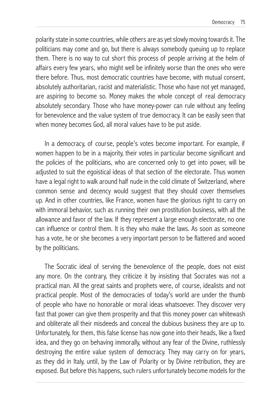polarity state in some countries, while others are as yet slowly moving towards it. The politicians may come and go, but there is always somebody queuing up to replace them. There is no way to cut short this process of people arriving at the helm of affairs every few years, who might well be infinitely worse than the ones who were there before. Thus, most democratic countries have become, with mutual consent, absolutely authoritarian, racist and materialistic. Those who have not yet managed, are aspiring to become so. Money makes the whole concept of real democracy absolutely secondary. Those who have money-power can rule without any feeling for benevolence and the value system of true democracy. It can be easily seen that when money becomes God, all moral values have to be put aside.

In a democracy, of course, people's votes become important. For example, if women happen to be in a majority, their votes in particular become significant and the policies of the politicians, who are concerned only to get into power, will be adjusted to suit the egoistical ideas of that section of the electorate. Thus women have a legal right to walk around half nude in the cold climate of Switzerland, where common sense and decency would suggest that they should cover themselves up. And in other countries, like France, women have the glorious right to carry on with immoral behavior, such as running their own prostitution business, with all the allowance and favor of the law. If they represent a large enough electorate, no one can influence or control them. It is they who make the laws. As soon as someone has a vote, he or she becomes a very important person to be flattered and wooed by the politicians.

The Socratic ideal of serving the benevolence of the people, does not exist any more. On the contrary, they criticize it by insisting that Socrates was not a practical man. All the great saints and prophets were, of course, idealists and not practical people. Most of the democracies of today's world are under the thumb of people who have no honorable or moral ideas whatsoever. They discover very fast that power can give them prosperity and that this money power can whitewash and obliterate all their misdeeds and conceal the dubious business they are up to. Unfortunately, for them, this false license has now gone into their heads, like a fixed idea, and they go on behaving immorally, without any fear of the Divine, ruthlessly destroying the entire value system of democracy. They may carry on for years, as they did in Italy, until, by the Law of Polarity or by Divine retribution, they are exposed. But before this happens, such rulers unfortunately become models for the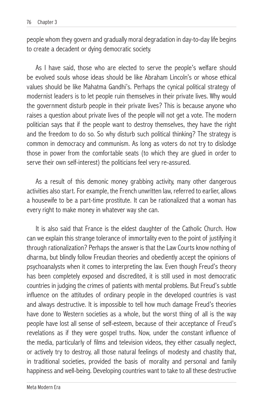people whom they govern and gradually moral degradation in day-to-day life begins to create a decadent or dying democratic society.

As I have said, those who are elected to serve the people's welfare should be evolved souls whose ideas should be like Abraham Lincoln's or whose ethical values should be like Mahatma Gandhi's. Perhaps the cynical political strategy of modernist leaders is to let people ruin themselves in their private lives. Why would the government disturb people in their private lives? This is because anyone who raises a question about private lives of the people will not get a vote. The modern politician says that if the people want to destroy themselves, they have the right and the freedom to do so. So why disturb such political thinking? The strategy is common in democracy and communism. As long as voters do not try to dislodge those in power from the comfortable seats (to which they are glued in order to serve their own self-interest) the politicians feel very re-assured.

As a result of this demonic money grabbing activity, many other dangerous activities also start. For example, the French unwritten law, referred to earlier, allows a housewife to be a part-time prostitute. It can be rationalized that a woman has every right to make money in whatever way she can.

It is also said that France is the eldest daughter of the Catholic Church. How can we explain this strange tolerance of immortality even to the point of justifying it through rationalization? Perhaps the answer is that the Law Courts know nothing of dharma, but blindly follow Freudian theories and obediently accept the opinions of psychoanalysts when it comes to interpreting the law. Even though Freud's theory has been completely exposed and discredited, it is still used in most democratic countries in judging the crimes of patients with mental problems. But Freud's subtle influence on the attitudes of ordinary people in the developed countries is vast and always destructive. It is impossible to tell how much damage Freud's theories have done to Western societies as a whole, but the worst thing of all is the way people have lost all sense of self-esteem, because of their acceptance of Freud's revelations as if they were gospel truths. Now, under the constant influence of the media, particularly of films and television videos, they either casually neglect, or actively try to destroy, all those natural feelings of modesty and chastity that, in traditional societies, provided the basis of morality and personal and family happiness and well-being. Developing countries want to take to all these destructive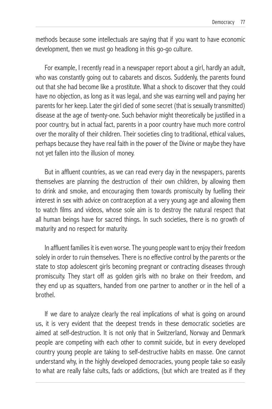methods because some intellectuals are saying that if you want to have economic development, then we must go headlong in this go-go culture.

For example, I recently read in a newspaper report about a girl, hardly an adult, who was constantly going out to cabarets and discos. Suddenly, the parents found out that she had become like a prostitute. What a shock to discover that they could have no objection, as long as it was legal, and she was earning well and paying her parents for her keep. Later the girl died of some secret (that is sexually transmitted) disease at the age of twenty-one. Such behavior might theoretically be justified in a poor country, but in actual fact, parents in a poor country have much more control over the morality of their children. Their societies cling to traditional, ethical values, perhaps because they have real faith in the power of the Divine or maybe they have not yet fallen into the illusion of money.

But in affluent countries, as we can read every day in the newspapers, parents themselves are planning the destruction of their own children, by allowing them to drink and smoke, and encouraging them towards promiscuity by fuelling their interest in sex with advice on contraception at a very young age and allowing them to watch films and videos, whose sole aim is to destroy the natural respect that all human beings have for sacred things. In such societies, there is no growth of maturity and no respect for maturity.

In affluent families it is even worse. The young people want to enjoy their freedom solely in order to ruin themselves. There is no effective control by the parents or the state to stop adolescent girls becoming pregnant or contracting diseases through promiscuity. They start off as golden girls with no brake on their freedom, and they end up as squatters, handed from one partner to another or in the hell of a brothel.

If we dare to analyze clearly the real implications of what is going on around us, it is very evident that the deepest trends in these democratic societies are aimed at self-destruction. It is not only that in Switzerland, Norway and Denmark people are competing with each other to commit suicide, but in every developed country young people are taking to self-destructive habits en masse. One cannot understand why, in the highly developed democracies, young people take so easily to what are really false cults, fads or addictions, (but which are treated as if they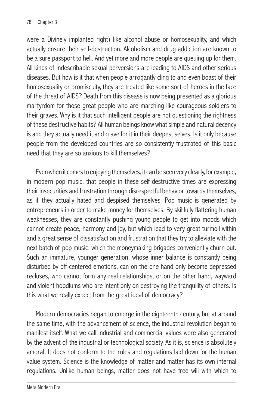were a Divinely implanted right) like alcohol abuse or homosexuality, and which actually ensure their self-destruction. Alcoholism and drug addiction are known to be a sure passport to hell. And yet more and more people are queuing up for them. All kinds of indescribable sexual perversions are leading to AIDS and other serious diseases. But how is it that when people arrogantly cling to and even boast of their homosexuality or promiscuity, they are treated like some sort of heroes in the face of the threat of AIDS? Death from this disease is now being presented as a glorious martyrdom for those great people who are marching like courageous soldiers to their graves. Why is it that such intelligent people are not questioning the rightness of these destructive habits? All human beings know what simple and natural decency is and they actually need it and crave for it in their deepest selves. Is it only because people from the developed countries are so consistently frustrated of this basic need that they are so anxious to kill themselves?

Even when it comes to enjoying themselves, it can be seen very clearly, for example, in modern pop music, that people in these self-destructive times are expressing their insecurities and frustration through disrespectful behavior towards themselves, as if they actually hated and despised themselves. Pop music is generated by entrepreneurs in order to make money for themselves. By skillfully flattering human weaknesses, they are constantly pushing young people to get into moods which cannot create peace, harmony and joy, but which lead to very great turmoil within and a great sense of dissatisfaction and frustration that they try to alleviate with the next batch of pop music, which the moneymaking brigades conveniently churn out. Such an immature, younger generation, whose inner balance is constantly being disturbed by off-centered emotions, can on the one hand only become depressed recluses, who cannot form any real relationships, or on the other hand, wayward and violent hoodlums who are intent only on destroying the tranquility of others. Is this what we really expect from the great ideal of democracy?

Modern democracies began to emerge in the eighteenth century, but at around the same time, with the advancement of science, the industrial revolution began to manifest itself. What we call industrial and commercial values were also generated by the advent of the industrial or technological society. As it is, science is absolutely amoral. It does not conform to the rules and regulations laid down for the human value system. Science is the knowledge of matter and matter has its own internal regulations. Unlike human beings, matter does not have free will with which to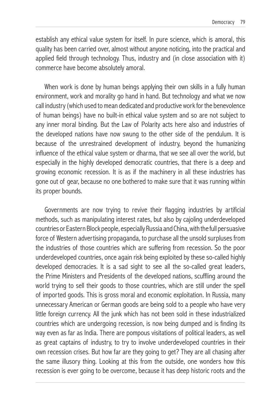establish any ethical value system for itself. In pure science, which is amoral, this quality has been carried over, almost without anyone noticing, into the practical and applied field through technology. Thus, industry and (in close association with it) commerce have become absolutely amoral.

When work is done by human beings applying their own skills in a fully human environment, work and morality go hand in hand. But technology and what we now call industry (which used to mean dedicated and productive work for the benevolence of human beings) have no built-in ethical value system and so are not subject to any inner moral binding. But the Law of Polarity acts here also and industries of the developed nations have now swung to the other side of the pendulum. It is because of the unrestrained development of industry, beyond the humanizing influence of the ethical value system or dharma, that we see all over the world, but especially in the highly developed democratic countries, that there is a deep and growing economic recession. It is as if the machinery in all these industries has gone out of gear, because no one bothered to make sure that it was running within its proper bounds.

Governments are now trying to revive their flagging industries by artificial methods, such as manipulating interest rates, but also by cajoling underdeveloped countries or Eastern Block people, especially Russia and China, with the full persuasive force of Western advertising propaganda, to purchase all the unsold surpluses from the industries of those countries which are suffering from recession. So the poor underdeveloped countries, once again risk being exploited by these so-called highly developed democracies. It is a sad sight to see all the so-called great leaders, the Prime Ministers and Presidents of the developed nations, scuffling around the world trying to sell their goods to those countries, which are still under the spell of imported goods. This is gross moral and economic exploitation. In Russia, many unnecessary American or German goods are being sold to a people who have very little foreign currency. All the junk which has not been sold in these industrialized countries which are undergoing recession, is now being dumped and is finding its way even as far as India. There are pompous visitations of political leaders, as well as great captains of industry, to try to involve underdeveloped countries in their own recession crises. But how far are they going to get? They are all chasing after the same illusory thing. Looking at this from the outside, one wonders how this recession is ever going to be overcome, because it has deep historic roots and the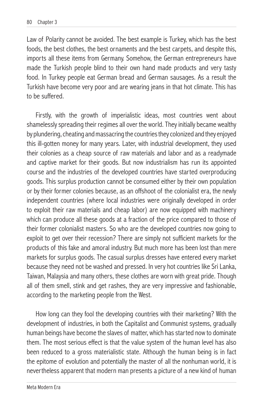Law of Polarity cannot be avoided. The best example is Turkey, which has the best foods, the best clothes, the best ornaments and the best carpets, and despite this, imports all these items from Germany. Somehow, the German entrepreneurs have made the Turkish people blind to their own hand made products and very tasty food. In Turkey people eat German bread and German sausages. As a result the Turkish have become very poor and are wearing jeans in that hot climate. This has to be suffered.

Firstly, with the growth of imperialistic ideas, most countries went about shamelessly spreading their regimes all over the world. They initially became wealthy by plundering, cheating and massacring the countries they colonized and they enjoyed this ill-gotten money for many years. Later, with industrial development, they used their colonies as a cheap source of raw materials and labor and as a readymade and captive market for their goods. But now industrialism has run its appointed course and the industries of the developed countries have started overproducing goods. This surplus production cannot be consumed either by their own population or by their former colonies because, as an offshoot of the colonialist era, the newly independent countries (where local industries were originally developed in order to exploit their raw materials and cheap labor) are now equipped with machinery which can produce all these goods at a fraction of the price compared to those of their former colonialist masters. So who are the developed countries now going to exploit to get over their recession? There are simply not sufficient markets for the products of this fake and amoral industry. But much more has been lost than mere markets for surplus goods. The casual surplus dresses have entered every market because they need not be washed and pressed. In very hot countries like Sri Lanka, Taiwan, Malaysia and many others, these clothes are worn with great pride. Though all of them smell, stink and get rashes, they are very impressive and fashionable, according to the marketing people from the West.

How long can they fool the developing countries with their marketing? With the development of industries, in both the Capitalist and Communist systems, gradually human beings have become the slaves of matter, which has started now to dominate them. The most serious effect is that the value system of the human level has also been reduced to a gross materialistic state. Although the human being is in fact the epitome of evolution and potentially the master of all the nonhuman world, it is nevertheless apparent that modern man presents a picture of a new kind of human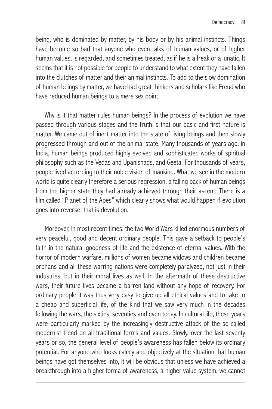being, who is dominated by matter, by his body or by his animal instincts. Things have become so bad that anyone who even talks of human values, or of higher human values, is regarded, and sometimes treated, as if he is a freak or a lunatic. It seems that it is not possible for people to understand to what extent they have fallen into the clutches of matter and their animal instincts. To add to the slow domination of human beings by matter, we have had great thinkers and scholars like Freud who have reduced human beings to a mere sex point.

Why is it that matter rules human beings? In the process of evolution we have passed through various stages and the truth is that our basic and first nature is matter. We came out of inert matter into the state of living beings and then slowly progressed through and out of the animal state. Many thousands of years ago, in India, human beings produced highly evolved and sophisticated works of spiritual philosophy such as the Vedas and Upanishads, and Geeta. For thousands of years, people lived according to their noble vision of mankind. What we see in the modern world is quite clearly therefore a serious regression, a falling back of human beings from the higher state they had already achieved through their ascent. There is a film called "Planet of the Apes" which clearly shows what would happen if evolution goes into reverse, that is devolution.

Moreover, in most recent times, the two World Wars killed enormous numbers of very peaceful, good and decent ordinary people. This gave a setback to people's faith in the natural goodness of life and the existence of eternal values. With the horror of modern warfare, millions of women became widows and children became orphans and all these warring nations were completely paralyzed, not just in their industries, but in their moral lives as well. In the aftermath of these destructive wars, their future lives became a barren land without any hope of recovery. For ordinary people it was thus very easy to give up all ethical values and to take to a cheap and superficial life, of the kind that we saw very much in the decades following the wars, the sixties, seventies and even today. In cultural life, these years were particularly marked by the increasingly destructive attack of the so-called modernist trend on all traditional forms and values. Slowly, over the last seventy years or so, the general level of people's awareness has fallen below its ordinary potential. For anyone who looks calmly and objectively at the situation that human beings have got themselves into, it will be obvious that unless we have achieved a breakthrough into a higher forma of awareness, a higher value system, we cannot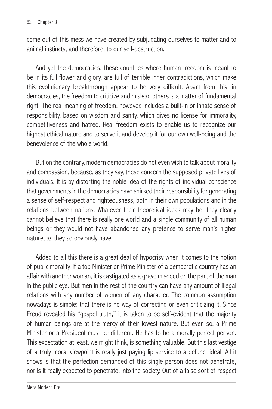come out of this mess we have created by subjugating ourselves to matter and to animal instincts, and therefore, to our self-destruction.

And yet the democracies, these countries where human freedom is meant to be in its full flower and glory, are full of terrible inner contradictions, which make this evolutionary breakthrough appear to be very difficult. Apart from this, in democracies, the freedom to criticize and mislead others is a matter of fundamental right. The real meaning of freedom, however, includes a built-in or innate sense of responsibility, based on wisdom and sanity, which gives no license for immorality, competitiveness and hatred. Real freedom exists to enable us to recognize our highest ethical nature and to serve it and develop it for our own well-being and the benevolence of the whole world.

But on the contrary, modern democracies do not even wish to talk about morality and compassion, because, as they say, these concern the supposed private lives of individuals. It is by distorting the noble idea of the rights of individual conscience that governments in the democracies have shirked their responsibility for generating a sense of self-respect and righteousness, both in their own populations and in the relations between nations. Whatever their theoretical ideas may be, they clearly cannot believe that there is really one world and a single community of all human beings or they would not have abandoned any pretence to serve man's higher nature, as they so obviously have.

Added to all this there is a great deal of hypocrisy when it comes to the notion of public morality. If a top Minister or Prime Minister of a democratic country has an affair with another woman, it is castigated as a grave misdeed on the part of the man in the public eye. But men in the rest of the country can have any amount of illegal relations with any number of women of any character. The common assumption nowadays is simple: that there is no way of correcting or even criticizing it. Since Freud revealed his "gospel truth," it is taken to be self-evident that the majority of human beings are at the mercy of their lowest nature. But even so, a Prime Minister or a President must be different. He has to be a morally perfect person. This expectation at least, we might think, is something valuable. But this last vestige of a truly moral viewpoint is really just paying lip service to a defunct ideal. All it shows is that the perfection demanded of this single person does not penetrate, nor is it really expected to penetrate, into the society. Out of a false sort of respect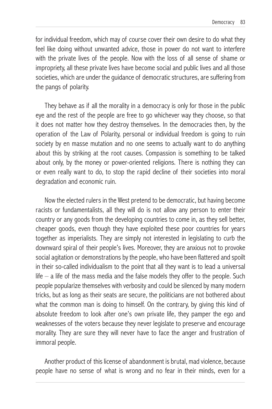for individual freedom, which may of course cover their own desire to do what they feel like doing without unwanted advice, those in power do not want to interfere with the private lives of the people. Now with the loss of all sense of shame or impropriety, all these private lives have become social and public lives and all those societies, which are under the guidance of democratic structures, are suffering from the pangs of polarity.

They behave as if all the morality in a democracy is only for those in the public eye and the rest of the people are free to go whichever way they choose, so that it does not matter how they destroy themselves. In the democracies then, by the operation of the Law of Polarity, personal or individual freedom is going to ruin society by en masse mutation and no one seems to actually want to do anything about this by striking at the root causes. Compassion is something to be talked about only, by the money or power-oriented religions. There is nothing they can or even really want to do, to stop the rapid decline of their societies into moral degradation and economic ruin.

Now the elected rulers in the West pretend to be democratic, but having become racists or fundamentalists, all they will do is not allow any person to enter their country or any goods from the developing countries to come in, as they sell better, cheaper goods, even though they have exploited these poor countries for years together as imperialists. They are simply not interested in legislating to curb the downward spiral of their people's lives. Moreover, they are anxious not to provoke social agitation or demonstrations by the people, who have been flattered and spoilt in their so-called individualism to the point that all they want is to lead a universal life – a life of the mass media and the false models they offer to the people. Such people popularize themselves with verbosity and could be silenced by many modern tricks, but as long as their seats are secure, the politicians are not bothered about what the common man is doing to himself. On the contrary, by giving this kind of absolute freedom to look after one's own private life, they pamper the ego and weaknesses of the voters because they never legislate to preserve and encourage morality. They are sure they will never have to face the anger and frustration of immoral people.

Another product of this license of abandonment is brutal, mad violence, because people have no sense of what is wrong and no fear in their minds, even for a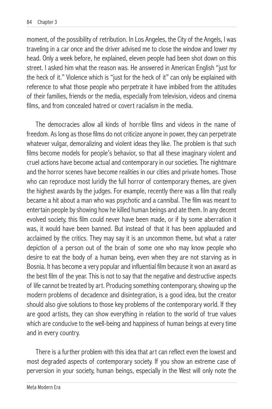moment, of the possibility of retribution. In Los Angeles, the City of the Angels, I was traveling in a car once and the driver advised me to close the window and lower my head. Only a week before, he explained, eleven people had been shot down on this street. I asked him what the reason was. He answered in American English "just for the heck of it." Violence which is "just for the heck of it" can only be explained with reference to what those people who perpetrate it have imbibed from the attitudes of their families, friends or the media, especially from television, videos and cinema films, and from concealed hatred or covert racialism in the media.

The democracies allow all kinds of horrible films and videos in the name of freedom. As long as those films do not criticize anyone in power, they can perpetrate whatever vulgar, demoralizing and violent ideas they like. The problem is that such films become models for people's behavior, so that all these imaginary violent and cruel actions have become actual and contemporary in our societies. The nightmare and the horror scenes have become realities in our cities and private homes. Those who can reproduce most luridly the full horror of contemporary themes, are given the highest awards by the judges. For example, recently there was a film that really became a hit about a man who was psychotic and a cannibal. The film was meant to entertain people by showing how he killed human beings and ate them. In any decent evolved society, this film could never have been made, or if by some aberration it was, it would have been banned. But instead of that it has been applauded and acclaimed by the critics. They may say it is an uncommon theme, but what a rater depiction of a person out of the brain of some one who may know people who desire to eat the body of a human being, even when they are not starving as in Bosnia. It has become a very popular and influential film because it won an award as the best film of the year. This is not to say that the negative and destructive aspects of life cannot be treated by art. Producing something contemporary, showing up the modern problems of decadence and disintegration, is a good idea, but the creator should also give solutions to those key problems of the contemporary world. If they are good artists, they can show everything in relation to the world of true values which are conducive to the well-being and happiness of human beings at every time and in every country.

There is a further problem with this idea that art can reflect even the lowest and most degraded aspects of contemporary society. If you show an extreme case of perversion in your society, human beings, especially in the West will only note the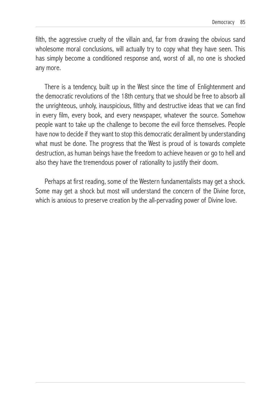filth, the aggressive cruelty of the villain and, far from drawing the obvious sand wholesome moral conclusions, will actually try to copy what they have seen. This has simply become a conditioned response and, worst of all, no one is shocked any more.

There is a tendency, built up in the West since the time of Enlightenment and the democratic revolutions of the 18th century, that we should be free to absorb all the unrighteous, unholy, inauspicious, filthy and destructive ideas that we can find in every film, every book, and every newspaper, whatever the source. Somehow people want to take up the challenge to become the evil force themselves. People have now to decide if they want to stop this democratic derailment by understanding what must be done. The progress that the West is proud of is towards complete destruction, as human beings have the freedom to achieve heaven or go to hell and also they have the tremendous power of rationality to justify their doom.

Perhaps at first reading, some of the Western fundamentalists may get a shock. Some may get a shock but most will understand the concern of the Divine force, which is anxious to preserve creation by the all-pervading power of Divine love.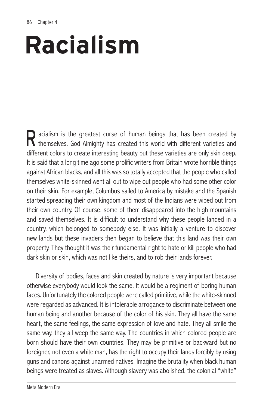## **Racialism**

**n** acialism is the greatest curse of human beings that has been created by acialism is the greatest curse of human beings that has been created by<br>
themselves. God Almighty has created this world with different varieties and different colors to create interesting beauty but these varieties are only skin deep. It is said that a long time ago some prolific writers from Britain wrote horrible things against African blacks, and all this was so totally accepted that the people who called themselves white-skinned went all out to wipe out people who had some other color on their skin. For example, Columbus sailed to America by mistake and the Spanish started spreading their own kingdom and most of the Indians were wiped out from their own country. Of course, some of them disappeared into the high mountains and saved themselves. It is difficult to understand why these people landed in a country, which belonged to somebody else. It was initially a venture to discover new lands but these invaders then began to believe that this land was their own property. They thought it was their fundamental right to hate or kill people who had dark skin or skin, which was not like theirs, and to rob their lands forever.

Diversity of bodies, faces and skin created by nature is very important because otherwise everybody would look the same. It would be a regiment of boring human faces. Unfortunately the colored people were called primitive, while the white-skinned were regarded as advanced. It is intolerable arrogance to discriminate between one human being and another because of the color of his skin. They all have the same heart, the same feelings, the same expression of love and hate. They all smile the same way, they all weep the same way. The countries in which colored people are born should have their own countries. They may be primitive or backward but no foreigner, not even a white man, has the right to occupy their lands forcibly by using guns and canons against unarmed natives. Imagine the brutality when black human beings were treated as slaves. Although slavery was abolished, the colonial "white"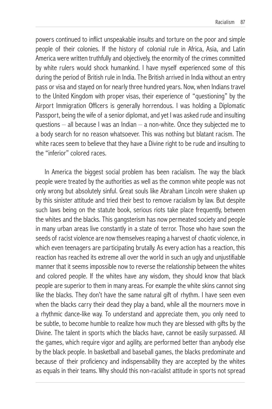powers continued to inflict unspeakable insults and torture on the poor and simple people of their colonies. If the history of colonial rule in Africa, Asia, and Latin America were written truthfully and objectively, the enormity of the crimes committed by white rulers would shock humankind. I have myself experienced some of this during the period of British rule in India. The British arrived in India without an entry pass or visa and stayed on for nearly three hundred years. Now, when Indians travel to the United Kingdom with proper visas, their experience of "questioning" by the Airport Immigration Officers is generally horrendous. I was holding a Diplomatic Passport, being the wife of a senior diplomat, and yet I was asked rude and insulting questions – all because I was an Indian – a non-white. Once they subjected me to a body search for no reason whatsoever. This was nothing but blatant racism. The white races seem to believe that they have a Divine right to be rude and insulting to the "inferior" colored races.

In America the biggest social problem has been racialism. The way the black people were treated by the authorities as well as the common white people was not only wrong but absolutely sinful. Great souls like Abraham Lincoln were shaken up by this sinister attitude and tried their best to remove racialism by law. But despite such laws being on the statute book, serious riots take place frequently, between the whites and the blacks. This gangsterism has now permeated society and people in many urban areas live constantly in a state of terror. Those who have sown the seeds of racist violence are now themselves reaping a harvest of chaotic violence, in which even teenagers are participating brutally. As every action has a reaction, this reaction has reached its extreme all over the world in such an ugly and unjustifiable manner that it seems impossible now to reverse the relationship between the whites and colored people. If the whites have any wisdom, they should know that black people are superior to them in many areas. For example the white skins cannot sing like the blacks. They don't have the same natural gift of rhythm. I have seen even when the blacks carry their dead they play a band, while all the mourners move in a rhythmic dance-like way. To understand and appreciate them, you only need to be subtle, to become humble to realize how much they are blessed with gifts by the Divine. The talent in sports which the blacks have, cannot be easily surpassed. All the games, which require vigor and agility, are performed better than anybody else by the black people. In basketball and baseball games, the blacks predominate and because of their proficiency and indispensability they are accepted by the whites as equals in their teams. Why should this non-racialist attitude in sports not spread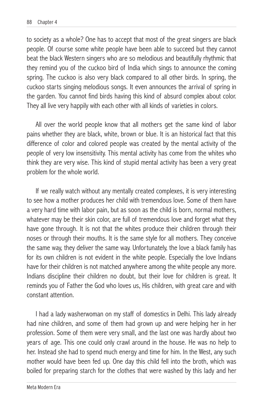to society as a whole? One has to accept that most of the great singers are black people. Of course some white people have been able to succeed but they cannot beat the black Western singers who are so melodious and beautifully rhythmic that they remind you of the cuckoo bird of India which sings to announce the coming spring. The cuckoo is also very black compared to all other birds. In spring, the cuckoo starts singing melodious songs. It even announces the arrival of spring in the garden. You cannot find birds having this kind of absurd complex about color. They all live very happily with each other with all kinds of varieties in colors.

All over the world people know that all mothers get the same kind of labor pains whether they are black, white, brown or blue. It is an historical fact that this difference of color and colored people was created by the mental activity of the people of very low insensitivity. This mental activity has come from the whites who think they are very wise. This kind of stupid mental activity has been a very great problem for the whole world.

If we really watch without any mentally created complexes, it is very interesting to see how a mother produces her child with tremendous love. Some of them have a very hard time with labor pain, but as soon as the child is born, normal mothers, whatever may be their skin color, are full of tremendous love and forget what they have gone through. It is not that the whites produce their children through their noses or through their mouths. It is the same style for all mothers. They conceive the same way, they deliver the same way. Unfortunately, the love a black family has for its own children is not evident in the white people. Especially the love Indians have for their children is not matched anywhere among the white people any more. Indians discipline their children no doubt, but their love for children is great. It reminds you of Father the God who loves us, His children, with great care and with constant attention.

I had a lady washerwoman on my staff of domestics in Delhi. This lady already had nine children, and some of them had grown up and were helping her in her profession. Some of them were very small, and the last one was hardly about two years of age. This one could only crawl around in the house. He was no help to her. Instead she had to spend much energy and time for him. In the West, any such mother would have been fed up. One day this child fell into the broth, which was boiled for preparing starch for the clothes that were washed by this lady and her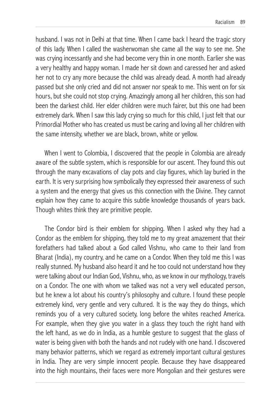husband. I was not in Delhi at that time. When I came back I heard the tragic story of this lady. When I called the washerwoman she came all the way to see me. She was crying incessantly and she had become very thin in one month. Earlier she was a very healthy and happy woman. I made her sit down and caressed her and asked her not to cry any more because the child was already dead. A month had already passed but she only cried and did not answer nor speak to me. This went on for six hours, but she could not stop crying. Amazingly among all her children, this son had been the darkest child. Her elder children were much fairer, but this one had been extremely dark. When I saw this lady crying so much for this child, I just felt that our Primordial Mother who has created us must be caring and loving all her children with the same intensity, whether we are black, brown, white or yellow.

When I went to Colombia, I discovered that the people in Colombia are already aware of the subtle system, which is responsible for our ascent. They found this out through the many excavations of clay pots and clay figures, which lay buried in the earth. It is very surprising how symbolically they expressed their awareness of such a system and the energy that gives us this connection with the Divine. They cannot explain how they came to acquire this subtle knowledge thousands of years back. Though whites think they are primitive people.

The Condor bird is their emblem for shipping. When I asked why they had a Condor as the emblem for shipping, they told me to my great amazement that their forefathers had talked about a God called Vishnu, who came to their land from Bharat (India), my country, and he came on a Condor. When they told me this I was really stunned. My husband also heard it and he too could not understand how they were talking about our Indian God, Vishnu, who, as we know in our mythology, travels on a Condor. The one with whom we talked was not a very well educated person, but he knew a lot about his country's philosophy and culture. I found these people extremely kind, very gentle and very cultured. It is the way they do things, which reminds you of a very cultured society, long before the whites reached America. For example, when they give you water in a glass they touch the right hand with the left hand, as we do in India, as a humble gesture to suggest that the glass of water is being given with both the hands and not rudely with one hand. I discovered many behavior patterns, which we regard as extremely important cultural gestures in India. They are very simple innocent people. Because they have disappeared into the high mountains, their faces were more Mongolian and their gestures were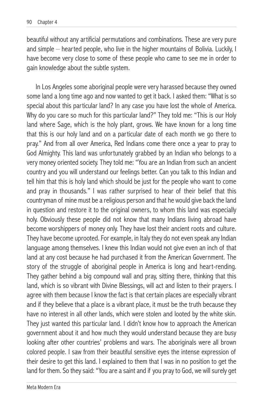beautiful without any artificial permutations and combinations. These are very pure and simple – hearted people, who live in the higher mountains of Bolivia. Luckily, I have become very close to some of these people who came to see me in order to gain knowledge about the subtle system.

In Los Angeles some aboriginal people were very harassed because they owned some land a long time ago and now wanted to get it back. I asked them: "What is so special about this particular land? In any case you have lost the whole of America. Why do you care so much for this particular land?" They told me: "This is our Holy land where Sage, which is the holy plant, grows. We have known for a long time that this is our holy land and on a particular date of each month we go there to pray." And from all over America, Red Indians come there once a year to pray to God Almighty. This land was unfortunately grabbed by an Indian who belongs to a very money oriented society. They told me: "You are an Indian from such an ancient country and you will understand our feelings better. Can you talk to this Indian and tell him that this is holy land which should be just for the people who want to come and pray in thousands." I was rather surprised to hear of their belief that this countryman of mine must be a religious person and that he would give back the land in question and restore it to the original owners, to whom this land was especially holy. Obviously these people did not know that many Indians living abroad have become worshippers of money only. They have lost their ancient roots and culture. They have become uprooted. For example, in Italy they do not even speak any Indian language among themselves. I knew this Indian would not give even an inch of that land at any cost because he had purchased it from the American Government. The story of the struggle of aboriginal people in America is long and heart-rending. They gather behind a big compound wall and pray, sitting there, thinking that this land, which is so vibrant with Divine Blessings, will act and listen to their prayers. I agree with them because I know the fact is that certain places are especially vibrant and if they believe that a place is a vibrant place, it must be the truth because they have no interest in all other lands, which were stolen and looted by the white skin. They just wanted this particular land. I didn't know how to approach the American government about it and how much they would understand because they are busy looking after other countries' problems and wars. The aboriginals were all brown colored people. I saw from their beautiful sensitive eyes the intense expression of their desire to get this land. I explained to them that I was in no position to get the land for them. So they said: "You are a saint and if you pray to God, we will surely get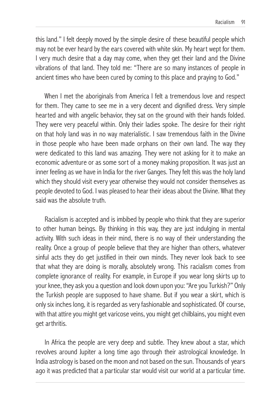this land." I felt deeply moved by the simple desire of these beautiful people which may not be ever heard by the ears covered with white skin. My heart wept for them. I very much desire that a day may come, when they get their land and the Divine vibrations of that land. They told me: "There are so many instances of people in ancient times who have been cured by coming to this place and praying to God."

When I met the aboriginals from America I felt a tremendous love and respect for them. They came to see me in a very decent and dignified dress. Very simple hearted and with angelic behavior, they sat on the ground with their hands folded. They were very peaceful within. Only their ladies spoke. The desire for their right on that holy land was in no way materialistic. I saw tremendous faith in the Divine in those people who have been made orphans on their own land. The way they were dedicated to this land was amazing. They were not asking for it to make an economic adventure or as some sort of a money making proposition. It was just an inner feeling as we have in India for the river Ganges. They felt this was the holy land which they should visit every year otherwise they would not consider themselves as people devoted to God. I was pleased to hear their ideas about the Divine. What they said was the absolute truth.

Racialism is accepted and is imbibed by people who think that they are superior to other human beings. By thinking in this way, they are just indulging in mental activity. With such ideas in their mind, there is no way of their understanding the reality. Once a group of people believe that they are higher than others, whatever sinful acts they do get justified in their own minds. They never look back to see that what they are doing is morally, absolutely wrong. This racialism comes from complete ignorance of reality. For example, in Europe if you wear long skirts up to your knee, they ask you a question and look down upon you: "Are you Turkish?" Only the Turkish people are supposed to have shame. But if you wear a skirt, which is only six inches long, it is regarded as very fashionable and sophisticated. Of course, with that attire you might get varicose veins, you might get chilblains, you might even get arthritis.

In Africa the people are very deep and subtle. They knew about a star, which revolves around Jupiter a long time ago through their astrological knowledge. In India astrology is based on the moon and not based on the sun. Thousands of years ago it was predicted that a particular star would visit our world at a particular time.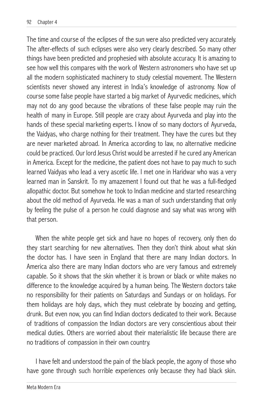The time and course of the eclipses of the sun were also predicted very accurately. The after-effects of such eclipses were also very clearly described. So many other things have been predicted and prophesied with absolute accuracy. It is amazing to see how well this compares with the work of Western astronomers who have set up all the modern sophisticated machinery to study celestial movement. The Western scientists never showed any interest in India's knowledge of astronomy. Now of course some false people have started a big market of Ayurvedic medicines, which may not do any good because the vibrations of these false people may ruin the health of many in Europe. Still people are crazy about Ayurveda and play into the hands of these special marketing experts. I know of so many doctors of Ayurveda, the Vaidyas, who charge nothing for their treatment. They have the cures but they are never marketed abroad. In America according to law, no alternative medicine could be practiced. Our lord Jesus Christ would be arrested if he cured any American in America. Except for the medicine, the patient does not have to pay much to such learned Vaidyas who lead a very ascetic life. I met one in Haridwar who was a very learned man in Sanskrit. To my amazement I found out that he was a full-fledged allopathic doctor. But somehow he took to Indian medicine and started researching about the old method of Ayurveda. He was a man of such understanding that only by feeling the pulse of a person he could diagnose and say what was wrong with that person.

When the white people get sick and have no hopes of recovery, only then do they start searching for new alternatives. Then they don't think about what skin the doctor has. I have seen in England that there are many Indian doctors. In America also there are many Indian doctors who are very famous and extremely capable. So it shows that the skin whether it is brown or black or white makes no difference to the knowledge acquired by a human being. The Western doctors take no responsibility for their patients on Saturdays and Sundays or on holidays. For them holidays are holy days, which they must celebrate by boozing and getting, drunk. But even now, you can find Indian doctors dedicated to their work. Because of traditions of compassion the Indian doctors are very conscientious about their medical duties. Others are worried about their materialistic life because there are no traditions of compassion in their own country.

I have felt and understood the pain of the black people, the agony of those who have gone through such horrible experiences only because they had black skin.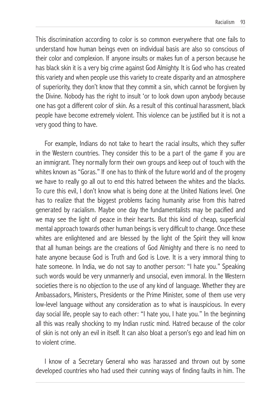This discrimination according to color is so common everywhere that one fails to understand how human beings even on individual basis are also so conscious of their color and complexion. If anyone insults or makes fun of a person because he has black skin it is a very big crime against God Almighty. It is God who has created this variety and when people use this variety to create disparity and an atmosphere of superiority, they don't know that they commit a sin, which cannot be forgiven by the Divine. Nobody has the right to insult 'or to look down upon anybody because one has got a different color of skin. As a result of this continual harassment, black people have become extremely violent. This violence can be justified but it is not a very good thing to have.

For example, Indians do not take to heart the racial insults, which they suffer in the Western countries. They consider this to be a part of the game if you are an immigrant. They normally form their own groups and keep out of touch with the whites known as "Goras." If one has to think of the future world and of the progeny we have to really go all out to end this hatred between the whites and the blacks. To cure this evil, I don't know what is being done at the United Nations level. One has to realize that the biggest problems facing humanity arise from this hatred generated by racialism. Maybe one day the fundamentalists may be pacified and we may see the light of peace in their hearts. But this kind of cheap, superficial mental approach towards other human beings is very difficult to change. Once these whites are enlightened and are blessed by the light of the Spirit they will know that all human beings are the creations of God Almighty and there is no need to hate anyone because God is Truth and God is Love. It is a very immoral thing to hate someone. In India, we do not say to another person: "I hate you." Speaking such words would be very unmannerly and unsocial, even immoral. In the Western societies there is no objection to the use of any kind of language. Whether they are Ambassadors, Ministers, Presidents or the Prime Minister, some of them use very low-level language without any consideration as to what is inauspicious. In every day social life, people say to each other: "I hate you, I hate you." In the beginning all this was really shocking to my Indian rustic mind. Hatred because of the color of skin is not only an evil in itself. It can also bloat a person's ego and lead him on to violent crime.

I know of a Secretary General who was harassed and thrown out by some developed countries who had used their cunning ways of finding faults in him. The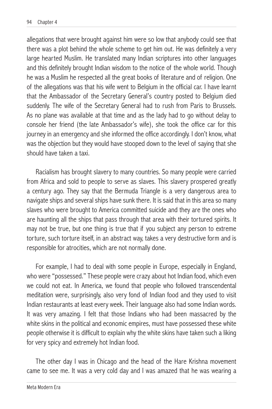allegations that were brought against him were so low that anybody could see that there was a plot behind the whole scheme to get him out. He was definitely a very large hearted Muslim. He translated many Indian scriptures into other languages and this definitely brought Indian wisdom to the notice of the whole world. Though he was a Muslim he respected all the great books of literature and of religion. One of the allegations was that his wife went to Belgium in the official car. I have learnt that the Ambassador of the Secretary General's country posted to Belgium died suddenly. The wife of the Secretary General had to rush from Paris to Brussels. As no plane was available at that time and as the lady had to go without delay to console her friend (the late Ambassador's wife), she took the office car for this journey in an emergency and she informed the office accordingly. I don't know, what was the objection but they would have stooped down to the level of saying that she should have taken a taxi.

Racialism has brought slavery to many countries. So many people were carried from Africa and sold to people to serve as slaves. This slavery prospered greatly a century ago. They say that the Bermuda Triangle is a very dangerous area to navigate ships and several ships have sunk there. It is said that in this area so many slaves who were brought to America committed suicide and they are the ones who are haunting all the ships that pass through that area with their tortured spirits. It may not be true, but one thing is true that if you subject any person to extreme torture, such torture itself, in an abstract way, takes a very destructive form and is responsible for atrocities, which are not normally done.

For example, I had to deal with some people in Europe, especially in England, who were "possessed." These people were crazy about hot Indian food, which even we could not eat. In America, we found that people who followed transcendental meditation were, surprisingly, also very fond of Indian food and they used to visit Indian restaurants at least every week. Their language also had some Indian words. It was very amazing. I felt that those Indians who had been massacred by the white skins in the political and economic empires, must have possessed these white people otherwise it is difficult to explain why the white skins have taken such a liking for very spicy and extremely hot Indian food.

The other day I was in Chicago and the head of the Hare Krishna movement came to see me. It was a very cold day and I was amazed that he was wearing a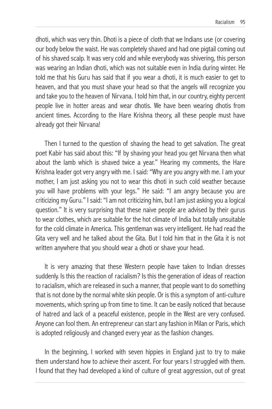e and the control of the control of the control of the control of the control of the control of the control of the control of the control of the control of the control of the control of the control of the control of the co

dhoti, which was very thin. Dhoti is a piece of cloth that we Indians use (or covering our body below the waist. He was completely shaved and had one pigtail coming out of his shaved scalp. It was very cold and while everybody was shivering, this person was wearing an Indian dhoti, which was not suitable even in India during winter. He told me that his Guru has said that if you wear a dhoti, it is much easier to get to heaven, and that you must shave your head so that the angels will recognize you and take you to the heaven of Nirvana. I told him that, in our country, eighty percent people live in hotter areas and wear dhotis. We have been wearing dhotis from ancient times. According to the Hare Krishna theory, all these people must have already got their Nirvana!

Then I turned to the question of shaving the head to get salvation. The great poet Kabir has said about this: "If by shaving your head you get Nirvana then what about the lamb which is shaved twice a year." Hearing my comments, the Hare Krishna leader got very angry with me. I said: "Why are you angry with me. I am your mother, I am just asking you not to wear this dhoti in such cold weather because you will have problems with your legs." He said: "I am angry because you are criticizing my Guru." I said: "I am not criticizing him, but I am just asking you a logical question." It is very surprising that these naive people are advised by their gurus to wear clothes, which are suitable for the hot climate of India but totally unsuitable for the cold climate in America. This gentleman was very intelligent. He had read the Gita very well and he talked about the Gita. But I told him that in the Gita it is not written anywhere that you should wear a dhoti or shave your head.

It is very amazing that these Western people have taken to Indian dresses suddenly. Is this the reaction of racialism? Is this the generation of ideas of reaction to racialism, which are released in such a manner, that people want to do something that is not done by the normal white skin people. Or is this a symptom of anti-culture movements, which spring up from time to time. It can be easily noticed that because of hatred and lack of a peaceful existence, people in the West are very confused. Anyone can fool them. An entrepreneur can start any fashion in Milan or Paris, which is adopted religiously and changed every year as the fashion changes.

In the beginning, I worked with seven hippies in England just to try to make them understand how to achieve their ascent. For four years I struggled with them. I found that they had developed a kind of culture of great aggression, out of great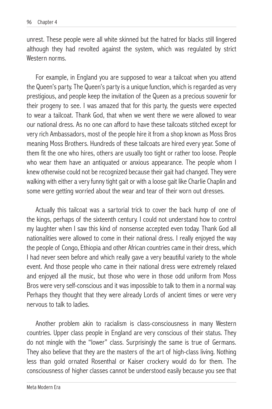unrest. These people were all white skinned but the hatred for blacks still lingered although they had revolted against the system, which was regulated by strict Western norms.

For example, in England you are supposed to wear a tailcoat when you attend the Queen's party. The Queen's party is a unique function, which is regarded as very prestigious, and people keep the invitation of the Queen as a precious souvenir for their progeny to see. I was amazed that for this party, the guests were expected to wear a tailcoat. Thank God, that when we went there we were allowed to wear our national dress. As no one can afford to have these tailcoats stitched except for very rich Ambassadors, most of the people hire it from a shop known as Moss Bros meaning Moss Brothers. Hundreds of these tailcoats are hired every year. Some of them fit the one who hires, others are usually too tight or rather too loose. People who wear them have an antiquated or anxious appearance. The people whom I knew otherwise could not be recognized because their gait had changed. They were walking with either a very funny tight gait or with a loose gait like Charlie Chaplin and some were getting worried about the wear and tear of their worn out dresses.

Actually this tailcoat was a sartorial trick to cover the back hump of one of the kings, perhaps of the sixteenth century. I could not understand how to control my laughter when I saw this kind of nonsense accepted even today. Thank God all nationalities were allowed to come in their national dress. I really enjoyed the way the people of Congo, Ethiopia and other African countries came in their dress, which I had never seen before and which really gave a very beautiful variety to the whole event. And those people who came in their national dress were extremely relaxed and enjoyed all the music, but those who were in those odd uniform from Moss Bros were very self-conscious and it was impossible to talk to them in a normal way. Perhaps they thought that they were already Lords of ancient times or were very nervous to talk to ladies.

Another problem akin to racialism is class-consciousness in many Western countries. Upper class people in England are very conscious of their status. They do not mingle with the "lower" class. Surprisingly the same is true of Germans. They also believe that they are the masters of the art of high-class living. Nothing less than gold ornated Rosenthal or Kaiser crockery would do for them. The consciousness of higher classes cannot be understood easily because you see that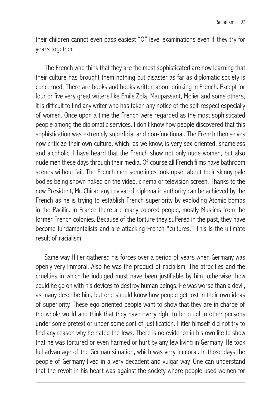their children cannot even pass easiest "O" level examinations even if they try for years together.

The French who think that they are the most sophisticated are now learning that their culture has brought them nothing but disaster as far as diplomatic society is concerned. There are books and books written about drinking in French. Except for four or five very great writers like Emile Zola, Maupassant, Molier and some others, it is difficult to find any writer who has taken any notice of the self-respect especially of women. Once upon a time the French were regarded as the most sophisticated people among the diplomatic services. I don't know how people discovered that this sophistication was extremely superficial and non-functional. The French themselves now criticize their own culture, which, as we know, is very sex-oriented, shameless and alcoholic. I have heard that the French show not only nude women, but also nude men these days through their media. Of course all French films have bathroom scenes without fail. The French men sometimes look upset about their skinny pale bodies being shown naked on the video, cinema or television screen. Thanks to the new President, Mr. Chirac any revival of diplomatic authority can be achieved by the French as he is trying to establish French superiority by exploding Atomic bombs in the Pacific. In France there are many colored people, mostly Muslims from the former French colonies. Because of the torture they suffered in the past, they have become fundamentalists and are attacking French "cultures." This is the ultimate result of racialism.

Same way Hitler gathered his forces over a period of years when Germany was openly very immoral. Also he was the product of racialism. The atrocities and the cruelties in which he indulged must have been justifiable by him, otherwise, how could he go on with his devices to destroy human beings. He was worse than a devil, as many describe him, but one should know how people get lost in their own ideas of superiority. These ego-oriented people want to show that they are in charge of the whole world and think that they have every right to be cruel to other persons under some pretext or under some sort of justification. Hitler himself did not try to find any reason why he hated the Jews. There is no evidence in his own life to show that he was tortured or even harmed or hurt by any Jew living in Germany. He took full advantage of the German situation, which was very immoral. In those days the people of Germany lived in a very decadent and vulgar way. One can understand that the revolt in his heart was against the society where people used women for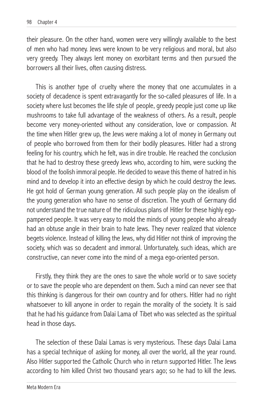their pleasure. On the other hand, women were very willingly available to the best of men who had money. Jews were known to be very religious and moral, but also very greedy. They always lent money on exorbitant terms and then pursued the borrowers all their lives, often causing distress.

This is another type of cruelty where the money that one accumulates in a society of decadence is spent extravagantly for the so-called pleasures of life. In a society where lust becomes the life style of people, greedy people just come up like mushrooms to take full advantage of the weakness of others. As a result, people become very money-oriented without any consideration, love or compassion. At the time when Hitler grew up, the Jews were making a lot of money in Germany out of people who borrowed from them for their bodily pleasures. Hitler had a strong feeling for his country, which he felt, was in dire trouble. He reached the conclusion that he had to destroy these greedy Jews who, according to him, were sucking the blood of the foolish immoral people. He decided to weave this theme of hatred in his mind and to develop it into an effective design by which he could destroy the Jews. He got hold of German young generation. All such people play on the idealism of the young generation who have no sense of discretion. The youth of Germany did not understand the true nature of the ridiculous plans of Hitler for these highly egopampered people. It was very easy to mold the minds of young people who already had an obtuse angle in their brain to hate Jews. They never realized that violence begets violence. Instead of killing the Jews, why did Hitler not think of improving the society, which was so decadent and immoral. Unfortunately, such ideas, which are constructive, can never come into the mind of a mega ego-oriented person.

Firstly, they think they are the ones to save the whole world or to save society or to save the people who are dependent on them. Such a mind can never see that this thinking is dangerous for their own country and for others. Hitler had no right whatsoever to kill anyone in order to regain the morality of the society. It is said that he had his guidance from Dalai Lama of Tibet who was selected as the spiritual head in those days.

The selection of these Dalai Lamas is very mysterious. These days Dalai Lama has a special technique of asking for money, all over the world, all the year round. Also Hitler supported the Catholic Church who in return supported Hitler. The Jews according to him killed Christ two thousand years ago; so he had to kill the Jews.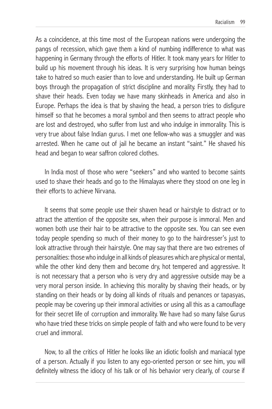As a coincidence, at this time most of the European nations were undergoing the pangs of recession, which gave them a kind of numbing indifference to what was happening in Germany through the efforts of Hitler. It took many years for Hitler to build up his movement through his ideas. It is very surprising how human beings take to hatred so much easier than to love and understanding. He built up German boys through the propagation of strict discipline and morality. Firstly, they had to shave their heads. Even today we have many skinheads in America and also in Europe. Perhaps the idea is that by shaving the head, a person tries to disfigure himself so that he becomes a moral symbol and then seems to attract people who are lost and destroyed, who suffer from lust and who indulge in immorality. This is very true about false Indian gurus. I met one fellow-who was a smuggler and was arrested. When he came out of jail he became an instant "saint." He shaved his head and began to wear saffron colored clothes.

In India most of those who were "seekers" and who wanted to become saints used to shave their heads and go to the Himalayas where they stood on one leg in their efforts to achieve Nirvana.

It seems that some people use their shaven head or hairstyle to distract or to attract the attention of the opposite sex, when their purpose is immoral. Men and women both use their hair to be attractive to the opposite sex. You can see even today people spending so much of their money to go to the hairdresser's just to look attractive through their hairstyle. One may say that there are two extremes of personalities: those who indulge in all kinds of pleasures which are physical or mental, while the other kind deny them and become dry, hot tempered and aggressive. It is not necessary that a person who is very dry and aggressive outside may be a very moral person inside. In achieving this morality by shaving their heads, or by standing on their heads or by doing all kinds of rituals and penances or tapasyas, people may be covering up their immoral activities or using all this as a camouflage for their secret life of corruption and immorality. We have had so many false Gurus who have tried these tricks on simple people of faith and who were found to be very cruel and immoral.

Now, to all the critics of Hitler he looks like an idiotic foolish and maniacal type of a person. Actually if you listen to any ego-oriented person or see him, you will definitely witness the idiocy of his talk or of his behavior very clearly, of course if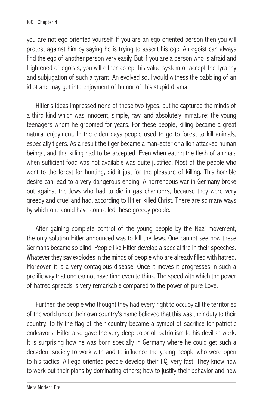you are not ego-oriented yourself. If you are an ego-oriented person then you will protest against him by saying he is trying to assert his ego. An egoist can always find the ego of another person very easily. But if you are a person who is afraid and frightened of egoists, you will either accept his value system or accept the tyranny and subjugation of such a tyrant. An evolved soul would witness the babbling of an idiot and may get into enjoyment of humor of this stupid drama.

Hitler's ideas impressed none of these two types, but he captured the minds of a third kind which was innocent, simple, raw, and absolutely immature: the young teenagers whom he groomed for years. For these people, killing became a great natural enjoyment. In the olden days people used to go to forest to kill animals, especially tigers. As a result the tiger became a man-eater or a lion attacked human beings, and this killing had to be accepted. Even when eating the flesh of animals when sufficient food was not available was quite justified. Most of the people who went to the forest for hunting, did it just for the pleasure of killing. This horrible desire can lead to a very dangerous ending. A horrendous war in Germany broke out against the Jews who had to die in gas chambers, because they were very greedy and cruel and had, according to Hitler, killed Christ. There are so many ways by which one could have controlled these greedy people.

After gaining complete control of the young people by the Nazi movement, the only solution Hitler announced was to kill the Jews. One cannot see how these Germans became so blind. People like Hitler develop a special fire in their speeches. Whatever they say explodes in the minds of people who are already filled with hatred. Moreover, it is a very contagious disease. Once it moves it progresses in such a prolific way that one cannot have time even to think. The speed with which the power of hatred spreads is very remarkable compared to the power of pure Love.

Further, the people who thought they had every right to occupy all the territories of the world under their own country's name believed that this was their duty to their country. To fly the flag of their country became a symbol of sacrifice for patriotic endeavors. Hitler also gave the very deep color of patriotism to his devilish work. It is surprising how he was born specially in Germany where he could get such a decadent society to work with and to influence the young people who were open to his tactics. All ego-oriented people develop their I.Q. very fast. They know how to work out their plans by dominating others; how to justify their behavior and how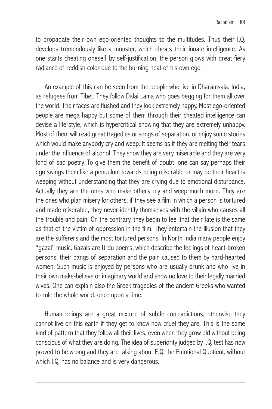to propagate their own ego-oriented thoughts to the multitudes. Thus their I.Q. develops tremendously like a monster, which cheats their innate intelligence. As one starts cheating oneself by self-justification, the person glows with great fiery radiance of reddish color due to the burning heat of his own ego.

An example of this can be seen from the people who live in Dharamsala, India, as refugees from Tibet. They follow Dalai Lama who goes begging for them all over the world. Their faces are flushed and they look extremely happy. Most ego-oriented people are mega happy but some of them through their cheated intelligence can devise a life-style, which is hypercritical showing that they are extremely unhappy. Most of them will read great tragedies or songs of separation, or enjoy some stories which would make anybody cry and weep. It seems as if they are melting their tears under the influence of alcohol. They show they are very miserable and they are very fond of sad poetry. To give them the benefit of doubt, one can say perhaps their ego swings them like a pendulum towards being miserable or may be their heart is weeping without understanding that they are crying due to emotional disturbance. Actually they are the ones who make others cry and weep much more. They are the ones who plan misery for others. if they see a film in which a person is tortured and made miserable, they never identify themselves with the villain who causes all the trouble and pain. On the contrary, they begin to feel that their fate is the same as that of the victim of oppression in the film. They entertain the illusion that they are the sufferers and the most tortured persons. In North India many people enjoy "gazal" music. Gazals are Urdu poems, which describe the feelings of heart-broken persons, their pangs of separation and the pain caused to them by hard-hearted women. Such music is enjoyed by persons who are usually drunk and who live in their own make-believe or imaginary world and show no love to their legally married wives. One can explain also the Greek tragedies of the ancient Greeks who wanted to rule the whole world, once upon a time.

Human beings are a great mixture of subtle contradictions, otherwise they cannot live on this earth if they get to know how cruel they are. This is the same kind of pattern that they follow all their lives, even when they grow old without being conscious of what they are doing. The idea of superiority judged by I.Q. test has now proved to be wrong and they are talking about E.Q. the Emotional Quotient, without which I.Q. has no balance and is very dangerous.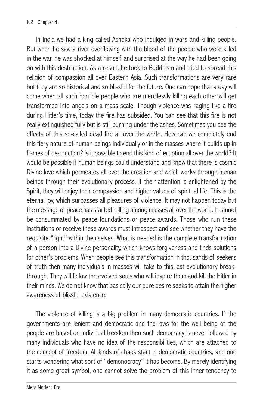In India we had a king called Ashoka who indulged in wars and killing people. But when he saw a river overflowing with the blood of the people who were killed in the war, he was shocked at himself and surprised at the way he had been going on with this destruction. As a result, he took to Buddhism and tried to spread this religion of compassion all over Eastern Asia. Such transformations are very rare but they are so historical and so blissful for the future. One can hope that a day will come when all such horrible people who are mercilessly killing each other will get transformed into angels on a mass scale. Though violence was raging like a fire during Hitler's time, today the fire has subsided. You can see that this fire is not really extinguished fully but is still burning under the ashes. Sometimes you see the effects of this so-called dead fire all over the world. How can we completely end this fiery nature of human beings individually or in the masses where it builds up in flames of destruction? Is it possible to end this kind of eruption all over the world? It would be possible if human beings could understand and know that there is cosmic Divine love which permeates all over the creation and which works through human beings through their evolutionary process. If their attention is enlightened by the Spirit, they will enjoy their compassion and higher values of spiritual life. This is the eternal joy, which surpasses all pleasures of violence. It may not happen today but the message of peace has started rolling among masses all over the world. It cannot be consummated by peace foundations or peace awards. Those who run these institutions or receive these awards must introspect and see whether they have the requisite "light" within themselves. What is needed is the complete transformation of a person into a Divine personality, which knows forgiveness and finds solutions for other's problems. When people see this transformation in thousands of seekers of truth then many individuals in masses will take to this last evolutionary breakthrough. They will follow the evolved souls who will inspire them and kill the Hitler in their minds. We do not know that basically our pure desire seeks to attain the higher awareness of blissful existence.

The violence of killing is a big problem in many democratic countries. If the governments are lenient and democratic and the laws for the well being of the people are based on individual freedom then such democracy is never followed by many individuals who have no idea of the responsibilities, which are attached to the concept of freedom. All kinds of chaos start in democratic countries, and one starts wondering what sort of "demonocracy" it has become. By merely identifying it as some great symbol, one cannot solve the problem of this inner tendency to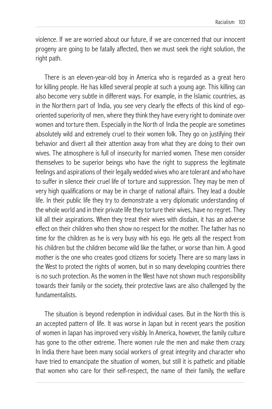violence. If we are worried about our future, if we are concerned that our innocent progeny are going to be fatally affected, then we must seek the right solution, the right path.

There is an eleven-year-old boy in America who is regarded as a great hero for killing people. He has killed several people at such a young age. This killing can also become very subtle in different ways. For example, in the Islamic countries, as in the Northern part of India, you see very clearly the effects of this kind of egooriented superiority of men, where they think they have every right to dominate over women and torture them. Especially in the North of India the people are sometimes absolutely wild and extremely cruel to their women folk. They go on justifying their behavior and divert all their attention away from what they are doing to their own wives. The atmosphere is full of insecurity for married women. These men consider themselves to be superior beings who have the right to suppress the legitimate feelings and aspirations of their legally wedded wives who are tolerant and who have to suffer in silence their cruel life of torture and suppression. They may be men of very high qualifications or may be in charge of national affairs. They lead a double life. In their public life they try to demonstrate a very diplomatic understanding of the whole world and in their private life they torture their wives, have no regret. They kill all their aspirations. When they treat their wives with disdain, it has an adverse effect on their children who then show no respect for the mother. The father has no time for the children as he is very busy with his ego. He gets all the respect from his children but the children become wild like the father, or worse than him. A good mother is the one who creates good citizens for society. There are so many laws in the West to protect the rights of women, but in so many developing countries there is no such protection. As the women in the West have not shown much responsibility towards their family or the society, their protective laws are also challenged by the fundamentalists.

The situation is beyond redemption in individual cases. But in the North this is an accepted pattern of life. It was worse in Japan but in recent years the position of women in Japan has improved very visibly. In America, however, the family culture has gone to the other extreme. There women rule the men and make them crazy. In India there have been many social workers of great integrity and character who have tried to emancipate the situation of women, but still it is pathetic and pitiable that women who care for their self-respect, the name of their family, the welfare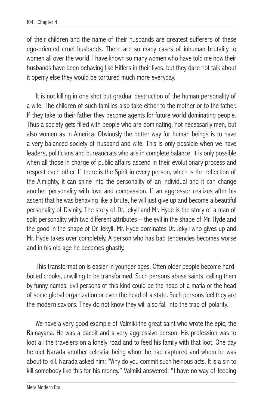of their children and the name of their husbands are greatest sufferers of these ego-oriented cruel husbands. There are so many cases of inhuman brutality to women all over the world. I have known so many women who have told me how their husbands have been behaving like Hitlers in their lives, but they dare not talk about it openly else they would be tortured much more everyday.

It is not killing in one shot but gradual destruction of the human personality of a wife. The children of such families also take either to the mother or to the father. If they take to their father they become agents for future world dominating people. Thus a society gets filled with people who are dominating, not necessarily men, but also women as in America. Obviously the better way for human beings is to have a very balanced society of husband and wife. This is only possible when we have leaders, politicians and bureaucrats who are in complete balance. It is only possible when all those in charge of public affairs ascend in their evolutionary process and respect each other. If there is the Spirit in every person, which is the reflection of the Almighty, it can shine into the personality of an individual and it can change another personality with love and compassion. If an aggressor realizes after his ascent that he was behaving like a brute, he will just give up and become a beautiful personality of Divinity. The story of Dr. Jekyll and Mr. Hyde is the story of a man of split personality with two different attributes – the evil in the shape of Mr. Hyde and the good in the shape of Dr. Jekyll. Mr. Hyde dominates Dr. Jekyll who gives up and Mr. Hyde takes over completely. A person who has bad tendencies becomes worse and in his old age he becomes ghastly.

This transformation is easier in younger ages. Often older people become hardboiled crooks, unwilling to be transformed. Such persons abuse saints, calling them by funny names. Evil persons of this kind could be the head of a mafia or the head of some global organization or even the head of a state. Such persons feel they are the modern saviors. They do not know they will also fall into the trap of polarity.

We have a very good example of Valmiki the great saint who wrote the epic, the Ramayana. He was a dacoit and a very aggressive person. His profession was to loot all the travelers on a lonely road and to feed his family with that loot. One day he met Narada another celestial being whom he had captured and whom he was about to kill. Narada asked him: "Why do you commit such heinous acts. It is a sin to kill somebody like this for his money." Valmiki answered: "I have no way of feeding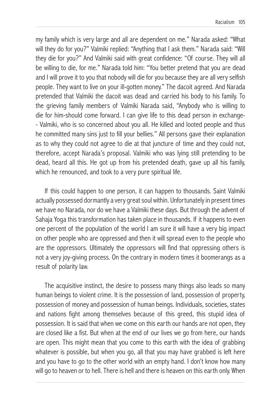my family which is very large and all are dependent on me." Narada asked: "What will they do for you?" Valmiki replied: "Anything that I ask them." Narada said: "Will they die for you?" And Valmiki said with great confidence: "Of course. They will all be willing to die, for me." Narada told him: "You better pretend that you are dead and I will prove it to you that nobody will die for you because they are all very selfish people. They want to live on your ill-gotten money." The dacoit agreed. And Narada pretended that Valmiki the dacoit was dead and carried his body to his family. To the grieving family members of Valmiki Narada said, "Anybody who is willing to die for him-should come forward. I can give life to this dead person in exchange- - Valmiki, who is so concerned about you all. He killed and looted people and thus he committed many sins just to fill your bellies." All persons gave their explanation as to why they could not agree to die at that juncture of time and they could not, therefore, accept Narada's proposal. Valmiki who was lying still pretending to be dead, heard all this. He got up from his pretended death, gave up all his family, which he renounced, and took to a very pure spiritual life.

If this could happen to one person, it can happen to thousands. Saint Valmiki actually possessed dormantly a very great soul within. Unfortunately in present times we have no Narada, nor do we have a Valmiki these days. But through the advent of Sahaja Yoga this transformation has taken place in thousands. If it happens to even one percent of the population of the world I am sure it will have a very big impact on other people who are oppressed and then it will spread even to the people who are the oppressors. Ultimately the oppressors will find that oppressing others is not a very joy-giving process. On the contrary in modern times it boomerangs as a result of polarity law.

The acquisitive instinct, the desire to possess many things also leads so many human beings to violent crime. It is the possession of land, possession of property, possession of money and possession of human beings. Individuals, societies, states and nations fight among themselves because of this greed, this stupid idea of possession. It is said that when we come on this earth our hands are not open, they are closed like a fist. But when at the end of our lives we go from here, our hands are open. This might mean that you come to this earth with the idea of grabbing whatever is possible, but when you go, all that you may have grabbed is left here and you have to go to the other world with an empty hand. I don't know how many will go to heaven or to hell. There is hell and there is heaven on this earth only. When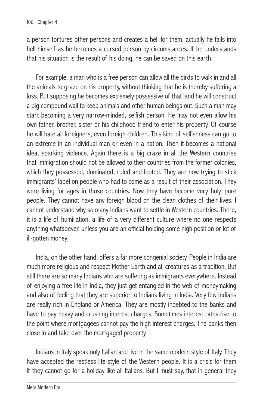a person tortures other persons and creates a hell for them, actually he falls into hell himself as he becomes a cursed person by circumstances. If he understands that his situation is the result of his doing, he can be saved on this earth.

For example, a man who is a free person can allow all the birds to walk in and all the animals to graze on his property, without thinking that he is thereby suffering a loss. But supposing he becomes extremely possessive of that land he will construct a big compound wall to keep animals and other human beings out. Such a man may start becoming a very narrow-minded, selfish person. He may not even allow his own father, brother, sister or his childhood friend to enter his property. Of course he will hate all foreigners, even foreign children. This kind of selfishness can go to an extreme in an individual man or even in a nation. Then it-becomes a national idea, sparking violence. Again there is a big craze in all the Western countries that immigration should not be allowed to their countries from the former colonies, which they possessed, dominated, ruled and looted. They are now trying to stick immigrants' label on people who had to come as a result of their association. They were living for ages in those countries. Now they have become very holy, pure people. They cannot have any foreign blood on the clean clothes of their lives. I cannot understand why so many Indians want to settle in Western countries. There, it is a life of humiliation, a life of a very different culture where no one respects anything whatsoever, unless you are an official holding some high position or lot of ill-gotten money.

India, on the other hand, offers a far more congenial society. People in India are much more religious and respect Mother Earth and all creatures as a tradition. But still there are so many Indians who are suffering as immigrants everywhere. Instead of enjoying a free life in India, they just get entangled in the web of moneymaking and also of feeling that they are superior to Indians living in India. Very few Indians are really rich in England or America. They are mostly indebted to the banks and have to pay heavy and crushing interest charges. Sometimes interest rates rise to the point where mortgagees cannot pay the high interest charges. The banks then close in and take over the mortgaged property.

Indians in Italy speak only Italian and live in the same modern style of Italy. They have accepted the restless life-style of the Western people. It is a crisis for them if they cannot go for a holiday like all Italians. But I must say, that in general they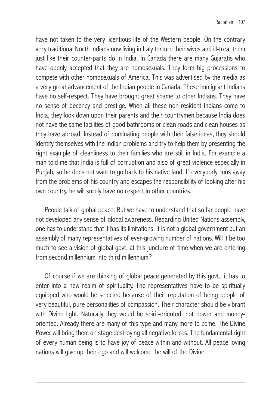have not taken to the very licentious life of the Western people. On the contrary very traditional North Indians now living in Italy torture their wives and ill-treat them just like their counter-parts do in India. In Canada there are many Gujaratis who have openly accepted that they are homosexuals. They form big processions to compete with other homosexuals of America. This was advertised by the media as a very great advancement of the Indian people in Canada. These immigrant Indians have no self-respect. They have brought great shame to other Indians. They have no sense of decency and prestige. When all these non-resident Indians come to India, they look down upon their parents and their countrymen because India does not have the same facilities of good bathrooms or clean roads and clean houses as they have abroad. Instead of dominating people with their false ideas, they should identify themselves with the Indian problems and try to help them by presenting the right example of cleanliness to their families who are still in India. For example a man told me that India is full of corruption and also of great violence especially in Punjab, so he does not want to go back to his native land. If everybody runs away from the problems of his country and escapes the responsibility of looking after his own country, he will surely have no respect in other countries.

People talk of global peace. But we have to understand that so far people have not developed any sense of global awareness. Regarding United Nations assembly, one has to understand that it has its limitations. It is not a global government but an assembly of many representatives of ever-growing number of nations. Will it be too much to see a vision of global govt. at this juncture of time when we are entering from second millennium into third millennium?

Of course if we are thinking of global peace generated by this govt., it has to enter into a new realm of spirituality. The representatives have to be spiritually equipped who would be selected because of their reputation of being people of very beautiful, pure personalities of compassion. Their character should be vibrant with Divine light. Naturally they would be spirit-oriented, not power and moneyoriented. Already there are many of this type and many more to come. The Divine Power will bring them on stage destroying all negative forces. The fundamental right of every human being is to have joy of peace within and without. All peace loving nations will give up their ego and will welcome the will of the Divine.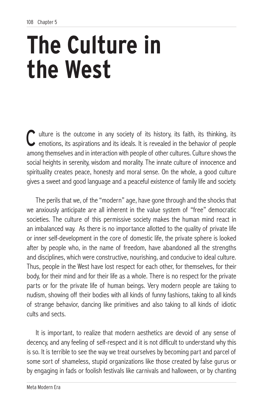## **The Culture in the West**

ulture is the outcome in any society of its history, its faith, its thinking, its C ulture is the outcome in any society of its history, its faith, its thinking, its emotions, its aspirations and its ideals. It is revealed in the behavior of people among themselves and in interaction with people of other cultures. Culture shows the social heights in serenity, wisdom and morality. The innate culture of innocence and spirituality creates peace, honesty and moral sense. On the whole, a good culture gives a sweet and good language and a peaceful existence of family life and society.

The perils that we, of the "modern" age, have gone through and the shocks that we anxiously anticipate are all inherent in the value system of "free" democratic societies. The culture of this permissive society makes the human mind react in an imbalanced way. As there is no importance allotted to the quality of private life or inner self-development in the core of domestic life, the private sphere is looked after by people who, in the name of freedom, have abandoned all the strengths and disciplines, which were constructive, nourishing, and conducive to ideal culture. Thus, people in the West have lost respect for each other, for themselves, for their body, for their mind and for their life as a whole. There is no respect for the private parts or for the private life of human beings. Very modern people are taking to nudism, showing off their bodies with all kinds of funny fashions, taking to all kinds of strange behavior, dancing like primitives and also taking to all kinds of idiotic cults and sects.

It is important, to realize that modern aesthetics are devoid of any sense of decency, and any feeling of self-respect and it is not difficult to understand why this is so. It is terrible to see the way we treat ourselves by becoming part and parcel of some sort of shameless, stupid organizations like those created by false gurus or by engaging in fads or foolish festivals like carnivals and halloween, or by chanting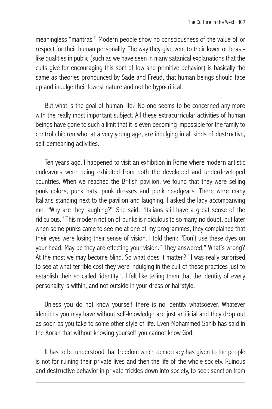meaningless "mantras." Modern people show no consciousness of the value of or respect for their human personality. The way they give vent to their lower or beastlike qualities in public (such as we have seen in many satanical explanations that the cults give for encouraging this sort of low and primitive behavior) is basically the same as theories pronounced by Sade and Freud, that human beings should face up and indulge their lowest nature and not be hypocritical.

But what is the goal of human life? No one seems to be concerned any more with the really most important subject. All these extracurricular activities of human beings have gone to such a limit that it is even becoming impossible for the family to control children who, at a very young age, are indulging in all kinds of destructive, self-demeaning activities.

Ten years ago, I happened to visit an exhibition in Rome where modern artistic endeavors were being exhibited from both the developed and underdeveloped countries. When we reached the British pavilion, we found that they were selling punk colors, punk hats, punk dresses and punk headgears. There were many Italians standing next to the pavilion and laughing. I asked the lady accompanying me: "Why are they laughing?" She said: "Italians still have a great sense of the ridiculous." This modern notion of punks is ridiculous to so many, no doubt, but later when some punks came to see me at one of my programmes, they complained that their eyes were losing their sense of vision. I told them: "Don't use these dyes on your head. May be they are effecting your vision." They answered:" What's wrong? At the most we may become blind. So what does it matter?" I was really surprised to see at what terrible cost they were indulging in the cult of these practices just to establish their so called 'identity '. I felt like telling them that the identity of every personality is within, and not outside in your dress or hairstyle.

Unless you do not know yourself there is no identity whatsoever. Whatever identities you may have without self-knowledge are just artificial and they drop out as soon as you take to some other style of life. Even Mohammed Sahib has said in the Koran that without knowing yourself you cannot know God.

It has to be understood that freedom which democracy has given to the people is not for ruining their private lives and then the life of the whole society. Ruinous and destructive behavior in private trickles down into society, to seek sanction from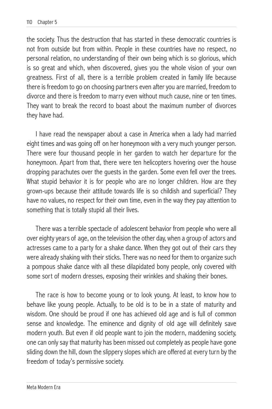the society. Thus the destruction that has started in these democratic countries is not from outside but from within. People in these countries have no respect, no personal relation, no understanding of their own being which is so glorious, which is so great and which, when discovered, gives you the whole vision of your own greatness. First of all, there is a terrible problem created in family life because there is freedom to go on choosing partners even after you are married, freedom to divorce and there is freedom to marry even without much cause, nine or ten times. They want to break the record to boast about the maximum number of divorces they have had.

I have read the newspaper about a case in America when a lady had married eight times and was going off on her honeymoon with a very much younger person. There were four thousand people in her garden to watch her departure for the honeymoon. Apart from that, there were ten helicopters hovering over the house dropping parachutes over the guests in the garden. Some even fell over the trees. What stupid behavior it is for people who are no longer children. How are they grown-ups because their attitude towards life is so childish and superficial? They have no values, no respect for their own time, even in the way they pay attention to something that is totally stupid all their lives.

There was a terrible spectacle of adolescent behavior from people who were all over eighty years of age, on the television the other day, when a group of actors and actresses came to a party for a shake dance. When they got out of their cars they were already shaking with their sticks. There was no need for them to organize such a pompous shake dance with all these dilapidated bony people, only covered with some sort of modern dresses, exposing their wrinkles and shaking their bones.

The race is how to become young or to look young. At least, to know how to behave like young people. Actually, to be old is to be in a state of maturity and wisdom. One should be proud if one has achieved old age and is full of common sense and knowledge. The eminence and dignity of old age will definitely save modern youth. But even if old people want to join the modern, maddening society, one can only say that maturity has been missed out completely as people have gone sliding down the hill, down the slippery slopes which are offered at every turn by the freedom of today's permissive society.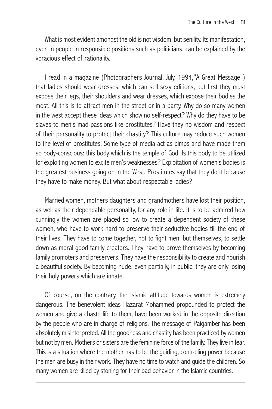What is most evident amongst the old is not wisdom, but senility. Its manifestation, even in people in responsible positions such as politicians, can be explained by the voracious effect of rationality.

I read in a magazine (Photographers Journal, July, 1994,"A Great Message") that ladies should wear dresses, which can sell sexy editions, but first they must expose their legs, their shoulders and wear dresses, which expose their bodies the most. All this is to attract men in the street or in a party. Why do so many women in the west accept these ideas which show no self-respect? Why do they have to be slaves to men's mad passions like prostitutes? Have they no wisdom and respect of their personality to protect their chastity? This culture may reduce such women to the level of prostitutes. Some type of media act as pimps and have made them so body-conscious: this body which is the temple of God. Is this body to be utilized for exploiting women to excite men's weaknesses? Exploitation of women's bodies is the greatest business going on in the West. Prostitutes say that they do it because they have to make money. But what about respectable ladies?

Married women, mothers daughters and grandmothers have lost their position, as well as their dependable personality, for any role in life. It is to be admired how cunningly the women are placed so low to create a dependent society of these women, who have to work hard to preserve their seductive bodies till the end of their lives. They have to come together, not to fight men, but themselves, to settle down as moral good family creators. They have to prove themselves by becoming family promoters and preservers. They have the responsibility to create and nourish a beautiful society. By becoming nude, even partially, in public, they are only losing their holy powers which are innate.

Of course, on the contrary, the Islamic attitude towards women is extremely dangerous. The benevolent ideas Hazarat Mohammed propounded to protect the women and give a chaste life to them, have been worked in the opposite direction by the people who are in charge of religions. The message of Paigamber has been absolutely misinterpreted. All the goodness and chastity has been practiced by women but not by men. Mothers or sisters are the feminine force of the family. They live in fear. This is a situation where the mother has to be the guiding, controlling power because the men are busy in their work. They have no time to watch and guide the children. So many women are killed by stoning for their bad behavior in the Islamic countries.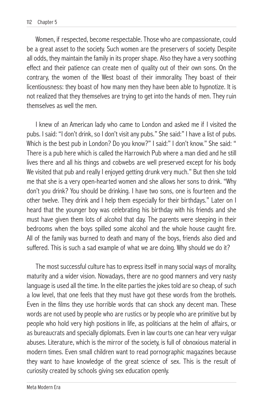Women, if respected, become respectable. Those who are compassionate, could be a great asset to the society. Such women are the preservers of society. Despite all odds, they maintain the family in its proper shape. Also they have a very soothing effect and their patience can create men of quality out of their own sons. On the contrary, the women of the West boast of their immorality. They boast of their licentiousness: they boast of how many men they have been able to hypnotize. It is not realized that they themselves are trying to get into the hands of men. They ruin themselves as well the men.

I knew of an American lady who came to London and asked me if I visited the pubs. I said: "I don't drink, so I don't visit any pubs." She said:" I have a list of pubs. Which is the best pub in London? Do you know?" I said:" I don't know." She said: " There is a pub here which is called the Harrowich Pub where a man died and he still lives there and all his things and cobwebs are well preserved except for his body. We visited that pub and really I enjoyed getting drunk very much." But then she told me that she is a very open-hearted women and she allows her sons to drink. "Why don't you drink? You should be drinking. I have two sons, one is fourteen and the other twelve. They drink and I help them especially for their birthdays." Later on I heard that the younger boy was celebrating his birthday with his friends and she must have given them lots of alcohol that day. The parents were sleeping in their bedrooms when the boys spilled some alcohol and the whole house caught fire. All of the family was burned to death and many of the boys, friends also died and suffered. This is such a sad example of what we are doing. Why should we do it?

The most successful culture has to express itself in many social ways of morality, maturity and a wider vision. Nowadays, there are no good manners and very nasty language is used all the time. In the elite parties the jokes told are so cheap, of such a low level, that one feels that they must have got these words from the brothels. Even in the films they use horrible words that can shock any decent man. These words are not used by people who are rustics or by people who are primitive but by people who hold very high positions in life, as politicians at the helm of affairs, or as bureaucrats and specially diplomats. Even in law courts one can hear very vulgar abuses. Literature, which is the mirror of the society, is full of obnoxious material in modern times. Even small children want to read pornographic magazines because they want to have knowledge of the great science of sex. This is the result of curiosity created by schools giving sex education openly.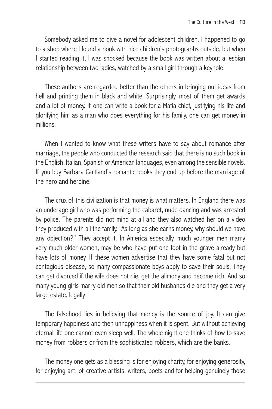Somebody asked me to give a novel for adolescent children. I happened to go to a shop where I found a book with nice children's photographs outside, but when I started reading it, I was shocked because the book was written about a lesbian relationship between two ladies, watched by a small girl through a keyhole.

These authors are regarded better than the others in bringing out ideas from hell and printing them in black and white. Surprisingly, most of them get awards and a lot of money. If one can write a book for a Mafia chief, justifying his life and glorifying him as a man who does everything for his family, one can get money in millions.

When I wanted to know what these writers have to say about romance after marriage, the people who conducted the research said that there is no such book in the English, Italian, Spanish or American languages, even among the sensible novels. If you buy Barbara Cartland's romantic books they end up before the marriage of the hero and heroine.

The crux of this civilization is that money is what matters. In England there was an underage girl who was performing the cabaret, nude dancing and was arrested by police. The parents did not mind at all and they also watched her on a video they produced with all the family. "As long as she earns money, why should we have any objection?" They accept it. In America especially, much younger men marry very much older women, may be who have put one foot in the grave already but have lots of money. If these women advertise that they have some fatal but not contagious disease, so many compassionate boys apply to save their souls. They can get divorced if the wife does not die, get the alimony and become rich. And so many young girls marry old men so that their old husbands die and they get a very large estate, legally.

The falsehood lies in believing that money is the source of joy. It can give temporary happiness and then unhappiness when it is spent. But without achieving eternal life one cannot even sleep well. The whole night one thinks of how to save money from robbers or from the sophisticated robbers, which are the banks.

The money one gets as a blessing is for enjoying charity, for enjoying generosity, for enjoying art, of creative artists, writers, poets and for helping genuinely those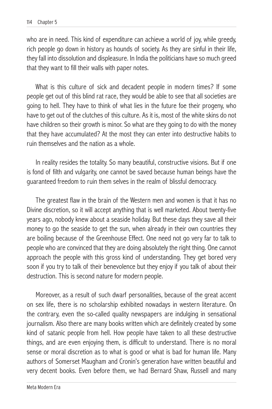who are in need. This kind of expenditure can achieve a world of joy, while greedy, rich people go down in history as hounds of society. As they are sinful in their life, they fall into dissolution and displeasure. In India the politicians have so much greed that they want to fill their walls with paper notes.

What is this culture of sick and decadent people in modern times? If some people get out of this blind rat race, they would be able to see that all societies are going to hell. They have to think of what lies in the future foe their progeny, who have to get out of the clutches of this culture. As it is, most of the white skins do not have children so their growth is minor. So what are they going to do with the money that they have accumulated? At the most they can enter into destructive habits to ruin themselves and the nation as a whole.

In reality resides the totality. So many beautiful, constructive visions. But if one is fond of filth and vulgarity, one cannot be saved because human beings have the guaranteed freedom to ruin them selves in the realm of blissful democracy.

The greatest flaw in the brain of the Western men and women is that it has no Divine discretion, so it will accept anything that is well marketed. About twenty-five years ago, nobody knew about a seaside holiday. But these days they save all their money to go the seaside to get the sun, when already in their own countries they are boiling because of the Greenhouse Effect. One need not go very far to talk to people who are convinced that they are doing absolutely the right thing. One cannot approach the people with this gross kind of understanding. They get bored very soon if you try to talk of their benevolence but they enjoy if you talk of about their destruction. This is second nature for modern people.

Moreover, as a result of such dwarf personalities, because of the great accent on sex life, there is no scholarship exhibited nowadays in western literature. On the contrary, even the so-called quality newspapers are indulging in sensational journalism. Also there are many books written which are definitely created by some kind of satanic people from hell. How people have taken to all these destructive things, and are even enjoying them, is difficult to understand. There is no moral sense or moral discretion as to what is good or what is bad for human life. Many authors of Somerset Maugham and Cronin's generation have written beautiful and very decent books. Even before them, we had Bernard Shaw, Russell and many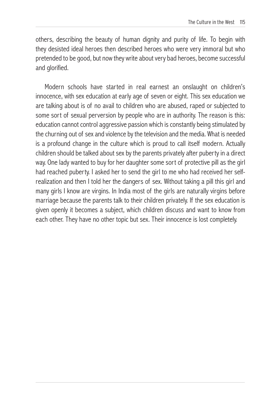others, describing the beauty of human dignity and purity of life. To begin with they desisted ideal heroes then described heroes who were very immoral but who pretended to be good, but now they write about very bad heroes, become successful and glorified.

Modern schools have started in real earnest an onslaught on children's innocence, with sex education at early age of seven or eight. This sex education we are talking about is of no avail to children who are abused, raped or subjected to some sort of sexual perversion by people who are in authority. The reason is this: education cannot control aggressive passion which is constantly being stimulated by the churning out of sex and violence by the television and the media. What is needed is a profound change in the culture which is proud to call itself modern. Actually children should be talked about sex by the parents privately after puberty in a direct way. One lady wanted to buy for her daughter some sort of protective pill as the girl had reached puberty. I asked her to send the girl to me who had received her selfrealization and then I told her the dangers of sex. Without taking a pill this girl and many girls I know are virgins. In India most of the girls are naturally virgins before marriage because the parents talk to their children privately. If the sex education is given openly it becomes a subject, which children discuss and want to know from each other. They have no other topic but sex. Their innocence is lost completely.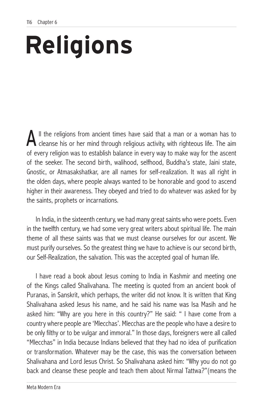## **Religions**

ll the religions from ancient times have said that a man or a woman has to cleanse his or her mind through religious activity, with righteous life. The aim of every religion was to establish balance in every way to make way for the ascent of the seeker. The second birth, walihood, selfhood, Buddha's state, Jaini state, Gnostic, or Atmasakshatkar, are all names for self-realization. It was all right in the olden days, where people always wanted to be honorable and good to ascend higher in their awareness. They obeyed and tried to do whatever was asked for by the saints, prophets or incarnations. A

In India, in the sixteenth century, we had many great saints who were poets. Even in the twelfth century, we had some very great writers about spiritual life. The main theme of all these saints was that we must cleanse ourselves for our ascent. We must purify ourselves. So the greatest thing we have to achieve is our second birth, our Self-Realization, the salvation. This was the accepted goal of human life.

I have read a book about Jesus coming to India in Kashmir and meeting one of the Kings called Shalivahana. The meeting is quoted from an ancient book of Puranas, in Sanskrit, which perhaps, the writer did not know. It is written that King Shalivahana asked Jesus his name, and he said his name was Isa Masih and he asked him: "Why are you here in this country?" He said: " I have come from a country where people are 'Mlecchas'. Mlecchas are the people who have a desire to be only filthy or to be vulgar and immoral." In those days, foreigners were all called "Mlecchas" in India because Indians believed that they had no idea of purification or transformation. Whatever may be the case, this was the conversation between Shalivahana and Lord Jesus Christ. So Shalivahana asked him: "Why you do not go back and cleanse these people and teach them about Nirmal Tattwa?"(means the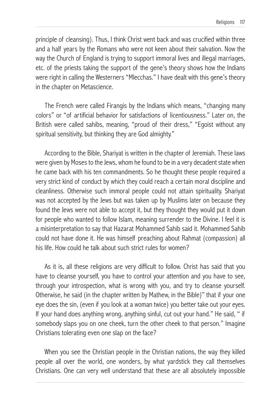principle of cleansing). Thus, I think Christ went back and was crucified within three and a half years by the Romans who were not keen about their salvation. Now the way the Church of England is trying to support immoral lives and illegal marriages, etc. of the priests taking the support of the gene's theory shows how the Indians were right in calling the Westerners "Mlecchas." I have dealt with this gene's theory in the chapter on Metascience.

The French were called Firangis by the Indians which means, "changing many colors" or "of artificial behavior for satisfactions of licentiousness." Later on, the British were called sahibs, meaning, "proud of their dress," "Egoist without any spiritual sensitivity, but thinking they are God almighty."

According to the Bible, Shariyat is written in the chapter of Jeremiah. These laws were given by Moses to the Jews, whom he found to be in a very decadent state when he came back with his ten commandments. So he thought these people required a very strict kind of conduct by which they could reach a certain moral discipline and cleanliness. Otherwise such immoral people could not attain spirituality. Shariyat was not accepted by the Jews but was taken up by Muslims later on because they found the Jews were not able to accept it, but they thought they would put it down for people who wanted to follow Islam, meaning surrender to the Divine. I feel it is a misinterpretation to say that Hazarat Mohammed Sahib said it. Mohammed Sahib could not have done it. He was himself preaching about Rahmat (compassion) all his life. How could he talk about such strict rules for women?

As it is, all these religions are very difficult to follow. Christ has said that you have to cleanse yourself, you have to control your attention and you have to see, through your introspection, what is wrong with you, and try to cleanse yourself. Otherwise, he said (in the chapter written by Mathew, in the Bible)" that if your one eye does the sin, (even if you look at a woman twice) you better take out your eyes. If your hand does anything wrong, anything sinful, cut out your hand." He said, " if somebody slaps you on one cheek, turn the other cheek to that person." Imagine Christians tolerating even one slap on the face?

When you see the Christian people in the Christian nations, the way they killed people all over the world, one wonders, by what yardstick they call themselves Christians. One can very well understand that these are all absolutely impossible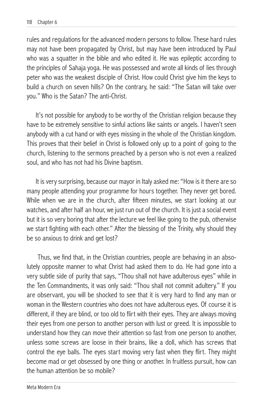rules and regulations for the advanced modern persons to follow. These hard rules may not have been propagated by Christ, but may have been introduced by Paul who was a squatter in the bible and who edited it. He was epileptic according to the principles of Sahaja yoga. He was possessed and wrote all kinds of lies through peter who was the weakest disciple of Christ. How could Christ give him the keys to build a church on seven hills? On the contrary, he said: "The Satan will take over you." Who is the Satan? The anti-Christ.

It's not possible for anybody to be worthy of the Christian religion because they have to be extremely sensitive to sinful actions like saints or angels. I haven't seen anybody with a cut hand or with eyes missing in the whole of the Christian kingdom. This proves that their belief in Christ is followed only up to a point of going to the church, listening to the sermons preached by a person who is not even a realized soul, and who has not had his Divine baptism.

It is very surprising, because our mayor in Italy asked me: "How is it there are so many people attending your programme for hours together. They never get bored. While when we are in the church, after fifteen minutes, we start looking at our watches, and after half an hour, we just run out of the church. It is just a social event but it is so very boring that after the lecture we feel like going to the pub, otherwise we start fighting with each other." After the blessing of the Trinity, why should they be so anxious to drink and get lost?

 Thus, we find that, in the Christian countries, people are behaving in an absolutely opposite manner to what Christ had asked them to do. He had gone into a very subtle side of purity that says, "Thou shall not have adulterous eyes" while in the Ten Commandments, it was only said: "Thou shall not commit adultery." If you are observant, you will be shocked to see that it is very hard to find any man or woman in the Western countries who does not have adulterous eyes. Of course it is different, if they are blind, or too old to flirt with their eyes. They are always moving their eyes from one person to another person with lust or greed. It is impossible to understand how they can move their attention so fast from one person to another, unless some screws are loose in their brains, like a doll, which has screws that control the eye balls. The eyes start moving very fast when they flirt. They might become mad or get obsessed by one thing or another. In fruitless pursuit, how can the human attention be so mobile?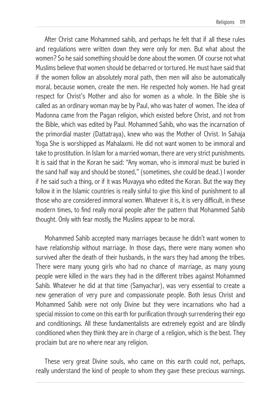After Christ came Mohammed sahib, and perhaps he felt that if all these rules and regulations were written down they were only for men. But what about the women? So he said something should be done about the women. Of course not what Muslims believe that women should be debarred or tortured. He must have said that if the women follow an absolutely moral path, then men will also be automatically moral, because women, create the men. He respected holy women. He had great respect for Christ's Mother and also for women as a whole. In the Bible she is called as an ordinary woman may be by Paul, who was hater of women. The idea of Madonna came from the Pagan religion, which existed before Christ, and not from the Bible, which was edited by Paul. Mohammed Sahib, who was the incarnation of the primordial master (Dattatraya), knew who was the Mother of Christ. In Sahaja Yoga She is worshipped as Mahalaxmi. He did not want women to be immoral and take to prostitution. In Islam for a married woman, there are very strict punishments. It is said that in the Koran he said: "Any woman, who is immoral must be buried in the sand half way and should be stoned," (sometimes, she could be dead.) I wonder if he said such a thing, or if it was Muvayya who edited the Koran. But the way they follow it in the Islamic countries is really sinful to give this kind of punishment to all those who are considered immoral women. Whatever it is, it is very difficult, in these modern times, to find really moral people after the pattern that Mohammed Sahib thought. Only with fear mostly, the Muslims appear to be moral.

Mohammed Sahib accepted many marriages because he didn't want women to have relationship without marriage. In those days, there were many women who survived after the death of their husbands, in the wars they had among the tribes. There were many young girls who had no chance of marriage, as many young people were killed in the wars they had in the different tribes against Mohammed Sahib. Whatever he did at that time (Samyachar), was very essential to create a new generation of very pure and compassionate people. Both Jesus Christ and Mohammed Sahib were not only Divine but they were incarnations who had a special mission to come on this earth for purification through surrendering their ego and conditionings. All these fundamentalists are extremely egoist and are blindly conditioned when they think they are in charge of a religion, which is the best. They proclaim but are no where near any religion.

These very great Divine souls, who came on this earth could not, perhaps, really understand the kind of people to whom they gave these precious warnings.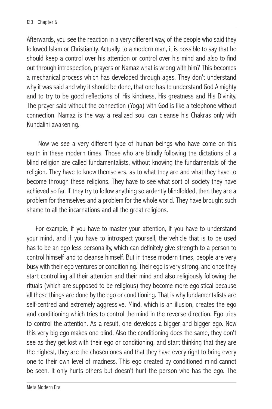Afterwards, you see the reaction in a very different way, of the people who said they followed Islam or Christianity. Actually, to a modern man, it is possible to say that he should keep a control over his attention or control over his mind and also to find out through introspection, prayers or Namaz what is wrong with him? This becomes a mechanical process which has developed through ages. They don't understand why it was said and why it should be done, that one has to understand God Almighty and to try to be good reflections of His kindness, His greatness and His Divinity. The prayer said without the connection (Yoga) with God is like a telephone without connection. Namaz is the way a realized soul can cleanse his Chakras only with Kundalini awakening.

 Now we see a very different type of human beings who have come on this earth in these modern times. Those who are blindly following the dictations of a blind religion are called fundamentalists, without knowing the fundamentals of the religion. They have to know themselves, as to what they are and what they have to become through these religions. They have to see what sort of society they have achieved so far. If they try to follow anything so ardently blindfolded, then they are a problem for themselves and a problem for the whole world. They have brought such shame to all the incarnations and all the great religions.

For example, if you have to master your attention, if you have to understand your mind, and if you have to introspect yourself, the vehicle that is to be used has to be an ego less personality, which can definitely give strength to a person to control himself and to cleanse himself. But in these modern times, people are very busy with their ego ventures or conditioning. Their ego is very strong, and once they start controlling all their attention and their mind and also religiously following the rituals (which are supposed to be religious) they become more egoistical because all these things are done by the ego or conditioning. That is why fundamentalists are self-centred and extremely aggressive. Mind, which is an illusion, creates the ego and conditioning which tries to control the mind in the reverse direction. Ego tries to control the attention. As a result, one develops a bigger and bigger ego. Now this very big ego makes one blind. Also the conditioning does the same, they don't see as they get lost with their ego or conditioning, and start thinking that they are the highest, they are the chosen ones and that they have every right to bring every one to their own level of madness. This ego created by conditioned mind cannot be seen. It only hurts others but doesn't hurt the person who has the ego. The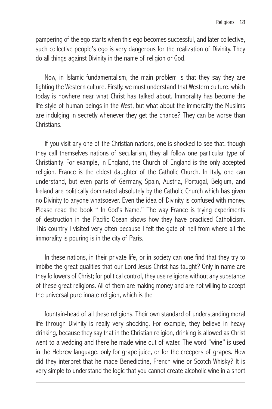pampering of the ego starts when this ego becomes successful, and later collective, such collective people's ego is very dangerous for the realization of Divinity. They do all things against Divinity in the name of religion or God.

Now, in Islamic fundamentalism, the main problem is that they say they are fighting the Western culture. Firstly, we must understand that Western culture, which today is nowhere near what Christ has talked about. Immorality has become the life style of human beings in the West, but what about the immorality the Muslims are indulging in secretly whenever they get the chance? They can be worse than Christians.

If you visit any one of the Christian nations, one is shocked to see that, though they call themselves nations of secularism, they all follow one particular type of Christianity. For example, in England, the Church of England is the only accepted religion. France is the eldest daughter of the Catholic Church. In Italy, one can understand, but even parts of Germany, Spain, Austria, Portugal, Belgium, and Ireland are politically dominated absolutely by the Catholic Church which has given no Divinity to anyone whatsoever. Even the idea of Divinity is confused with money. Please read the book " In God's Name." The way France is trying experiments of destruction in the Pacific Ocean shows how they have practiced Catholicism. This country I visited very often because I felt the gate of hell from where all the immorality is pouring is in the city of Paris.

In these nations, in their private life, or in society can one find that they try to imbibe the great qualities that our Lord Jesus Christ has taught? Only in name are they followers of Christ; for political control, they use religions without any substance of these great religions. All of them are making money and are not willing to accept the universal pure innate religion, which is the

fountain-head of all these religions. Their own standard of understanding moral life through Divinity is really very shocking. For example, they believe in heavy drinking, because they say that in the Christian religion, drinking is allowed as Christ went to a wedding and there he made wine out of water. The word "wine" is used in the Hebrew language, only for grape juice, or for the creepers of grapes. How did they interpret that he made Benedictine, French wine or Scotch Whisky? It is very simple to understand the logic that you cannot create alcoholic wine in a short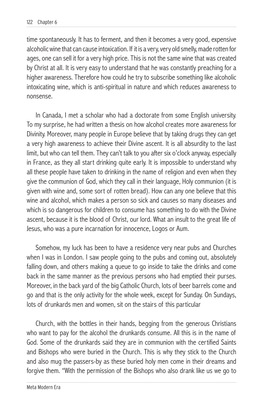time spontaneously. It has to ferment, and then it becomes a very good, expensive alcoholic wine that can cause intoxication. If it is a very, very old smelly, made rotten for ages, one can sell it for a very high price. This is not the same wine that was created by Christ at all. It is very easy to understand that he was constantly preaching for a higher awareness. Therefore how could he try to subscribe something like alcoholic intoxicating wine, which is anti-spiritual in nature and which reduces awareness to nonsense.

In Canada, I met a scholar who had a doctorate from some English university. To my surprise, he had written a thesis on how alcohol creates more awareness for Divinity. Moreover, many people in Europe believe that by taking drugs they can get a very high awareness to achieve their Divine ascent. It is all absurdity to the last limit, but who can tell them. They can't talk to you after six o'clock anyway, especially in France, as they all start drinking quite early. It is impossible to understand why all these people have taken to drinking in the name of religion and even when they give the communion of God, which they call in their language, Holy communion (it is given with wine and, some sort of rotten bread). How can any one believe that this wine and alcohol, which makes a person so sick and causes so many diseases and which is so dangerous for children to consume has something to do with the Divine ascent, because it is the blood of Christ, our lord. What an insult to the great life of Jesus, who was a pure incarnation for innocence, Logos or Aum.

Somehow, my luck has been to have a residence very near pubs and Churches when I was in London. I saw people going to the pubs and coming out, absolutely falling down, and others making a queue to go inside to take the drinks and come back in the same manner as the previous persons who had emptied their purses. Moreover, in the back yard of the big Catholic Church, lots of beer barrels come and go and that is the only activity for the whole week, except for Sunday. On Sundays, lots of drunkards men and women, sit on the stairs of this particular

Church, with the bottles in their hands, begging from the generous Christians who want to pay for the alcohol the drunkards consume. All this is in the name of God. Some of the drunkards said they are in communion with the certified Saints and Bishops who were buried in the Church. This is why they stick to the Church and also mug the passers-by as these buried holy men come in their dreams and forgive them. "With the permission of the Bishops who also drank like us we go to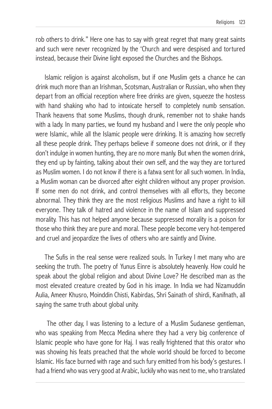rob others to drink." Here one has to say with great regret that many great saints and such were never recognized by the 'Church and were despised and tortured instead, because their Divine light exposed the Churches and the Bishops.

Islamic religion is against alcoholism, but if one Muslim gets a chance he can drink much more than an Irishman, Scotsman, Australian or Russian, who when they depart from an official reception where free drinks are given, squeeze the hostess with hand shaking who had to intoxicate herself to completely numb sensation. Thank heavens that some Muslims, though drunk, remember not to shake hands with a lady. In many parties, we found my husband and I were the only people who were Islamic, while all the Islamic people were drinking. It is amazing how secretly all these people drink. They perhaps believe if someone does not drink, or if they don't indulge in women hunting, they are no more manly. But when the women drink, they end up by fainting, talking about their own self, and the way they are tortured as Muslim women. I do not know if there is a fatwa sent for all such women. In India, a Muslim woman can be divorced after eight children without any proper provision. If some men do not drink, and control themselves with all efforts, they become abnormal. They think they are the most religious Muslims and have a right to kill everyone. They talk of hatred and violence in the name of Islam and suppressed morality. This has not helped anyone because suppressed morality is a poison for those who think they are pure and moral. These people become very hot-tempered and cruel and jeopardize the lives of others who are saintly and Divine.

The Sufis in the real sense were realized souls. In Turkey I met many who are seeking the truth. The poetry of Yunus Einre is absolutely heavenly. How could he speak about the global religion and about Divine Love? He described man as the most elevated creature created by God in his image. In India we had Nizamuddin Aulia, Ameer Khusro, Moinddin Chisti, Kabirdas, Shri Sainath of shirdi, Kanifnath, all saying the same truth about global unity.

 The other day, I was listening to a lecture of a Muslim Sudanese gentleman, who was speaking from Mecca Medina where they had a very big conference of Islamic people who have gone for Haj. I was really frightened that this orator who was showing his feats preached that the whole world should be forced to become Islamic. His face burned with rage and such fury emitted from his body's gestures. I had a friend who was very good at Arabic, luckily who was next to me, who translated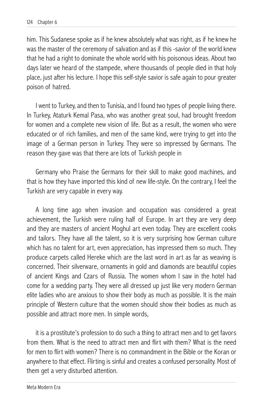him. This Sudanese spoke as if he knew absolutely what was right, as if he knew he was the master of the ceremony of salvation and as if this -savior of the world knew that he had a right to dominate the whole world with his poisonous ideas. About two days later we heard of the stampede, where thousands of people died in that holy place, just after his lecture. I hope this self-style savior is safe again to pour greater poison of hatred.

I went to Turkey, and then to Tunisia, and I found two types of people living there. In Turkey, Ataturk Kemal Pasa, who was another great soul, had brought freedom for women and a complete new vision of life. But as a result, the women who were educated or of rich families, and men of the same kind, were trying to get into the image of a German person in Turkey. They were so impressed by Germans. The reason they gave was that there are lots of Turkish people in

Germany who Praise the Germans for their skill to make good machines, and that is how they have imported this kind of new life-style. On the contrary, I feel the Turkish are very capable in every way.

A long time ago when invasion and occupation was considered a great achievement, the Turkish were ruling half of Europe. In art they are very deep and they are masters of ancient Moghul art even today. They are excellent cooks and tailors. They have all the talent, so it is very surprising how German culture which has no talent for art, even appreciation, has impressed them so much. They produce carpets called Hereke which are the last word in art as far as weaving is concerned. Their silverware, ornaments in gold and diamonds are beautiful copies of ancient Kings and Czars of Russia. The women whom I saw in the hotel had come for a wedding party. They were all dressed up just like very modern German elite ladies who are anxious to show their body as much as possible. It is the main principle of Western culture that the women should show their bodies as much as possible and attract more men. In simple words,

it is a prostitute's profession to do such a thing to attract men and to get favors from them. What is the need to attract men and flirt with them? What is the need for men to flirt with women? There is no commandment in the Bible or the Koran or anywhere to that effect. Flirting is sinful and creates a confused personality. Most of them get a very disturbed attention.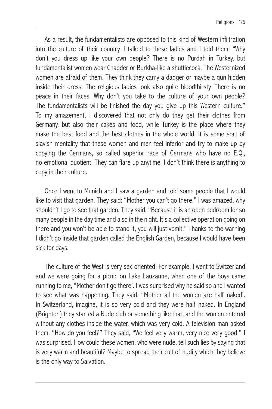As a result, the fundamentalists are opposed to this kind of Western infiltration into the culture of their country. I talked to these ladies and I told them: "Why don't you dress up like your own people? There is no Purdah in Turkey, but fundamentalist women wear Chadder or Burkha-like a shuttlecock. The Westernized women are afraid of them. They think they carry a dagger or maybe a gun hidden inside their dress. The religious ladies look also quite bloodthirsty. There is no peace in their faces. Why don't you take to the culture of your own people? The fundamentalists will be finished the day you give up this Western culture." To my amazement, I discovered that not only do they get their clothes from Germany, but also their cakes and food, while Turkey is the place where they make the best food and the best clothes in the whole world. It is some sort of slavish mentality that these women and men feel inferior and try to make up by copying the Germans, so called superior race of Germans who have no E.Q., no emotional quotient. They can flare up anytime. I don't think there is anything to copy in their culture.

Once I went to Munich and I saw a garden and told some people that I would like to visit that garden. They said: "Mother you can't go there." I was amazed, why shouldn't I go to see that garden. They said: "Because it is an open bedroom for so many people in the day time and also in the night. It's a collective operation going on there and you won't be able to stand it, you will just vomit." Thanks to the warning I didn't go inside that garden called the English Garden, because I would have been sick for days.

The culture of the West is very sex-oriented. For example, I went to Switzerland and we were going for a picnic on Lake Lauzanne, when one of the boys came running to me, "Mother don't go there'. I was surprised why he said so and I wanted to see what was happening. They said, "Mother all the women are half naked'. In Switzerland, imagine, it is so very cold and they were half naked. In England (Brighton) they started a Nude club or something like that, and the women entered without any clothes inside the water, which was very cold. A television man asked them: "How do you feel?" They said, "We feel very warm, very nice very good." I was surprised. How could these women, who were nude, tell such lies by saying that is very warm and beautiful? Maybe to spread their cult of nudity which they believe is the only way to Salvation.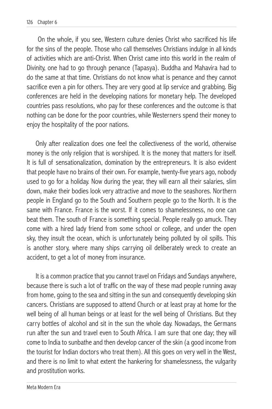On the whole, if you see, Western culture denies Christ who sacrificed his life for the sins of the people. Those who call themselves Christians indulge in all kinds of activities which are anti-Christ. When Christ came into this world in the realm of Divinity, one had to go through penance (Tapasya). Buddha and Mahavira had to do the same at that time. Christians do not know what is penance and they cannot sacrifice even a pin for others. They are very good at lip service and grabbing. Big conferences are held in the developing nations for monetary help. The developed countries pass resolutions, who pay for these conferences and the outcome is that nothing can be done for the poor countries, while Westerners spend their money to enjoy the hospitality of the poor nations.

Only after realization does one feel the collectiveness of the world, otherwise money is the only religion that is worshiped. It is the money that matters for itself. It is full of sensationalization, domination by the entrepreneurs. It is also evident that people have no brains of their own. For example, twenty-five years ago, nobody used to go for a holiday. Now during the year, they will earn all their salaries, slim down, make their bodies look very attractive and move to the seashores. Northern people in England go to the South and Southern people go to the North. It is the same with France. France is the worst. If it comes to shamelessness, no one can beat them. The south of France is something special. People really go amuck. They come with a hired lady friend from some school or college, and under the open sky, they insult the ocean, which is unfortunately being polluted by oil spills. This is another story, where many ships carrying oil deliberately wreck to create an accident, to get a lot of money from insurance.

It is a common practice that you cannot travel on Fridays and Sundays anywhere, because there is such a lot of traffic on the way of these mad people running away from home, going to the sea and sitting in the sun and consequently developing skin cancers. Christians are supposed to attend Church or at least pray at home for the well being of all human beings or at least for the well being of Christians. But they carry bottles of alcohol and sit in the sun the whole day. Nowadays, the Germans run after the sun and travel even to South Africa. I am sure that one day; they will come to India to sunbathe and then develop cancer of the skin (a good income from the tourist for Indian doctors who treat them). All this goes on very well in the West, and there is no limit to what extent the hankering for shamelessness, the vulgarity and prostitution works.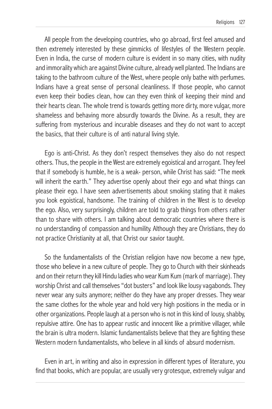All people from the developing countries, who go abroad, first feel amused and then extremely interested by these gimmicks of lifestyles of the Western people. Even in India, the curse of modern culture is evident in so many cities, with nudity and immorality which are against Divine culture, already well planted. The Indians are taking to the bathroom culture of the West, where people only bathe with perfumes. Indians have a great sense of personal cleanliness. If those people, who cannot even keep their bodies clean, how can they even think of keeping their mind and their hearts clean. The whole trend is towards getting more dirty, more vulgar, more shameless and behaving more absurdly towards the Divine. As a result, they are suffering from mysterious and incurable diseases and they do not want to accept the basics, that their culture is of anti natural living style.

Ego is anti-Christ. As they don't respect themselves they also do not respect others. Thus, the people in the West are extremely egoistical and arrogant. They feel that if somebody is humble, he is a weak- person, while Christ has said: "The meek will inherit the earth." They advertise openly about their ego and what things can please their ego. I have seen advertisements about smoking stating that it makes you look egoistical, handsome. The training of children in the West is to develop the ego. Also, very surprisingly, children are told to grab things from others rather than to share with others. I am talking about democratic countries where there is no understanding of compassion and humility. Although they are Christians, they do not practice Christianity at all, that Christ our savior taught.

So the fundamentalists of the Christian religion have now become a new type, those who believe in a new culture of people. They go to Church with their skinheads and on their return they kill Hindu ladies who wear Kum Kum (mark of marriage). They worship Christ and call themselves "dot busters" and look like lousy vagabonds. They never wear any suits anymore; neither do they have any proper dresses. They wear the same clothes for the whole year and hold very high positions in the media or in other organizations. People laugh at a person who is not in this kind of lousy, shabby, repulsive attire. One has to appear rustic and innocent like a primitive villager, while the brain is ultra modern. Islamic fundamentalists believe that they are fighting these Western modern fundamentalists, who believe in all kinds of absurd modernism.

Even in art, in writing and also in expression in different types of literature, you find that books, which are popular, are usually very grotesque, extremely vulgar and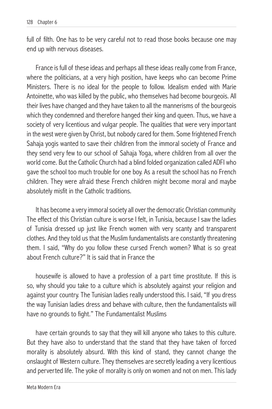full of filth. One has to be very careful not to read those books because one may end up with nervous diseases.

France is full of these ideas and perhaps all these ideas really come from France, where the politicians, at a very high position, have keeps who can become Prime Ministers. There is no ideal for the people to follow. Idealism ended with Marie Antoinette, who was killed by the public, who themselves had become bourgeois. All their lives have changed and they have taken to all the mannerisms of the bourgeois which they condemned and therefore hanged their king and queen. Thus, we have a society of very licentious and vulgar people. The qualities that were very important in the west were given by Christ, but nobody cared for them. Some frightened French Sahaja yogis wanted to save their children from the immoral society of France and they send very few to our school of Sahaja Yoga, where children from all over the world come. But the Catholic Church had a blind folded organization called ADFI who gave the school too much trouble for one boy. As a result the school has no French children. They were afraid these French children might become moral and maybe absolutely misfit in the Catholic traditions.

It has become a very immoral society all over the democratic Christian community. The effect of this Christian culture is worse I felt, in Tunisia, because I saw the ladies of Tunisia dressed up just like French women with very scanty and transparent clothes. And they told us that the Muslim fundamentalists are constantly threatening them. I said, "Why do you follow these cursed French women? What is so great about French culture?" It is said that in France the

housewife is allowed to have a profession of a part time prostitute. If this is so, why should you take to a culture which is absolutely against your religion and against your country. The Tunisian ladies really understood this. I said, "If you dress the way Tunisian ladies dress and behave with culture, then the fundamentalists will have no grounds to fight." The Fundamentalist Muslims

have certain grounds to say that they will kill anyone who takes to this culture. But they have also to understand that the stand that they have taken of forced morality is absolutely absurd. With this kind of stand, they cannot change the onslaught of Western culture. They themselves are secretly leading a very licentious and perverted life. The yoke of morality is only on women and not on men. This lady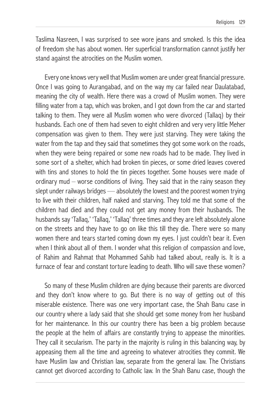Taslima Nasreen, I was surprised to see wore jeans and smoked. Is this the idea of freedom she has about women. Her superficial transformation cannot justify her stand against the atrocities on the Muslim women.

Every one knows very well that Muslim women are under great financial pressure. Once I was going to Aurangabad, and on the way my car failed near Daulatabad, meaning the city of wealth. Here there was a crowd of Muslim women. They were filling water from a tap, which was broken, and I got down from the car and started talking to them. They were all Muslim women who were divorced (Tallaq) by their husbands. Each one of them had seven to eight children and very very little Meher compensation was given to them. They were just starving. They were taking the water from the tap and they said that sometimes they got some work on the roads, when they were being repaired or some new roads had to be made. They lived in some sort of a shelter, which had broken tin pieces, or some dried leaves covered with tins and stones to hold the tin pieces together. Some houses were made of ordinary mud – worse conditions of living. They said that in the rainy season they slept under railways bridges — absolutely the lowest and the poorest women trying to live with their children, half naked and starving. They told me that some of the children had died and they could not get any money from their husbands. The husbands say 'Tallaq,' 'Tallaq,' 'Tallaq' three times and they are left absolutely alone on the streets and they have to go on like this till they die. There were so many women there and tears started coming down my eyes. I just couldn't bear it. Even when I think about all of them. I wonder what this religion of compassion and love, of Rahim and Rahmat that Mohammed Sahib had talked about, really is. It is a furnace of fear and constant torture leading to death. Who will save these women?

So many of these Muslim children are dying because their parents are divorced and they don't know where to go. But there is no way of getting out of this miserable existence. There was one very important case, the Shah Banu case in our country where a lady said that she should get some money from her husband for her maintenance. In this our country there has been a big problem because the people at the helm of affairs are constantly trying to appease the minorities. They call it secularism. The party in the majority is ruling in this balancing way, by appeasing them all the time and agreeing to whatever atrocities they commit. We have Muslim law and Christian law, separate from the general law. The Christians cannot get divorced according to Catholic law. In the Shah Banu case, though the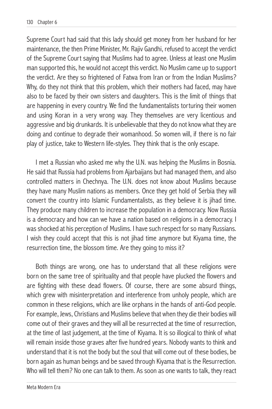Supreme Court had said that this lady should get money from her husband for her maintenance, the then Prime Minister, Mr. Rajiv Gandhi, refused to accept the verdict of the Supreme Court saying that Muslims had to agree. Unless at least one Muslim man supported this, he would not accept this verdict. No Muslim came up to support the verdict. Are they so frightened of Fatwa from Iran or from the Indian Muslims? Why, do they not think that this problem, which their mothers had faced, may have also to be faced by their own sisters and daughters. This is the limit of things that are happening in every country. We find the fundamentalists torturing their women and using Koran in a very wrong way. They themselves are very licentious and aggressive and big drunkards. It is unbelievable that they do not know what they are doing and continue to degrade their womanhood. So women will, if there is no fair play of justice, take to Western life-styles. They think that is the only escape.

I met a Russian who asked me why the U.N. was helping the Muslims in Bosnia. He said that Russia had problems from Ajarbaijans but had managed them, and also controlled matters in Chechnya. The U.N. does not know about Muslims because they have many Muslim nations as members. Once they get hold of Serbia they will convert the country into Islamic Fundamentalists, as they believe it is jihad time. They produce many children to increase the population in a democracy. Now Russia is a democracy and how can we have a nation based on religions in a democracy. I was shocked at his perception of Muslims. I have such respect for so many Russians. I wish they could accept that this is not jihad time anymore but Kiyama time, the resurrection time, the blossom time. Are they going to miss it?

Both things are wrong, one has to understand that all these religions were born on the same tree of spirituality and that people have plucked the flowers and are fighting with these dead flowers. Of course, there are some absurd things, which grew with misinterpretation and interference from unholy people, which are common in these religions, which are like orphans in the hands of anti-God people. For example, Jews, Christians and Muslims believe that when they die their bodies will come out of their graves and they will all be resurrected at the time of resurrection, at the time of last judgement, at the time of Kiyama. It is so illogical to think of what will remain inside those graves after five hundred years. Nobody wants to think and understand that it is not the body but the soul that will come out of these bodies, be born again as human beings and be saved through Kiyama that is the Resurrection. Who will tell them? No one can talk to them. As soon as one wants to talk, they react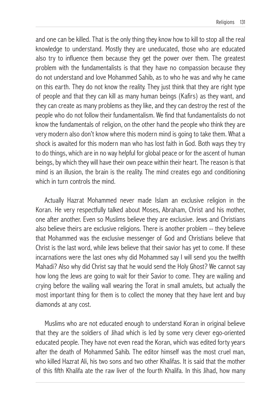and one can be killed. That is the only thing they know how to kill to stop all the real knowledge to understand. Mostly they are uneducated, those who are educated also try to influence them because they get the power over them. The greatest problem with the fundamentalists is that they have no compassion because they do not understand and love Mohammed Sahib, as to who he was and why he came on this earth. They do not know the reality. They just think that they are right type of people and that they can kill as many human beings (Kafirs) as they want, and they can create as many problems as they like, and they can destroy the rest of the people who do not follow their fundamentalism. We find that fundamentalists do not know the fundamentals of religion, on the other hand the people who think they are very modern also don't know where this modern mind is going to take them. What a shock is awaited for this modern man who has lost faith in God. Both ways they try to do things, which are in no way helpful for global peace or for the ascent of human beings, by which they will have their own peace within their heart. The reason is that mind is an illusion, the brain is the reality. The mind creates ego and conditioning which in turn controls the mind.

Actually Hazrat Mohammed never made Islam an exclusive religion in the Koran. He very respectfully talked about Moses, Abraham, Christ and his mother, one after another. Even so Muslims believe they are exclusive. Jews and Christians also believe theirs are exclusive religions. There is another problem -- they believe that Mohammed was the exclusive messenger of God and Christians believe that Christ is the last word, while Jews believe that their savior has yet to come. If these incarnations were the last ones why did Mohammed say I will send you the twelfth Mahadi? Also why did Christ say that he would send the Holy Ghost? We cannot say how long the Jews are going to wait for their Savior to come. They are wailing and crying before the wailing wall wearing the Torat in small amulets, but actually the most important thing for them is to collect the money that they have lent and buy diamonds at any cost.

Muslims who are not educated enough to understand Koran in original believe that they are the soldiers of Jihad which is led by some very clever ego-oriented educated people. They have not even read the Koran, which was edited forty years after the death of Mohammed Sahib. The editor himself was the most cruel man, who killed Hazrat Ali, his two sons and two other Khalifas. It is said that the mother of this fifth Khalifa ate the raw liver of the fourth Khalifa. In this Jihad, how many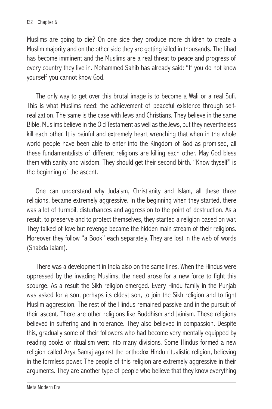Muslims are going to die? On one side they produce more children to create a Muslim majority and on the other side they are getting killed in thousands. The Jihad has become imminent and the Muslims are a real threat to peace and progress of every country they live in. Mohammed Sahib has already said: "If you do not know yourself you cannot know God.

The only way to get over this brutal image is to become a Wali or a real Sufi. This is what Muslims need: the achievement of peaceful existence through selfrealization. The same is the case with Jews and Christians. They believe in the same Bible, Muslims believe in the Old Testament as well as the Jews, but they nevertheless kill each other. It is painful and extremely heart wrenching that when in the whole world people have been able to enter into the Kingdom of God as promised, all these fundamentalists of different religions are killing each other. May God bless them with sanity and wisdom. They should get their second birth. "Know thyself" is the beginning of the ascent.

One can understand why Judaism, Christianity and Islam, all these three religions, became extremely aggressive. In the beginning when they started, there was a lot of turmoil, disturbances and aggression to the point of destruction. As a result, to preserve and to protect themselves, they started a religion based on war. They talked of love but revenge became the hidden main stream of their religions. Moreover they follow "a Book" each separately. They are lost in the web of words (Shabda Jalam).

There was a development in India also on the same lines. When the Hindus were oppressed by the invading Muslims, the need arose for a new force to fight this scourge. As a result the Sikh religion emerged. Every Hindu family in the Punjab was asked for a son, perhaps its eldest son, to join the Sikh religion and to fight Muslim aggression. The rest of the Hindus remained passive and in the pursuit of their ascent. There are other religions like Buddhism and Jainism. These religions believed in suffering and in tolerance. They also believed in compassion. Despite this, gradually some of their followers who had become very mentally equipped by reading books or ritualism went into many divisions. Some Hindus formed a new religion called Arya Samaj against the orthodox Hindu ritualistic religion, believing in the formless power. The people of this religion are extremely aggressive in their arguments. They are another type of people who believe that they know everything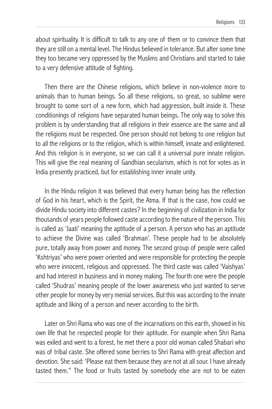about spirituality. It is difficult to talk to any one of them or to convince them that they are still on a mental level. The Hindus believed in tolerance. But after some time they too became very oppressed by the Muslims and Christians and started to take to a very defensive attitude of fighting.

Then there are the Chinese religions, which believe in non-violence more to animals than to human beings. So all these religions, so great, so sublime were brought to some sort of a new form, which had aggression, built inside it. These conditionings of religions have separated human beings. The only way to solve this problem is by understanding that all religions in their essence are the same and all the religions must be respected. One person should not belong to one religion but to all the religions or to the religion, which is within himself, innate and enlightened. And this religion is in everyone, so we can call it a universal pure innate religion. This will give the real meaning of Gandhian secularism, which is not for votes as in India presently practiced, but for establishing inner innate unity.

In the Hindu religion it was believed that every human being has the reflection of God in his heart, which is the Spirit, the Atma. If that is the case, how could we divide Hindu society into different castes? In the beginning of civilization in India for thousands of years people followed caste according to the nature of the person. This is called as 'Jaati' meaning the aptitude of a person. A person who has an aptitude to achieve the Divine was called 'Brahman'. These people had to be absolutely pure, totally away from power and money. The second group of people were called 'Kshtriyas' who were power oriented and were responsible for protecting the people who were innocent, religious and oppressed. The third caste was called 'Vaishyas' and had interest in business and in money making. The fourth one were the people called 'Shudras' meaning people of the lower awareness who just wanted to serve other people for money by very menial services. But this was according to the innate aptitude and liking of a person and never according to the birth.

Later on Shri Rama who was one of the incarnations on this earth, showed in his own life that he respected people for their aptitude. For example when Shri Rama was exiled and went to a forest, he met there a poor old woman called Shabari who was of tribal caste. She offered some berries to Shri Rama with great affection and devotion. She said: 'Please eat them because they are not at all sour. I have already tasted them." The food or fruits tasted by somebody else are not to be eaten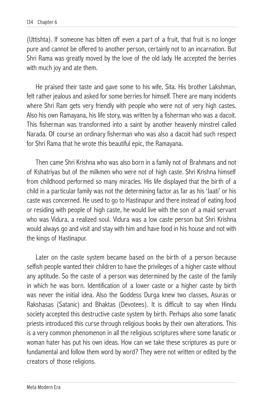(Uttishta). If someone has bitten off even a part of a fruit, that fruit is no longer pure and cannot be offered to another person, certainly not to an incarnation. But Shri Rama was greatly moved by the love of the old lady. He accepted the berries with much joy and ate them.

He praised their taste and gave some to his wife, Sita. His brother Lakshman, felt rather jealous and asked for some berries for himself. There are many incidents where Shri Ram gets very friendly with people who were not of very high castes. Also his own Ramayana, his life story, was written by a fisherman who was a dacoit. This fisherman was transformed into a saint by another heavenly minstrel called Narada. Of course an ordinary fisherman who was also a dacoit had such respect for Shri Rama that he wrote this beautiful epic, the Ramayana.

Then came Shri Krishna who was also born in a family not of Brahmans and not of Kshatriyas but of the milkmen who were not of high caste. Shri Krishna himself from childhood performed so many miracles. His life displayed that the birth of a child in a particular family was not the determining factor as far as his 'Jaati' or his caste was concerned. He used to go to Hastinapur and there instead of eating food or residing with people of high caste, he would live with the son of a maid servant who was Vidura, a realized soul. Vidura was a low caste person but Shri Krishna would always go and visit and stay with him and have food in his house and not with the kings of Hastinapur.

Later on the caste system became based on the birth of a person because selfish people wanted their children to have the privileges of a higher caste without any aptitude. So the caste of a person was determined by the caste of the family in which he was born. Identification of a lower caste or a higher caste by birth was never the initial idea. Also the Goddess Durga knew two classes, Asuras or Rakshasas (Satanic) and Bhaktas (Devotees). It is difficult to say when Hindu society accepted this destructive caste system by birth. Perhaps also some fanatic priests introduced this curse through religious books by their own alterations. This is a very common phenomenon in all the religious scriptures where some fanatic or woman hater has put his own ideas. How can we take these scriptures as pure or fundamental and follow them word by word? They were not written or edited by the creators of those religions.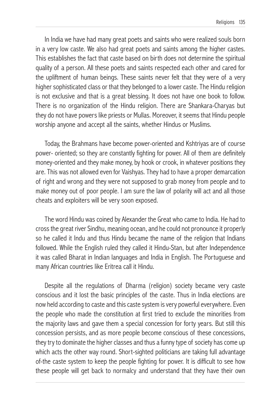In India we have had many great poets and saints who were realized souls born in a very low caste. We also had great poets and saints among the higher castes. This establishes the fact that caste based on birth does not determine the spiritual quality of a person. All these poets and saints respected each other and cared for the upliftment of human beings. These saints never felt that they were of a very higher sophisticated class or that they belonged to a lower caste. The Hindu religion is not exclusive and that is a great blessing. It does not have one book to follow. There is no organization of the Hindu religion. There are Shankara-Charyas but they do not have powers like priests or Mullas. Moreover, it seems that Hindu people worship anyone and accept all the saints, whether Hindus or Muslims.

Today, the Brahmans have become power-oriented and Kshtriyas are of course power- oriented; so they are constantly fighting for power. All of them are definitely money-oriented and they make money, by hook or crook, in whatever positions they are. This was not allowed even for Vaishyas. They had to have a proper demarcation of right and wrong and they were not supposed to grab money from people and to make money out of poor people. I am sure the law of polarity will act and all those cheats and exploiters will be very soon exposed.

The word Hindu was coined by Alexander the Great who came to India. He had to cross the great river Sindhu, meaning ocean, and he could not pronounce it properly so he called it Indu and thus Hindu became the name of the religion that Indians followed. While the English ruled they called it Hindu-Stan, but after Independence it was called Bharat in Indian languages and India in English. The Portuguese and many African countries like Eritrea call it Hindu.

Despite all the regulations of Dharma (religion) society became very caste conscious and it lost the basic principles of the caste. Thus in India elections are now held according to caste and this caste system is very powerful everywhere. Even the people who made the constitution at first tried to exclude the minorities from the majority laws and gave them a special concession for forty years. But still this concession persists, and as more people become conscious of these concessions, they try to dominate the higher classes and thus a funny type of society has come up which acts the other way round. Short-sighted politicians are taking full advantage of-the caste system to keep the people fighting for power. It is difficult to see how these people will get back to normalcy and understand that they have their own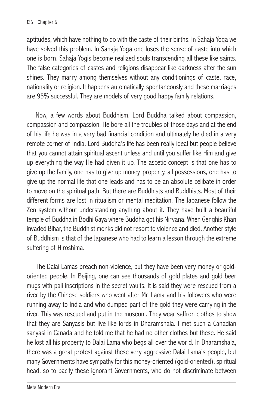aptitudes, which have nothing to do with the caste of their births. In Sahaja Yoga we have solved this problem. In Sahaja Yoga one loses the sense of caste into which one is born. Sahaja Yogis become realized souls transcending all these like saints. The false categories of castes and religions disappear like darkness after the sun shines. They marry among themselves without any conditionings of caste, race, nationality or religion. It happens automatically, spontaneously and these marriages are 95% successful. They are models of very good happy family relations.

Now, a few words about Buddhism. Lord Buddha talked about compassion, compassion and compassion. He bore all the troubles of those days and at the end of his life he was in a very bad financial condition and ultimately he died in a very remote corner of India. Lord Buddha's life has been really ideal but people believe that you cannot attain spiritual ascent unless and until you suffer like Him and give up everything the way He had given it up. The ascetic concept is that one has to give up the family, one has to give up money, property, all possessions, one has to give up the normal life that one leads and has to be an absolute celibate in order to move on the spiritual path. But there are Buddhists and Buddhists. Most of their different forms are lost in ritualism or mental meditation. The Japanese follow the Zen system without understanding anything about it. They have built a beautiful temple of Buddha in Bodhi Gaya where Buddha got his Nirvana. When Genghis Khan invaded Bihar, the Buddhist monks did not resort to violence and died. Another style of Buddhism is that of the Japanese who had to learn a lesson through the extreme suffering of Hiroshima.

The Dalai Lamas preach non-violence, but they have been very money or goldoriented people. In Beijing, one can see thousands of gold plates and gold beer mugs with pali inscriptions in the secret vaults. It is said they were rescued from a river by the Chinese soldiers who went after Mr. Lama and his followers who were running away to India and who dumped part of the gold they were carrying in the river. This was rescued and put in the museum. They wear saffron clothes to show that they are Sanyasis but live like lords in Dharamshala. I met such a Canadian sanyasi in Canada and he told me that he had no other clothes but these. He said he lost all his property to Dalai Lama who begs all over the world. In Dharamshala, there was a great protest against these very aggressive Dalai Lama's people, but many Governments have sympathy for this money-oriented (gold-oriented), spiritual head, so to pacify these ignorant Governments, who do not discriminate between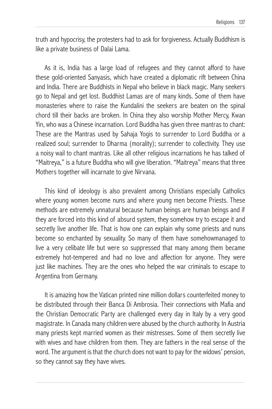truth and hypocrisy, the protesters had to ask for forgiveness. Actually Buddhism is like a private business of Dalai Lama.

As it is, India has a large load of refugees and they cannot afford to have these gold-oriented Sanyasis, which have created a diplomatic rift between China and India. There are Buddhists in Nepal who believe in black magic. Many seekers go to Nepal and get lost. Buddhist Lamas are of many kinds. Some of them have monasteries where to raise the Kundalini the seekers are beaten on the spinal chord till their backs are broken. In China they also worship Mother Mercy, Kwan Yin, who was a Chinese incarnation. Lord Buddha has given three mantras to chant: These are the Mantras used by Sahaja Yogis to surrender to Lord Buddha or a realized soul; surrender to Dharma (morality); surrender to collectivity. They use a noisy wail to chant mantras. Like all other religious incarnations he has talked of "Maitreya," is a future Buddha who will give liberation. "Maitreya" means that three Mothers together will incarnate to give Nirvana.

This kind of ideology is also prevalent among Christians especially Catholics where young women become nuns and where young men become Priests. These methods are extremely unnatural because human beings are human beings and if they are forced into this kind of absurd system, they somehow try to escape it and secretly live another life. That is how one can explain why some priests and nuns become so enchanted by sexuality. So many of them have somehowmanaged to live a very celibate life but were so suppressed that many among them became extremely hot-tempered and had no love and affection for anyone. They were just like machines. They are the ones who helped the war criminals to escape to Argentina from Germany.

It is amazing how the Vatican printed nine million dollars counterfeited money to be distributed through their Banca Di Ambrosia. Their connections with Mafia and the Christian Democratic Party are challenged every day in Italy by a very good magistrate. In Canada many children were abused by the church authority. In Austria many priests kept married women as their mistresses. Some of them secretly live with wives and have children from them. They are fathers in the real sense of the word. The argument is that the church does not want to pay for the widows' pension, so they cannot say they have wives.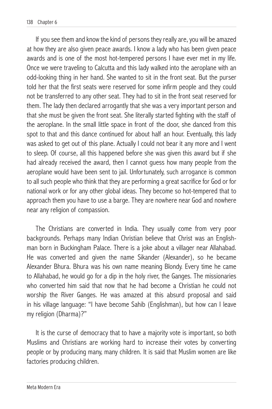If you see them and know the kind of persons they really are, you will be amazed at how they are also given peace awards. I know a lady who has been given peace awards and is one of the most hot-tempered persons I have ever met in my life. Once we were traveling to Calcutta and this lady walked into the aeroplane with an odd-looking thing in her hand. She wanted to sit in the front seat. But the purser told her that the first seats were reserved for some infirm people and they could not be transferred to any other seat. They had to sit in the front seat reserved for them. The lady then declared arrogantly that she was a very important person and that she must be given the front seat. She literally started fighting with the staff of the aeroplane. In the small little space in front of the door, she danced from this spot to that and this dance continued for about half an hour. Eventually, this lady was asked to get out of this plane. Actually I could not bear it any more and I went to sleep. Of course, all this happened before she was given this award but if she had already received the award, then I cannot guess how many people from the aeroplane would have been sent to jail. Unfortunately, such arrogance is common to all such people who think that they are performing a great sacrifice for God or for national work or for any other global ideas. They become so hot-tempered that to approach them you have to use a barge. They are nowhere near God and nowhere near any religion of compassion.

The Christians are converted in India. They usually come from very poor backgrounds. Perhaps many Indian Christian believe that Christ was an Englishman born in Buckingham Palace. There is a joke about a villager near Allahabad. He was converted and given the name Sikander (Alexander), so he became Alexander Bhura. Bhura was his own name meaning Blondy. Every time he came to Allahabad, he would go for a dip in the holy river, the Ganges. The missionaries who converted him said that now that he had become a Christian he could not worship the River Ganges. He was amazed at this absurd proposal and said in his village language: "I have become Sahib (Englishman), but how can I leave my religion (Dharma)?"

It is the curse of democracy that to have a majority vote is important, so both Muslims and Christians are working hard to increase their votes by converting people or by producing many, many children. It is said that Muslim women are like factories producing children.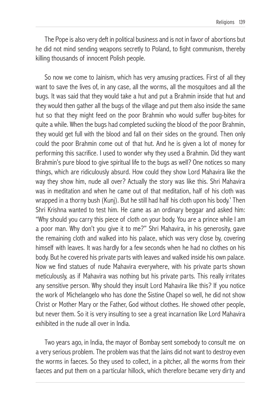The Pope is also very deft in political business and is not in favor of abortions but he did not mind sending weapons secretly to Poland, to fight communism, thereby killing thousands of innocent Polish people.

So now we come to Jainism, which has very amusing practices. First of all they want to save the lives of, in any case, all the worms, all the mosquitoes and all the bugs. It was said that they would take a hut and put a Brahmin inside that hut and they would then gather all the bugs of the village and put them also inside the same hut so that they might feed on the poor Brahmin who would suffer bug-bites for quite a while. When the bugs had completed sucking the blood of the poor Brahmin, they would get full with the blood and fall on their sides on the ground. Then only could the poor Brahmin come out of that hut. And he is given a lot of money for performing this sacrifice. I used to wonder why they used a Brahmin. Did they want Brahmin's pure blood to give spiritual life to the bugs as well? One notices so many things, which are ridiculously absurd. How could they show Lord Mahavira like the way they show him, nude all over? Actually the story was like this. Shri Mahavira was in meditation and when he came out of that meditation, half of his cloth was wrapped in a thorny bush (Kunj). But he still had half his cloth upon his body.' Then Shri Krishna wanted to test him. He came as an ordinary beggar and asked him: "Why should you carry this piece of cloth on your body. You are a prince while I am a poor man. Why don't you give it to me?" Shri Mahavira, in his generosity, gave the remaining cloth and walked into his palace, which was very close by, covering himself with leaves. It was hardly for a few seconds when he had no clothes on his body. But he covered his private parts with leaves and walked inside his own palace. Now we find statues of nude Mahavira everywhere, with his private parts shown meticulously, as if Mahavira was nothing but his private parts. This really irritates any sensitive person. Why should they insult Lord Mahavira like this? If you notice the work of Michelangelo who has done the Sistine Chapel so well, he did not show Christ or Mother Mary or the Father, God without clothes. He showed other people, but never them. So it is very insulting to see a great incarnation like Lord Mahavira exhibited in the nude all over in India.

Two years ago, in India, the mayor of Bombay sent somebody to consult me on a very serious problem. The problem was that the Jains did not want to destroy even the worms in faeces. So they used to collect, in a pitcher, all the worms from their faeces and put them on a particular hillock, which therefore became very dirty and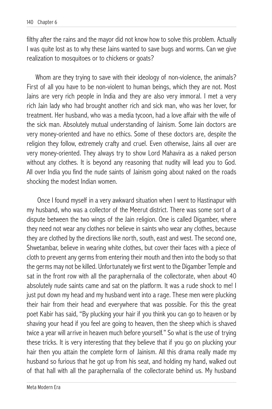filthy after the rains and the mayor did not know how to solve this problem. Actually I was quite lost as to why these Jains wanted to save bugs and worms. Can we give realization to mosquitoes or to chickens or goats?

Whom are they trying to save with their ideology of non-violence, the animals? First of all you have to be non-violent to human beings, which they are not. Most Jains are very rich people in India and they are also very immoral. I met a very rich Jain lady who had brought another rich and sick man, who was her lover, for treatment. Her husband, who was a media tycoon, had a love affair with the wife of the sick man. Absolutely mutual understanding of Jainism. Some Jain doctors are very money-oriented and have no ethics. Some of these doctors are, despite the religion they follow, extremely crafty and cruel. Even otherwise, Jains all over are very money-oriented. They always try to show Lord Mahavira as a naked person without any clothes. It is beyond any reasoning that nudity will lead you to God. All over India you find the nude saints of Jainism going about naked on the roads shocking the modest Indian women.

 Once I found myself in a very awkward situation when I went to Hastinapur with my husband, who was a collector of the Meerut district. There was some sort of a dispute between the two wings of the Jain religion. One is called Digamber, where they need not wear any clothes nor believe in saints who wear any clothes, because they are clothed by the directions like north, south, east and west. The second one, Shwetambar, believe in wearing white clothes, but cover their faces with a piece of cloth to prevent any germs from entering their mouth and then into the body so that the germs may not be killed. Unfortunately we first went to the Digamber Temple and sat in the front row with all the paraphernalia of the collectorate, when about 40 absolutely nude saints came and sat on the platform. It was a rude shock to me! I just put down my head and my husband went into a rage. These men were plucking their hair from their head and everywhere that was possible. For this the great poet Kabir has said, "By plucking your hair if you think you can go to heaven or by shaving your head if you feel are going to heaven, then the sheep which is shaved twice a year will arrive in heaven much before yourself." So what is the use of trying these tricks. It is very interesting that they believe that if you go on plucking your hair then you attain the complete form of Jainism. All this drama really made my husband so furious that he got up from his seat, and holding my hand, walked out of that hall with all the paraphernalia of the collectorate behind us. My husband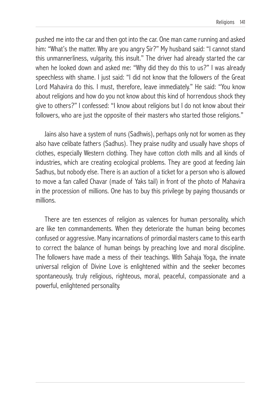141 Chapter 6 Religions 141 Chapter 6 Religions 141

pushed me into the car and then got into the car. One man came running and asked him: "What's the matter. Why are you angry Sir?" My husband said: "I cannot stand this unmannerliness, vulgarity, this insult." The driver had already started the car when he looked down and asked me: "Why did they do this to us?" I was already speechless with shame. I just said: "I did not know that the followers of the Great Lord Mahavira do this. I must, therefore, leave immediately." He said: "You know about religions and how do you not know about this kind of horrendous shock they give to others?" I confessed: "I know about religions but I do not know about their followers, who are just the opposite of their masters who started those religions."

Jains also have a system of nuns (Sadhwis), perhaps only not for women as they also have celibate fathers (Sadhus). They praise nudity and usually have shops of clothes, especially Western clothing. They have cotton cloth mills and all kinds of industries, which are creating ecological problems. They are good at feeding Jain Sadhus, but nobody else. There is an auction of a ticket for a person who is allowed to move a fan called Chavar (made of Yaks tail) in front of the photo of Mahavira in the procession of millions. One has to buy this privilege by paying thousands or millions.

There are ten essences of religion as valences for human personality, which are like ten commandements. When they deteriorate the human being becomes confused or aggressive. Many incarnations of primordial masters came to this earth to correct the balance of human beings by preaching love and moral discipline. The followers have made a mess of their teachings. With Sahaja Yoga, the innate universal religion of Divine Love is enlightened within and the seeker becomes spontaneously, truly religious, righteous, moral, peaceful, compassionate and a powerful, enlightened personality.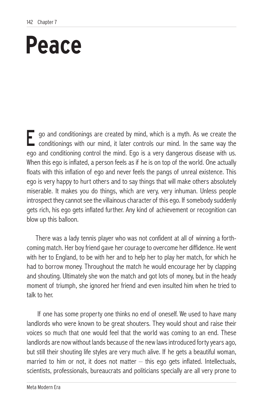## **Peace**

 $\Box$  go and conditionings are created by mind, which is a myth. As we create the go and conditionings are created by mind, which is a myth. As we create the conditionings with our mind, it later controls our mind. In the same way the ego and conditioning control the mind. Ego is a very dangerous disease with us. When this ego is inflated, a person feels as if he is on top of the world. One actually floats with this inflation of ego and never feels the pangs of unreal existence. This ego is very happy to hurt others and to say things that will make others absolutely miserable. It makes you do things, which are very, very inhuman. Unless people introspect they cannot see the villainous character of this ego. If somebody suddenly gets rich, his ego gets inflated further. Any kind of achievement or recognition can blow up this balloon.

There was a lady tennis player who was not confident at all of winning a forthcoming match. Her boy friend gave her courage to overcome her diffidence. He went with her to England, to be with her and to help her to play her match, for which he had to borrow money. Throughout the match he would encourage her by clapping and shouting. Ultimately she won the match and got lots of money, but in the heady moment of triumph, she ignored her friend and even insulted him when he tried to talk to her.

 If one has some property one thinks no end of oneself. We used to have many landlords who were known to be great shouters. They would shout and raise their voices so much that one would feel that the world was coming to an end. These landlords are now without lands because of the new laws introduced forty years ago, but still their shouting life styles are very much alive. If he gets a beautiful woman, married to him or not, it does not matter  $-$  this ego gets inflated. Intellectuals, scientists, professionals, bureaucrats and politicians specially are all very prone to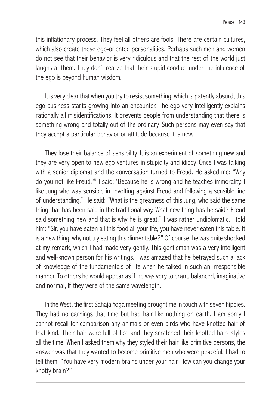this inflationary process. They feel all others are fools. There are certain cultures, which also create these ego-oriented personalities. Perhaps such men and women do not see that their behavior is very ridiculous and that the rest of the world just laughs at them. They don't realize that their stupid conduct under the influence of the ego is beyond human wisdom.

It is very clear that when you try to resist something, which is patently absurd, this ego business starts growing into an encounter. The ego very intelligently explains rationally all misidentifications. It prevents people from understanding that there is something wrong and totally out of the ordinary. Such persons may even say that they accept a particular behavior or attitude because it is new.

They lose their balance of sensibility. It is an experiment of something new and they are very open to new ego ventures in stupidity and idiocy. Once I was talking with a senior diplomat and the conversation turned to Freud. He asked me: "Why do you not like Freud?" I said: 'Because he is wrong and he teaches immorality. I like Jung who was sensible in revolting against Freud and following a sensible line of understanding." He said: "What is the greatness of this Jung, who said the same thing that has been said in the traditional way. What new thing has he said? Freud said something new and that is why he is great." I was rather undiplomatic. I told him: "Sir, you have eaten all this food all your life, you have never eaten this table. It is a new thing, why not try eating this dinner table?" Of course, he was quite shocked at my remark, which I had made very gently. This gentleman was a very intelligent and well-known person for his writings. I was amazed that he betrayed such a lack of knowledge of the fundamentals of life when he talked in such an irresponsible manner. To others he would appear as if he was very tolerant, balanced, imaginative and normal, if they were of the same wavelength.

In the West, the first Sahaja Yoga meeting brought me in touch with seven hippies. They had no earnings that time but had hair like nothing on earth. I am sorry I cannot recall for comparison any animals or even birds who have knotted hair of that kind. Their hair were full of lice and they scratched their knotted hair- styles all the time. When I asked them why they styled their hair like primitive persons, the answer was that they wanted to become primitive men who were peaceful. I had to tell them: "You have very modern brains under your hair. How can you change your knotty brain?"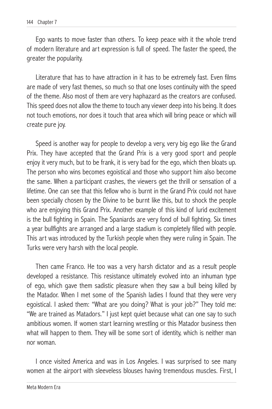Ego wants to move faster than others. To keep peace with it the whole trend of modern literature and art expression is full of speed. The faster the speed, the greater the popularity.

Literature that has to have attraction in it has to be extremely fast. Even films are made of very fast themes, so much so that one loses continuity with the speed of the theme. Also most of them are very haphazard as the creators are confused. This speed does not allow the theme to touch any viewer deep into his being. It does not touch emotions, nor does it touch that area which will bring peace or which will create pure joy.

Speed is another way for people to develop a very, very big ego like the Grand Prix. They have accepted that the Grand Prix is a very good sport and people enjoy it very much, but to be frank, it is very bad for the ego, which then bloats up. The person who wins becomes egoistical and those who support him also become the same. When a participant crashes, the viewers get the thrill or sensation of a lifetime. One can see that this fellow who is burnt in the Grand Prix could not have been specially chosen by the Divine to be burnt like this, but to shock the people who are enjoying this Grand Prix. Another example of this kind of lurid excitement is the bull fighting in Spain. The Spaniards are very fond of bull fighting. Six times a year bullfights are arranged and a large stadium is completely filled with people. This art was introduced by the Turkish people when they were ruling in Spain. The Turks were very harsh with the local people.

Then came Franco. He too was a very harsh dictator and as a result people developed a resistance. This resistance ultimately evolved into an inhuman type of ego, which gave them sadistic pleasure when they saw a bull being killed by the Matador. When I met some of the Spanish ladies I found that they were very egoistical. I asked them: "What are you doing? What is your job?" They told me: "We are trained as Matadors." I just kept quiet because what can one say to such ambitious women. If women start learning wrestling or this Matador business then what will happen to them. They will be some sort of identity, which is neither man nor woman.

I once visited America and was in Los Angeles. I was surprised to see many women at the airport with sleeveless blouses having tremendous muscles. First, I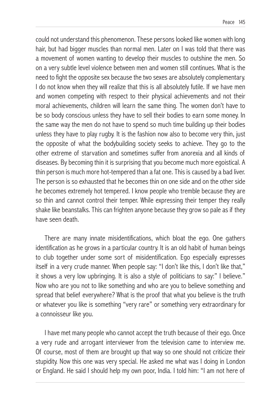could not understand this phenomenon. These persons looked like women with long hair, but had bigger muscles than normal men. Later on I was told that there was a movement of women wanting to develop their muscles to outshine the men. So on a very subtle level violence between men and women still continues. What is the need to fight the opposite sex because the two sexes are absolutely complementary. I do not know when they will realize that this is all absolutely futile. If we have men and women competing with respect to their physical achievements and not their moral achievements, children will learn the same thing. The women don't have to be so body conscious unless they have to sell their bodies to earn some money. In the same way the men do not have to spend so much time building up their bodies unless they have to play rugby. It is the fashion now also to become very thin, just the opposite of what the bodybuilding society seeks to achieve. They go to the other extreme of starvation and sometimes suffer from anorexia and all kinds of diseases. By becoming thin it is surprising that you become much more egoistical. A thin person is much more hot-tempered than a fat one. This is caused by a bad liver. The person is so exhausted that he becomes thin on one side and on the other side he becomes extremely hot tempered. I know people who tremble because they are so thin and cannot control their temper. While expressing their temper they really shake like beanstalks. This can frighten anyone because they grow so pale as if they have seen death.

There are many innate misidentifications, which bloat the ego. One gathers identification as he grows in a particular country. It is an old habit of human beings to club together under some sort of misidentification. Ego especially expresses itself in a very crude manner. When people say: "I don't like this, I don't like that," it shows a very low upbringing. It is also a style of politicians to say:" I believe." Now who are you not to like something and who are you to believe something and spread that belief everywhere? What is the proof that what you believe is the truth or whatever you like is something "very rare" or something very extraordinary for a connoisseur like you.

I have met many people who cannot accept the truth because of their ego. Once a very rude and arrogant interviewer from the television came to interview me. Of course, most of them are brought up that way so one should not criticize their stupidity. Now this one was very special. He asked me what was I doing in London or England. He said I should help my own poor, India. I told him: "I am not here of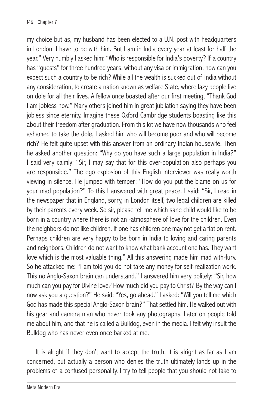my choice but as, my husband has been elected to a U.N. post with headquarters in London, I have to be with him. But I am in India every year at least for half the year." Very humbly I asked him: "Who is responsible for India's poverty? If a country has "guests" for three hundred years, without any visa or immigration, how can you expect such a country to be rich? While all the wealth is sucked out of India without any consideration, to create a nation known as welfare State, where lazy people live on dole for all their lives. A fellow once boasted after our first meeting, "Thank God I am jobless now." Many others joined him in great jubilation saying they have been jobless since eternity. Imagine these Oxford Cambridge students boasting like this about their freedom after graduation. From this lot we have now thousands who feel ashamed to take the dole, I asked him who will become poor and who will become rich? He felt quite upset with this answer from an ordinary Indian housewife. Then he asked another question: "Why do you have such a large population in India?" I said very calmly: "Sir, I may say that for this over-population also perhaps you are responsible." The ego explosion of this English interviewer was really worth viewing in silence. He jumped with temper: "How do you put the blame on us for your mad population?" To this I answered with great peace. I said: "Sir, I read in the newspaper that in England, sorry, in London itself, two legal children are killed by their parents every week. So sir, please tell me which sane child would like to be born in a country where there is not an -atmosphere of love for the children. Even the neighbors do not like children. If one has children one may not get a flat on rent. Perhaps children are very happy to be born in India to loving and caring parents and neighbors. Children do not want to know what bank account one has. They want love which is the most valuable thing." All this answering made him mad with-fury. So he attacked me: "I am told you do not take any money for self-realization work. This no Anglo-Saxon brain can understand." I answered him very politely: "Sir, how much can you pay for Divine love? How much did you pay to Christ? By the way can I now ask you a question?" He said: "Yes, go ahead." I asked: "Will you tell me which God has made this special Anglo-Saxon brain?" That settled him. He walked out with his gear and camera man who never took any photographs. Later on people told me about him, and that he is called a Bulldog, even in the media. I felt why insult the Bulldog who has never even once barked at me.

It is alright if they don't want to accept the truth. It is alright as far as I am concerned, but actually a person who denies the truth ultimately lands up in the problems of a confused personality. I try to tell people that you should not take to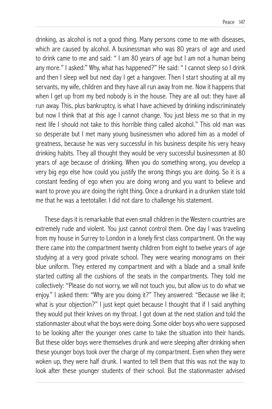drinking, as alcohol is not a good thing. Many persons come to me with diseases, which are caused by alcohol. A businessman who was 80 years of age and used to drink came to me and said: " I am 80 years of age but I am not a human being any more." I asked:" Why, what has happened?" He said: " I cannot sleep so I drink and then I sleep well but next day I get a hangover. Then I start shouting at all my servants, my wife, children and they have all run away from me. Now it happens that when I get up from my bed nobody is in the house. They are all out: they have all run away. This, plus bankruptcy, is what I have achieved by drinking indiscriminately but now I think that at this age I cannot change. You just bless me so that in my next life I should not take to this horrible thing called alcohol." This old man was so desperate but I met many young businessmen who adored him as a model of greatness, because he was very successful in his business despite his very heavy drinking habits. They all thought they would be very successful businessmen at 80 years of age because of drinking. When you do something wrong, you develop a very big ego else how could you justify the wrong things you are doing. So it is a constant feeding of ego when you are doing wrong and you want to believe and want to prove you are doing the right thing. Once a drunkard in a drunken state told me that he was a teetotaller. I did not dare to challenge his statement.

These days it is remarkable that even small children in the Western countries are extremely rude and violent. You just cannot control them. One day I was traveling from my house in Surrey to London in a lonely first class compartment. On the way there came into the compartment twenty children from eight to twelve years of age studying at a very good private school. They were wearing monograms on their blue uniform. They entered my compartment and with a blade and a small knife started cutting all the cushions of the seats in the compartments. They told me collectively: "Please do not worry, we will not touch you, but allow us to do what we enjoy." I asked them: "Why are you doing it?" They answered: "Because we like it; what is your objection?" I just kept quiet because I thought that if I said anything they would put their knives on my throat. I got down at the next station and told the stationmaster about what the boys were doing. Some older boys who were supposed to be looking after the younger ones came to take the situation into their hands. But these older boys were themselves drunk and were sleeping after drinking when these younger boys took over the charge of my compartment. Even when they were woken up, they were half drunk. I wanted to tell them that this was not the way to look after these younger students of their school. But the stationmaster advised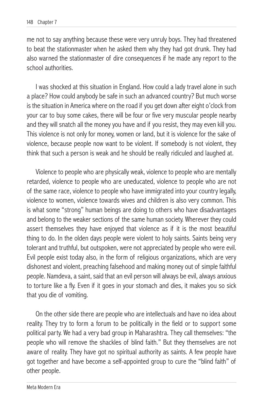me not to say anything because these were very unruly boys. They had threatened to beat the stationmaster when he asked them why they had got drunk. They had also warned the stationmaster of dire consequences if he made any report to the school authorities.

I was shocked at this situation in England. How could a lady travel alone in such a place? How could anybody be safe in such an advanced country? But much worse is the situation in America where on the road if you get down after eight o'clock from your car to buy some cakes, there will be four or five very muscular people nearby and they will snatch all the money you have and if you resist, they may even kill you. This violence is not only for money, women or land, but it is violence for the sake of violence, because people now want to be violent. If somebody is not violent, they think that such a person is weak and he should be really ridiculed and laughed at.

Violence to people who are physically weak, violence to people who are mentally retarded, violence to people who are uneducated, violence to people who are not of the same race, violence to people who have immigrated into your country legally, violence to women, violence towards wives and children is also very common. This is what some "strong" human beings are doing to others who have disadvantages and belong to the weaker sections of the same human society. Wherever they could assert themselves they have enjoyed that violence as if it is the most beautiful thing to do. In the olden days people were violent to holy saints. Saints being very tolerant and truthful, but outspoken, were not appreciated by people who were evil. Evil people exist today also, in the form of religious organizations, which are very dishonest and violent, preaching falsehood and making money out of simple faithful people. Namdeva, a saint, said that an evil person will always be evil, always anxious to torture like a fly. Even if it goes in your stomach and dies, it makes you so sick that you die of vomiting.

On the other side there are people who are intellectuals and have no idea about reality. They try to form a forum to be politically in the field or to support some political party. We had a very bad group in Maharashtra. They call themselves: "the people who will remove the shackles of blind faith." But they themselves are not aware of reality. They have got no spiritual authority as saints. A few people have got together and have become a self-appointed group to cure the "blind faith" of other people.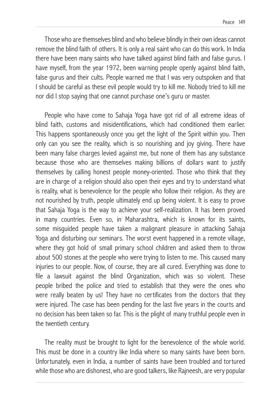Those who are themselves blind and who believe blindly in their own ideas cannot remove the blind faith of others. It is only a real saint who can do this work. In India there have been many saints who have talked against blind faith and false gurus. I have myself, from the year 1972, been warning people openly against blind faith, false gurus and their cults. People warned me that I was very outspoken and that I should be careful as these evil people would try to kill me. Nobody tried to kill me nor did I stop saying that one cannot purchase one's guru or master.

People who have come to Sahaja Yoga have got rid of all extreme ideas of blind faith, customs and misidentifications, which had conditioned them earlier. This happens spontaneously once you get the light of the Spirit within you. Then only can you see the reality, which is so nourishing and joy giving. There have been many false charges levied against me, but none of them has any substance because those who are themselves making billions of dollars want to justify themselves by calling honest people money-oriented. Those who think that they are in charge of a religion should also open their eyes and try to understand what is reality, what is benevolence for the people who follow their religion. As they are not nourished by truth, people ultimately end up being violent. It is easy to prove that Sahaja Yoga is the way to achieve your self-realization. It has been proved in many countries. Even so, in Maharashtra, which is known for its saints, some misguided people have taken a malignant pleasure in attacking Sahaja Yoga and disturbing our seminars. The worst event happened in a remote village, where they got hold of small primary school children and asked them to throw about 500 stones at the people who were trying to listen to me. This caused many injuries to our people. Now, of course, they are all cured. Everything was done to file a lawsuit against the blind Organization, which was so violent. These people bribed the police and tried to establish that they were the ones who were really beaten by us! They have no certificates from the doctors that they were injured. The case has been pending for the last five years in the courts and no decision has been taken so far. This is the plight of many truthful people even in the twentieth century.

The reality must be brought to light for the benevolence of the whole world. This must be done in a country like India where so many saints have been born. Unfortunately, even in India, a number of saints have been troubled and tortured while those who are dishonest, who are good talkers, like Rajneesh, are very popular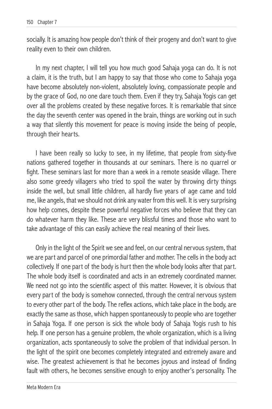socially. It is amazing how people don't think of their progeny and don't want to give reality even to their own children.

In my next chapter, I will tell you how much good Sahaja yoga can do. It is not a claim, it is the truth, but I am happy to say that those who come to Sahaja yoga have become absolutely non-violent, absolutely loving, compassionate people and by the grace of God, no one dare touch them. Even if they try, Sahaja Yogis can get over all the problems created by these negative forces. It is remarkable that since the day the seventh center was opened in the brain, things are working out in such a way that silently this movement for peace is moving inside the being of people, through their hearts.

I have been really so lucky to see, in my lifetime, that people from sixty-five nations gathered together in thousands at our seminars. There is no quarrel or fight. These seminars last for more than a week in a remote seaside village. There also some greedy villagers who tried to spoil the water by throwing dirty things inside the well, but small little children, all hardly five years of age came and told me, like angels, that we should not drink any water from this well. It is very surprising how help comes, despite these powerful negative forces who believe that they can do whatever harm they like. These are very blissful times and those who want to take advantage of this can easily achieve the real meaning of their lives.

Only in the light of the Spirit we see and feel, on our central nervous system, that we are part and parcel of one primordial father and mother. The cells in the body act collectively. If one part of the body is hurt then the whole body looks after that part. The whole body itself is coordinated and acts in an extremely coordinated manner. We need not go into the scientific aspect of this matter. However, it is obvious that every part of the body is somehow connected, through the central nervous system to every other part of the body. The reflex actions, which take place in the body, are exactly the same as those, which happen spontaneously to people who are together in Sahaja Yoga. If one person is sick the whole body of Sahaja Yogis rush to his help. If one person has a genuine problem, the whole organization, which is a living organization, acts spontaneously to solve the problem of that individual person. In the light of the spirit one becomes completely integrated and extremely aware and wise. The greatest achievement is that he becomes joyous and instead of finding fault with others, he becomes sensitive enough to enjoy another's personality. The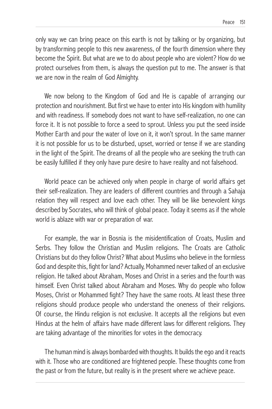only way we can bring peace on this earth is not by talking or by organizing, but by transforming people to this new awareness, of the fourth dimension where they become the Spirit. But what are we to do about people who are violent? How do we protect ourselves from them, is always the question put to me. The answer is that we are now in the realm of God Almighty.

We now belong to the Kingdom of God and He is capable of arranging our protection and nourishment. But first we have to enter into His kingdom with humility and with readiness. If somebody does not want to have self-realization, no one can force it. It is not possible to force a seed to sprout. Unless you put the seed inside Mother Earth and pour the water of love on it, it won't sprout. In the same manner it is not possible for us to be disturbed, upset, worried or tense if we are standing in the light of the Spirit. The dreams of all the people who are seeking the truth can be easily fulfilled if they only have pure desire to have reality and not falsehood.

World peace can be achieved only when people in charge of world affairs get their self-realization. They are leaders of different countries and through a Sahaja relation they will respect and love each other. They will be like benevolent kings described by Socrates, who will think of global peace. Today it seems as if the whole world is ablaze with war or preparation of war.

For example, the war in Bosnia is the misidentification of Croats, Muslim and Serbs. They follow the Christian and Muslim religions. The Croats are Catholic Christians but do they follow Christ? What about Muslims who believe in the formless God and despite this, fight for land? Actually, Mohammed never talked of an exclusive religion. He talked about Abraham, Moses and Christ in a series and the fourth was himself. Even Christ talked about Abraham and Moses. Why do people who follow Moses, Christ or Mohammed fight? They have the same roots. At least these three religions should produce people who understand the oneness of their religions. Of course, the Hindu religion is not exclusive. It accepts all the religions but even Hindus at the helm of affairs have made different laws for different religions. They are taking advantage of the minorities for votes in the democracy.

The human mind is always bombarded with thoughts. It builds the ego and it reacts with it. Those who are conditioned are frightened people. These thoughts come from the past or from the future, but reality is in the present where we achieve peace.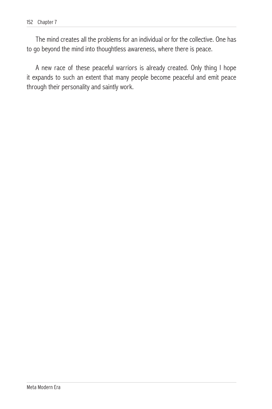The mind creates all the problems for an individual or for the collective. One has to go beyond the mind into thoughtless awareness, where there is peace.

A new race of these peaceful warriors is already created. Only thing I hope it expands to such an extent that many people become peaceful and emit peace through their personality and saintly work.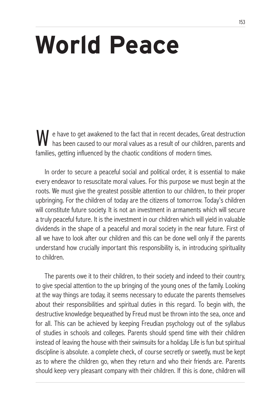## **World Peace**

**W** e have to get awakened to the fact that in recent decades, Great destruction has been caused to our moral values as a result of our children, parents and has been caused to our moral values as a result of our children, parents and families, getting influenced by the chaotic conditions of modern times.

In order to secure a peaceful social and political order, it is essential to make every endeavor to resuscitate moral values. For this purpose we must begin at the roots. We must give the greatest possible attention to our children, to their proper upbringing. For the children of today are the citizens of tomorrow. Today's children will constitute future society. It is not an investment in armaments which will secure a truly peaceful future. It is the investment in our children which will yield in valuable dividends in the shape of a peaceful and moral society in the near future. First of all we have to look after our children and this can be done well only if the parents understand how crucially important this responsibility is, in introducing spirituality to children.

The parents owe it to their children, to their society and indeed to their country, to give special attention to the up bringing of the young ones of the family. Looking at the way things are today, it seems necessary to educate the parents themselves about their responsibilities and spiritual duties in this regard. To begin with, the destructive knowledge bequeathed by Freud must be thrown into the sea, once and for all. This can be achieved by keeping Freudian psychology out of the syllabus of studies in schools and colleges. Parents should spend time with their children instead of leaving the house with their swimsuits for a holiday. Life is fun but spiritual discipline is absolute. a complete check, of course secretly or sweetly, must be kept as to where the children go, when they return and who their friends are. Parents should keep very pleasant company with their children. If this is done, children will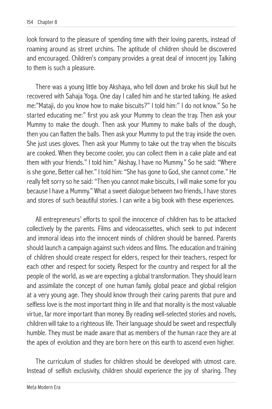look forward to the pleasure of spending time with their loving parents, instead of roaming around as street urchins. The aptitude of children should be discovered and encouraged. Children's company provides a great deal of innocent joy. Talking to them is such a pleasure.

There was a young little boy Akshaya, who fell down and broke his skull but he recovered with Sahaja Yoga. One day I called him and he started talking. He asked me:"Mataji, do you know how to make biscuits?" I told him:" I do not know." So he started educating me:" first you ask your Mummy to clean the tray. Then ask your Mummy to make the dough. Then ask your Mummy to make balls of the dough, then you can flatten the balls. Then ask your Mummy to put the tray inside the oven. She just uses gloves. Then ask your Mummy to take out the tray when the biscuits are cooked. When they become cooler, you can collect them in a cake plate and eat them with your friends." I told him:" Akshay, I have no Mummy." So he said: "Where is she gone, Better call her." I told him: "She has gone to God, she cannot come." He really felt sorry so he said: "Then you cannot make biscuits, I will make some for you because I have a Mummy." What a sweet dialogue between two friends, I have stores and stores of such beautiful stories. I can write a big book with these experiences.

All entrepreneurs' efforts to spoil the innocence of children has to be attacked collectively by the parents. Films and videocassettes, which seek to put indecent and immoral ideas into the innocent minds of children should be banned. Parents should launch a campaign against such videos and films. The education and training of children should create respect for elders, respect for their teachers, respect for each other and respect for society. Respect for the country and respect for all the people of the world, as we are expecting a global transformation. They should learn and assimilate the concept of one human family, global peace and global religion at a very young age. They should know through their caring parents that pure and selfless love is the most important thing in life and that morality is the most valuable virtue, far more important than money. By reading well-selected stories and novels, children will take to a righteous life. Their language should be sweet and respectfully humble. They must be made aware that as members of the human race they are at the apex of evolution and they are born here on this earth to ascend even higher.

The curriculum of studies for children should be developed with utmost care. Instead of selfish exclusivity, children should experience the joy of sharing. They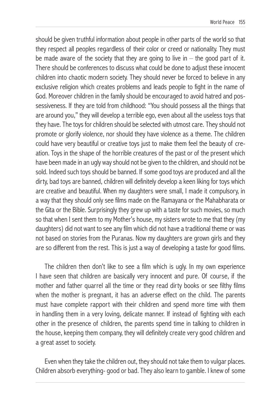should be given truthful information about people in other parts of the world so that they respect all peoples regardless of their color or creed or nationality. They must be made aware of the society that they are going to live in  $-$  the good part of it. There should be conferences to discuss what could be done to adjust these innocent children into chaotic modern society. They should never be forced to believe in any exclusive religion which creates problems and leads people to fight in the name of God. Moreover children in the family should be encouraged to avoid hatred and possessiveness. If they are told from childhood: "You should possess all the things that are around you," they will develop a terrible ego, even about all the useless toys that they have. The toys for children should be selected with utmost care. They should not promote or glorify violence, nor should they have violence as a theme. The children could have very beautiful or creative toys just to make them feel the beauty of creation. Toys in the shape of the horrible creatures of the past or of the present which have been made in an ugly way should not be given to the children, and should not be sold. Indeed such toys should be banned. If some good toys are produced and all the dirty, bad toys are banned, children will definitely develop a keen liking for toys which are creative and beautiful. When my daughters were small, I made it compulsory, in a way that they should only see films made on the Ramayana or the Mahabharata or the Gita or the Bible. Surprisingly they grew up with a taste for such movies, so much so that when I sent them to my Mother's house, my sisters wrote to me that they (my daughters) did not want to see any film which did not have a traditional theme or was not based on stories from the Puranas. Now my daughters are grown girls and they are so different from the rest. This is just a way of developing a taste for good films.

The children then don't like to see a film which is ugly. In my own experience I have seen that children are basically very innocent and pure. Of course, if the mother and father quarrel all the time or they read dirty books or see filthy films when the mother is pregnant, it has an adverse effect on the child. The parents must have complete rapport with their children and spend more time with them in handling them in a very loving, delicate manner. If instead of fighting with each other in the presence of children, the parents spend time in talking to children in the house, keeping them company, they will definitely create very good children and a great asset to society.

Even when they take the children out, they should not take them to vulgar places. Children absorb everything- good or bad. They also learn to gamble. I knew of some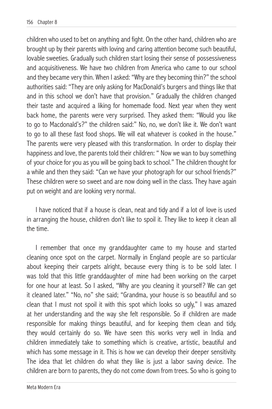children who used to bet on anything and fight. On the other hand, children who are brought up by their parents with loving and caring attention become such beautiful, lovable sweeties. Gradually such children start losing their sense of possessiveness and acquisitiveness. We have two children from America who came to our school and they became very thin. When I asked: "Why are they becoming thin?" the school authorities said: "They are only asking for MacDonald's burgers and things like that and in this school we don't have that provision." Gradually the children changed their taste and acquired a liking for homemade food. Next year when they went back home, the parents were very surprised. They asked them: "Would you like to go to Macdonald's?" the children said:" No, no, we don't like it. We don't want to go to all these fast food shops. We will eat whatever is cooked in the house." The parents were very pleased with this transformation. In order to display their happiness and love, the parents told their children: " Now we wan to buy something of your choice for you as you will be going back to school." The children thought for a while and then they said: "Can we have your photograph for our school friends?" These children were so sweet and are now doing well in the class. They have again put on weight and are looking very normal.

I have noticed that if a house is clean, neat and tidy and if a lot of love is used in arranging the house, children don't like to spoil it. They like to keep it clean all the time.

I remember that once my granddaughter came to my house and started cleaning once spot on the carpet. Normally in England people are so particular about keeping their carpets alright, because every thing is to be sold later. I was told that this little granddaughter of mine had been working on the carpet for one hour at least. So I asked, "Why are you cleaning it yourself? We can get it cleaned later." "No, no" she said; "Grandma, your house is so beautiful and so clean that I must not spoil it with this spot which looks so ugly," I was amazed at her understanding and the way she felt responsible. So if children are made responsible for making things beautiful, and for keeping them clean and tidy, they would certainly do so. We have seen this works very well in India and children immediately take to something which is creative, artistic, beautiful and which has some message in it. This is how we can develop their deeper sensitivity. The idea that let children do what they like is just a labor saving device. The children are born to parents, they do not come down from trees. So who is going to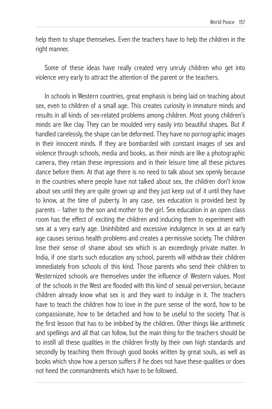help them to shape themselves. Even the teachers have to help the children in the right manner.

Some of these ideas have really created very unruly children who get into violence very early to attract the attention of the parent or the teachers.

In schools in Western countries, great emphasis is being laid on teaching about sex, even to children of a small age. This creates curiosity in immature minds and results in all kinds of sex-related problems among children. Most young children's minds are like clay. They can be moulded very easily into beautiful shapes. But if handled carelessly, the shape can be deformed. They have no pornographic images in their innocent minds. If they are bombarded with constant images of sex and violence through schools, media and books, as their minds are like a photographic camera, they retain these impressions and in their leisure time all these pictures dance before them. At that age there is no need to talk about sex openly because in the countries where people have not talked about sex, the children don't know about sex until they are quite grown up and they just keep out of it until they have to know, at the time of puberty. In any case, sex education is provided best by parents – father to the son and mother to the girl. Sex education in an open class room has the effect of exciting the children and inducing them to experiment with sex at a very early age. Uninhibited and excessive indulgence in sex at an early age causes serious health problems and creates a permissive society. The children lose their sense of shame about sex which is an exceedingly private matter. In India, if one starts such education any school, parents will withdraw their children immediately from schools of this kind. Those parents who send their children to Westernized schools are themselves under the influence of Western values. Most of the schools in the West are flooded with this kind of sexual perversion, because children already know what sex is and they want to indulge in it. The teachers have to teach the children how to love in the pure sense of the word, how to be compassionate, how to be detached and how to be useful to the society. That is the first lesson that has to be imbibed by the children. Other things like arithmetic and spellings and all that can follow, but the main thing for the teachers should be to instill all these qualities in the children firstly by their own high standards and secondly by teaching them through good books written by great souls, as well as books which show how a person suffers if he does not have these qualities or does not heed the commandments which have to be followed.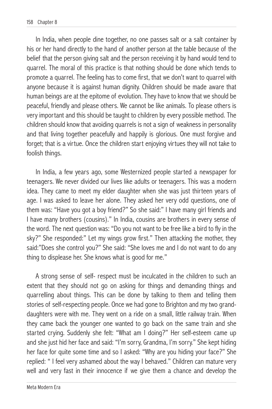In India, when people dine together, no one passes salt or a salt container by his or her hand directly to the hand of another person at the table because of the belief that the person giving salt and the person receiving it by hand would tend to quarrel. The moral of this practice is that nothing should be done which tends to promote a quarrel. The feeling has to come first, that we don't want to quarrel with anyone because it is against human dignity. Children should be made aware that human beings are at the epitome of evolution. They have to know that we should be peaceful, friendly and please others. We cannot be like animals. To please others is very important and this should be taught to children by every possible method. The children should know that avoiding quarrels is not a sign of weakness in personality and that living together peacefully and happily is glorious. One must forgive and forget; that is a virtue. Once the children start enjoying virtues they will not take to foolish things.

In India, a few years ago, some Westernized people started a newspaper for teenagers. We never divided our lives like adults or teenagers. This was a modern idea. They came to meet my elder daughter when she was just thirteen years of age. I was asked to leave her alone. They asked her very odd questions, one of them was: "Have you got a boy friend?" So she said:" I have many girl friends and I have many brothers (cousins)." In India, cousins are brothers in every sense of the word. The next question was: "Do you not want to be free like a bird to fly in the sky?" She responded:" Let my wings grow first." Then attacking the mother, they said:"Does she control you?" She said: "She loves me and I do not want to do any thing to displease her. She knows what is good for me."

A strong sense of self- respect must be inculcated in the children to such an extent that they should not go on asking for things and demanding things and quarrelling about things. This can be done by talking to them and telling them stories of self-respecting people. Once we had gone to Brighton and my two granddaughters were with me. They went on a ride on a small, little railway train. When they came back the younger one wanted to go back on the same train and she started crying. Suddenly she felt: "What am I doing?" Her self-esteem came up and she just hid her face and said: "I'm sorry, Grandma, I'm sorry." She kept hiding her face for quite some time and so I asked: "Why are you hiding your face?" She replied: " I feel very ashamed about the way I behaved." Children can mature very well and very fast in their innocence if we give them a chance and develop the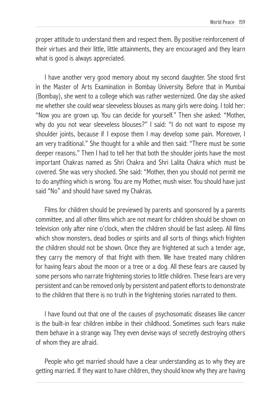proper attitude to understand them and respect them. By positive reinforcement of their virtues and their little, little attainments, they are encouraged and they learn what is good is always appreciated.

I have another very good memory about my second daughter. She stood first in the Master of Arts Examination in Bombay University. Before that in Mumbai (Bombay), she went to a college which was rather westernized. One day she asked me whether she could wear sleeveless blouses as many girls were doing. I told her: "Now you are grown up. You can decide for yourself." Then she asked: "Mother, why do you not wear sleeveless blouses?" I said: "I do not want to expose my shoulder joints, because if I expose them I may develop some pain. Moreover, I am very traditional." She thought for a while and then said: "There must be some deeper reasons." Then I had to tell her that both the shoulder joints have the most important Chakras named as Shri Chakra and Shri Lalita Chakra which must be covered. She was very shocked. She said: "Mother, then you should not permit me to do anything which is wrong. You are my Mother, mush wiser. You should have just said "No" and should have saved my Chakras.

Films for children should be previewed by parents and sponsored by a parents committee, and all other films which are not meant for children should be shown on television only after nine o'clock, when the children should be fast asleep. All films which show monsters, dead bodies or spirits and all sorts of things which frighten the children should not be shown. Once they are frightened at such a tender age, they carry the memory of that fright with them. We have treated many children for having fears about the moon or a tree or a dog. All these fears are caused by some persons who narrate frightening stories to little children. These fears are very persistent and can be removed only by persistent and patient efforts to demonstrate to the children that there is no truth in the frightening stories narrated to them.

I have found out that one of the causes of psychosomatic diseases like cancer is the built-in fear children imbibe in their childhood. Sometimes such fears make them behave in a strange way. They even devise ways of secretly destroying others of whom they are afraid.

People who get married should have a clear understanding as to why they are getting married. If they want to have children, they should know why they are having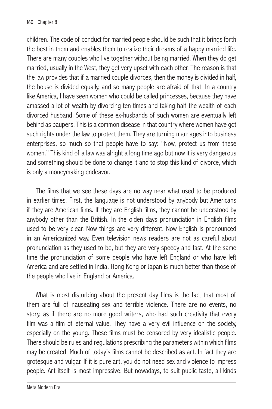children. The code of conduct for married people should be such that it brings forth the best in them and enables them to realize their dreams of a happy married life. There are many couples who live together without being married. When they do get married, usually in the West, they get very upset with each other. The reason is that the law provides that if a married couple divorces, then the money is divided in half, the house is divided equally, and so many people are afraid of that. In a country like America, I have seen women who could be called princesses, because they have amassed a lot of wealth by divorcing ten times and taking half the wealth of each divorced husband. Some of these ex-husbands of such women are eventually left behind as paupers. This is a common disease in that country where women have got such rights under the law to protect them. They are turning marriages into business enterprises, so much so that people have to say: "Now, protect us from these women." This kind of a law was alright a long time ago but now it is very dangerous and something should be done to change it and to stop this kind of divorce, which is only a moneymaking endeavor.

The films that we see these days are no way near what used to be produced in earlier times. First, the language is not understood by anybody but Americans if they are American films. If they are English films, they cannot be understood by anybody other than the British. In the olden days pronunciation in English films used to be very clear. Now things are very different. Now English is pronounced in an Americanized way. Even television news readers are not as careful about pronunciation as they used to be, but they are very speedy and fast. At the same time the pronunciation of some people who have left England or who have left America and are settled in India, Hong Kong or Japan is much better than those of the people who live in England or America.

What is most disturbing about the present day films is the fact that most of them are full of nauseating sex and terrible violence. There are no events, no story, as if there are no more good writers, who had such creativity that every film was a film of eternal value. They have a very evil influence on the society, especially on the young. These films must be censored by very idealistic people. There should be rules and regulations prescribing the parameters within which films may be created. Much of today's films cannot be described as art. In fact they are grotesque and vulgar. If it is pure art, you do not need sex and violence to impress people. Art itself is most impressive. But nowadays, to suit public taste, all kinds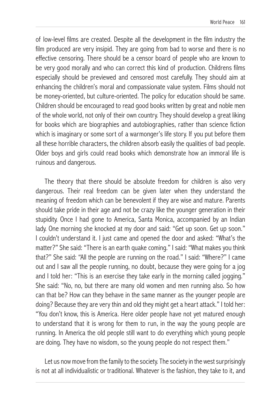of low-level films are created. Despite all the development in the film industry the film produced are very insipid. They are going from bad to worse and there is no effective censoring. There should be a censor board of people who are known to be very good morally and who can correct this kind of production. Childrens films especially should be previewed and censored most carefully. They should aim at enhancing the children's moral and compassionate value system. Films should not be money-oriented, but culture-oriented. The policy for education should be same. Children should be encouraged to read good books written by great and noble men of the whole world, not only of their own country. They should develop a great liking for books which are biographies and autobiographies, rather than science fiction which is imaginary or some sort of a warmonger's life story. If you put before them all these horrible characters, the children absorb easily the qualities of bad people. Older boys and girls could read books which demonstrate how an immoral life is ruinous and dangerous.

The theory that there should be absolute freedom for children is also very dangerous. Their real freedom can be given later when they understand the meaning of freedom which can be benevolent if they are wise and mature. Parents should take pride in their age and not be crazy like the younger generation in their stupidity. Once I had gone to America, Santa Monica, accompanied by an Indian lady. One morning she knocked at my door and said: "Get up soon. Get up soon." I couldn't understand it. I just came and opened the door and asked: "What's the matter?" She said: "There is an earth quake coming." I said: "What makes you think that?" She said: "All the people are running on the road." I said: "Where?" I came out and I saw all the people running, no doubt, because they were going for a jog and I told her: "This is an exercise they take early in the morning called jogging." She said: "No, no, but there are many old women and men running also. So how can that be? How can they behave in the same manner as the younger people are doing? Because they are very thin and old they might get a heart attack." I told her: "You don't know, this is America. Here older people have not yet matured enough to understand that it is wrong for them to run, in the way the young people are running. In America the old people still want to do everything which young people are doing. They have no wisdom, so the young people do not respect them."

Let us now move from the family to the society. The society in the west surprisingly is not at all individualistic or traditional. Whatever is the fashion, they take to it, and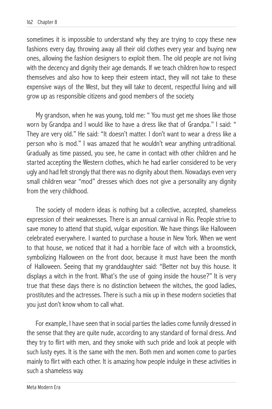sometimes it is impossible to understand why they are trying to copy these new fashions every day, throwing away all their old clothes every year and buying new ones, allowing the fashion designers to exploit them. The old people are not living with the decency and dignity their age demands. If we teach children how to respect themselves and also how to keep their esteem intact, they will not take to these expensive ways of the West, but they will take to decent, respectful living and will grow up as responsible citizens and good members of the society.

My grandson, when he was young, told me: " You must get me shoes like those worn by Grandpa and I would like to have a dress like that of Grandpa." I said: " They are very old." He said: "It doesn't matter. I don't want to wear a dress like a person who is mod." I was amazed that he wouldn't wear anything untraditional. Gradually as time passed, you see, he came in contact with other children and he started accepting the Western clothes, which he had earlier considered to be very ugly and had felt strongly that there was no dignity about them. Nowadays even very small children wear "mod" dresses which does not give a personality any dignity from the very childhood.

The society of modern ideas is nothing but a collective, accepted, shameless expression of their weaknesses. There is an annual carnival in Rio. People strive to save money to attend that stupid, vulgar exposition. We have things like Halloween celebrated everywhere. I wanted to purchase a house in New York. When we went to that house, we noticed that it had a horrible face of witch with a broomstick, symbolizing Halloween on the front door, because it must have been the month of Halloween. Seeing that my granddaughter said: "Better not buy this house. It displays a witch in the front. What's the use of going inside the house?" It is very true that these days there is no distinction between the witches, the good ladies, prostitutes and the actresses. There is such a mix up in these modern societies that you just don't know whom to call what.

For example, I have seen that in social parties the ladies come funnily dressed in the sense that they are quite nude, according to any standard of formal dress. And they try to flirt with men, and they smoke with such pride and look at people with such lusty eyes. It is the same with the men. Both men and women come to parties mainly to flirt with each other. It is amazing how people indulge in these activities in such a shameless way.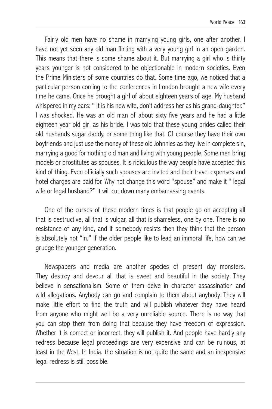Fairly old men have no shame in marrying young girls, one after another. I have not yet seen any old man flirting with a very young girl in an open garden. This means that there is some shame about it. But marrying a girl who is thirty years younger is not considered to be objectionable in modern societies. Even the Prime Ministers of some countries do that. Some time ago, we noticed that a particular person coming to the conferences in London brought a new wife every time he came. Once he brought a girl of about eighteen years of age. My husband whispered in my ears: " It is his new wife, don't address her as his grand-daughter." I was shocked. He was an old man of about sixty five years and he had a little eighteen year old girl as his bride. I was told that these young brides called their old husbands sugar daddy, or some thing like that. Of course they have their own boyfriends and just use the money of these old Johnnies as they live in complete sin, marrying a good for nothing old man and living with young people. Some men bring models or prostitutes as spouses. It is ridiculous the way people have accepted this kind of thing. Even officially such spouses are invited and their travel expenses and hotel charges are paid for. Why not change this word "spouse" and make it " legal wife or legal husband?" It will cut down many embarrassing events.

One of the curses of these modern times is that people go on accepting all that is destructive, all that is vulgar, all that is shameless, one by one. There is no resistance of any kind, and if somebody resists then they think that the person is absolutely not "in." If the older people like to lead an immoral life, how can we grudge the younger generation.

Newspapers and media are another species of present day monsters. They destroy and devour all that is sweet and beautiful in the society. They believe in sensationalism. Some of them delve in character assassination and wild allegations. Anybody can go and complain to them about anybody. They will make little effort to find the truth and will publish whatever they have heard from anyone who might well be a very unreliable source. There is no way that you can stop them from doing that because they have freedom of expression. Whether it is correct or incorrect, they will publish it. And people have hardly any redress because legal proceedings are very expensive and can be ruinous, at least in the West. In India, the situation is not quite the same and an inexpensive legal redress is still possible.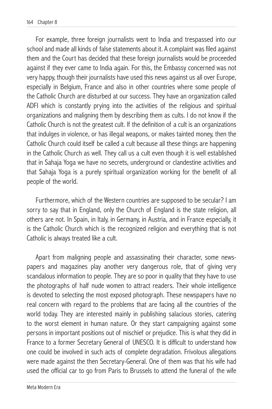For example, three foreign journalists went to India and trespassed into our school and made all kinds of false statements about it. A complaint was filed against them and the Court has decided that these foreign journalists would be proceeded against if they ever came to India again. For this, the Embassy concerned was not very happy, though their journalists have used this news against us all over Europe, especially in Belgium, France and also in other countries where some people of the Catholic Church are disturbed at our success. They have an organization called ADFI which is constantly prying into the activities of the religious and spiritual organizations and maligning them by describing them as cults. I do not know if the Catholic Church is not the greatest cult. If the definition of a cult is an organizations that indulges in violence, or has illegal weapons, or makes tainted money, then the Catholic Church could itself be called a cult because all these things are happening in the Catholic Church as well. They call us a cult even though it is well established that in Sahaja Yoga we have no secrets, underground or clandestine activities and that Sahaja Yoga is a purely spiritual organization working for the benefit of all people of the world.

Furthermore, which of the Western countries are supposed to be secular? I am sorry to say that in England, only the Church of England is the state religion, all others are not. In Spain, in Italy, in Germany, in Austria, and in France especially, it is the Catholic Church which is the recognized religion and everything that is not Catholic is always treated like a cult.

Apart from maligning people and assassinating their character, some newspapers and magazines play another very dangerous role, that of giving very scandalous information to people. They are so poor in quality that they have to use the photographs of half nude women to attract readers. Their whole intelligence is devoted to selecting the most exposed photograph. These newspapers have no real concern with regard to the problems that are facing all the countries of the world today. They are interested mainly in publishing salacious stories, catering to the worst element in human nature. Or they start campaigning against some persons in important positions out of mischief or prejudice. This is what they did in France to a former Secretary General of UNESCO. It is difficult to understand how one could be involved in such acts of complete degradation. Frivolous allegations were made against the then Secretary-General. One of them was that his wife had used the official car to go from Paris to Brussels to attend the funeral of the wife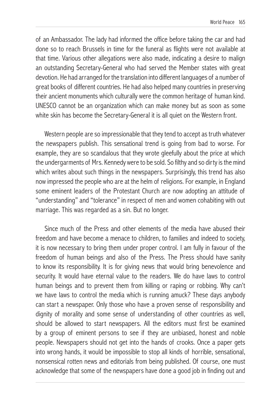of an Ambassador. The lady had informed the office before taking the car and had done so to reach Brussels in time for the funeral as flights were not available at that time. Various other allegations were also made, indicating a desire to malign an outstanding Secretary-General who had served the Member states with great devotion. He had arranged for the translation into different languages of a number of great books of different countries. He had also helped many countries in preserving their ancient monuments which culturally were the common heritage of human kind. UNESCO cannot be an organization which can make money but as soon as some white skin has become the Secretary-General it is all quiet on the Western front.

Western people are so impressionable that they tend to accept as truth whatever the newspapers publish. This sensational trend is going from bad to worse. For example, they are so scandalous that they wrote gleefully about the price at which the undergarments of Mrs. Kennedy were to be sold. So filthy and so dirty is the mind which writes about such things in the newspapers. Surprisingly, this trend has also now impressed the people who are at the helm of religions. For example, in England some eminent leaders of the Protestant Church are now adopting an attitude of "understanding" and "tolerance" in respect of men and women cohabiting with out marriage. This was regarded as a sin. But no longer.

Since much of the Press and other elements of the media have abused their freedom and have become a menace to children, to families and indeed to society, it is now necessary to bring them under proper control. I am fully in favour of the freedom of human beings and also of the Press. The Press should have sanity to know its responsibility. It is for giving news that would bring benevolence and security. It would have eternal value to the readers. We do have laws to control human beings and to prevent them from killing or raping or robbing. Why can't we have laws to control the media which is running amuck? These days anybody can start a newspaper. Only those who have a proven sense of responsibility and dignity of morality and some sense of understanding of other countries as well, should be allowed to start newspapers. All the editors must first be examined by a group of eminent persons to see if they are unbiased, honest and noble people. Newspapers should not get into the hands of crooks. Once a paper gets into wrong hands, it would be impossible to stop all kinds of horrible, sensational, nonsensical rotten news and editorials from being published. Of course, one must acknowledge that some of the newspapers have done a good job in finding out and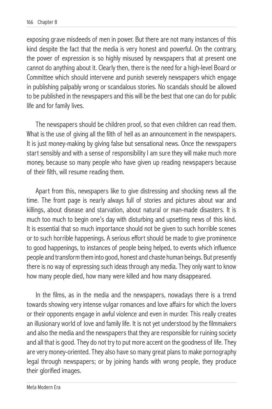exposing grave misdeeds of men in power. But there are not many instances of this kind despite the fact that the media is very honest and powerful. On the contrary, the power of expression is so highly misused by newspapers that at present one cannot do anything about it. Clearly then, there is the need for a high-level Board or Committee which should intervene and punish severely newspapers which engage in publishing palpably wrong or scandalous stories. No scandals should be allowed to be published in the newspapers and this will be the best that one can do for public life and for family lives.

The newspapers should be children proof, so that even children can read them. What is the use of giving all the filth of hell as an announcement in the newspapers. It is just money-making by giving false but sensational news. Once the newspapers start sensibly and with a sense of responsibility I am sure they will make much more money, because so many people who have given up reading newspapers because of their filth, will resume reading them.

Apart from this, newspapers like to give distressing and shocking news all the time. The front page is nearly always full of stories and pictures about war and killings, about disease and starvation, about natural or man-made disasters. It is much too much to begin one's day with disturbing and upsetting news of this kind. It is essential that so much importance should not be given to such horrible scenes or to such horrible happenings. A serious effort should be made to give prominence to good happenings, to instances of people being helped, to events which influence people and transform them into good, honest and chaste human beings. But presently there is no way of expressing such ideas through any media. They only want to know how many people died, how many were killed and how many disappeared.

In the films, as in the media and the newspapers, nowadays there is a trend towards showing very intense vulgar romances and love affairs for which the lovers or their opponents engage in awful violence and even in murder. This really creates an illusionary world of love and family life. It is not yet understood by the filmmakers and also the media and the newspapers that they are responsible for ruining society and all that is good. They do not try to put more accent on the goodness of life. They are very money-oriented. They also have so many great plans to make pornography legal through newspapers; or by joining hands with wrong people, they produce their glorified images.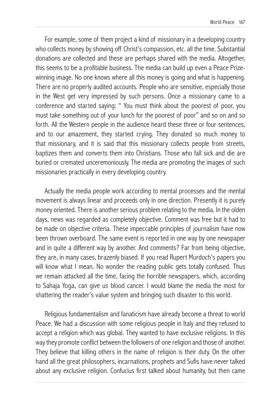For example, some of them project a kind of missionary in a developing country who collects money by showing off Christ's compassion, etc. all the time. Substantial donations are collected and these are perhaps shared with the media. Altogether, this seems to be a profitable business. The media can build up even a Peace Prizewinning image. No one knows where all this money is going and what is happening. There are no properly audited accounts. People who are sensitive, especially those in the West get very impressed by such persons. Once a missionary came to a conference and started saying: " You must think about the poorest of poor, you must take something out of your lunch for the poorest of poor" and so on and so forth. All the Western people in the audience heard these three or four sentences, and to our amazement, they started crying. They donated so much money to that missionary, and it is said that this missionary collects people from streets, baptizes them and converts them into Christians. Those who fall sick and die are buried or cremated unceremoniously. The media are promoting the images of such missionaries practically in every developing country.

Actually the media people work according to mental processes and the mental movement is always linear and proceeds only in one direction. Presently it is purely money oriented. There is another serious problem relating to the media. In the olden days, news was regarded as completely objective. Comment was free but it had to be made on objective criteria. These impeccable principles of journalism have now been thrown overboard. The same event is reported in one way by one newspaper and in quite a different way by another. And comments? Far from being objective, they are, in many cases, brazenly biased. If you read Rupert Murdoch's papers you will know what I mean. No wonder the reading public gets totally confused. Thus we remain attacked all the time, facing the horrible newspapers, which, according to Sahaja Yoga, can give us blood cancer. I would blame the media the most for shattering the reader's value system and bringing such disaster to this world.

Religious fundamentalism and fanaticism have already become a threat to world Peace. We had a discussion with some religious people in Italy and they refused to accept a religion which was global. They wanted to have exclusive religions. In this way they promote conflict between the followers of one religion and those of another. They believe that killing others in the name of religion is their duty. On the other hand all the great philosophers, incarnations, prophets and Sufis have never talked about any exclusive religion. Confucius first talked about humanity, but then came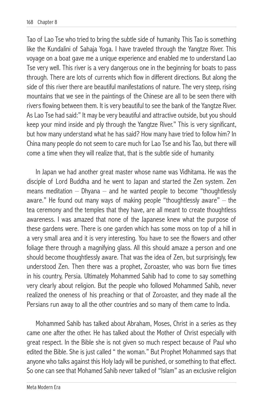Tao of Lao Tse who tried to bring the subtle side of humanity. This Tao is something like the Kundalini of Sahaja Yoga. I have traveled through the Yangtze River. This voyage on a boat gave me a unique experience and enabled me to understand Lao Tse very well. This river is a very dangerous one in the beginning for boats to pass through. There are lots of currents which flow in different directions. But along the side of this river there are beautiful manifestations of nature. The very steep, rising mountains that we see in the paintings of the Chinese are all to be seen there with rivers flowing between them. It is very beautiful to see the bank of the Yangtze River. As Lao Tse had said:" It may be very beautiful and attractive outside, but you should keep your mind inside and ply through the Yangtze River." This is very significant, but how many understand what he has said? How many have tried to follow him? In China many people do not seem to care much for Lao Tse and his Tao, but there will come a time when they will realize that, that is the subtle side of humanity.

In Japan we had another great master whose name was Vidhitama. He was the disciple of Lord Buddha and he went to Japan and started the Zen system. Zen means meditation  $-$  Dhyana  $-$  and he wanted people to become "thoughtlessly aware." He found out many ways of making people "thoughtlessly aware" – the tea ceremony and the temples that they have, are all meant to create thoughtless awareness. I was amazed that none of the Japanese knew what the purpose of these gardens were. There is one garden which has some moss on top of a hill in a very small area and it is very interesting. You have to see the flowers and other foliage there through a magnifying glass. All this should amaze a person and one should become thoughtlessly aware. That was the idea of Zen, but surprisingly, few understood Zen. Then there was a prophet, Zoroaster, who was born five times in his country, Persia. Ultimately Mohammed Sahib had to come to say something very clearly about religion. But the people who followed Mohammed Sahib, never realized the oneness of his preaching or that of Zoroaster, and they made all the Persians run away to all the other countries and so many of them came to India.

Mohammed Sahib has talked about Abraham, Moses, Christ in a series as they came one after the other. He has talked about the Mother of Christ especially with great respect. In the Bible she is not given so much respect because of Paul who edited the Bible. She is just called " the woman." But Prophet Mohammed says that anyone who talks against this Holy lady will be punished, or something to that effect. So one can see that Mohamed Sahib never talked of "Islam" as an exclusive religion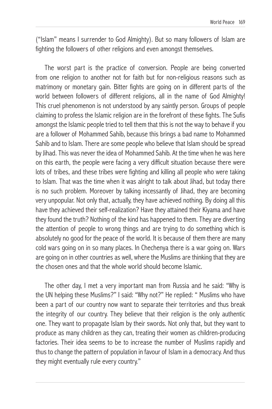("Islam" means I surrender to God Almighty). But so many followers of Islam are fighting the followers of other religions and even amongst themselves.

The worst part is the practice of conversion. People are being converted from one religion to another not for faith but for non-religious reasons such as matrimony or monetary gain. Bitter fights are going on in different parts of the world between followers of different religions, all in the name of God Almighty! This cruel phenomenon is not understood by any saintly person. Groups of people claiming to profess the Islamic religion are in the forefront of these fights. The Sufis amongst the Islamic people tried to tell them that this is not the way to behave if you are a follower of Mohammed Sahib, because this brings a bad name to Mohammed Sahib and to Islam. There are some people who believe that Islam should be spread by Jihad. This was never the idea of Mohammed Sahib. At the time when he was here on this earth, the people were facing a very difficult situation because there were lots of tribes, and these tribes were fighting and killing all people who were taking to Islam. That was the time when it was alright to talk about Jihad, but today there is no such problem. Moreover by talking incessantly of Jihad, they are becoming very unpopular. Not only that, actually, they have achieved nothing. By doing all this have they achieved their self-realization? Have they attained their Kiyama and have they found the truth? Nothing of the kind has happened to them. They are diverting the attention of people to wrong things and are trying to do something which is absolutely no good for the peace of the world. It is because of them there are many cold wars going on in so many places. In Chechenya there is a war going on. Wars are going on in other countries as well, where the Muslims are thinking that they are the chosen ones and that the whole world should become Islamic.

The other day, I met a very important man from Russia and he said: "Why is the UN helping these Muslims?" I said: "Why not?" He replied: " Muslims who have been a part of our country now want to separate their territories and thus break the integrity of our country. They believe that their religion is the only authentic one. They want to propagate Islam by their swords. Not only that, but they want to produce as many children as they can, treating their women as children-producing factories. Their idea seems to be to increase the number of Muslims rapidly and thus to change the pattern of population in favour of Islam in a democracy. And thus they might eventually rule every country."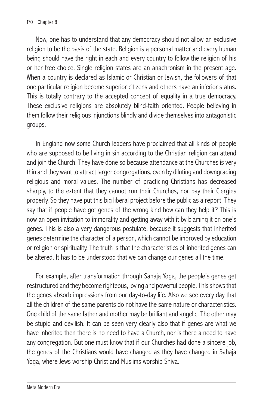Now, one has to understand that any democracy should not allow an exclusive religion to be the basis of the state. Religion is a personal matter and every human being should have the right in each and every country to follow the religion of his or her free choice. Single religion states are an anachronism in the present age. When a country is declared as Islamic or Christian or Jewish, the followers of that one particular religion become superior citizens and others have an inferior status. This is totally contrary to the accepted concept of equality in a true democracy. These exclusive religions are absolutely blind-faith oriented. People believing in them follow their religious injunctions blindly and divide themselves into antagonistic groups.

In England now some Church leaders have proclaimed that all kinds of people who are supposed to be living in sin according to the Christian religion can attend and join the Church. They have done so because attendance at the Churches is very thin and they want to attract larger congregations, even by diluting and downgrading religious and moral values. The number of practicing Christians has decreased sharply, to the extent that they cannot run their Churches, nor pay their Clergies properly. So they have put this big liberal project before the public as a report. They say that if people have got genes of the wrong kind how can they help it? This is now an open invitation to immorality and getting away with it by blaming it on one's genes. This is also a very dangerous postulate, because it suggests that inherited genes determine the character of a person, which cannot be improved by education or religion or spirituality. The truth is that the characteristics of inherited genes can be altered. It has to be understood that we can change our genes all the time.

For example, after transformation through Sahaja Yoga, the people's genes get restructured and they become righteous, loving and powerful people. This shows that the genes absorb impressions from our day-to-day life. Also we see every day that all the children of the same parents do not have the same nature or characteristics. One child of the same father and mother may be brilliant and angelic. The other may be stupid and devilish. It can be seen very clearly also that if genes are what we have inherited then there is no need to have a Church, nor is there a need to have any congregation. But one must know that if our Churches had done a sincere job, the genes of the Christians would have changed as they have changed in Sahaja Yoga, where Jews worship Christ and Muslims worship Shiva.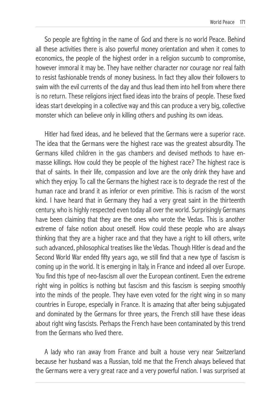So people are fighting in the name of God and there is no world Peace. Behind all these activities there is also powerful money orientation and when it comes to economics, the people of the highest order in a religion succumb to compromise, however immoral it may be. They have neither character nor courage nor real faith to resist fashionable trends of money business. In fact they allow their followers to swim with the evil currents of the day and thus lead them into hell from where there is no return. These religions inject fixed ideas into the brains of people. These fixed ideas start developing in a collective way and this can produce a very big, collective monster which can believe only in killing others and pushing its own ideas.

Hitler had fixed ideas, and he believed that the Germans were a superior race. The idea that the Germans were the highest race was the greatest absurdity. The Germans killed children in the gas chambers and devised methods to have enmasse killings. How could they be people of the highest race? The highest race is that of saints. In their life, compassion and love are the only drink they have and which they enjoy. To call the Germans the highest race is to degrade the rest of the human race and brand it as inferior or even primitive. This is racism of the worst kind. I have heard that in Germany they had a very great saint in the thirteenth century, who is highly respected even today all over the world. Surprisingly Germans have been claiming that they are the ones who wrote the Vedas. This is another extreme of false notion about oneself. How could these people who are always thinking that they are a higher race and that they have a right to kill others, write such advanced, philosophical treatises like the Vedas. Though Hitler is dead and the Second World War ended fifty years ago, we still find that a new type of fascism is coming up in the world. It is emerging in Italy, in France and indeed all over Europe. You find this type of neo-fascism all over the European continent. Even the extreme right wing in politics is nothing but fascism and this fascism is seeping smoothly into the minds of the people. They have even voted for the right wing in so many countries in Europe, especially in France. It is amazing that after being subjugated and dominated by the Germans for three years, the French still have these ideas about right wing fascists. Perhaps the French have been contaminated by this trend from the Germans who lived there.

A lady who ran away from France and built a house very near Switzerland because her husband was a Russian, told me that the French always believed that the Germans were a very great race and a very powerful nation. I was surprised at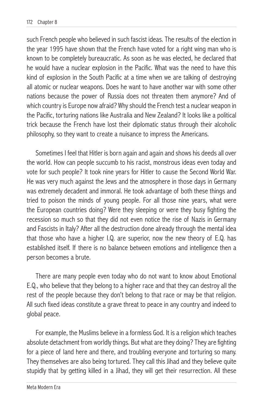such French people who believed in such fascist ideas. The results of the election in the year 1995 have shown that the French have voted for a right wing man who is known to be completely bureaucratic. As soon as he was elected, he declared that he would have a nuclear explosion in the Pacific. What was the need to have this kind of explosion in the South Pacific at a time when we are talking of destroying all atomic or nuclear weapons. Does he want to have another war with some other nations because the power of Russia does not threaten them anymore? And of which country is Europe now afraid? Why should the French test a nuclear weapon in the Pacific, torturing nations like Australia and New Zealand? It looks like a political trick because the French have lost their diplomatic status through their alcoholic philosophy, so they want to create a nuisance to impress the Americans.

Sometimes I feel that Hitler is born again and again and shows his deeds all over the world. How can people succumb to his racist, monstrous ideas even today and vote for such people? It took nine years for Hitler to cause the Second World War. He was very much against the Jews and the atmosphere in those days in Germany was extremely decadent and immoral. He took advantage of both these things and tried to poison the minds of young people. For all those nine years, what were the European countries doing? Were they sleeping or were they busy fighting the recession so much so that they did not even notice the rise of Nazis in Germany and Fascists in Italy? After all the destruction done already through the mental idea that those who have a higher I.Q. are superior, now the new theory of E.Q. has established itself. If there is no balance between emotions and intelligence then a person becomes a brute.

There are many people even today who do not want to know about Emotional E.Q., who believe that they belong to a higher race and that they can destroy all the rest of the people because they don't belong to that race or may be that religion. All such fixed ideas constitute a grave threat to peace in any country and indeed to global peace.

For example, the Muslims believe in a formless God. It is a religion which teaches absolute detachment from worldly things. But what are they doing? They are fighting for a piece of land here and there, and troubling everyone and torturing so many. They themselves are also being tortured. They call this Jihad and they believe quite stupidly that by getting killed in a Jihad, they will get their resurrection. All these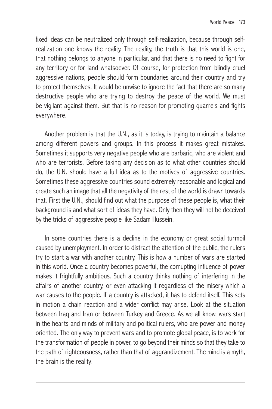172 World Peace 173

fixed ideas can be neutralized only through self-realization, because through selfrealization one knows the reality. The reality, the truth is that this world is one, that nothing belongs to anyone in particular, and that there is no need to fight for any territory or for land whatsoever. Of course, for protection from blindly cruel aggressive nations, people should form boundaries around their country and try to protect themselves. It would be unwise to ignore the fact that there are so many destructive people who are trying to destroy the peace of the world. We must be vigilant against them. But that is no reason for promoting quarrels and fights everywhere.

Another problem is that the U.N., as it is today, is trying to maintain a balance among different powers and groups. In this process it makes great mistakes. Sometimes it supports very negative people who are barbaric, who are violent and who are terrorists. Before taking any decision as to what other countries should do, the U.N. should have a full idea as to the motives of aggressive countries. Sometimes these aggressive countries sound extremely reasonable and logical and create such an image that all the negativity of the rest of the world is drawn towards that. First the U.N., should find out what the purpose of these people is, what their background is and what sort of ideas they have. Only then they will not be deceived by the tricks of aggressive people like Sadam Hussein.

In some countries there is a decline in the economy or great social turmoil caused by unemployment. In order to distract the attention of the public, the rulers try to start a war with another country. This is how a number of wars are started in this world. Once a country becomes powerful, the corrupting influence of power makes it frightfully ambitious. Such a country thinks nothing of interfering in the affairs of another country, or even attacking it regardless of the misery which a war causes to the people. If a country is attacked, it has to defend itself. This sets in motion a chain reaction and a wider conflict may arise. Look at the situation between Iraq and Iran or between Turkey and Greece. As we all know, wars start in the hearts and minds of military and political rulers, who are power and money oriented. The only way to prevent wars and to promote global peace, is to work for the transformation of people in power, to go beyond their minds so that they take to the path of righteousness, rather than that of aggrandizement. The mind is a myth, the brain is the reality.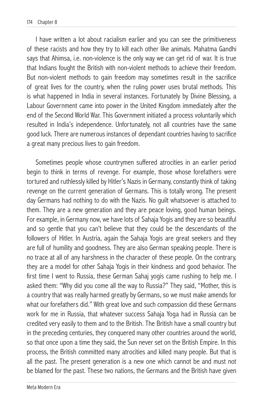I have written a lot about racialism earlier and you can see the primitiveness of these racists and how they try to kill each other like animals. Mahatma Gandhi says that Ahimsa, i.e. non-violence is the only way we can get rid of war. It is true that Indians fought the British with non-violent methods to achieve their freedom. But non-violent methods to gain freedom may sometimes result in the sacrifice of great lives for the country, when the ruling power uses brutal methods. This is what happened in India in several instances. Fortunately by Divine Blessing, a Labour Government came into power in the United Kingdom immediately after the end of the Second World War. This Government initiated a process voluntarily which resulted in India's independence. Unfortunately, not all countries have the same good luck. There are numerous instances of dependant countries having to sacrifice a great many precious lives to gain freedom.

Sometimes people whose countrymen suffered atrocities in an earlier period begin to think in terms of revenge. For example, those whose forefathers were tortured and ruthlessly killed by Hitler's Nazis in Germany, constantly think of taking revenge on the current generation of Germans. This is totally wrong. The present day Germans had nothing to do with the Nazis. No guilt whatsoever is attached to them. They are a new generation and they are peace loving, good human beings. For example, in Germany now, we have lots of Sahaja Yogis and they are so beautiful and so gentle that you can't believe that they could be the descendants of the followers of Hitler. In Austria, again the Sahaja Yogis are great seekers and they are full of humility and goodness. They are also German speaking people. There is no trace at all of any harshness in the character of these people. On the contrary, they are a model for other Sahaja Yogis in their kindness and good behavior. The first time I went to Russia, these German Sahaj yogis came rushing to help me. I asked them: "Why did you come all the way to Russia?" They said, "Mother, this is a country that was really harmed greatly by Germans, so we must make amends for what our forefathers did." With great love and such compassion did these Germans work for me in Russia, that whatever success Sahaja Yoga had in Russia can be credited very easily to them and to the British. The British have a small country but in the preceding centuries, they conquered many other countries around the world, so that once upon a time they said, the Sun never set on the British Empire. In this process, the British committed many atrocities and killed many people. But that is all the past. The present generation is a new one which cannot be and must not be blamed for the past. These two nations, the Germans and the British have given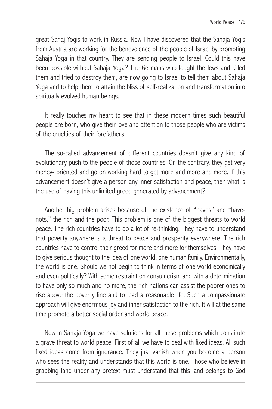great Sahaj Yogis to work in Russia. Now I have discovered that the Sahaja Yogis from Austria are working for the benevolence of the people of Israel by promoting Sahaja Yoga in that country. They are sending people to Israel. Could this have been possible without Sahaja Yoga? The Germans who fought the Jews and killed them and tried to destroy them, are now going to Israel to tell them about Sahaja Yoga and to help them to attain the bliss of self-realization and transformation into spiritually evolved human beings.

It really touches my heart to see that in these modern times such beautiful people are born, who give their love and attention to those people who are victims of the cruelties of their forefathers.

The so-called advancement of different countries doesn't give any kind of evolutionary push to the people of those countries. On the contrary, they get very money- oriented and go on working hard to get more and more and more. If this advancement doesn't give a person any inner satisfaction and peace, then what is the use of having this unlimited greed generated by advancement?

Another big problem arises because of the existence of "haves" and "havenots," the rich and the poor. This problem is one of the biggest threats to world peace. The rich countries have to do a lot of re-thinking. They have to understand that poverty anywhere is a threat to peace and prosperity everywhere. The rich countries have to control their greed for more and more for themselves. They have to give serious thought to the idea of one world, one human family. Environmentally, the world is one. Should we not begin to think in terms of one world economically and even politically? With some restraint on consumerism and with a determination to have only so much and no more, the rich nations can assist the poorer ones to rise above the poverty line and to lead a reasonable life. Such a compassionate approach will give enormous joy and inner satisfaction to the rich. It will at the same time promote a better social order and world peace.

Now in Sahaja Yoga we have solutions for all these problems which constitute a grave threat to world peace. First of all we have to deal with fixed ideas. All such fixed ideas come from ignorance. They just vanish when you become a person who sees the reality and understands that this world is one. Those who believe in grabbing land under any pretext must understand that this land belongs to God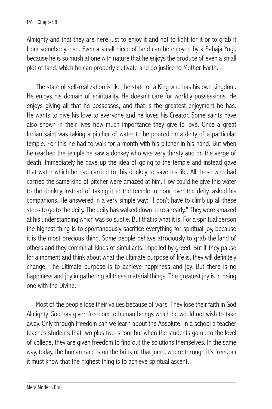Almighty and that they are here just to enjoy it and not to fight for it or to grab it from somebody else. Even a small piece of land can be enjoyed by a Sahaja Yogi, because he is so mush at one with nature that he enjoys the produce of even a small plot of land, which he can properly cultivate and do justice to Mother Earth.

The state of self-realization is like the state of a King who has his own kingdom. He enjoys his domain of spirituality. He doesn't care for worldly possessions. He enjoys giving all that he possesses, and that is the greatest enjoyment he has. He wants to give his love to everyone and he loves his Creator. Some saints have also shown in their lives how much importance they give to love. Once a great Indian saint was taking a pitcher of water to be poured on a deity of a particular temple. For this he had to walk for a month with his pitcher in his hand. But when he reached the temple he saw a donkey who was very thirsty and on the verge of death. Immediately he gave up the idea of going to the temple and instead gave that water which he had carried to this donkey to save his life. All those who had carried the same kind of pitcher were amazed at him. How could he give this water to the donkey instead of taking it to the temple to pour over the deity, asked his companions. He answered in a very simple way: "I don't have to climb up all these steps to go to the deity. The deity has walked down here already." They were amazed at his understanding which was so subtle. But that is what it is. For a spiritual person the highest thing is to spontaneously sacrifice everything for spiritual joy, because it is the most precious thing. Some people behave atrociously to grab the land of others and they commit all kinds of sinful acts, impelled by greed. But if they pause for a moment and think about what the ultimate purpose of life is, they will definitely change. The ultimate purpose is to achieve happiness and joy. But there is no happiness and joy in gathering all these material things. The greatest joy is in being one with the Divine.

Most of the people lose their values because of wars. They lose their faith in God Almighty. God has given freedom to human beings which he would not wish to take away. Only through freedom can we learn about the Absolute. In a school a teacher teaches students that two plus two is four but when the students go up to the level of college, they are given freedom to find out the solutions themselves. In the same way, today, the human race is on the brink of that jump, where through it's freedom it must know that the highest thing is to achieve spiritual ascent.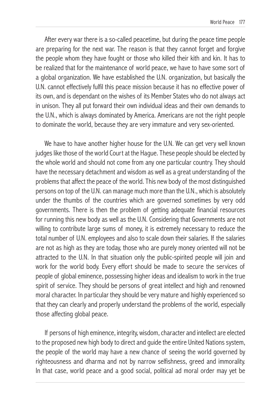After every war there is a so-called peacetime, but during the peace time people are preparing for the next war. The reason is that they cannot forget and forgive the people whom they have fought or those who killed their kith and kin. It has to be realized that for the maintenance of world peace, we have to have some sort of a global organization. We have established the U.N. organization, but basically the U.N. cannot effectively fulfil this peace mission because it has no effective power of its own, and is dependant on the wishes of its Member States who do not always act in unison. They all put forward their own individual ideas and their own demands to the U.N., which is always dominated by America. Americans are not the right people to dominate the world, because they are very immature and very sex-oriented.

We have to have another higher house for the U.N. We can get very well known judges like those of the world Court at the Hague. These people should be elected by the whole world and should not come from any one particular country. They should have the necessary detachment and wisdom as well as a great understanding of the problems that affect the peace of the world. This new body of the most distinguished persons on top of the U.N. can manage much more than the U.N., which is absolutely under the thumbs of the countries which are governed sometimes by very odd governments. There is then the problem of getting adequate financial resources for running this new body as well as the U.N. Considering that Governments are not willing to contribute large sums of money, it is extremely necessary to reduce the total number of U.N. employees and also to scale down their salaries. If the salaries are not as high as they are today, those who are purely money oriented will not be attracted to the U.N. In that situation only the public-spirited people will join and work for the world body. Every effort should be made to secure the services of people of global eminence, possessing higher ideas and idealism to work in the true spirit of service. They should be persons of great intellect and high and renowned moral character. In particular they should be very mature and highly experienced so that they can clearly and properly understand the problems of the world, especially those affecting global peace.

If persons of high eminence, integrity, wisdom, character and intellect are elected to the proposed new high body to direct and guide the entire United Nations system, the people of the world may have a new chance of seeing the world governed by righteousness and dharma and not by narrow selfishness, greed and immorality. In that case, world peace and a good social, political ad moral order may yet be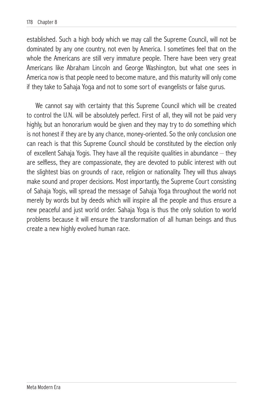established. Such a high body which we may call the Supreme Council, will not be dominated by any one country, not even by America. I sometimes feel that on the whole the Americans are still very immature people. There have been very great Americans like Abraham Lincoln and George Washington, but what one sees in America now is that people need to become mature, and this maturity will only come if they take to Sahaja Yoga and not to some sort of evangelists or false gurus.

We cannot say with certainty that this Supreme Council which will be created to control the U.N. will be absolutely perfect. First of all, they will not be paid very highly, but an honorarium would be given and they may try to do something which is not honest if they are by any chance, money-oriented. So the only conclusion one can reach is that this Supreme Council should be constituted by the election only of excellent Sahaja Yogis. They have all the requisite qualities in abundance – they are selfless, they are compassionate, they are devoted to public interest with out the slightest bias on grounds of race, religion or nationality. They will thus always make sound and proper decisions. Most importantly, the Supreme Court consisting of Sahaja Yogis, will spread the message of Sahaja Yoga throughout the world not merely by words but by deeds which will inspire all the people and thus ensure a new peaceful and just world order. Sahaja Yoga is thus the only solution to world problems because it will ensure the transformation of all human beings and thus create a new highly evolved human race.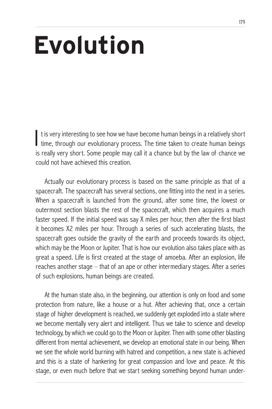## **Evolution**

t is very interesting to see how we have become human beings in a relatively short It is very interesting to see how we have become human beings in a relatively short<br>time, through our evolutionary process. The time taken to create human beings is really very short. Some people may call it a chance but by the law of chance we could not have achieved this creation.

Actually our evolutionary process is based on the same principle as that of a spacecraft. The spacecraft has several sections, one fitting into the next in a series. When a spacecraft is launched from the ground, after some time, the lowest or outermost section blasts the rest of the spacecraft, which then acquires a much faster speed. If the initial speed was say X miles per hour, then after the first blast it becomes X2 miles per hour. Through a series of such accelerating blasts, the spacecraft goes outside the gravity of the earth and proceeds towards its object, which may be the Moon or Jupiter. That is how our evolution also takes place with as great a speed. Life is first created at the stage of amoeba. After an explosion, life reaches another stage – that of an ape or other intermediary stages. After a series of such explosions, human beings are created.

At the human state also, in the beginning, our attention is only on food and some protection from nature, like a house or a hut. After achieving that, once a certain stage of higher development is reached, we suddenly get exploded into a state where we become mentally very alert and intelligent. Thus we take to science and develop technology, by which we could go to the Moon or Jupiter. Then with some other blasting different from mental achievement, we develop an emotional state in our being. When we see the whole world burning with hatred and competition, a new state is achieved and this is a state of hankering for great compassion and love and peace. At this stage, or even much before that we start seeking something beyond human under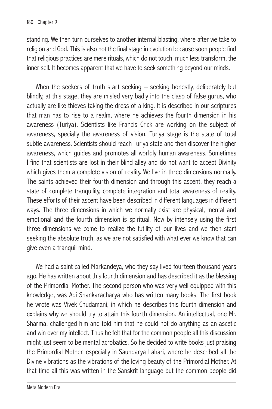standing. We then turn ourselves to another internal blasting, where after we take to religion and God. This is also not the final stage in evolution because soon people find that religious practices are mere rituals, which do not touch, much less transform, the inner self. It becomes apparent that we have to seek something beyond our minds.

When the seekers of truth start seeking  $-$  seeking honestly, deliberately but blindly, at this stage, they are misled very badly into the clasp of false gurus, who actually are like thieves taking the dress of a king. It is described in our scriptures that man has to rise to a realm, where he achieves the fourth dimension in his awareness (Turiya). Scientists like Francis Crick are working on the subject of awareness, specially the awareness of vision. Turiya stage is the state of total subtle awareness. Scientists should reach Turiya state and then discover the higher awareness, which guides and promotes all worldly human awareness. Sometimes I find that scientists are lost in their blind alley and do not want to accept Divinity which gives them a complete vision of reality. We live in three dimensions normally. The saints achieved their fourth dimension and through this ascent, they reach a state of complete tranquility, complete integration and total awareness of reality. These efforts of their ascent have been described in different languages in different ways. The three dimensions in which we normally exist are physical, mental and emotional and the fourth dimension is spiritual. Now by intensely using the first three dimensions we come to realize the futility of our lives and we then start seeking the absolute truth, as we are not satisfied with what ever we know that can give even a tranquil mind.

We had a saint called Markandeya, who they say lived fourteen thousand years ago. He has written about this fourth dimension and has described it as the blessing of the Primordial Mother. The second person who was very well equipped with this knowledge, was Adi Shankaracharya who has written many books. The first book he wrote was Vivek Chudamani, in which he describes this fourth dimension and explains why we should try to attain this fourth dimension. An intellectual, one Mr. Sharma, challenged him and told him that he could not do anything as an ascetic and win over my intellect. Thus he felt that for the common people all this discussion might just seem to be mental acrobatics. So he decided to write books just praising the Primordial Mother, especially in Saundarya Lahari, where he described all the Divine vibrations as the vibrations of the loving beauty of the Primordial Mother. At that time all this was written in the Sanskrit language but the common people did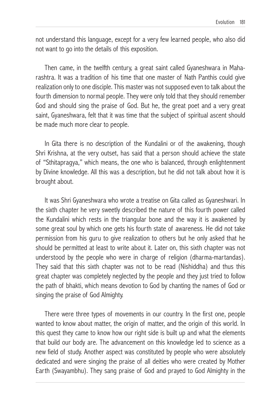not understand this language, except for a very few learned people, who also did not want to go into the details of this exposition.

Then came, in the twelfth century, a great saint called Gyaneshwara in Maharashtra. It was a tradition of his time that one master of Nath Panthis could give realization only to one disciple. This master was not supposed even to talk about the fourth dimension to normal people. They were only told that they should remember God and should sing the praise of God. But he, the great poet and a very great saint, Gyaneshwara, felt that it was time that the subject of spiritual ascent should be made much more clear to people.

In Gita there is no description of the Kundalini or of the awakening, though Shri Krishna, at the very outset, has said that a person should achieve the state of "Sthitapragya," which means, the one who is balanced, through enlightenment by Divine knowledge. All this was a description, but he did not talk about how it is brought about.

It was Shri Gyaneshwara who wrote a treatise on Gita called as Gyaneshwari. In the sixth chapter he very sweetly described the nature of this fourth power called the Kundalini which rests in the triangular bone and the way it is awakened by some great soul by which one gets his fourth state of awareness. He did not take permission from his guru to give realization to others but he only asked that he should be permitted at least to write about it. Later on, this sixth chapter was not understood by the people who were in charge of religion (dharma-martandas). They said that this sixth chapter was not to be read (Nishiddha) and thus this great chapter was completely neglected by the people and they just tried to follow the path of bhakti, which means devotion to God by chanting the names of God or singing the praise of God Almighty.

There were three types of movements in our country. In the first one, people wanted to know about matter, the origin of matter, and the origin of this world. In this quest they came to know how our right side is built up and what the elements that build our body are. The advancement on this knowledge led to science as a new field of study. Another aspect was constituted by people who were absolutely dedicated and were singing the praise of all deities who were created by Mother Earth (Swayambhu). They sang praise of God and prayed to God Almighty in the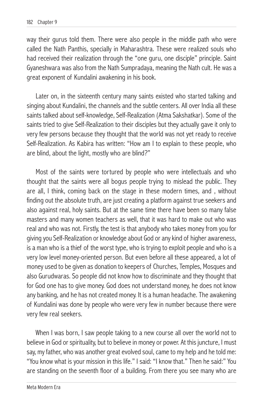way their gurus told them. There were also people in the middle path who were called the Nath Panthis, specially in Maharashtra. These were realized souls who had received their realization through the "one guru, one disciple" principle. Saint Gyaneshwara was also from the Nath Sumpradaya, meaning the Nath cult. He was a great exponent of Kundalini awakening in his book.

Later on, in the sixteenth century many saints existed who started talking and singing about Kundalini, the channels and the subtle centers. All over India all these saints talked about self-knowledge, Self-Realization (Atma Sakshatkar). Some of the saints tried to give Self-Realization to their disciples but they actually gave it only to very few persons because they thought that the world was not yet ready to receive Self-Realization. As Kabira has written: "How am I to explain to these people, who are blind, about the light, mostly who are blind?"

Most of the saints were tortured by people who were intellectuals and who thought that the saints were all bogus people trying to mislead the public. They are all, I think, coming back on the stage in these modern times, and , without finding out the absolute truth, are just creating a platform against true seekers and also against real, holy saints. But at the same time there have been so many false masters and many women teachers as well, that it was hard to make out who was real and who was not. Firstly, the test is that anybody who takes money from you for giving you Self-Realization or knowledge about God or any kind of higher awareness, is a man who is a thief of the worst type, who is trying to exploit people and who is a very low level money-oriented person. But even before all these appeared, a lot of money used to be given as donation to keepers of Churches, Temples, Mosques and also Gurudwaras. So people did not know how to discriminate and they thought that for God one has to give money. God does not understand money, he does not know any banking, and he has not created money. It is a human headache. The awakening of Kundalini was done by people who were very few in number because there were very few real seekers.

When I was born, I saw people taking to a new course all over the world not to believe in God or spirituality, but to believe in money or power. At this juncture, I must say, my father, who was another great evolved soul, came to my help and he told me: "You know what is your mission in this life." I said: "I know that." Then he said:" You are standing on the seventh floor of a building. From there you see many who are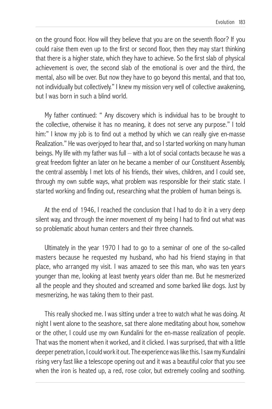on the ground floor. How will they believe that you are on the seventh floor? If you could raise them even up to the first or second floor, then they may start thinking that there is a higher state, which they have to achieve. So the first slab of physical achievement is over, the second slab of the emotional is over and the third, the mental, also will be over. But now they have to go beyond this mental, and that too, not individually but collectively." I knew my mission very well of collective awakening, but I was born in such a blind world.

My father continued: " Any discovery which is individual has to be brought to the collective, otherwise it has no meaning, it does not serve any purpose." I told him:" I know my job is to find out a method by which we can really give en-masse Realization." He was overjoyed to hear that, and so I started working on many human beings. My life with my father was full – with a lot of social contacts because he was a great freedom fighter an later on he became a member of our Constituent Assembly, the central assembly. I met lots of his friends, their wives, children, and I could see, through my own subtle ways, what problem was responsible for their static state. I started working and finding out, researching what the problem of human beings is.

At the end of 1946, I reached the conclusion that I had to do it in a very deep silent way, and through the inner movement of my being I had to find out what was so problematic about human centers and their three channels.

Ultimately in the year 1970 I had to go to a seminar of one of the so-called masters because he requested my husband, who had his friend staying in that place, who arranged my visit. I was amazed to see this man, who was ten years younger than me, looking at least twenty years older than me. But he mesmerized all the people and they shouted and screamed and some barked like dogs. Just by mesmerizing, he was taking them to their past.

This really shocked me. I was sitting under a tree to watch what he was doing. At night I went alone to the seashore, sat there alone meditating about how, somehow or the other, I could use my own Kundalini for the en-masse realization of people. That was the moment when it worked, and it clicked. I was surprised, that with a little deeper penetration, I could work it out. The experience was like this. I saw my Kundalini rising very fast like a telescope opening out and it was a beautiful color that you see when the iron is heated up, a red, rose color, but extremely cooling and soothing.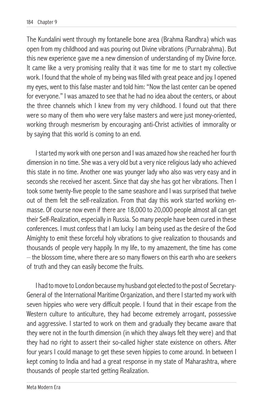The Kundalini went through my fontanelle bone area (Brahma Randhra) which was open from my childhood and was pouring out Divine vibrations (Purnabrahma). But this new experience gave me a new dimension of understanding of my Divine force. It came like a very promising reality that it was time for me to start my collective work. I found that the whole of my being was filled with great peace and joy. I opened my eyes, went to this false master and told him: "Now the last center can be opened for everyone." I was amazed to see that he had no idea about the centers, or about the three channels which I knew from my very childhood. I found out that there were so many of them who were very false masters and were just money-oriented, working through mesmerism by encouraging anti-Christ activities of immorality or by saying that this world is coming to an end.

I started my work with one person and I was amazed how she reached her fourth dimension in no time. She was a very old but a very nice religious lady who achieved this state in no time. Another one was younger lady who also was very easy and in seconds she received her ascent. Since that day she has got her vibrations. Then I took some twenty-five people to the same seashore and I was surprised that twelve out of them felt the self-realization. From that day this work started working enmasse. Of course now even if there are 18,000 to 20,000 people almost all can get their Self-Realization, especially in Russia. So many people have been cured in these conferences. I must confess that I am lucky. I am being used as the desire of the God Almighty to emit these forceful holy vibrations to give realization to thousands and thousands of people very happily. In my life, to my amazement, the time has come – the blossom time, where there are so many flowers on this earth who are seekers of truth and they can easily become the fruits.

I had to move to London because my husband got elected to the post of Secretary-General of the International Maritime Organization, and there I started my work with seven hippies who were very difficult people. I found that in their escape from the Western culture to anticulture, they had become extremely arrogant, possessive and aggressive. I started to work on them and gradually they became aware that they were not in the fourth dimension (in which they always felt they were) and that they had no right to assert their so-called higher state existence on others. After four years I could manage to get these seven hippies to come around. In between I kept coming to India and had a great response in my state of Maharashtra, where thousands of people started getting Realization.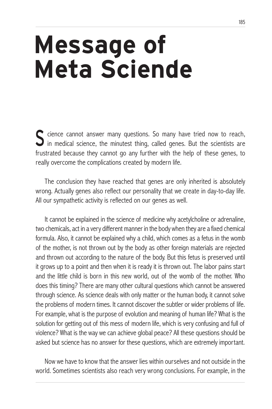## **Message of Meta Sciende**

cience cannot answer many questions. So many have tried now to reach, S cience cannot answer many questions. So many have tried now to reach, in medical science, the minutest thing, called genes. But the scientists are frustrated because they cannot go any further with the help of these genes, to really overcome the complications created by modern life.

The conclusion they have reached that genes are only inherited is absolutely wrong. Actually genes also reflect our personality that we create in day-to-day life. All our sympathetic activity is reflected on our genes as well.

It cannot be explained in the science of medicine why acetylcholine or adrenaline, two chemicals, act in a very different manner in the body when they are a fixed chemical formula. Also, it cannot be explained why a child, which comes as a fetus in the womb of the mother, is not thrown out by the body as other foreign materials are rejected and thrown out according to the nature of the body. But this fetus is preserved until it grows up to a point and then when it is ready it is thrown out. The labor pains start and the little child is born in this new world, out of the womb of the mother. Who does this timing? There are many other cultural questions which cannot be answered through science. As science deals with only matter or the human body, it cannot solve the problems of modern times. It cannot discover the subtler or wider problems of life. For example, what is the purpose of evolution and meaning of human life? What is the solution for getting out of this mess of modern life, which is very confusing and full of violence? What is the way we can achieve global peace? All these questions should be asked but science has no answer for these questions, which are extremely important.

Now we have to know that the answer lies within ourselves and not outside in the world. Sometimes scientists also reach very wrong conclusions. For example, in the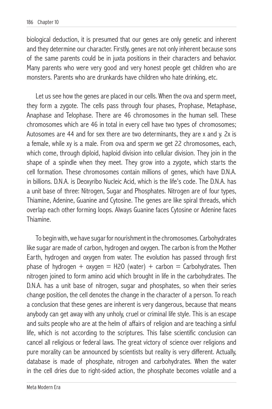biological deduction, it is presumed that our genes are only genetic and inherent and they determine our character. Firstly, genes are not only inherent because sons of the same parents could be in juxta positions in their characters and behavior. Many parents who were very good and very honest people get children who are monsters. Parents who are drunkards have children who hate drinking, etc.

Let us see how the genes are placed in our cells. When the ova and sperm meet, they form a zygote. The cells pass through four phases, Prophase, Metaphase, Anaphase and Telophase. There are 46 chromosomes in the human sell. These chromosomes which are 46 in total in every cell have two types of chromosomes; Autosomes are 44 and for sex there are two determinants, they are x and y. 2x is a female, while xy is a male. From ova and sperm we get 22 chromosomes, each, which come, through diploid, haploid division into cellular division. They join in the shape of a spindle when they meet. They grow into a zygote, which starts the cell formation. These chromosomes contain millions of genes, which have D.N.A. in billions. D.N.A. is Deoxyribo Nucleic Acid, which is the life's code. The D.N.A. has a unit base of three: Nitrogen, Sugar and Phosphates. Nitrogen are of four types, Thiamine, Adenine, Guanine and Cytosine. The genes are like spiral threads, which overlap each other forming loops. Always Guanine faces Cytosine or Adenine faces Thiamine.

To begin with, we have sugar for nourishment in the chromosomes. Carbohydrates like sugar are made of carbon, hydrogen and oxygen. The carbon is from the Mother Earth, hydrogen and oxygen from water. The evolution has passed through first phase of hydrogen + oxygen = H2O (water) + carbon = Carbohydrates. Then nitrogen joined to form amino acid which brought in life in the carbohydrates. The D.N.A. has a unit base of nitrogen, sugar and phosphates, so when their series change position, the cell denotes the change in the character of a person. To reach a conclusion that these genes are inherent is very dangerous, because that means anybody can get away with any unholy, cruel or criminal life style. This is an escape and suits people who are at the helm of affairs of religion and are teaching a sinful life, which is not according to the scriptures. This false scientific conclusion can cancel all religious or federal laws. The great victory of science over religions and pure morality can be announced by scientists but reality is very different. Actually, database is made of phosphate, nitrogen and carbohydrates. When the water in the cell dries due to right-sided action, the phosphate becomes volatile and a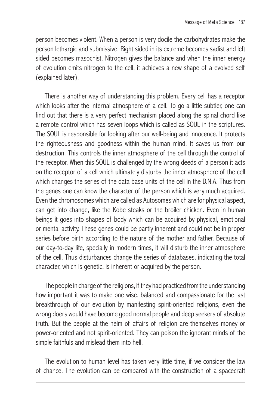person becomes violent. When a person is very docile the carbohydrates make the person lethargic and submissive. Right sided in its extreme becomes sadist and left sided becomes masochist. Nitrogen gives the balance and when the inner energy of evolution emits nitrogen to the cell, it achieves a new shape of a evolved self (explained later).

There is another way of understanding this problem. Every cell has a receptor which looks after the internal atmosphere of a cell. To go a little subtler, one can find out that there is a very perfect mechanism placed along the spinal chord like a remote control which has seven loops which is called as SOUL in the scriptures. The SOUL is responsible for looking after our well-being and innocence. It protects the righteousness and goodness within the human mind. It saves us from our destruction. This controls the inner atmosphere of the cell through the control of the receptor. When this SOUL is challenged by the wrong deeds of a person it acts on the receptor of a cell which ultimately disturbs the inner atmosphere of the cell which changes the series of the data base units of the cell in the D.N.A. Thus from the genes one can know the character of the person which is very much acquired. Even the chromosomes which are called as Autosomes which are for physical aspect, can get into change, like the Kobe steaks or the broiler chicken. Even in human beings it goes into shapes of body which can be acquired by physical, emotional or mental activity. These genes could be partly inherent and could not be in proper series before birth according to the nature of the mother and father. Because of our day-to-day life, specially in modern times, it will disturb the inner atmosphere of the cell. Thus disturbances change the series of databases, indicating the total character, which is genetic, is inherent or acquired by the person.

The people in charge of the religions, if they had practiced from the understanding how important it was to make one wise, balanced and compassionate for the last breakthrough of our evolution by manifesting spirit-oriented religions, even the wrong doers would have become good normal people and deep seekers of absolute truth. But the people at the helm of affairs of religion are themselves money or power-oriented and not spirit-oriented. They can poison the ignorant minds of the simple faithfuls and mislead them into hell.

The evolution to human level has taken very little time, if we consider the law of chance. The evolution can be compared with the construction of a spacecraft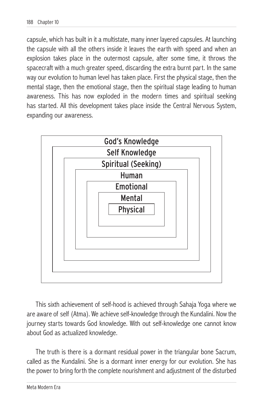capsule, which has built in it a multistate, many inner layered capsules. At launching the capsule with all the others inside it leaves the earth with speed and when an explosion takes place in the outermost capsule, after some time, it throws the spacecraft with a much greater speed, discarding the extra burnt part. In the same way our evolution to human level has taken place. First the physical stage, then the mental stage, then the emotional stage, then the spiritual stage leading to human awareness. This has now exploded in the modern times and spiritual seeking has started. All this development takes place inside the Central Nervous System, expanding our awareness.



This sixth achievement of self-hood is achieved through Sahaja Yoga where we are aware of self (Atma). We achieve self-knowledge through the Kundalini. Now the journey starts towards God knowledge. With out self-knowledge one cannot know about God as actualized knowledge.

The truth is there is a dormant residual power in the triangular bone Sacrum, called as the Kundalini. She is a dormant inner energy for our evolution. She has the power to bring forth the complete nourishment and adjustment of the disturbed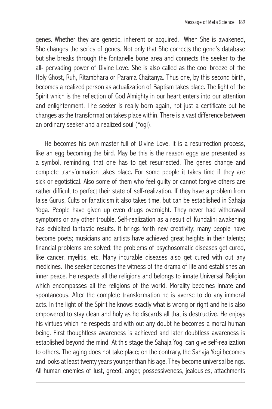genes. Whether they are genetic, inherent or acquired. When She is awakened, She changes the series of genes. Not only that She corrects the gene's database but she breaks through the fontanelle bone area and connects the seeker to the all- pervading power of Divine Love. She is also called as the cool breeze of the Holy Ghost, Ruh, Ritambhara or Parama Chaitanya. Thus one, by this second birth, becomes a realized person as actualization of Baptism takes place. The light of the Spirit which is the reflection of God Almighty in our heart enters into our attention and enlightenment. The seeker is really born again, not just a certificate but he changes as the transformation takes place within. There is a vast difference between an ordinary seeker and a realized soul (Yogi).

He becomes his own master full of Divine Love. It is a resurrection process, like an egg becoming the bird. May be this is the reason eggs are presented as a symbol, reminding, that one has to get resurrected. The genes change and complete transformation takes place. For some people it takes time if they are sick or egotistical. Also some of them who feel guilty or cannot forgive others are rather difficult to perfect their state of self-realization. If they have a problem from false Gurus, Cults or fanaticism it also takes time, but can be established in Sahaja Yoga. People have given up even drugs overnight. They never had withdrawal symptoms or any other trouble. Self-realization as a result of Kundalini awakening has exhibited fantastic results. It brings forth new creativity; many people have become poets; musicians and artists have achieved great heights in their talents; financial problems are solved; the problems of psychosomatic diseases get cured, like cancer, myelitis, etc. Many incurable diseases also get cured with out any medicines. The seeker becomes the witness of the drama of life and establishes an inner peace. He respects all the religions and belongs to innate Universal Religion which encompasses all the religions of the world. Morality becomes innate and spontaneous. After the complete transformation he is averse to do any immoral acts. In the light of the Spirit he knows exactly what is wrong or right and he is also empowered to stay clean and holy as he discards all that is destructive. He enjoys his virtues which he respects and with out any doubt he becomes a moral human being. First thoughtless awareness is achieved and later doubtless awareness is established beyond the mind. At this stage the Sahaja Yogi can give self-realization to others. The aging does not take place; on the contrary, the Sahaja Yogi becomes and looks at least twenty years younger than his age. They become universal beings. All human enemies of lust, greed, anger, possessiveness, jealousies, attachments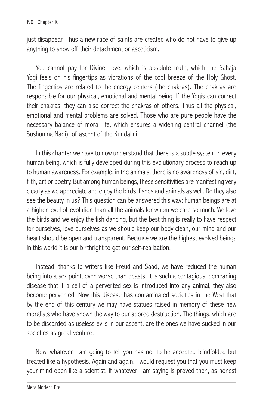just disappear. Thus a new race of saints are created who do not have to give up anything to show off their detachment or asceticism.

You cannot pay for Divine Love, which is absolute truth, which the Sahaja Yogi feels on his fingertips as vibrations of the cool breeze of the Holy Ghost. The fingertips are related to the energy centers (the chakras). The chakras are responsible for our physical, emotional and mental being. If the Yogis can correct their chakras, they can also correct the chakras of others. Thus all the physical, emotional and mental problems are solved. Those who are pure people have the necessary balance of moral life, which ensures a widening central channel (the Sushumna Nadi) of ascent of the Kundalini.

In this chapter we have to now understand that there is a subtle system in every human being, which is fully developed during this evolutionary process to reach up to human awareness. For example, in the animals, there is no awareness of sin, dirt, filth, art or poetry. But among human beings, these sensitivities are manifesting very clearly as we appreciate and enjoy the birds, fishes and animals as well. Do they also see the beauty in us? This question can be answered this way; human beings are at a higher level of evolution than all the animals for whom we care so much. We love the birds and we enjoy the fish dancing, but the best thing is really to have respect for ourselves, love ourselves as we should keep our body clean, our mind and our heart should be open and transparent. Because we are the highest evolved beings in this world it is our birthright to get our self-realization.

Instead, thanks to writers like Freud and Saad, we have reduced the human being into a sex point, even worse than beasts. It is such a contagious, demeaning disease that if a cell of a perverted sex is introduced into any animal, they also become perverted. Now this disease has contaminated societies in the West that by the end of this century we may have statues raised in memory of these new moralists who have shown the way to our adored destruction. The things, which are to be discarded as useless evils in our ascent, are the ones we have sucked in our societies as great venture.

Now, whatever I am going to tell you has not to be accepted blindfolded but treated like a hypothesis. Again and again, I would request you that you must keep your mind open like a scientist. If whatever I am saying is proved then, as honest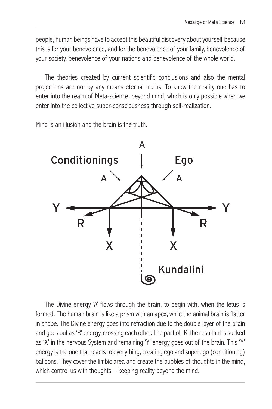people, human beings have to accept this beautiful discovery about yourself because this is for your benevolence, and for the benevolence of your family, benevolence of your society, benevolence of your nations and benevolence of the whole world.

The theories created by current scientific conclusions and also the mental projections are not by any means eternal truths. To know the reality one has to enter into the realm of Meta-science, beyond mind, which is only possible when we enter into the collective super-consciousness through self-realization.

Mind is an illusion and the brain is the truth.



The Divine energy 'A' flows through the brain, to begin with, when the fetus is formed. The human brain is like a prism with an apex, while the animal brain is flatter in shape. The Divine energy goes into refraction due to the double layer of the brain and goes out as 'R' energy, crossing each other. The part of 'R' the resultant is sucked as 'X' in the nervous System and remaining 'Y' energy goes out of the brain. This 'Y' energy is the one that reacts to everything, creating ego and superego (conditioning) balloons. They cover the limbic area and create the bubbles of thoughts in the mind, which control us with thoughts – keeping reality beyond the mind.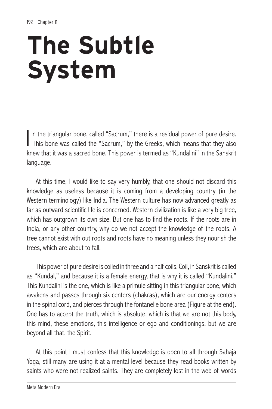## **The Subtle System**

n the triangular bone, called "Sacrum," there is a residual power of pure desire. In the triangular bone, called "Sacrum," there is a residual power of pure desire.<br>This bone was called the "Sacrum," by the Greeks, which means that they also knew that it was a sacred bone. This power is termed as "Kundalini" in the Sanskrit language.

At this time, I would like to say very humbly, that one should not discard this knowledge as useless because it is coming from a developing country (in the Western terminology) like India. The Western culture has now advanced greatly as far as outward scientific life is concerned. Western civilization is like a very big tree, which has outgrown its own size. But one has to find the roots. If the roots are in India, or any other country, why do we not accept the knowledge of the roots. A tree cannot exist with out roots and roots have no meaning unless they nourish the trees, which are about to fall.

This power of pure desire is coiled in three and a half coils. Coil, in Sanskrit is called as "Kundal," and because it is a female energy, that is why it is called "Kundalini." This Kundalini is the one, which is like a primule sitting in this triangular bone, which awakens and passes through six centers (chakras), which are our energy centers in the spinal cord, and pierces through the fontanelle bone area (Figure at the end). One has to accept the truth, which is absolute, which is that we are not this body, this mind, these emotions, this intelligence or ego and conditionings, but we are beyond all that, the Spirit.

At this point I must confess that this knowledge is open to all through Sahaja Yoga, still many are using it at a mental level because they read books written by saints who were not realized saints. They are completely lost in the web of words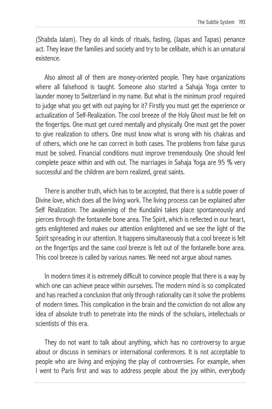(Shabda Jalam). They do all kinds of rituals, fasting, (Japas and Tapas) penance act. They leave the families and society and try to be celibate, which is an unnatural existence.

Also almost all of them are money-oriented people. They have organizations where all falsehood is taught. Someone also started a Sahaja Yoga center to launder money to Switzerland in my name. But what is the minimum proof required to judge what you get with out paying for it? Firstly you must get the experience or actualization of Self-Realization. The cool breeze of the Holy Ghost must be felt on the fingertips. One must get cured mentally and physically. One must get the power to give realization to others. One must know what is wrong with his chakras and of others, which one he can correct in both cases. The problems from false gurus must be solved. Financial conditions must improve tremendously. One should feel complete peace within and with out. The marriages in Sahaja Yoga are 95 % very successful and the children are born realized, great saints.

There is another truth, which has to be accepted, that there is a subtle power of Divine love, which does all the living work. The living process can be explained after Self Realization. The awakening of the Kundalini takes place spontaneously and pierces through the fontanelle bone area. The Spirit, which is reflected in our heart, gets enlightened and makes our attention enlightened and we see the light of the Spirit spreading in our attention. It happens simultaneously that a cool breeze is felt on the fingertips and the same cool breeze is felt out of the fontanelle bone area. This cool breeze is called by various names. We need not argue about names.

In modern times it is extremely difficult to convince people that there is a way by which one can achieve peace within ourselves. The modern mind is so complicated and has reached a conclusion that only through rationality can it solve the problems of modern times. This complication in the brain and the conviction do not allow any idea of absolute truth to penetrate into the minds of the scholars, intellectuals or scientists of this era.

They do not want to talk about anything, which has no controversy to argue about or discuss in seminars or international conferences. It is not acceptable to people who are living and enjoying the play of controversies. For example, when I went to Paris first and was to address people about the joy within, everybody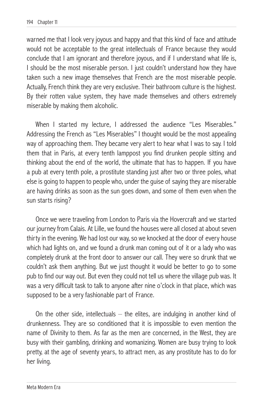warned me that I look very joyous and happy and that this kind of face and attitude would not be acceptable to the great intellectuals of France because they would conclude that I am ignorant and therefore joyous, and if I understand what life is, I should be the most miserable person. I just couldn't understand how they have taken such a new image themselves that French are the most miserable people. Actually, French think they are very exclusive. Their bathroom culture is the highest. By their rotten value system, they have made themselves and others extremely miserable by making them alcoholic.

When I started my lecture, I addressed the audience "Les Miserables." Addressing the French as "Les Miserables" I thought would be the most appealing way of approaching them. They became very alert to hear what I was to say. I told them that in Paris, at every tenth lamppost you find drunken people sitting and thinking about the end of the world, the ultimate that has to happen. If you have a pub at every tenth pole, a prostitute standing just after two or three poles, what else is going to happen to people who, under the guise of saying they are miserable are having drinks as soon as the sun goes down, and some of them even when the sun starts rising?

Once we were traveling from London to Paris via the Hovercraft and we started our journey from Calais. At Lille, we found the houses were all closed at about seven thirty in the evening. We had lost our way, so we knocked at the door of every house which had lights on, and we found a drunk man coming out of it or a lady who was completely drunk at the front door to answer our call. They were so drunk that we couldn't ask them anything. But we just thought it would be better to go to some pub to find our way out. But even they could not tell us where the village pub was. It was a very difficult task to talk to anyone after nine o'clock in that place, which was supposed to be a very fashionable part of France.

On the other side, intellectuals – the elites, are indulging in another kind of drunkenness. They are so conditioned that it is impossible to even mention the name of Divinity to them. As far as the men are concerned, in the West, they are busy with their gambling, drinking and womanizing. Women are busy trying to look pretty, at the age of seventy years, to attract men, as any prostitute has to do for her living.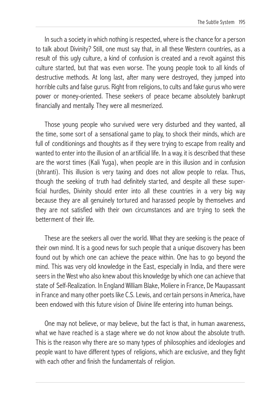In such a society in which nothing is respected, where is the chance for a person to talk about Divinity? Still, one must say that, in all these Western countries, as a result of this ugly culture, a kind of confusion is created and a revolt against this culture started, but that was even worse. The young people took to all kinds of destructive methods. At long last, after many were destroyed, they jumped into horrible cults and false gurus. Right from religions, to cults and fake gurus who were power or money-oriented. These seekers of peace became absolutely bankrupt financially and mentally. They were all mesmerized.

Those young people who survived were very disturbed and they wanted, all the time, some sort of a sensational game to play, to shock their minds, which are full of conditionings and thoughts as if they were trying to escape from reality and wanted to enter into the illusion of an artificial life. In a way, it is described that these are the worst times (Kali Yuga), when people are in this illusion and in confusion (bhranti). This illusion is very taxing and does not allow people to relax. Thus, though the seeking of truth had definitely started, and despite all these superficial hurdles, Divinity should enter into all these countries in a very big way because they are all genuinely tortured and harassed people by themselves and they are not satisfied with their own circumstances and are trying to seek the betterment of their life.

These are the seekers all over the world. What they are seeking is the peace of their own mind. It is a good news for such people that a unique discovery has been found out by which one can achieve the peace within. One has to go beyond the mind. This was very old knowledge in the East, especially in India, and there were seers in the West who also knew about this knowledge by which one can achieve that state of Self-Realization. In England William Blake, Moliere in France, De Maupassant in France and many other poets like C.S. Lewis, and certain persons in America, have been endowed with this future vision of Divine life entering into human beings.

One may not believe, or may believe, but the fact is that, in human awareness, what we have reached is a stage where we do not know about the absolute truth. This is the reason why there are so many types of philosophies and ideologies and people want to have different types of religions, which are exclusive, and they fight with each other and finish the fundamentals of religion.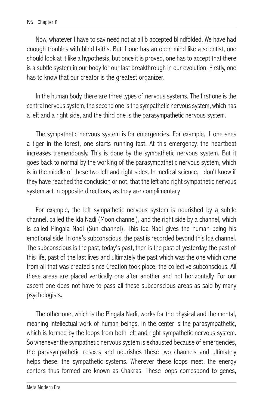Now, whatever I have to say need not at all b accepted blindfolded. We have had enough troubles with blind faiths. But if one has an open mind like a scientist, one should look at it like a hypothesis, but once it is proved, one has to accept that there is a subtle system in our body for our last breakthrough in our evolution. Firstly, one has to know that our creator is the greatest organizer.

In the human body, there are three types of nervous systems. The first one is the central nervous system, the second one is the sympathetic nervous system, which has a left and a right side, and the third one is the parasympathetic nervous system.

The sympathetic nervous system is for emergencies. For example, if one sees a tiger in the forest, one starts running fast. At this emergency, the heartbeat increases tremendously. This is done by the sympathetic nervous system. But it goes back to normal by the working of the parasympathetic nervous system, which is in the middle of these two left and right sides. In medical science, I don't know if they have reached the conclusion or not, that the left and right sympathetic nervous system act in opposite directions, as they are complimentary.

For example, the left sympathetic nervous system is nourished by a subtle channel, called the Ida Nadi (Moon channel), and the right side by a channel, which is called Pingala Nadi (Sun channel). This Ida Nadi gives the human being his emotional side. In one's subconscious, the past is recorded beyond this Ida channel. The subconscious is the past, today's past, then is the past of yesterday, the past of this life, past of the last lives and ultimately the past which was the one which came from all that was created since Creation took place, the collective subconscious. All these areas are placed vertically one after another and not horizontally. For our ascent one does not have to pass all these subconscious areas as said by many psychologists.

The other one, which is the Pingala Nadi, works for the physical and the mental, meaning intellectual work of human beings. In the center is the parasympathetic, which is formed by the loops from both left and right sympathetic nervous system. So whenever the sympathetic nervous system is exhausted because of emergencies, the parasympathetic relaxes and nourishes these two channels and ultimately helps these, the sympathetic systems. Wherever these loops meet, the energy centers thus formed are known as Chakras. These loops correspond to genes,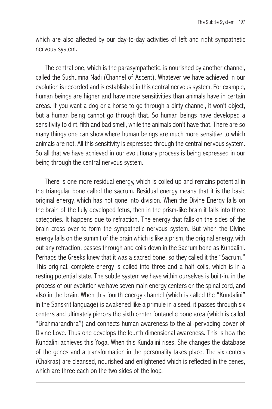which are also affected by our day-to-day activities of left and right sympathetic nervous system.

The central one, which is the parasympathetic, is nourished by another channel, called the Sushumna Nadi (Channel of Ascent). Whatever we have achieved in our evolution is recorded and is established in this central nervous system. For example, human beings are higher and have more sensitivities than animals have in certain areas. If you want a dog or a horse to go through a dirty channel, it won't object, but a human being cannot go through that. So human beings have developed a sensitivity to dirt, filth and bad smell, while the animals don't have that. There are so many things one can show where human beings are much more sensitive to which animals are not. All this sensitivity is expressed through the central nervous system. So all that we have achieved in our evolutionary process is being expressed in our being through the central nervous system.

There is one more residual energy, which is coiled up and remains potential in the triangular bone called the sacrum. Residual energy means that it is the basic original energy, which has not gone into division. When the Divine Energy falls on the brain of the fully developed fetus, then in the prism-like brain it falls into three categories. It happens due to refraction. The energy that falls on the sides of the brain cross over to form the sympathetic nervous system. But when the Divine energy falls on the summit of the brain which is like a prism, the original energy, with out any refraction, passes through and coils down in the Sacrum bone as Kundalini. Perhaps the Greeks knew that it was a sacred bone, so they called it the "Sacrum." This original, complete energy is coiled into three and a half coils, which is in a resting potential state. The subtle system we have within ourselves is built-in. in the process of our evolution we have seven main energy centers on the spinal cord, and also in the brain. When this fourth energy channel (which is called the "Kundalini" in the Sanskrit language) is awakened like a primule in a seed, it passes through six centers and ultimately pierces the sixth center fontanelle bone area (which is called "Brahmarandhra") and connects human awareness to the all-pervading power of Divine Love. Thus one develops the fourth dimensional awareness. This is how the Kundalini achieves this Yoga. When this Kundalini rises, She changes the database of the genes and a transformation in the personality takes place. The six centers (Chakras) are cleansed, nourished and enlightened which is reflected in the genes, which are three each on the two sides of the loop.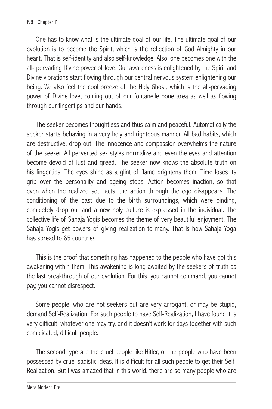One has to know what is the ultimate goal of our life. The ultimate goal of our evolution is to become the Spirit, which is the reflection of God Almighty in our heart. That is self-identity and also self-knowledge. Also, one becomes one with the all- pervading Divine power of love. Our awareness is enlightened by the Spirit and Divine vibrations start flowing through our central nervous system enlightening our being. We also feel the cool breeze of the Holy Ghost, which is the all-pervading power of Divine love, coming out of our fontanelle bone area as well as flowing through our fingertips and our hands.

The seeker becomes thoughtless and thus calm and peaceful. Automatically the seeker starts behaving in a very holy and righteous manner. All bad habits, which are destructive, drop out. The innocence and compassion overwhelms the nature of the seeker. All perverted sex styles normalize and even the eyes and attention become devoid of lust and greed. The seeker now knows the absolute truth on his fingertips. The eyes shine as a glint of flame brightens them. Time loses its grip over the personality and ageing stops. Action becomes inaction, so that even when the realized soul acts, the action through the ego disappears. The conditioning of the past due to the birth surroundings, which were binding, completely drop out and a new holy culture is expressed in the individual. The collective life of Sahaja Yogis becomes the theme of very beautiful enjoyment. The Sahaja Yogis get powers of giving realization to many. That is how Sahaja Yoga has spread to 65 countries.

This is the proof that something has happened to the people who have got this awakening within them. This awakening is long awaited by the seekers of truth as the last breakthrough of our evolution. For this, you cannot command, you cannot pay, you cannot disrespect.

Some people, who are not seekers but are very arrogant, or may be stupid, demand Self-Realization. For such people to have Self-Realization, I have found it is very difficult, whatever one may try, and it doesn't work for days together with such complicated, difficult people.

The second type are the cruel people like Hitler, or the people who have been possessed by cruel sadistic ideas. It is difficult for all such people to get their Self-Realization. But I was amazed that in this world, there are so many people who are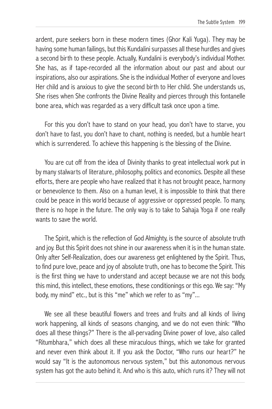ardent, pure seekers born in these modern times (Ghor Kali Yuga). They may be having some human failings, but this Kundalini surpasses all these hurdles and gives a second birth to these people. Actually, Kundalini is everybody's individual Mother. She has, as if tape-recorded all the information about our past and about our inspirations, also our aspirations. She is the individual Mother of everyone and loves Her child and is anxious to give the second birth to Her child. She understands us, She rises when She confronts the Divine Reality and pierces through this fontanelle bone area, which was regarded as a very difficult task once upon a time.

For this you don't have to stand on your head, you don't have to starve, you don't have to fast, you don't have to chant, nothing is needed, but a humble heart which is surrendered. To achieve this happening is the blessing of the Divine.

You are cut off from the idea of Divinity thanks to great intellectual work put in by many stalwarts of literature, philosophy, politics and economics. Despite all these efforts, there are people who have realized that it has not brought peace, harmony or benevolence to them. Also on a human level, it is impossible to think that there could be peace in this world because of aggressive or oppressed people. To many, there is no hope in the future. The only way is to take to Sahaja Yoga if one really wants to save the world.

The Spirit, which is the reflection of God Almighty, is the source of absolute truth and joy. But this Spirit does not shine in our awareness when it is in the human state. Only after Self-Realization, does our awareness get enlightened by the Spirit. Thus, to find pure love, peace and joy of absolute truth, one has to become the Spirit. This is the first thing we have to understand and accept because we are not this body, this mind, this intellect, these emotions, these conditionings or this ego. We say: "My body, my mind" etc., but is this "me" which we refer to as "my"...

We see all these beautiful flowers and trees and fruits and all kinds of living work happening, all kinds of seasons changing, and we do not even think: "Who does all these things?" There is the all-pervading Divine power of love, also called "Ritumbhara," which does all these miraculous things, which we take for granted and never even think about it. If you ask the Doctor, "Who runs our heart?" he would say "It is the autonomous nervous system," but this autonomous nervous system has got the auto behind it. And who is this auto, which runs it? They will not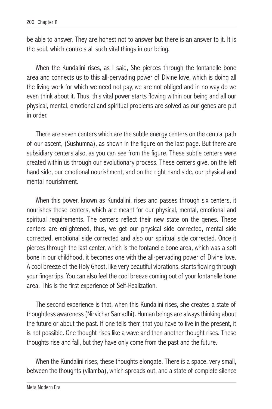be able to answer. They are honest not to answer but there is an answer to it. It is the soul, which controls all such vital things in our being.

When the Kundalini rises, as I said, She pierces through the fontanelle bone area and connects us to this all-pervading power of Divine love, which is doing all the living work for which we need not pay, we are not obliged and in no way do we even think about it. Thus, this vital power starts flowing within our being and all our physical, mental, emotional and spiritual problems are solved as our genes are put in order.

There are seven centers which are the subtle energy centers on the central path of our ascent, (Sushumna), as shown in the figure on the last page. But there are subsidiary centers also, as you can see from the figure. These subtle centers were created within us through our evolutionary process. These centers give, on the left hand side, our emotional nourishment, and on the right hand side, our physical and mental nourishment.

When this power, known as Kundalini, rises and passes through six centers, it nourishes these centers, which are meant for our physical, mental, emotional and spiritual requirements. The centers reflect their new state on the genes. These centers are enlightened, thus, we get our physical side corrected, mental side corrected, emotional side corrected and also our spiritual side corrected. Once it pierces through the last center, which is the fontanelle bone area, which was a soft bone in our childhood, it becomes one with the all-pervading power of Divine love. A cool breeze of the Holy Ghost, like very beautiful vibrations, starts flowing through your fingertips. You can also feel the cool breeze coming out of your fontanelle bone area. This is the first experience of Self-Realization.

The second experience is that, when this Kundalini rises, she creates a state of thoughtless awareness (Nirvichar Samadhi). Human beings are always thinking about the future or about the past. If one tells them that you have to live in the present, it is not possible. One thought rises like a wave and then another thought rises. These thoughts rise and fall, but they have only come from the past and the future.

When the Kundalini rises, these thoughts elongate. There is a space, very small, between the thoughts (vilamba), which spreads out, and a state of complete silence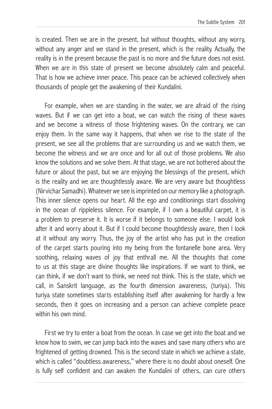is created. Then we are in the present, but without thoughts, without any worry, without any anger and we stand in the present, which is the reality. Actually, the reality is in the present because the past is no more and the future does not exist. When we are in this state of present we become absolutely calm and peaceful. That is how we achieve inner peace. This peace can be achieved collectively when thousands of people get the awakening of their Kundalini.

For example, when we are standing in the water, we are afraid of the rising waves. But if we can get into a boat, we can watch the rising of these waves and we become a witness of those frightening waves. On the contrary, we can enjoy them. In the same way it happens, that when we rise to the state of the present, we see all the problems that are surrounding us and we watch them, we become the witness and we are once and for all out of those problems. We also know the solutions and we solve them. At that stage, we are not bothered about the future or about the past, but we are enjoying the blessings of the present, which is the reality and we are thoughtlessly aware. We are very aware but thoughtless (Nirvichar Samadhi). Whatever we see is imprinted on our memory like a photograph. This inner silence opens our heart. All the ego and conditionings start dissolving in the ocean of rippleless silence. For example, if I own a beautiful carpet, it is a problem to preserve it. It is worse if it belongs to someone else. I would look after it and worry about it. But if I could become thoughtlessly aware, then I look at it without any worry. Thus, the joy of the artist who has put in the creation of the carpet starts pouring into my being from the fontanelle bone area. Very soothing, relaxing waves of joy that enthrall me. All the thoughts that come to us at this stage are divine thoughts like inspirations. If we want to think, we can think, if we don't want to think, we need not think. This is the state, which we call, in Sanskrit language, as the fourth dimension awareness, (turiya). This turiya state sometimes starts establishing itself after awakening for hardly a few seconds, then it goes on increasing and a person can achieve complete peace within his own mind.

First we try to enter a boat from the ocean. In case we get into the boat and we know how to swim, we can jump back into the waves and save many others who are frightened of getting drowned. This is the second state in which we achieve a state, which is called "doubtless awareness," where there is no doubt about oneself. One is fully self confident and can awaken the Kundalini of others, can cure others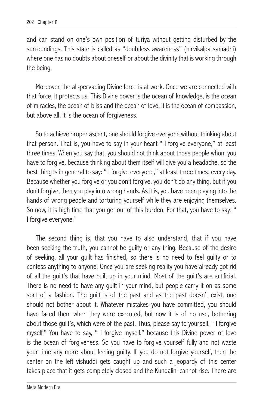and can stand on one's own position of turiya without getting disturbed by the surroundings. This state is called as "doubtless awareness" (nirvikalpa samadhi) where one has no doubts about oneself or about the divinity that is working through the being.

Moreover, the all-pervading Divine force is at work. Once we are connected with that force, it protects us. This Divine power is the ocean of knowledge, is the ocean of miracles, the ocean of bliss and the ocean of love, it is the ocean of compassion, but above all, it is the ocean of forgiveness.

So to achieve proper ascent, one should forgive everyone without thinking about that person. That is, you have to say in your heart " I forgive everyone," at least three times. When you say that, you should not think about those people whom you have to forgive, because thinking about them itself will give you a headache, so the best thing is in general to say: " I forgive everyone," at least three times, every day. Because whether you forgive or you don't forgive, you don't do any thing, but if you don't forgive, then you play into wrong hands. As it is, you have been playing into the hands of wrong people and torturing yourself while they are enjoying themselves. So now, it is high time that you get out of this burden. For that, you have to say: " I forgive everyone."

The second thing is, that you have to also understand, that if you have been seeking the truth, you cannot be guilty or any thing. Because of the desire of seeking, all your guilt has finished, so there is no need to feel guilty or to confess anything to anyone. Once you are seeking reality you have already got rid of all the guilt's that have built up in your mind. Most of the guilt's are artificial. There is no need to have any guilt in your mind, but people carry it on as some sort of a fashion. The guilt is of the past and as the past doesn't exist, one should not bother about it. Whatever mistakes you have committed, you should have faced them when they were executed, but now it is of no use, bothering about those guilt's, which were of the past. Thus, please say to yourself, " I forgive myself." You have to say, " I forgive myself," because this Divine power of love is the ocean of forgiveness. So you have to forgive yourself fully and not waste your time any more about feeling guilty. If you do not forgive yourself, then the center on the left vishuddi gets caught up and such a jeopardy of this center takes place that it gets completely closed and the Kundalini cannot rise. There are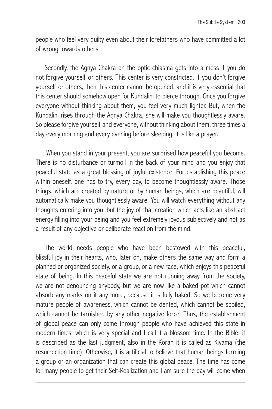people who feel very guilty even about their forefathers who have committed a lot of wrong towards others.

Secondly, the Agnya Chakra on the optic chiasma gets into a mess if you do not forgive yourself or others. This center is very constricted. If you don't forgive yourself or others, then this center cannot be opened, and it is very essential that this center should somehow open for Kundalini to pierce through. Once you forgive everyone without thinking about them, you feel very much lighter. But, when the Kundalini rises through the Agnya Chakra, she will make you thoughtlessly aware. So please forgive yourself and everyone, without thinking about them, three times a day every morning and every evening before sleeping. It is like a prayer.

 When you stand in your present, you are surprised how peaceful you become. There is no disturbance or turmoil in the back of your mind and you enjoy that peaceful state as a great blessing of joyful existence. For establishing this peace within oneself, one has to try, every day, to become thoughtlessly aware. Those things, which are created by nature or by human beings, which are beautiful, will automatically make you thoughtlessly aware. You will watch everything without any thoughts entering into you, but the joy of that creation which acts like an abstract energy filling into your being and you feel extremely joyous subjectively and not as a result of any objective or deliberate reaction from the mind.

The world needs people who have been bestowed with this peaceful, blissful joy in their hearts, who, later on, make others the same way and form a planned or organized society, or a group, or a new race, which enjoys this peaceful state of being. In this peaceful state we are not running away from the society, we are not denouncing anybody, but we are now like a baked pot which cannot absorb any marks on it any more, because it is fully baked. So we become very mature people of awareness, which cannot be dented, which cannot be spoiled, which cannot be tarnished by any other negative force. Thus, the establishment of global peace can only come through people who have achieved this state in modern times, which is very special and I call it a blossom time. In the Bible, it is described as the last judgment, also in the Koran it is called as Kiyama (the resurrection time). Otherwise, it is artificial to believe that human beings forming a group or an organization that can create this global peace. The time has come for many people to get their Self-Realization and I am sure the day will come when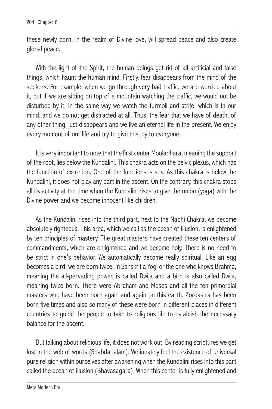these newly born, in the realm of Divine love, will spread peace and also create global peace.

With the light of the Spirit, the human beings get rid of all artificial and false things, which haunt the human mind. Firstly, fear disappears from the mind of the seekers. For example, when we go through very bad traffic, we are worried about it, but if we are sitting on top of a mountain watching the traffic, we would not be disturbed by it. In the same way we watch the turmoil and strife, which is in our mind, and we do not get distracted at all. Thus, the fear that we have of death, of any other thing, just disappears and we live an eternal life in the present. We enjoy every moment of our life and try to give this joy to everyone.

It is very important to note that the first center Mooladhara, meaning the support of the root, lies below the Kundalini. This chakra acts on the pelvic plexus, which has the function of excretion. One of the functions is sex. As this chakra is below the Kundalini, it does not play any part in the ascent. On the contrary, this chakra stops all its activity at the time when the Kundalini rises to give the union (yoga) with the Divine power and we become innocent like children.

As the Kundalini rises into the third part, next to the Nabhi Chakra, we become absolutely righteous. This area, which we call as the ocean of illusion, is enlightened by ten principles of mastery. The great masters have created these ten centers of commandments, which are enlightened and we become holy. There is no need to be strict in one's behavior. We automatically become really spiritual. Like an egg becomes a bird, we are born twice. In Sanskrit a Yogi or the one who knows Brahma, meaning the all-pervading power, is called Dwija and a bird is also called Dwija, meaning twice born. There were Abraham and Moses and all the ten primordial masters who have been born again and again on this earth. Zoroastra has been born five times and also so many of these were born in different places in different countries to guide the people to take to religious life to establish the necessary balance for the ascent.

But talking about religious life, it does not work out. By reading scriptures we get lost in the web of words (Shabda Jalam). We innately feel the existence of universal pure religion within ourselves after awakening when the Kundalini rises into this part called the ocean of illusion (Bhavasagara). When this center is fully enlightened and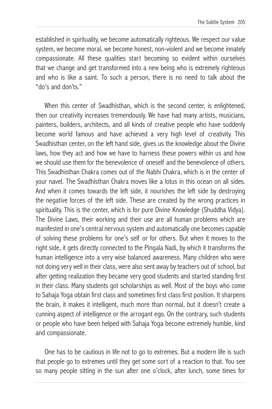established in spirituality, we become automatically righteous. We respect our value system, we become moral, we become honest, non-violent and we become innately compassionate. All these qualities start becoming so evident within ourselves that we change and get transformed into a new being who is extremely righteous and who is like a saint. To such a person, there is no need to talk about the "do's and don'ts."

When this center of Swadhisthan, which is the second center, is enlightened, then our creativity increases tremendously. We have had many artists, musicians, painters, builders, architects, and all kinds of creative people who have suddenly become world famous and have achieved a very high level of creativity. This Swadhisthan center, on the left hand side, gives us the knowledge about the Divine laws, how they act and how we have to harness these powers within us and how we should use them for the benevolence of oneself and the benevolence of others. This Swadhisthan Chakra comes out of the Nabhi Chakra, which is in the center of your navel. The Swadhisthan Chakra moves like a lotus in this ocean on all sides. And when it comes towards the left side, it nourishes the left side by destroying the negative forces of the left side. These are created by the wrong practices in spirituality. This is the center, which is for pure Divine Knowledge (Shuddha Vidya). The Divine Laws, their working and their use are all human problems which are manifested in one's central nervous system and automatically one becomes capable of solving these problems for one's self or for others. But when it moves to the right side, it gets directly connected to the Pingala Nadi, by which it transforms the human intelligence into a very wise balanced awareness. Many children who were not doing very well in their class, were also sent away by teachers out of school, but after getting realization they became very good students and started standing first in their class. Many students got scholarships as well. Most of the boys who come to Sahaja Yoga obtain first class and sometimes first class first position. It sharpens the brain, it makes it intelligent, much more than normal, but it doesn't create a cunning aspect of intelligence or the arrogant ego. On the contrary, such students or people who have been helped with Sahaja Yoga become extremely humble, kind and compassionate.

One has to be cautious in life not to go to extremes. But a modern life is such that people go to extremes until they get some sort of a reaction to that. You see so many people sitting in the sun after one o'clock, after lunch, some times for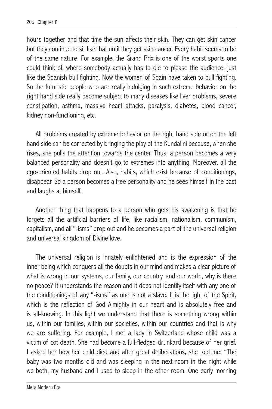hours together and that time the sun affects their skin. They can get skin cancer but they continue to sit like that until they get skin cancer. Every habit seems to be of the same nature. For example, the Grand Prix is one of the worst sports one could think of, where somebody actually has to die to please the audience, just like the Spanish bull fighting. Now the women of Spain have taken to bull fighting. So the futuristic people who are really indulging in such extreme behavior on the right hand side really become subject to many diseases like liver problems, severe constipation, asthma, massive heart attacks, paralysis, diabetes, blood cancer, kidney non-functioning, etc.

All problems created by extreme behavior on the right hand side or on the left hand side can be corrected by bringing the play of the Kundalini because, when she rises, she pulls the attention towards the center. Thus, a person becomes a very balanced personality and doesn't go to extremes into anything. Moreover, all the ego-oriented habits drop out. Also, habits, which exist because of conditionings, disappear. So a person becomes a free personality and he sees himself in the past and laughs at himself.

Another thing that happens to a person who gets his awakening is that he forgets all the artificial barriers of life, like racialism, nationalism, communism, capitalism, and all "-isms" drop out and he becomes a part of the universal religion and universal kingdom of Divine love.

The universal religion is innately enlightened and is the expression of the inner being which conquers all the doubts in our mind and makes a clear picture of what is wrong in our systems, our family, our country, and our world, why is there no peace? It understands the reason and it does not identify itself with any one of the conditionings of any "-isms" as one is not a slave. It is the light of the Spirit, which is the reflection of God Almighty in our heart and is absolutely free and is all-knowing. In this light we understand that there is something wrong within us, within our families, within our societies, within our countries and that is why we are suffering. For example, I met a lady in Switzerland whose child was a victim of cot death. She had become a full-fledged drunkard because of her grief. I asked her how her child died and after great deliberations, she told me: "The baby was two months old and was sleeping in the next room in the night while we both, my husband and I used to sleep in the other room. One early morning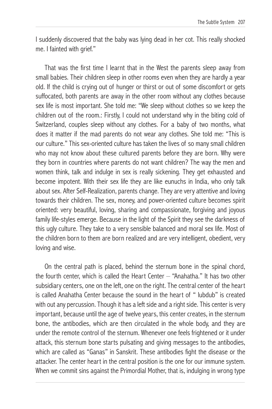I suddenly discovered that the baby was lying dead in her cot. This really shocked me. I fainted with grief."

That was the first time I learnt that in the West the parents sleep away from small babies. Their children sleep in other rooms even when they are hardly a year old. If the child is crying out of hunger or thirst or out of some discomfort or gets suffocated, both parents are away in the other room without any clothes because sex life is most important. She told me: "We sleep without clothes so we keep the children out of the room.: Firstly, I could not understand why in the biting cold of Switzerland, couples sleep without any clothes. For a baby of two months, what does it matter if the mad parents do not wear any clothes. She told me: "This is our culture." This sex-oriented culture has taken the lives of so many small children who may not know about these cultured parents before they are born. Why were they born in countries where parents do not want children? The way the men and women think, talk and indulge in sex is really sickening. They get exhausted and become impotent. With their sex life they are like eunuchs in India, who only talk about sex. After Self-Realization, parents change. They are very attentive and loving towards their children. The sex, money, and power-oriented culture becomes spirit oriented: very beautiful, loving, sharing and compassionate, forgiving and joyous family life-styles emerge. Because in the light of the Spirit they see the darkness of this ugly culture. They take to a very sensible balanced and moral sex life. Most of the children born to them are born realized and are very intelligent, obedient, very loving and wise.

On the central path is placed, behind the sternum bone in the spinal chord, the fourth center, which is called the Heart Center – "Anahatha." It has two other subsidiary centers, one on the left, one on the right. The central center of the heart is called Anahatha Center because the sound in the heart of " lubdub" is created with out any percussion. Though it has a left side and a right side. This center is very important, because until the age of twelve years, this center creates, in the sternum bone, the antibodies, which are then circulated in the whole body, and they are under the remote control of the sternum. Whenever one feels frightened or it under attack, this sternum bone starts pulsating and giving messages to the antibodies, which are called as "Ganas" in Sanskrit. These antibodies fight the disease or the attacker. The center heart in the central position is the one for our immune system. When we commit sins against the Primordial Mother, that is, indulging in wrong type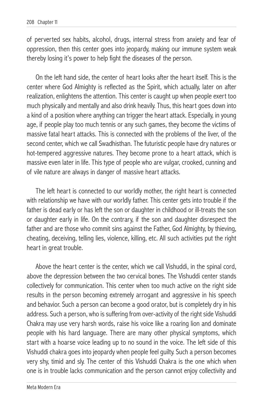of perverted sex habits, alcohol, drugs, internal stress from anxiety and fear of oppression, then this center goes into jeopardy, making our immune system weak thereby losing it's power to help fight the diseases of the person.

On the left hand side, the center of heart looks after the heart itself. This is the center where God Almighty is reflected as the Spirit, which actually, later on after realization, enlightens the attention. This center is caught up when people exert too much physically and mentally and also drink heavily. Thus, this heart goes down into a kind of a position where anything can trigger the heart attack. Especially, in young age, if people play too much tennis or any such games, they become the victims of massive fatal heart attacks. This is connected with the problems of the liver, of the second center, which we call Swadhisthan. The futuristic people have dry natures or hot-tempered aggressive natures. They become prone to a heart attack, which is massive even later in life. This type of people who are vulgar, crooked, cunning and of vile nature are always in danger of massive heart attacks.

The left heart is connected to our worldly mother, the right heart is connected with relationship we have with our worldly father. This center gets into trouble if the father is dead early or has left the son or daughter in childhood or ill-treats the son or daughter early in life. On the contrary, if the son and daughter disrespect the father and are those who commit sins against the Father, God Almighty, by thieving, cheating, deceiving, telling lies, violence, killing, etc. All such activities put the right heart in great trouble.

Above the heart center is the center, which we call Vishuddi, in the spinal cord, above the depression between the two cervical bones. The Vishuddi center stands collectively for communication. This center when too much active on the right side results in the person becoming extremely arrogant and aggressive in his speech and behavior. Such a person can become a good orator, but is completely dry in his address. Such a person, who is suffering from over-activity of the right side Vishuddi Chakra may use very harsh words, raise his voice like a roaring lion and dominate people with his hard language. There are many other physical symptoms, which start with a hoarse voice leading up to no sound in the voice. The left side of this Vishuddi chakra goes into jeopardy when people feel guilty. Such a person becomes very shy, timid and sly. The center of this Vishuddi Chakra is the one which when one is in trouble lacks communication and the person cannot enjoy collectivity and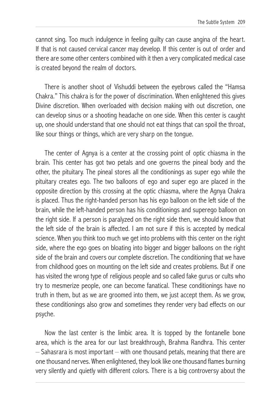cannot sing. Too much indulgence in feeling guilty can cause angina of the heart. If that is not caused cervical cancer may develop. If this center is out of order and there are some other centers combined with it then a very complicated medical case is created beyond the realm of doctors.

There is another shoot of Vishuddi between the eyebrows called the "Hamsa Chakra." This chakra is for the power of discrimination. When enlightened this gives Divine discretion. When overloaded with decision making with out discretion, one can develop sinus or a shooting headache on one side. When this center is caught up, one should understand that one should not eat things that can spoil the throat, like sour things or things, which are very sharp on the tongue.

The center of Agnya is a center at the crossing point of optic chiasma in the brain. This center has got two petals and one governs the pineal body and the other, the pituitary. The pineal stores all the conditionings as super ego while the pituitary creates ego. The two balloons of ego and super ego are placed in the opposite direction by this crossing at the optic chiasma, where the Agnya Chakra is placed. Thus the right-handed person has his ego balloon on the left side of the brain, while the left-handed person has his conditionings and superego balloon on the right side. If a person is paralyzed on the right side then, we should know that the left side of the brain is affected. I am not sure if this is accepted by medical science. When you think too much we get into problems with this center on the right side, where the ego goes on bloating into bigger and bigger balloons on the right side of the brain and covers our complete discretion. The conditioning that we have from childhood goes on mounting on the left side and creates problems. But if one has visited the wrong type of religious people and so called fake gurus or cults who try to mesmerize people, one can become fanatical. These conditionings have no truth in them, but as we are groomed into them, we just accept them. As we grow, these conditionings also grow and sometimes they render very bad effects on our psyche.

Now the last center is the limbic area. It is topped by the fontanelle bone area, which is the area for our last breakthrough, Brahma Randhra. This center – Sahasrara is most important – with one thousand petals, meaning that there are one thousand nerves. When enlightened, they look like one thousand flames burning very silently and quietly with different colors. There is a big controversy about the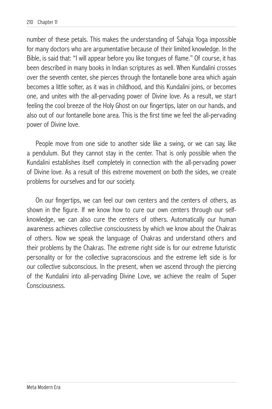number of these petals. This makes the understanding of Sahaja Yoga impossible for many doctors who are argumentative because of their limited knowledge. In the Bible, is said that: "I will appear before you like tongues of flame." Of course, it has been described in many books in Indian scriptures as well. When Kundalini crosses over the seventh center, she pierces through the fontanelle bone area which again becomes a little softer, as it was in childhood, and this Kundalini joins, or becomes one, and unites with the all-pervading power of Divine love. As a result, we start feeling the cool breeze of the Holy Ghost on our fingertips, later on our hands, and also out of our fontanelle bone area. This is the first time we feel the all-pervading power of Divine love.

People move from one side to another side like a swing, or we can say, like a pendulum. But they cannot stay in the center. That is only possible when the Kundalini establishes itself completely in connection with the all-pervading power of Divine love. As a result of this extreme movement on both the sides, we create problems for ourselves and for our society.

On our fingertips, we can feel our own centers and the centers of others, as shown in the figure. If we know how to cure our own centers through our selfknowledge, we can also cure the centers of others. Automatically our human awareness achieves collective consciousness by which we know about the Chakras of others. Now we speak the language of Chakras and understand others and their problems by the Chakras. The extreme right side is for our extreme futuristic personality or for the collective supraconscious and the extreme left side is for our collective subconscious. In the present, when we ascend through the piercing of the Kundalini into all-pervading Divine Love, we achieve the realm of Super Consciousness.